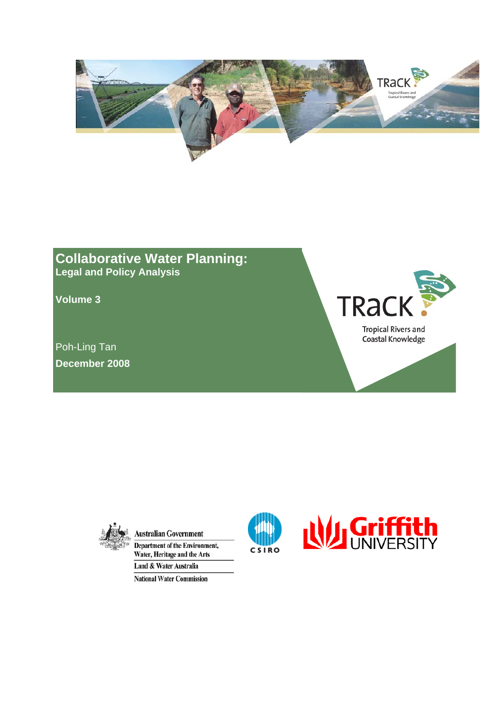

### **Collaborative Water Planning: Legal and Policy Analysis**

**Volume 3** 

Poh-Ling Tan **December 2008** 





**Australian Government Department of the Environment,** Water, Heritage and the Arts Land & Water Australia

**National Water Commission** 

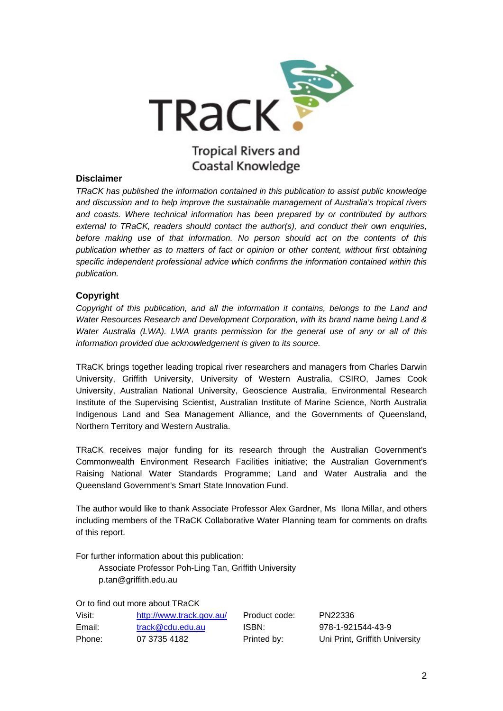

### **Tropical Rivers and** Coastal Knowledge

#### **Disclaimer**

*TRaCK has published the information contained in this publication to assist public knowledge and discussion and to help improve the sustainable management of Australia's tropical rivers and coasts. Where technical information has been prepared by or contributed by authors external to TRaCK, readers should contact the author(s), and conduct their own enquiries, before making use of that information. No person should act on the contents of this publication whether as to matters of fact or opinion or other content, without first obtaining specific independent professional advice which confirms the information contained within this publication.* 

### **Copyright**

*Copyright of this publication, and all the information it contains, belongs to the Land and Water Resources Research and Development Corporation, with its brand name being Land & Water Australia (LWA). LWA grants permission for the general use of any or all of this information provided due acknowledgement is given to its source.* 

TRaCK brings together leading tropical river researchers and managers from Charles Darwin University, Griffith University, University of Western Australia, CSIRO, James Cook University, Australian National University, Geoscience Australia, Environmental Research Institute of the Supervising Scientist, Australian Institute of Marine Science, North Australia Indigenous Land and Sea Management Alliance, and the Governments of Queensland, Northern Territory and Western Australia.

TRaCK receives major funding for its research through the Australian Government's Commonwealth Environment Research Facilities initiative; the Australian Government's Raising National Water Standards Programme; Land and Water Australia and the Queensland Government's Smart State Innovation Fund.

The author would like to thank Associate Professor Alex Gardner, Ms Ilona Millar, and others including members of the TRaCK Collaborative Water Planning team for comments on drafts of this report.

For further information about this publication:

 Associate Professor Poh-Ling Tan, Griffith University p.tan@griffith.edu.au

Or to find out more about TRaCK

| Visit: | http://www.track.gov.au/ | Product code: | PN22336                        |
|--------|--------------------------|---------------|--------------------------------|
| Email: | track@cdu.edu.au         | ISBN:         | 978-1-921544-43-9              |
| Phone: | 07 3735 4182             | Printed by:   | Uni Print, Griffith University |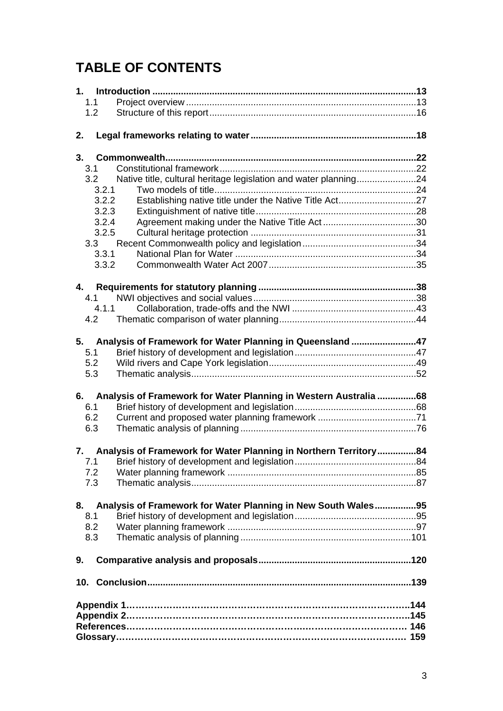# **TABLE OF CONTENTS**

| 1.1                                                                     |  |  |
|-------------------------------------------------------------------------|--|--|
| 1.2                                                                     |  |  |
|                                                                         |  |  |
| 2.                                                                      |  |  |
|                                                                         |  |  |
| 3.                                                                      |  |  |
| 3.1                                                                     |  |  |
| Native title, cultural heritage legislation and water planning24<br>3.2 |  |  |
| 3.2.1                                                                   |  |  |
| 3.2.2                                                                   |  |  |
| 3.2.3                                                                   |  |  |
| 3.2.4                                                                   |  |  |
| 3.2.5                                                                   |  |  |
| 3.3                                                                     |  |  |
| 3.3.1                                                                   |  |  |
| 3.3.2                                                                   |  |  |
|                                                                         |  |  |
| 4.                                                                      |  |  |
| 4.1                                                                     |  |  |
| 4.1.1                                                                   |  |  |
| 4.2                                                                     |  |  |
|                                                                         |  |  |
| Analysis of Framework for Water Planning in Queensland 47<br>5.         |  |  |
| 5.1                                                                     |  |  |
| 5.2                                                                     |  |  |
| 5.3                                                                     |  |  |
|                                                                         |  |  |
| Analysis of Framework for Water Planning in Western Australia 68<br>6.  |  |  |
| 6.1                                                                     |  |  |
| 6.2                                                                     |  |  |
| 6.3                                                                     |  |  |
|                                                                         |  |  |
| 7. Analysis of Framework for Water Planning in Northern Territory84     |  |  |
| 7.1                                                                     |  |  |
| 7.2                                                                     |  |  |
| 7.3                                                                     |  |  |
|                                                                         |  |  |
| 8.<br>Analysis of Framework for Water Planning in New South Wales95     |  |  |
| 8.1                                                                     |  |  |
| 8.2                                                                     |  |  |
| 8.3                                                                     |  |  |
|                                                                         |  |  |
| 9.                                                                      |  |  |
|                                                                         |  |  |
|                                                                         |  |  |
|                                                                         |  |  |
|                                                                         |  |  |
|                                                                         |  |  |
|                                                                         |  |  |
|                                                                         |  |  |
|                                                                         |  |  |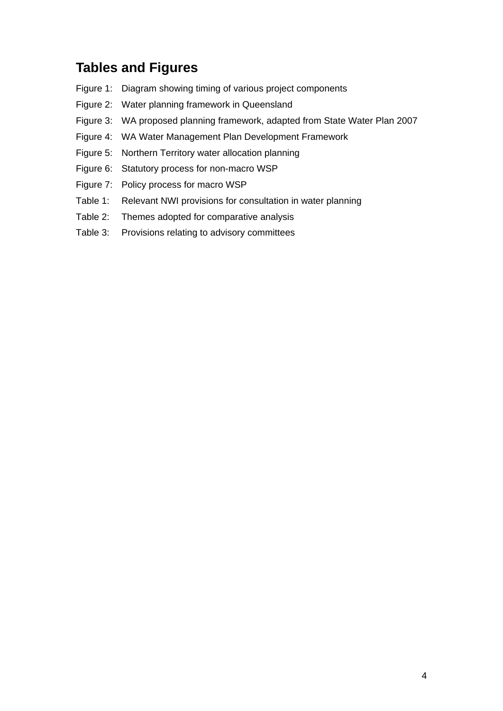# **Tables and Figures**

- Figure 1: Diagram showing timing of various project components
- Figure 2: Water planning framework in Queensland
- Figure 3: WA proposed planning framework, adapted from State Water Plan 2007
- Figure 4: WA Water Management Plan Development Framework
- Figure 5: Northern Territory water allocation planning
- Figure 6: Statutory process for non-macro WSP
- Figure 7: Policy process for macro WSP
- Table 1: Relevant NWI provisions for consultation in water planning
- Table 2: Themes adopted for comparative analysis
- Table 3: Provisions relating to advisory committees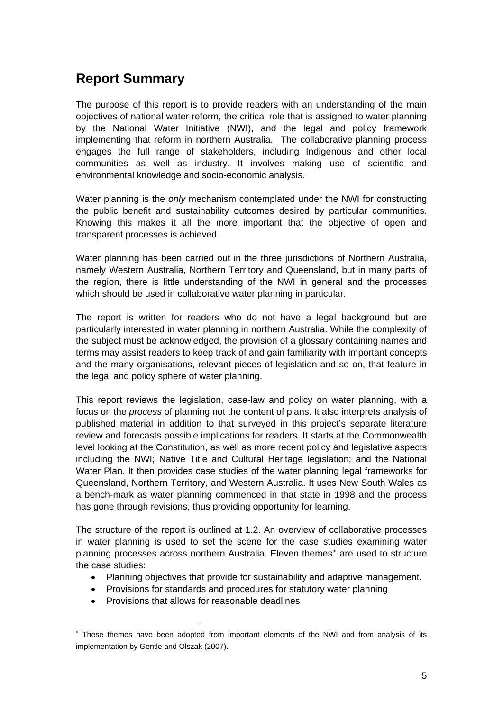# **Report Summary**

The purpose of this report is to provide readers with an understanding of the main objectives of national water reform, the critical role that is assigned to water planning by the National Water Initiative (NWI), and the legal and policy framework implementing that reform in northern Australia. The collaborative planning process engages the full range of stakeholders, including Indigenous and other local communities as well as industry. It involves making use of scientific and environmental knowledge and socio-economic analysis.

Water planning is the *only* mechanism contemplated under the NWI for constructing the public benefit and sustainability outcomes desired by particular communities. Knowing this makes it all the more important that the objective of open and transparent processes is achieved.

Water planning has been carried out in the three jurisdictions of Northern Australia, namely Western Australia, Northern Territory and Queensland, but in many parts of the region, there is little understanding of the NWI in general and the processes which should be used in collaborative water planning in particular.

The report is written for readers who do not have a legal background but are particularly interested in water planning in northern Australia. While the complexity of the subject must be acknowledged, the provision of a glossary containing names and terms may assist readers to keep track of and gain familiarity with important concepts and the many organisations, relevant pieces of legislation and so on, that feature in the legal and policy sphere of water planning.

This report reviews the legislation, case-law and policy on water planning, with a focus on the *process* of planning not the content of plans. It also interprets analysis of published material in addition to that surveyed in this project's separate literature review and forecasts possible implications for readers. It starts at the Commonwealth level looking at the Constitution, as well as more recent policy and legislative aspects including the NWI; Native Title and Cultural Heritage legislation; and the National Water Plan. It then provides case studies of the water planning legal frameworks for Queensland, Northern Territory, and Western Australia. It uses New South Wales as a bench-mark as water planning commenced in that state in 1998 and the process has gone through revisions, thus providing opportunity for learning.

The structure of the report is outlined at 1.2. An overview of collaborative processes in water planning is used to set the scene for the case studies examining water planning processes across northern Australia. Eleven themes<sup>\*</sup> are used to structure the case studies:

- Planning objectives that provide for sustainability and adaptive management.
- Provisions for standards and procedures for statutory water planning
- Provisions that allows for reasonable deadlines

<span id="page-4-0"></span><sup>∗</sup> These themes have been adopted from important elements of the NWI and from analysis of its implementation by Gentle and Olszak (2007).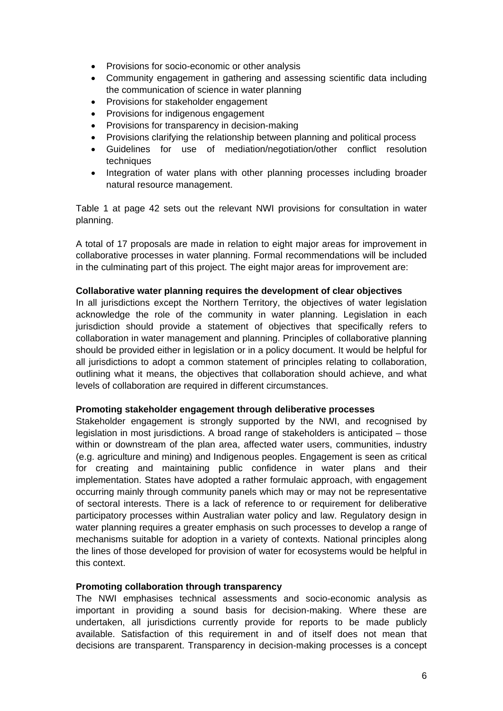- Provisions for socio-economic or other analysis
- Community engagement in gathering and assessing scientific data including the communication of science in water planning
- Provisions for stakeholder engagement
- Provisions for indigenous engagement
- Provisions for transparency in decision-making
- Provisions clarifying the relationship between planning and political process
- Guidelines for use of mediation/negotiation/other conflict resolution techniques
- Integration of water plans with other planning processes including broader natural resource management.

Table 1 at page 42 sets out the relevant NWI provisions for consultation in water planning.

A total of 17 proposals are made in relation to eight major areas for improvement in collaborative processes in water planning. Formal recommendations will be included in the culminating part of this project. The eight major areas for improvement are:

#### **Collaborative water planning requires the development of clear objectives**

In all jurisdictions except the Northern Territory, the objectives of water legislation acknowledge the role of the community in water planning. Legislation in each jurisdiction should provide a statement of objectives that specifically refers to collaboration in water management and planning. Principles of collaborative planning should be provided either in legislation or in a policy document. It would be helpful for all jurisdictions to adopt a common statement of principles relating to collaboration, outlining what it means, the objectives that collaboration should achieve, and what levels of collaboration are required in different circumstances.

### **Promoting stakeholder engagement through deliberative processes**

Stakeholder engagement is strongly supported by the NWI, and recognised by legislation in most jurisdictions. A broad range of stakeholders is anticipated – those within or downstream of the plan area, affected water users, communities, industry (e.g. agriculture and mining) and Indigenous peoples. Engagement is seen as critical for creating and maintaining public confidence in water plans and their implementation. States have adopted a rather formulaic approach, with engagement occurring mainly through community panels which may or may not be representative of sectoral interests. There is a lack of reference to or requirement for deliberative participatory processes within Australian water policy and law. Regulatory design in water planning requires a greater emphasis on such processes to develop a range of mechanisms suitable for adoption in a variety of contexts. National principles along the lines of those developed for provision of water for ecosystems would be helpful in this context.

### **Promoting collaboration through transparency**

The NWI emphasises technical assessments and socio-economic analysis as important in providing a sound basis for decision-making. Where these are undertaken, all jurisdictions currently provide for reports to be made publicly available. Satisfaction of this requirement in and of itself does not mean that decisions are transparent. Transparency in decision-making processes is a concept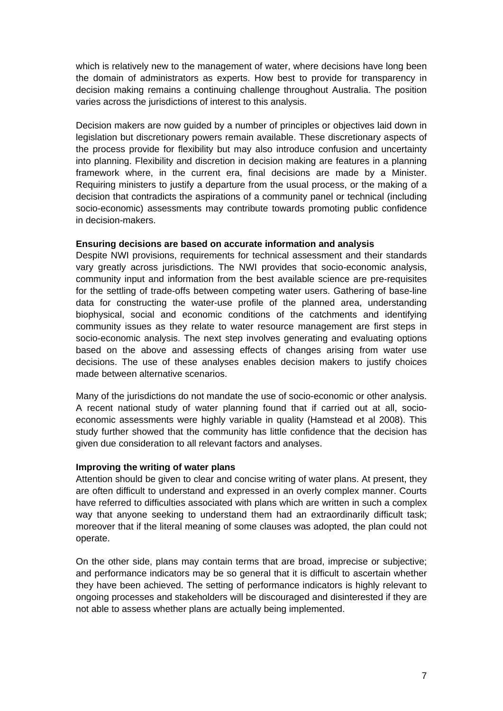which is relatively new to the management of water, where decisions have long been the domain of administrators as experts. How best to provide for transparency in decision making remains a continuing challenge throughout Australia. The position varies across the jurisdictions of interest to this analysis.

Decision makers are now guided by a number of principles or objectives laid down in legislation but discretionary powers remain available. These discretionary aspects of the process provide for flexibility but may also introduce confusion and uncertainty into planning. Flexibility and discretion in decision making are features in a planning framework where, in the current era, final decisions are made by a Minister. Requiring ministers to justify a departure from the usual process, or the making of a decision that contradicts the aspirations of a community panel or technical (including socio-economic) assessments may contribute towards promoting public confidence in decision-makers.

### **Ensuring decisions are based on accurate information and analysis**

Despite NWI provisions, requirements for technical assessment and their standards vary greatly across jurisdictions. The NWI provides that socio-economic analysis, community input and information from the best available science are pre-requisites for the settling of trade-offs between competing water users. Gathering of base-line data for constructing the water-use profile of the planned area, understanding biophysical, social and economic conditions of the catchments and identifying community issues as they relate to water resource management are first steps in socio-economic analysis. The next step involves generating and evaluating options based on the above and assessing effects of changes arising from water use decisions. The use of these analyses enables decision makers to justify choices made between alternative scenarios.

Many of the jurisdictions do not mandate the use of socio-economic or other analysis. A recent national study of water planning found that if carried out at all, socioeconomic assessments were highly variable in quality (Hamstead et al 2008). This study further showed that the community has little confidence that the decision has given due consideration to all relevant factors and analyses.

### **Improving the writing of water plans**

Attention should be given to clear and concise writing of water plans. At present, they are often difficult to understand and expressed in an overly complex manner. Courts have referred to difficulties associated with plans which are written in such a complex way that anyone seeking to understand them had an extraordinarily difficult task; moreover that if the literal meaning of some clauses was adopted, the plan could not operate.

On the other side, plans may contain terms that are broad, imprecise or subjective; and performance indicators may be so general that it is difficult to ascertain whether they have been achieved. The setting of performance indicators is highly relevant to ongoing processes and stakeholders will be discouraged and disinterested if they are not able to assess whether plans are actually being implemented.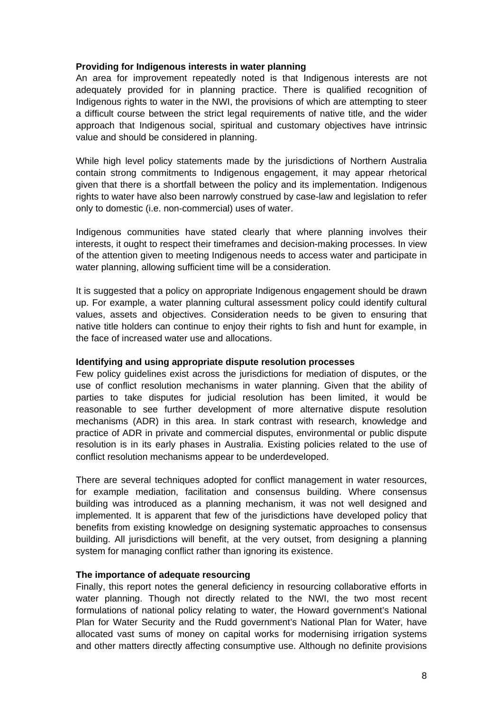#### **Providing for Indigenous interests in water planning**

An area for improvement repeatedly noted is that Indigenous interests are not adequately provided for in planning practice. There is qualified recognition of Indigenous rights to water in the NWI, the provisions of which are attempting to steer a difficult course between the strict legal requirements of native title, and the wider approach that Indigenous social, spiritual and customary objectives have intrinsic value and should be considered in planning.

While high level policy statements made by the jurisdictions of Northern Australia contain strong commitments to Indigenous engagement, it may appear rhetorical given that there is a shortfall between the policy and its implementation. Indigenous rights to water have also been narrowly construed by case-law and legislation to refer only to domestic (i.e. non-commercial) uses of water.

Indigenous communities have stated clearly that where planning involves their interests, it ought to respect their timeframes and decision-making processes. In view of the attention given to meeting Indigenous needs to access water and participate in water planning, allowing sufficient time will be a consideration.

It is suggested that a policy on appropriate Indigenous engagement should be drawn up. For example, a water planning cultural assessment policy could identify cultural values, assets and objectives. Consideration needs to be given to ensuring that native title holders can continue to enjoy their rights to fish and hunt for example, in the face of increased water use and allocations.

### **Identifying and using appropriate dispute resolution processes**

Few policy guidelines exist across the jurisdictions for mediation of disputes, or the use of conflict resolution mechanisms in water planning. Given that the ability of parties to take disputes for judicial resolution has been limited, it would be reasonable to see further development of more alternative dispute resolution mechanisms (ADR) in this area. In stark contrast with research, knowledge and practice of ADR in private and commercial disputes, environmental or public dispute resolution is in its early phases in Australia. Existing policies related to the use of conflict resolution mechanisms appear to be underdeveloped.

There are several techniques adopted for conflict management in water resources, for example mediation, facilitation and consensus building. Where consensus building was introduced as a planning mechanism, it was not well designed and implemented. It is apparent that few of the jurisdictions have developed policy that benefits from existing knowledge on designing systematic approaches to consensus building. All jurisdictions will benefit, at the very outset, from designing a planning system for managing conflict rather than ignoring its existence.

### **The importance of adequate resourcing**

Finally, this report notes the general deficiency in resourcing collaborative efforts in water planning. Though not directly related to the NWI, the two most recent formulations of national policy relating to water, the Howard government's National Plan for Water Security and the Rudd government's National Plan for Water, have allocated vast sums of money on capital works for modernising irrigation systems and other matters directly affecting consumptive use. Although no definite provisions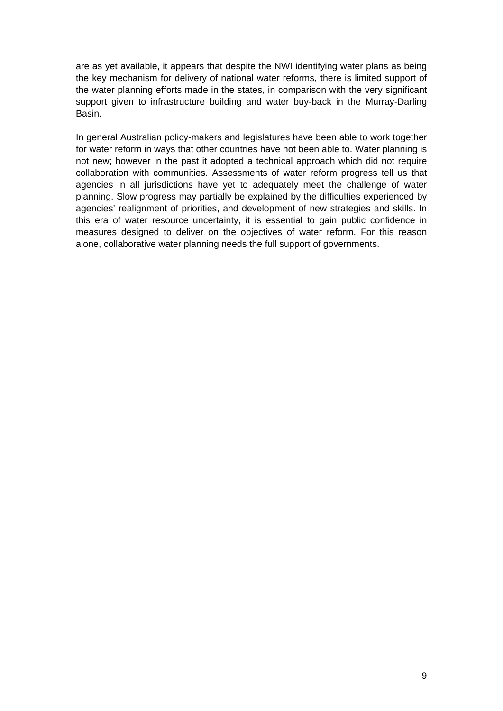are as yet available, it appears that despite the NWI identifying water plans as being the key mechanism for delivery of national water reforms, there is limited support of the water planning efforts made in the states, in comparison with the very significant support given to infrastructure building and water buy-back in the Murray-Darling Basin.

In general Australian policy-makers and legislatures have been able to work together for water reform in ways that other countries have not been able to. Water planning is not new; however in the past it adopted a technical approach which did not require collaboration with communities. Assessments of water reform progress tell us that agencies in all jurisdictions have yet to adequately meet the challenge of water planning. Slow progress may partially be explained by the difficulties experienced by agencies' realignment of priorities, and development of new strategies and skills. In this era of water resource uncertainty, it is essential to gain public confidence in measures designed to deliver on the objectives of water reform. For this reason alone, collaborative water planning needs the full support of governments.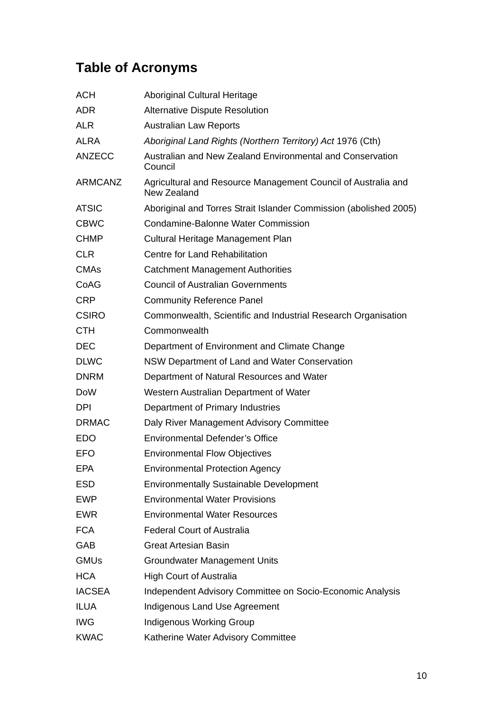# **Table of Acronyms**

| <b>ACH</b>     | <b>Aboriginal Cultural Heritage</b>                                          |
|----------------|------------------------------------------------------------------------------|
| <b>ADR</b>     | <b>Alternative Dispute Resolution</b>                                        |
| <b>ALR</b>     | <b>Australian Law Reports</b>                                                |
| <b>ALRA</b>    | Aboriginal Land Rights (Northern Territory) Act 1976 (Cth)                   |
| <b>ANZECC</b>  | Australian and New Zealand Environmental and Conservation<br>Council         |
| <b>ARMCANZ</b> | Agricultural and Resource Management Council of Australia and<br>New Zealand |
| <b>ATSIC</b>   | Aboriginal and Torres Strait Islander Commission (abolished 2005)            |
| <b>CBWC</b>    | Condamine-Balonne Water Commission                                           |
| <b>CHMP</b>    | Cultural Heritage Management Plan                                            |
| <b>CLR</b>     | Centre for Land Rehabilitation                                               |
| <b>CMAs</b>    | <b>Catchment Management Authorities</b>                                      |
| CoAG           | <b>Council of Australian Governments</b>                                     |
| <b>CRP</b>     | <b>Community Reference Panel</b>                                             |
| <b>CSIRO</b>   | Commonwealth, Scientific and Industrial Research Organisation                |
| <b>CTH</b>     | Commonwealth                                                                 |
| <b>DEC</b>     | Department of Environment and Climate Change                                 |
| <b>DLWC</b>    | NSW Department of Land and Water Conservation                                |
| <b>DNRM</b>    | Department of Natural Resources and Water                                    |
| <b>DoW</b>     | Western Australian Department of Water                                       |
| <b>DPI</b>     | Department of Primary Industries                                             |
| <b>DRMAC</b>   | Daly River Management Advisory Committee                                     |
| <b>EDO</b>     | Environmental Defender's Office                                              |
| <b>EFO</b>     | <b>Environmental Flow Objectives</b>                                         |
| EPA            | <b>Environmental Protection Agency</b>                                       |
| <b>ESD</b>     | <b>Environmentally Sustainable Development</b>                               |
| <b>EWP</b>     | <b>Environmental Water Provisions</b>                                        |
| <b>EWR</b>     | <b>Environmental Water Resources</b>                                         |
| <b>FCA</b>     | <b>Federal Court of Australia</b>                                            |
| GAB            | <b>Great Artesian Basin</b>                                                  |
| <b>GMUs</b>    | <b>Groundwater Management Units</b>                                          |
| <b>HCA</b>     | <b>High Court of Australia</b>                                               |
| <b>IACSEA</b>  | Independent Advisory Committee on Socio-Economic Analysis                    |
| <b>ILUA</b>    | Indigenous Land Use Agreement                                                |
| <b>IWG</b>     | <b>Indigenous Working Group</b>                                              |
| <b>KWAC</b>    | Katherine Water Advisory Committee                                           |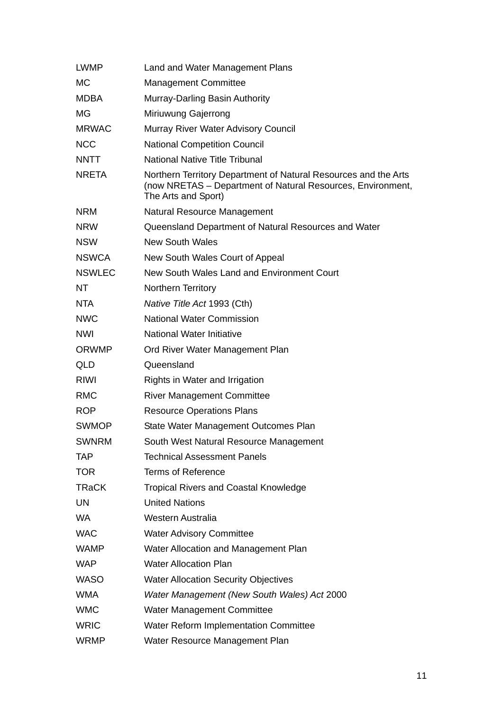| <b>LWMP</b>   | Land and Water Management Plans                                                                                                                       |
|---------------|-------------------------------------------------------------------------------------------------------------------------------------------------------|
| <b>MC</b>     | <b>Management Committee</b>                                                                                                                           |
| <b>MDBA</b>   | Murray-Darling Basin Authority                                                                                                                        |
| <b>MG</b>     | Miriuwung Gajerrong                                                                                                                                   |
| <b>MRWAC</b>  | Murray River Water Advisory Council                                                                                                                   |
| <b>NCC</b>    | <b>National Competition Council</b>                                                                                                                   |
| <b>NNTT</b>   | <b>National Native Title Tribunal</b>                                                                                                                 |
| <b>NRETA</b>  | Northern Territory Department of Natural Resources and the Arts<br>(now NRETAS – Department of Natural Resources, Environment,<br>The Arts and Sport) |
| <b>NRM</b>    | Natural Resource Management                                                                                                                           |
| <b>NRW</b>    | Queensland Department of Natural Resources and Water                                                                                                  |
| <b>NSW</b>    | <b>New South Wales</b>                                                                                                                                |
| <b>NSWCA</b>  | New South Wales Court of Appeal                                                                                                                       |
| <b>NSWLEC</b> | New South Wales Land and Environment Court                                                                                                            |
| NT            | Northern Territory                                                                                                                                    |
| NTA           | Native Title Act 1993 (Cth)                                                                                                                           |
| <b>NWC</b>    | <b>National Water Commission</b>                                                                                                                      |
| <b>NWI</b>    | <b>National Water Initiative</b>                                                                                                                      |
| <b>ORWMP</b>  | Ord River Water Management Plan                                                                                                                       |
| QLD           | Queensland                                                                                                                                            |
| RIWI          | Rights in Water and Irrigation                                                                                                                        |
| <b>RMC</b>    | <b>River Management Committee</b>                                                                                                                     |
| <b>ROP</b>    | <b>Resource Operations Plans</b>                                                                                                                      |
| <b>SWMOP</b>  | State Water Management Outcomes Plan                                                                                                                  |
| <b>SWNRM</b>  | South West Natural Resource Management                                                                                                                |
| <b>TAP</b>    | <b>Technical Assessment Panels</b>                                                                                                                    |
| <b>TOR</b>    | <b>Terms of Reference</b>                                                                                                                             |
| <b>TRaCK</b>  | Tropical Rivers and Coastal Knowledge                                                                                                                 |
| <b>UN</b>     | <b>United Nations</b>                                                                                                                                 |
| <b>WA</b>     | Western Australia                                                                                                                                     |
| <b>WAC</b>    | <b>Water Advisory Committee</b>                                                                                                                       |
| <b>WAMP</b>   | Water Allocation and Management Plan                                                                                                                  |
| <b>WAP</b>    | <b>Water Allocation Plan</b>                                                                                                                          |
| <b>WASO</b>   | <b>Water Allocation Security Objectives</b>                                                                                                           |
| <b>WMA</b>    | Water Management (New South Wales) Act 2000                                                                                                           |
| <b>WMC</b>    | <b>Water Management Committee</b>                                                                                                                     |
| <b>WRIC</b>   | <b>Water Reform Implementation Committee</b>                                                                                                          |
| <b>WRMP</b>   | Water Resource Management Plan                                                                                                                        |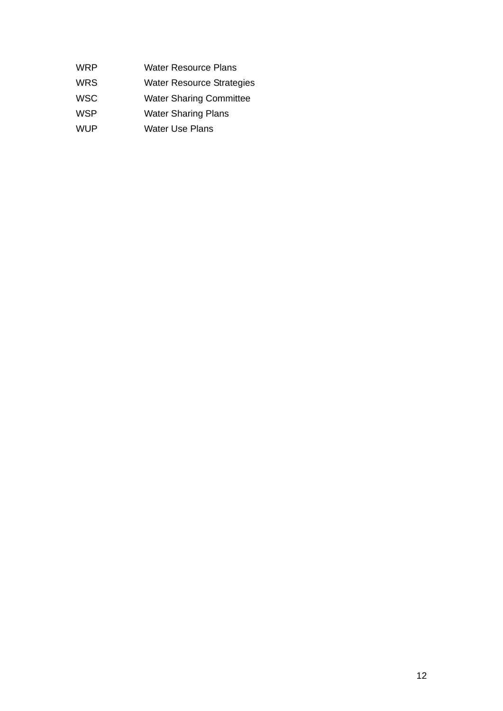WRP Water Resource Plans

WRS Water Resource Strategies

WSC Water Sharing Committee

- WSP Water Sharing Plans
- WUP Water Use Plans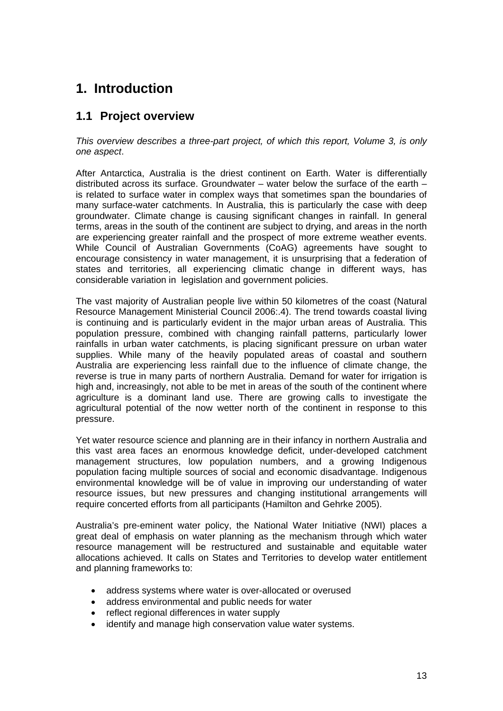# <span id="page-12-0"></span>**1. Introduction**

### **1.1 Project overview**

*This overview describes a three-part project, of which this report, Volume 3, is only one aspect*.

After Antarctica, Australia is the driest continent on Earth. Water is differentially distributed across its surface. Groundwater – water below the surface of the earth  $$ is related to surface water in complex ways that sometimes span the boundaries of many surface-water catchments. In Australia, this is particularly the case with deep groundwater. Climate change is causing significant changes in rainfall. In general terms, areas in the south of the continent are subject to drying, and areas in the north are experiencing greater rainfall and the prospect of more extreme weather events. While Council of Australian Governments (CoAG) agreements have sought to encourage consistency in water management, it is unsurprising that a federation of states and territories, all experiencing climatic change in different ways, has considerable variation in legislation and government policies.

The vast majority of Australian people live within 50 kilometres of the coast (Natural Resource Management Ministerial Council 2006:.4). The trend towards coastal living is continuing and is particularly evident in the major urban areas of Australia. This population pressure, combined with changing rainfall patterns, particularly lower rainfalls in urban water catchments, is placing significant pressure on urban water supplies. While many of the heavily populated areas of coastal and southern Australia are experiencing less rainfall due to the influence of climate change, the reverse is true in many parts of northern Australia. Demand for water for irrigation is high and, increasingly, not able to be met in areas of the south of the continent where agriculture is a dominant land use. There are growing calls to investigate the agricultural potential of the now wetter north of the continent in response to this pressure.

Yet water resource science and planning are in their infancy in northern Australia and this vast area faces an enormous knowledge deficit, under-developed catchment management structures, low population numbers, and a growing Indigenous population facing multiple sources of social and economic disadvantage. Indigenous environmental knowledge will be of value in improving our understanding of water resource issues, but new pressures and changing institutional arrangements will require concerted efforts from all participants (Hamilton and Gehrke 2005).

Australia's pre-eminent water policy, the National Water Initiative (NWI) places a great deal of emphasis on water planning as the mechanism through which water resource management will be restructured and sustainable and equitable water allocations achieved. It calls on States and Territories to develop water entitlement and planning frameworks to:

- address systems where water is over-allocated or overused
- address environmental and public needs for water
- reflect regional differences in water supply
- identify and manage high conservation value water systems.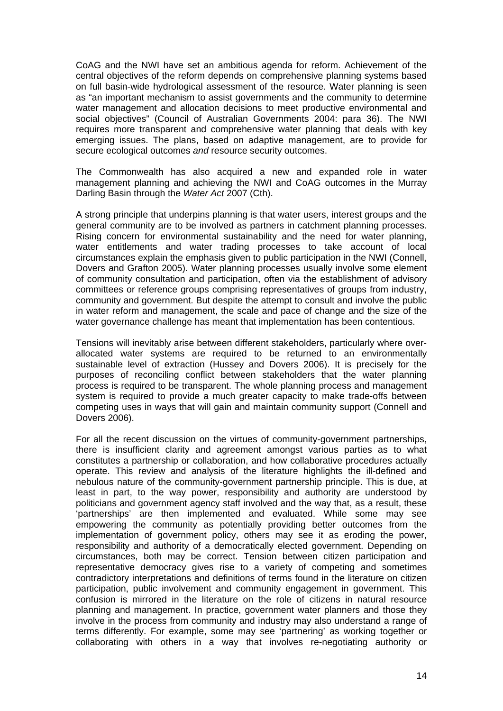CoAG and the NWI have set an ambitious agenda for reform. Achievement of the central objectives of the reform depends on comprehensive planning systems based on full basin-wide hydrological assessment of the resource. Water planning is seen as "an important mechanism to assist governments and the community to determine water management and allocation decisions to meet productive environmental and social objectives" (Council of Australian Governments 2004: para 36). The NWI requires more transparent and comprehensive water planning that deals with key emerging issues. The plans, based on adaptive management, are to provide for secure ecological outcomes *and* resource security outcomes.

The Commonwealth has also acquired a new and expanded role in water management planning and achieving the NWI and CoAG outcomes in the Murray Darling Basin through the *Water Act* 2007 (Cth).

A strong principle that underpins planning is that water users, interest groups and the general community are to be involved as partners in catchment planning processes. Rising concern for environmental sustainability and the need for water planning, water entitlements and water trading processes to take account of local circumstances explain the emphasis given to public participation in the NWI (Connell, Dovers and Grafton 2005). Water planning processes usually involve some element of community consultation and participation, often via the establishment of advisory committees or reference groups comprising representatives of groups from industry, community and government. But despite the attempt to consult and involve the public in water reform and management, the scale and pace of change and the size of the water governance challenge has meant that implementation has been contentious.

Tensions will inevitably arise between different stakeholders, particularly where overallocated water systems are required to be returned to an environmentally sustainable level of extraction (Hussey and Dovers 2006). It is precisely for the purposes of reconciling conflict between stakeholders that the water planning process is required to be transparent. The whole planning process and management system is required to provide a much greater capacity to make trade-offs between competing uses in ways that will gain and maintain community support (Connell and Dovers 2006).

For all the recent discussion on the virtues of community-government partnerships, there is insufficient clarity and agreement amongst various parties as to what constitutes a partnership or collaboration, and how collaborative procedures actually operate. This review and analysis of the literature highlights the ill-defined and nebulous nature of the community-government partnership principle. This is due, at least in part, to the way power, responsibility and authority are understood by politicians and government agency staff involved and the way that, as a result, these 'partnerships' are then implemented and evaluated. While some may see empowering the community as potentially providing better outcomes from the implementation of government policy, others may see it as eroding the power, responsibility and authority of a democratically elected government. Depending on circumstances, both may be correct. Tension between citizen participation and representative democracy gives rise to a variety of competing and sometimes contradictory interpretations and definitions of terms found in the literature on citizen participation, public involvement and community engagement in government. This confusion is mirrored in the literature on the role of citizens in natural resource planning and management. In practice, government water planners and those they involve in the process from community and industry may also understand a range of terms differently. For example, some may see 'partnering' as working together or collaborating with others in a way that involves re-negotiating authority or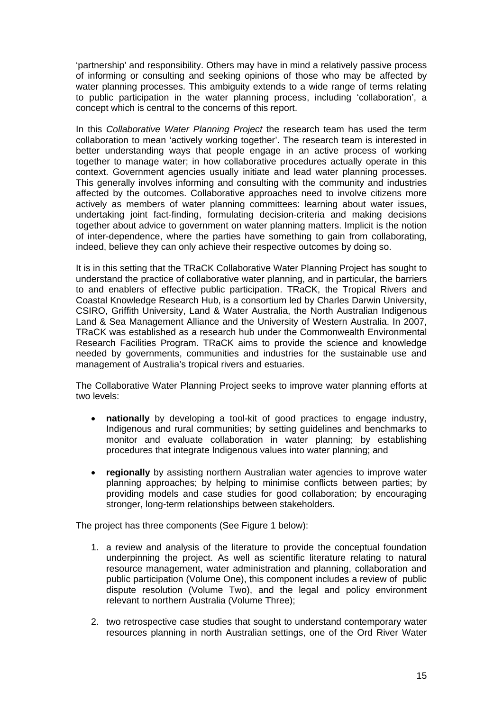'partnership' and responsibility. Others may have in mind a relatively passive process of informing or consulting and seeking opinions of those who may be affected by water planning processes. This ambiguity extends to a wide range of terms relating to public participation in the water planning process, including 'collaboration', a concept which is central to the concerns of this report.

In this *Collaborative Water Planning Project* the research team has used the term collaboration to mean 'actively working together'. The research team is interested in better understanding ways that people engage in an active process of working together to manage water; in how collaborative procedures actually operate in this context. Government agencies usually initiate and lead water planning processes. This generally involves informing and consulting with the community and industries affected by the outcomes. Collaborative approaches need to involve citizens more actively as members of water planning committees: learning about water issues, undertaking joint fact-finding, formulating decision-criteria and making decisions together about advice to government on water planning matters. Implicit is the notion of inter-dependence, where the parties have something to gain from collaborating, indeed, believe they can only achieve their respective outcomes by doing so.

It is in this setting that the TRaCK Collaborative Water Planning Project has sought to understand the practice of collaborative water planning, and in particular, the barriers to and enablers of effective public participation. TRaCK, the Tropical Rivers and Coastal Knowledge Research Hub, is a consortium led by Charles Darwin University, CSIRO, Griffith University, Land & Water Australia, the North Australian Indigenous Land & Sea Management Alliance and the University of Western Australia. In 2007, TRaCK was established as a research hub under the Commonwealth Environmental Research Facilities Program. TRaCK aims to provide the science and knowledge needed by governments, communities and industries for the sustainable use and management of Australia's tropical rivers and estuaries.

The Collaborative Water Planning Project seeks to improve water planning efforts at two levels:

- **nationally** by developing a tool-kit of good practices to engage industry, Indigenous and rural communities; by setting guidelines and benchmarks to monitor and evaluate collaboration in water planning; by establishing procedures that integrate Indigenous values into water planning; and
- **regionally** by assisting northern Australian water agencies to improve water planning approaches; by helping to minimise conflicts between parties; by providing models and case studies for good collaboration; by encouraging stronger, long-term relationships between stakeholders.

The project has three components (See Figure 1 below):

- 1. a review and analysis of the literature to provide the conceptual foundation underpinning the project. As well as scientific literature relating to natural resource management, water administration and planning, collaboration and public participation (Volume One), this component includes a review of public dispute resolution (Volume Two), and the legal and policy environment relevant to northern Australia (Volume Three);
- 2. two retrospective case studies that sought to understand contemporary water resources planning in north Australian settings, one of the Ord River Water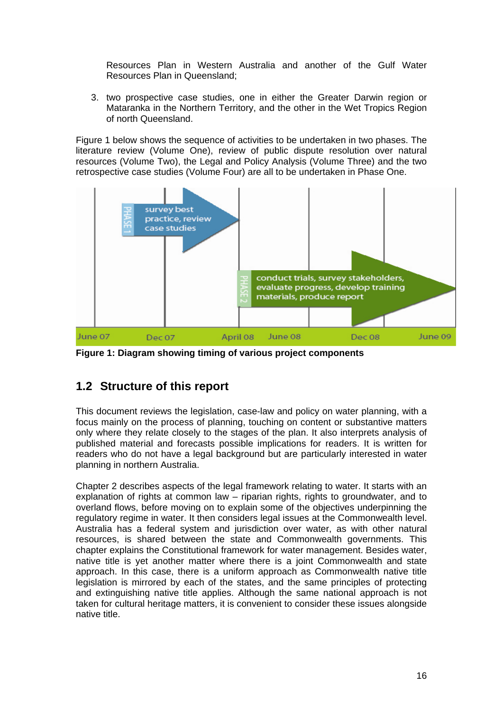<span id="page-15-0"></span>Resources Plan in Western Australia and another of the Gulf Water Resources Plan in Queensland;

3. two prospective case studies, one in either the Greater Darwin region or Mataranka in the Northern Territory, and the other in the Wet Tropics Region of north Queensland.

Figure 1 below shows the sequence of activities to be undertaken in two phases. The literature review (Volume One), review of public dispute resolution over natural resources (Volume Two), the Legal and Policy Analysis (Volume Three) and the two retrospective case studies (Volume Four) are all to be undertaken in Phase One.



**Figure 1: Diagram showing timing of various project components**

### **1.2 Structure of this report**

This document reviews the legislation, case-law and policy on water planning, with a focus mainly on the process of planning, touching on content or substantive matters only where they relate closely to the stages of the plan. It also interprets analysis of published material and forecasts possible implications for readers. It is written for readers who do not have a legal background but are particularly interested in water planning in northern Australia.

Chapter 2 describes aspects of the legal framework relating to water. It starts with an explanation of rights at common law – riparian rights, rights to groundwater, and to overland flows, before moving on to explain some of the objectives underpinning the regulatory regime in water. It then considers legal issues at the Commonwealth level. Australia has a federal system and jurisdiction over water, as with other natural resources, is shared between the state and Commonwealth governments. This chapter explains the Constitutional framework for water management. Besides water, native title is yet another matter where there is a joint Commonwealth and state approach. In this case, there is a uniform approach as Commonwealth native title legislation is mirrored by each of the states, and the same principles of protecting and extinguishing native title applies. Although the same national approach is not taken for cultural heritage matters, it is convenient to consider these issues alongside native title.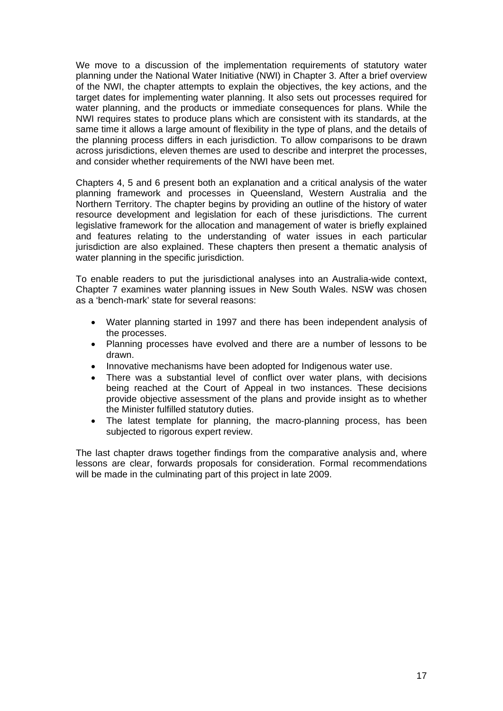We move to a discussion of the implementation requirements of statutory water planning under the National Water Initiative (NWI) in Chapter 3. After a brief overview of the NWI, the chapter attempts to explain the objectives, the key actions, and the target dates for implementing water planning. It also sets out processes required for water planning, and the products or immediate consequences for plans. While the NWI requires states to produce plans which are consistent with its standards, at the same time it allows a large amount of flexibility in the type of plans, and the details of the planning process differs in each jurisdiction. To allow comparisons to be drawn across jurisdictions, eleven themes are used to describe and interpret the processes, and consider whether requirements of the NWI have been met.

Chapters 4, 5 and 6 present both an explanation and a critical analysis of the water planning framework and processes in Queensland, Western Australia and the Northern Territory. The chapter begins by providing an outline of the history of water resource development and legislation for each of these jurisdictions. The current legislative framework for the allocation and management of water is briefly explained and features relating to the understanding of water issues in each particular jurisdiction are also explained. These chapters then present a thematic analysis of water planning in the specific jurisdiction.

To enable readers to put the jurisdictional analyses into an Australia-wide context, Chapter 7 examines water planning issues in New South Wales. NSW was chosen as a 'bench-mark' state for several reasons:

- Water planning started in 1997 and there has been independent analysis of the processes.
- Planning processes have evolved and there are a number of lessons to be drawn.
- Innovative mechanisms have been adopted for Indigenous water use.
- There was a substantial level of conflict over water plans, with decisions being reached at the Court of Appeal in two instances. These decisions provide objective assessment of the plans and provide insight as to whether the Minister fulfilled statutory duties.
- The latest template for planning, the macro-planning process, has been subjected to rigorous expert review.

The last chapter draws together findings from the comparative analysis and, where lessons are clear, forwards proposals for consideration. Formal recommendations will be made in the culminating part of this project in late 2009.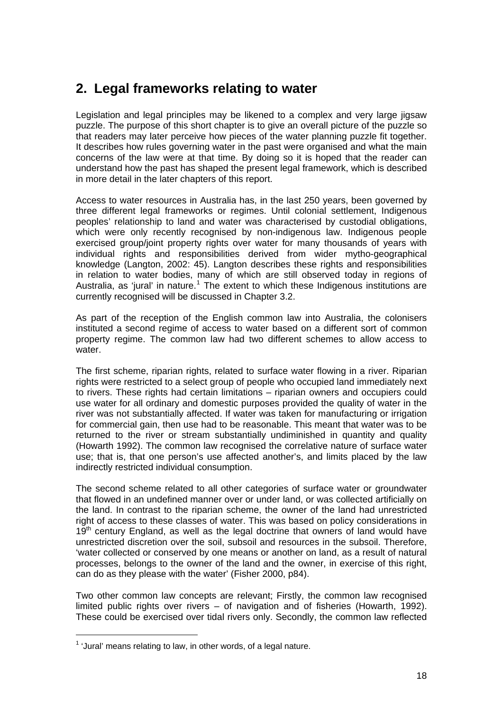# <span id="page-17-0"></span>**2. Legal frameworks relating to water**

Legislation and legal principles may be likened to a complex and very large jigsaw puzzle. The purpose of this short chapter is to give an overall picture of the puzzle so that readers may later perceive how pieces of the water planning puzzle fit together. It describes how rules governing water in the past were organised and what the main concerns of the law were at that time. By doing so it is hoped that the reader can understand how the past has shaped the present legal framework, which is described in more detail in the later chapters of this report.

Access to water resources in Australia has, in the last 250 years, been governed by three different legal frameworks or regimes. Until colonial settlement, Indigenous peoples' relationship to land and water was characterised by custodial obligations, which were only recently recognised by non-indigenous law. Indigenous people exercised group/joint property rights over water for many thousands of years with individual rights and responsibilities derived from wider mytho-geographical knowledge (Langton, 2002: 45). Langton describes these rights and responsibilities in relation to water bodies, many of which are still observed today in regions of Australia, as 'jural' in nature.<sup>[1](#page-17-1)</sup> The extent to which these Indigenous institutions are currently recognised will be discussed in Chapter 3.2.

As part of the reception of the English common law into Australia, the colonisers instituted a second regime of access to water based on a different sort of common property regime. The common law had two different schemes to allow access to water.

The first scheme, riparian rights, related to surface water flowing in a river. Riparian rights were restricted to a select group of people who occupied land immediately next to rivers. These rights had certain limitations – riparian owners and occupiers could use water for all ordinary and domestic purposes provided the quality of water in the river was not substantially affected. If water was taken for manufacturing or irrigation for commercial gain, then use had to be reasonable. This meant that water was to be returned to the river or stream substantially undiminished in quantity and quality (Howarth 1992). The common law recognised the correlative nature of surface water use; that is, that one person's use affected another's, and limits placed by the law indirectly restricted individual consumption.

The second scheme related to all other categories of surface water or groundwater that flowed in an undefined manner over or under land, or was collected artificially on the land. In contrast to the riparian scheme, the owner of the land had unrestricted right of access to these classes of water. This was based on policy considerations in  $19<sup>th</sup>$  century England, as well as the legal doctrine that owners of land would have unrestricted discretion over the soil, subsoil and resources in the subsoil. Therefore, 'water collected or conserved by one means or another on land, as a result of natural processes, belongs to the owner of the land and the owner, in exercise of this right, can do as they please with the water' (Fisher 2000, p84).

Two other common law concepts are relevant; Firstly, the common law recognised limited public rights over rivers – of navigation and of fisheries (Howarth, 1992). These could be exercised over tidal rivers only. Secondly, the common law reflected

 $\overline{a}$ 

<span id="page-17-1"></span> $1$  'Jural' means relating to law, in other words, of a legal nature.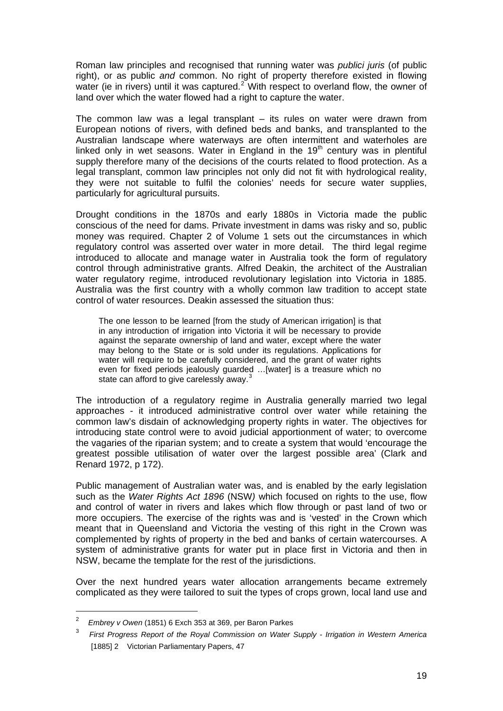Roman law principles and recognised that running water was *publici juris* (of public right), or as public *and* common. No right of property therefore existed in flowing water (ie in rivers) until it was captured. $2^{\circ}$  $2^{\circ}$  With respect to overland flow, the owner of land over which the water flowed had a right to capture the water.

The common law was a legal transplant  $-$  its rules on water were drawn from European notions of rivers, with defined beds and banks, and transplanted to the Australian landscape where waterways are often intermittent and waterholes are linked only in wet seasons. Water in England in the  $19<sup>th</sup>$  century was in plentiful supply therefore many of the decisions of the courts related to flood protection. As a legal transplant, common law principles not only did not fit with hydrological reality, they were not suitable to fulfil the colonies' needs for secure water supplies, particularly for agricultural pursuits.

Drought conditions in the 1870s and early 1880s in Victoria made the public conscious of the need for dams. Private investment in dams was risky and so, public money was required. Chapter 2 of Volume 1 sets out the circumstances in which regulatory control was asserted over water in more detail. The third legal regime introduced to allocate and manage water in Australia took the form of regulatory control through administrative grants. Alfred Deakin, the architect of the Australian water regulatory regime, introduced revolutionary legislation into Victoria in 1885. Australia was the first country with a wholly common law tradition to accept state control of water resources. Deakin assessed the situation thus:

The one lesson to be learned [from the study of American irrigation] is that in any introduction of irrigation into Victoria it will be necessary to provide against the separate ownership of land and water, except where the water may belong to the State or is sold under its regulations. Applications for water will require to be carefully considered, and the grant of water rights even for fixed periods jealously guarded …[water] is a treasure which no state can afford to give carelessly away.<sup>[3](#page-18-1)</sup>

The introduction of a regulatory regime in Australia generally married two legal approaches - it introduced administrative control over water while retaining the common law's disdain of acknowledging property rights in water. The objectives for introducing state control were to avoid judicial apportionment of water; to overcome the vagaries of the riparian system; and to create a system that would 'encourage the greatest possible utilisation of water over the largest possible area' (Clark and Renard 1972, p 172).

Public management of Australian water was, and is enabled by the early legislation such as the *Water Rights Act 1896* (NSW*)* which focused on rights to the use, flow and control of water in rivers and lakes which flow through or past land of two or more occupiers. The exercise of the rights was and is 'vested' in the Crown which meant that in Queensland and Victoria the vesting of this right in the Crown was complemented by rights of property in the bed and banks of certain watercourses. A system of administrative grants for water put in place first in Victoria and then in NSW, became the template for the rest of the jurisdictions.

Over the next hundred years water allocation arrangements became extremely complicated as they were tailored to suit the types of crops grown, local land use and

<span id="page-18-0"></span> $\mathfrak{p}$ *Embrey v Owen* (1851) 6 Exch 353 at 369, per Baron Parkes

<span id="page-18-1"></span><sup>3</sup> *First Progress Report of the Royal Commission on Water Supply - Irrigation in Western America* [1885] 2 Victorian Parliamentary Papers, 47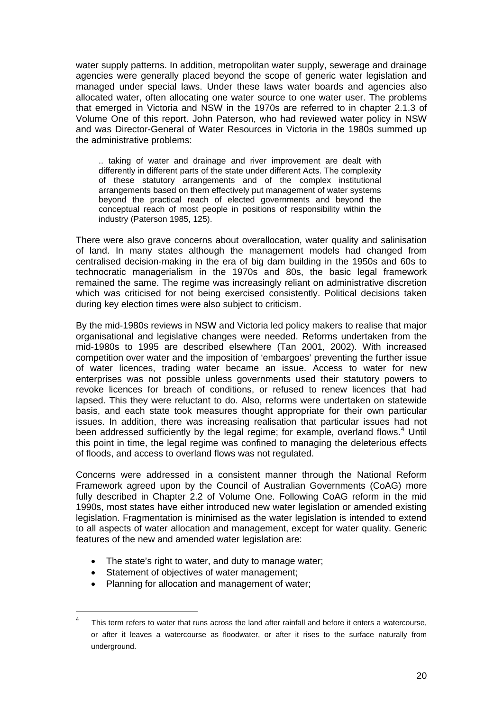water supply patterns. In addition, metropolitan water supply, sewerage and drainage agencies were generally placed beyond the scope of generic water legislation and managed under special laws. Under these laws water boards and agencies also allocated water, often allocating one water source to one water user. The problems that emerged in Victoria and NSW in the 1970s are referred to in chapter 2.1.3 of Volume One of this report. John Paterson, who had reviewed water policy in NSW and was Director-General of Water Resources in Victoria in the 1980s summed up the administrative problems:

.. taking of water and drainage and river improvement are dealt with differently in different parts of the state under different Acts. The complexity of these statutory arrangements and of the complex institutional arrangements based on them effectively put management of water systems beyond the practical reach of elected governments and beyond the conceptual reach of most people in positions of responsibility within the industry (Paterson 1985, 125).

There were also grave concerns about overallocation, water quality and salinisation of land. In many states although the management models had changed from centralised decision-making in the era of big dam building in the 1950s and 60s to technocratic managerialism in the 1970s and 80s, the basic legal framework remained the same. The regime was increasingly reliant on administrative discretion which was criticised for not being exercised consistently. Political decisions taken during key election times were also subject to criticism.

By the mid-1980s reviews in NSW and Victoria led policy makers to realise that major organisational and legislative changes were needed. Reforms undertaken from the mid-1980s to 1995 are described elsewhere (Tan 2001, 2002). With increased competition over water and the imposition of 'embargoes' preventing the further issue of water licences, trading water became an issue. Access to water for new enterprises was not possible unless governments used their statutory powers to revoke licences for breach of conditions, or refused to renew licences that had lapsed. This they were reluctant to do. Also, reforms were undertaken on statewide basis, and each state took measures thought appropriate for their own particular issues. In addition, there was increasing realisation that particular issues had not been addressed sufficiently by the legal regime; for example, overland flows.<sup>[4](#page-19-0)</sup> Until this point in time, the legal regime was confined to managing the deleterious effects of floods, and access to overland flows was not regulated.

Concerns were addressed in a consistent manner through the National Reform Framework agreed upon by the Council of Australian Governments (CoAG) more fully described in Chapter 2.2 of Volume One. Following CoAG reform in the mid 1990s, most states have either introduced new water legislation or amended existing legislation. Fragmentation is minimised as the water legislation is intended to extend to all aspects of water allocation and management, except for water quality. Generic features of the new and amended water legislation are:

- The state's right to water, and duty to manage water:
- Statement of objectives of water management;

Planning for allocation and management of water;

<span id="page-19-0"></span> $4$  This term refers to water that runs across the land after rainfall and before it enters a watercourse, or after it leaves a watercourse as floodwater, or after it rises to the surface naturally from underground.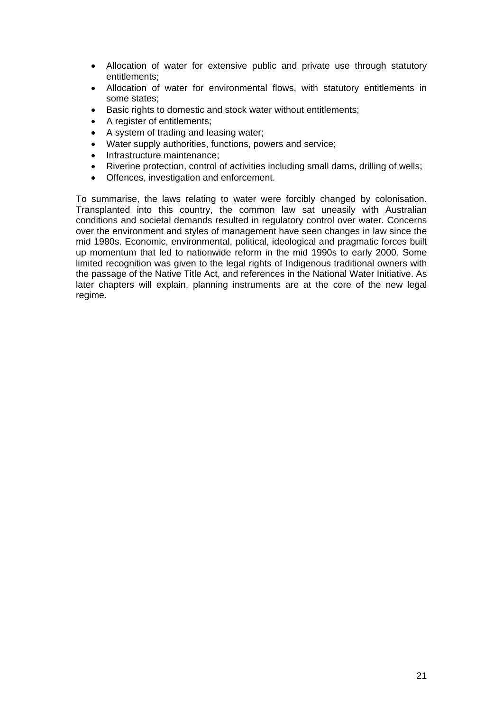- Allocation of water for extensive public and private use through statutory entitlements;
- Allocation of water for environmental flows, with statutory entitlements in some states;
- Basic rights to domestic and stock water without entitlements;
- A register of entitlements;
- A system of trading and leasing water;
- Water supply authorities, functions, powers and service;
- Infrastructure maintenance:
- Riverine protection, control of activities including small dams, drilling of wells;
- Offences, investigation and enforcement.

To summarise, the laws relating to water were forcibly changed by colonisation. Transplanted into this country, the common law sat uneasily with Australian conditions and societal demands resulted in regulatory control over water. Concerns over the environment and styles of management have seen changes in law since the mid 1980s. Economic, environmental, political, ideological and pragmatic forces built up momentum that led to nationwide reform in the mid 1990s to early 2000. Some limited recognition was given to the legal rights of Indigenous traditional owners with the passage of the Native Title Act, and references in the National Water Initiative. As later chapters will explain, planning instruments are at the core of the new legal regime.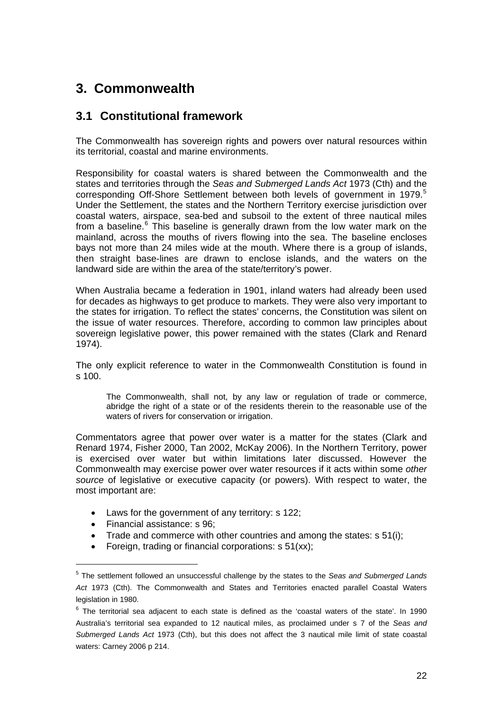# <span id="page-21-0"></span>**3. Commonwealth**

### **3.1 Constitutional framework**

The Commonwealth has sovereign rights and powers over natural resources within its territorial, coastal and marine environments.

Responsibility for coastal waters is shared between the Commonwealth and the states and territories through the *Seas and Submerged Lands Act* 1973 (Cth) and the corresponding Off-Shore Settlement between both levels of government in 1979.<sup>[5](#page-21-1)</sup> Under the Settlement, the states and the Northern Territory exercise jurisdiction over coastal waters, airspace, sea-bed and subsoil to the extent of three nautical miles from a baseline. $6$  This baseline is generally drawn from the low water mark on the mainland, across the mouths of rivers flowing into the sea. The baseline encloses bays not more than 24 miles wide at the mouth. Where there is a group of islands, then straight base-lines are drawn to enclose islands, and the waters on the landward side are within the area of the state/territory's power.

When Australia became a federation in 1901, inland waters had already been used for decades as highways to get produce to markets. They were also very important to the states for irrigation. To reflect the states' concerns, the Constitution was silent on the issue of water resources. Therefore, according to common law principles about sovereign legislative power, this power remained with the states (Clark and Renard 1974).

The only explicit reference to water in the Commonwealth Constitution is found in s 100.

The Commonwealth, shall not, by any law or regulation of trade or commerce, abridge the right of a state or of the residents therein to the reasonable use of the waters of rivers for conservation or irrigation.

Commentators agree that power over water is a matter for the states (Clark and Renard 1974, Fisher 2000, Tan 2002, McKay 2006). In the Northern Territory, power is exercised over water but within limitations later discussed. However the Commonwealth may exercise power over water resources if it acts within some *other source* of legislative or executive capacity (or powers). With respect to water, the most important are:

- Laws for the government of any territory: s 122;
- Financial assistance: s 96;

 $\overline{a}$ 

- Trade and commerce with other countries and among the states: s 51(i);
- Foreign, trading or financial corporations: s 51(xx):

<span id="page-21-1"></span><sup>5</sup> The settlement followed an unsuccessful challenge by the states to the *Seas and Submerged Lands Act* 1973 (Cth). The Commonwealth and States and Territories enacted parallel Coastal Waters legislation in 1980.

<span id="page-21-2"></span> $6$  The territorial sea adjacent to each state is defined as the 'coastal waters of the state'. In 1990 Australia's territorial sea expanded to 12 nautical miles, as proclaimed under s 7 of the *Seas and Submerged Lands Act* 1973 (Cth), but this does not affect the 3 nautical mile limit of state coastal waters: Carney 2006 p 214.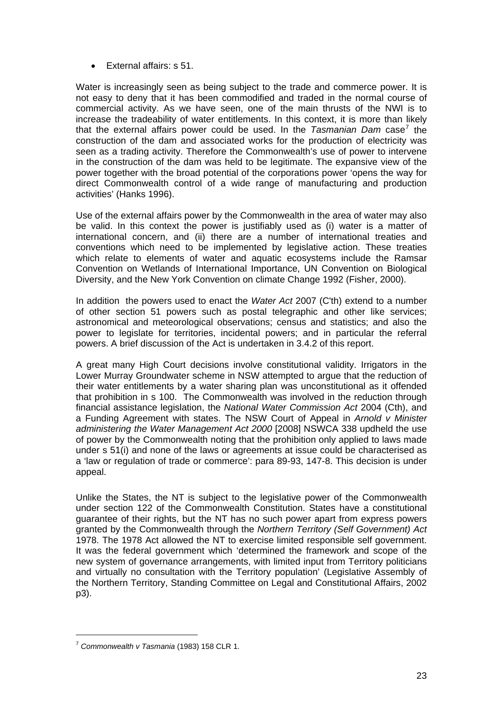• External affairs: s 51.

Water is increasingly seen as being subject to the trade and commerce power. It is not easy to deny that it has been commodified and traded in the normal course of commercial activity. As we have seen, one of the main thrusts of the NWI is to increase the tradeability of water entitlements. In this context, it is more than likely that the external affairs power could be used. In the *Tasmanian Dam* case<sup>[7](#page-22-0)</sup> the construction of the dam and associated works for the production of electricity was seen as a trading activity. Therefore the Commonwealth's use of power to intervene in the construction of the dam was held to be legitimate. The expansive view of the power together with the broad potential of the corporations power 'opens the way for direct Commonwealth control of a wide range of manufacturing and production activities' (Hanks 1996).

Use of the external affairs power by the Commonwealth in the area of water may also be valid. In this context the power is justifiably used as (i) water is a matter of international concern, and (ii) there are a number of international treaties and conventions which need to be implemented by legislative action. These treaties which relate to elements of water and aquatic ecosystems include the Ramsar Convention on Wetlands of International Importance, UN Convention on Biological Diversity, and the New York Convention on climate Change 1992 (Fisher, 2000).

In addition the powers used to enact the *Water Act* 2007 (C'th) extend to a number of other section 51 powers such as postal telegraphic and other like services; astronomical and meteorological observations; census and statistics; and also the power to legislate for territories, incidental powers; and in particular the referral powers. A brief discussion of the Act is undertaken in 3.4.2 of this report.

A great many High Court decisions involve constitutional validity. Irrigators in the Lower Murray Groundwater scheme in NSW attempted to argue that the reduction of their water entitlements by a water sharing plan was unconstitutional as it offended that prohibition in s 100. The Commonwealth was involved in the reduction through financial assistance legislation, the *National Water Commission Act* 2004 (Cth), and a Funding Agreement with states. The NSW Court of Appeal in *Arnold v Minister administering the Water Management Act 2000* [2008] NSWCA 338 updheld the use of power by the Commonwealth noting that the prohibition only applied to laws made under s 51(i) and none of the laws or agreements at issue could be characterised as a 'law or regulation of trade or commerce': para 89-93, 147-8. This decision is under appeal.

Unlike the States, the NT is subject to the legislative power of the Commonwealth under section 122 of the Commonwealth Constitution. States have a constitutional guarantee of their rights, but the NT has no such power apart from express powers granted by the Commonwealth through the *Northern Territory (Self Government) Act*  1978. The 1978 Act allowed the NT to exercise limited responsible self government. It was the federal government which 'determined the framework and scope of the new system of governance arrangements, with limited input from Territory politicians and virtually no consultation with the Territory population' (Legislative Assembly of the Northern Territory, Standing Committee on Legal and Constitutional Affairs, 2002 p3).

 $\overline{a}$ 

<span id="page-22-0"></span><sup>7</sup> *Commonwealth v Tasmania* (1983) 158 CLR 1.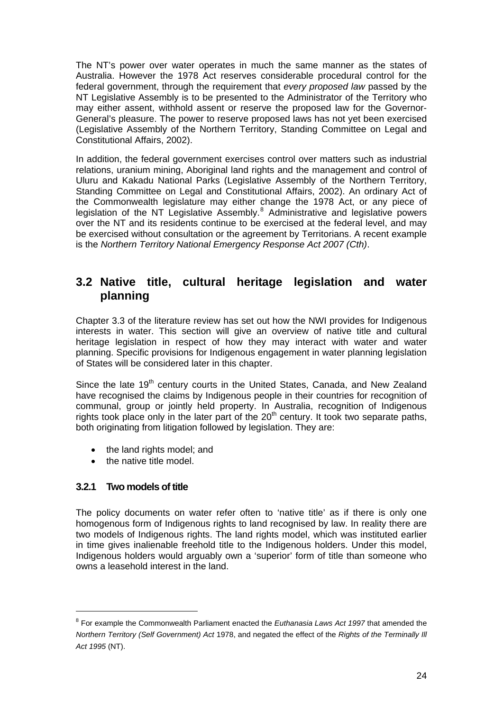<span id="page-23-0"></span>The NT's power over water operates in much the same manner as the states of Australia. However the 1978 Act reserves considerable procedural control for the federal government, through the requirement that *every proposed law* passed by the NT Legislative Assembly is to be presented to the Administrator of the Territory who may either assent, withhold assent or reserve the proposed law for the Governor-General's pleasure. The power to reserve proposed laws has not yet been exercised (Legislative Assembly of the Northern Territory, Standing Committee on Legal and Constitutional Affairs, 2002).

In addition, the federal government exercises control over matters such as industrial relations, uranium mining, Aboriginal land rights and the management and control of Uluru and Kakadu National Parks (Legislative Assembly of the Northern Territory, Standing Committee on Legal and Constitutional Affairs, 2002). An ordinary Act of the Commonwealth legislature may either change the 1978 Act, or any piece of legislation of the NT Legislative Assembly.<sup>[8](#page-23-1)</sup> Administrative and legislative powers over the NT and its residents continue to be exercised at the federal level, and may be exercised without consultation or the agreement by Territorians. A recent example is the *Northern Territory National Emergency Response Act 2007 (Cth)*.

### **3.2 Native title, cultural heritage legislation and water planning**

Chapter 3.3 of the literature review has set out how the NWI provides for Indigenous interests in water. This section will give an overview of native title and cultural heritage legislation in respect of how they may interact with water and water planning. Specific provisions for Indigenous engagement in water planning legislation of States will be considered later in this chapter.

Since the late 19<sup>th</sup> century courts in the United States, Canada, and New Zealand have recognised the claims by Indigenous people in their countries for recognition of communal, group or jointly held property. In Australia, recognition of Indigenous rights took place only in the later part of the  $20<sup>th</sup>$  century. It took two separate paths, both originating from litigation followed by legislation. They are:

- the land rights model; and
- the native title model.

### **3.2.1 Two models of title**

The policy documents on water refer often to 'native title' as if there is only one homogenous form of Indigenous rights to land recognised by law. In reality there are two models of Indigenous rights. The land rights model, which was instituted earlier in time gives inalienable freehold title to the Indigenous holders. Under this model, Indigenous holders would arguably own a 'superior' form of title than someone who owns a leasehold interest in the land.

<span id="page-23-1"></span><sup>8</sup> For example the Commonwealth Parliament enacted the *Euthanasia Laws Act 1997* that amended the *Northern Territory (Self Government) Act* 1978, and negated the effect of the *Rights of the Terminally Ill Act 1995* (NT).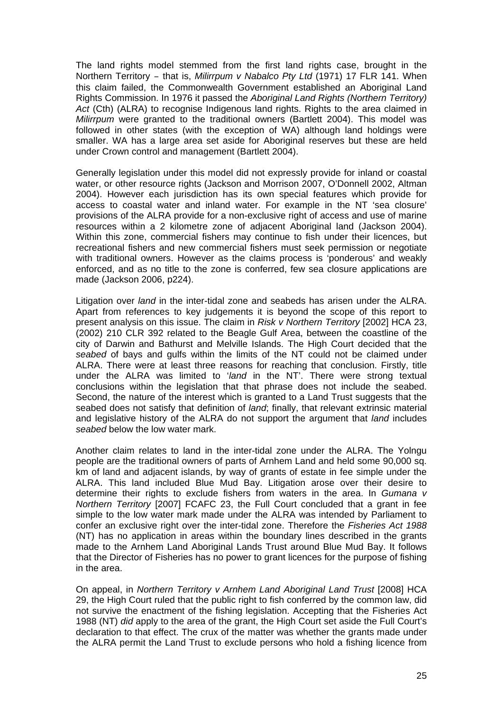The land rights model stemmed from the first land rights case, brought in the Northern Territory – that is, *Milirrpum v Nabalco Pty Ltd* (1971) 17 FLR 141. When this claim failed, the Commonwealth Government established an Aboriginal Land Rights Commission. In 1976 it passed the *Aboriginal Land Rights (Northern Territory)*  Act (Cth) (ALRA) to recognise Indigenous land rights. Rights to the area claimed in *Milirrpum* were granted to the traditional owners (Bartlett 2004). This model was followed in other states (with the exception of WA) although land holdings were smaller. WA has a large area set aside for Aboriginal reserves but these are held under Crown control and management (Bartlett 2004).

Generally legislation under this model did not expressly provide for inland or coastal water, or other resource rights (Jackson and Morrison 2007, O'Donnell 2002, Altman 2004). However each jurisdiction has its own special features which provide for access to coastal water and inland water. For example in the NT 'sea closure' provisions of the ALRA provide for a non-exclusive right of access and use of marine resources within a 2 kilometre zone of adjacent Aboriginal land (Jackson 2004). Within this zone, commercial fishers may continue to fish under their licences, but recreational fishers and new commercial fishers must seek permission or negotiate with traditional owners. However as the claims process is 'ponderous' and weakly enforced, and as no title to the zone is conferred, few sea closure applications are made (Jackson 2006, p224).

Litigation over *land* in the inter-tidal zone and seabeds has arisen under the ALRA. Apart from references to key judgements it is beyond the scope of this report to present analysis on this issue. The claim in *Risk v Northern Territory* [2002] HCA 23, (2002) 210 CLR 392 related to the Beagle Gulf Area, between the coastline of the city of Darwin and Bathurst and Melville Islands. The High Court decided that the *seabed* of bays and gulfs within the limits of the NT could not be claimed under ALRA. There were at least three reasons for reaching that conclusion. Firstly, title under the ALRA was limited to '*land* in the NT'. There were strong textual conclusions within the legislation that that phrase does not include the seabed. Second, the nature of the interest which is granted to a Land Trust suggests that the seabed does not satisfy that definition of *land*; finally, that relevant extrinsic material and legislative history of the ALRA do not support the argument that *land* includes *seabed* below the low water mark.

Another claim relates to land in the inter-tidal zone under the ALRA. The Yolngu people are the traditional owners of parts of Arnhem Land and held some 90,000 sq. km of land and adjacent islands, by way of grants of estate in fee simple under the ALRA. This land included Blue Mud Bay. Litigation arose over their desire to determine their rights to exclude fishers from waters in the area. In *Gumana v Northern Territory* [2007] FCAFC 23, the Full Court concluded that a grant in fee simple to the low water mark made under the ALRA was intended by Parliament to confer an exclusive right over the inter-tidal zone. Therefore the *Fisheries Act 1988* (NT) has no application in areas within the boundary lines described in the grants made to the Arnhem Land Aboriginal Lands Trust around Blue Mud Bay. It follows that the Director of Fisheries has no power to grant licences for the purpose of fishing in the area.

On appeal, in *Northern Territory v Arnhem Land Aboriginal Land Trust* [2008] HCA 29, the High Court ruled that the public right to fish conferred by the common law, did not survive the enactment of the fishing legislation. Accepting that the Fisheries Act 1988 (NT) *did* apply to the area of the grant, the High Court set aside the Full Court's declaration to that effect. The crux of the matter was whether the grants made under the ALRA permit the Land Trust to exclude persons who hold a fishing licence from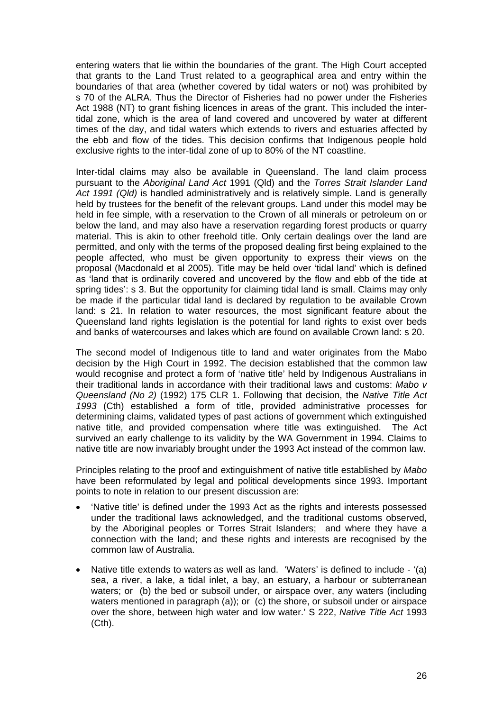entering waters that lie within the boundaries of the grant. The High Court accepted that grants to the Land Trust related to a geographical area and entry within the boundaries of that area (whether covered by tidal waters or not) was prohibited by s 70 of the ALRA. Thus the Director of Fisheries had no power under the Fisheries Act 1988 (NT) to grant fishing licences in areas of the grant. This included the intertidal zone, which is the area of land covered and uncovered by water at different times of the day, and tidal waters which extends to rivers and estuaries affected by the ebb and flow of the tides. This decision confirms that Indigenous people hold exclusive rights to the inter-tidal zone of up to 80% of the NT coastline.

Inter-tidal claims may also be available in Queensland. The land claim process pursuant to the *Aboriginal Land Act* 1991 (Qld) and the *Torres Strait Islander Land Act 1991 (Qld)* is handled administratively and is relatively simple. Land is generally held by trustees for the benefit of the relevant groups. Land under this model may be held in fee simple, with a reservation to the Crown of all minerals or petroleum on or below the land, and may also have a reservation regarding forest products or quarry material. This is akin to other freehold title. Only certain dealings over the land are permitted, and only with the terms of the proposed dealing first being explained to the people affected, who must be given opportunity to express their views on the proposal (Macdonald et al 2005). Title may be held over 'tidal land' which is defined as 'land that is ordinarily covered and uncovered by the flow and ebb of the tide at spring tides': s 3. But the opportunity for claiming tidal land is small. Claims may only be made if the particular tidal land is declared by regulation to be available Crown land: s 21. In relation to water resources, the most significant feature about the Queensland land rights legislation is the potential for land rights to exist over beds and banks of watercourses and lakes which are found on available Crown land: s 20.

The second model of Indigenous title to land and water originates from the Mabo decision by the High Court in 1992. The decision established that the common law would recognise and protect a form of 'native title' held by Indigenous Australians in their traditional lands in accordance with their traditional laws and customs: *Mabo v Queensland (No 2)* (1992) 175 CLR 1. Following that decision, the *Native Title Act 1993* (Cth) established a form of title, provided administrative processes for determining claims, validated types of past actions of government which extinguished native title, and provided compensation where title was extinguished. The Act survived an early challenge to its validity by the WA Government in 1994. Claims to native title are now invariably brought under the 1993 Act instead of the common law.

Principles relating to the proof and extinguishment of native title established by *Mabo*  have been reformulated by legal and political developments since 1993. Important points to note in relation to our present discussion are:

- 'Native title' is defined under the 1993 Act as the rights and [interests](http://www.austlii.edu.au/au/legis/cth/consol_act/nta1993147/s253.html#interest) possessed under the traditional laws acknowledged, and the traditional customs observed, by the [Aboriginal peoples](http://www.austlii.edu.au/au/legis/cth/consol_act/nta1993147/s253.html#aboriginal_peoples) or [Torres Strait Islanders](http://www.austlii.edu.au/au/legis/cth/consol_act/nta1993147/s253.html#torres_strait_islander); and where they have a connection with the land; and these rights and [interests](http://www.austlii.edu.au/au/legis/cth/consol_act/nta1993147/s253.html#interest) are recognised by the common law of Australia.
- Native title extends to waters as well as land. 'Waters' is defined to include '(a) sea, a river, a lake, a tidal inlet, a bay, an estuary, a harbour or subterranean [waters](http://www.austlii.edu.au/au/legis/cth/consol_act/nta1993147/s253.html#waters); or (b) the bed or subsoil under, or airspace over, any waters (including [waters](http://www.austlii.edu.au/au/legis/cth/consol_act/nta1993147/s253.html#waters) mentioned in paragraph (a)); or (c) the shore, or subsoil under or airspace over the shore, between high water and low water.' S 222, *Native Title Act* 1993 (Cth).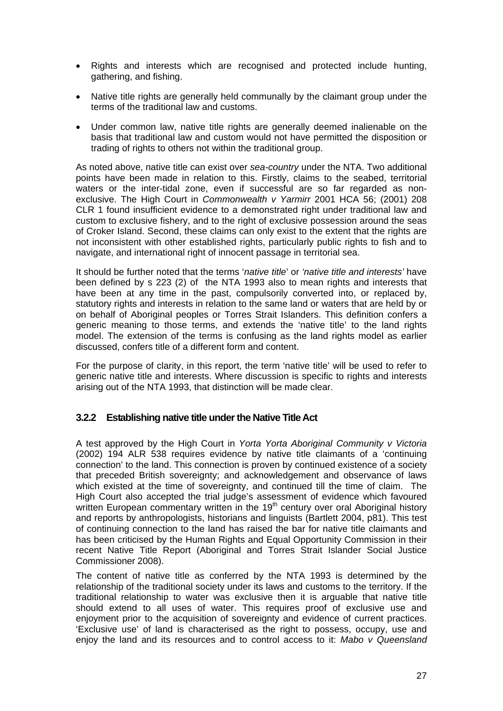- <span id="page-26-0"></span>• Rights and interests which are recognised and protected include hunting, gathering, and fishing.
- Native title rights are generally held communally by the claimant group under the terms of the traditional law and customs.
- Under common law, native title rights are generally deemed inalienable on the basis that traditional law and custom would not have permitted the disposition or trading of rights to others not within the traditional group.

As noted above, native title can exist over *sea-country* under the NTA. Two additional points have been made in relation to this. Firstly, claims to the seabed, territorial waters or the inter-tidal zone, even if successful are so far regarded as nonexclusive. The High Court in *Commonwealth v Yarmirr* 2001 HCA 56; (2001) 208 CLR 1 found insufficient evidence to a demonstrated right under traditional law and custom to exclusive fishery, and to the right of exclusive possession around the seas of Croker Island. Second, these claims can only exist to the extent that the rights are not inconsistent with other established rights, particularly public rights to fish and to navigate, and international right of innocent passage in territorial sea.

It should be further noted that the terms '*native title*' or *'native title and interests'* have been defined by s 223 (2) of the NTA 1993 also to mean rights and interests that have been at any time in the past, compulsorily converted into, or replaced by, statutory rights and [interests](http://www.austlii.edu.au/au/legis/cth/consol_act/nta1993147/s253.html#interest) in relation to the same land or [waters](http://www.austlii.edu.au/au/legis/cth/consol_act/nta1993147/s253.html#waters) that are held by or on behalf of [Aboriginal peoples](http://www.austlii.edu.au/au/legis/cth/consol_act/nta1993147/s253.html#aboriginal_peoples) or [Torres Strait Islanders](http://www.austlii.edu.au/au/legis/cth/consol_act/nta1993147/s253.html#torres_strait_islander). This definition confers a generic meaning to those terms, and extends the 'native title' to the land rights model. The extension of the terms is confusing as the land rights model as earlier discussed, confers title of a different form and content.

For the purpose of clarity, in this report, the term 'native title' will be used to refer to generic native title and interests. Where discussion is specific to rights and interests arising out of the NTA 1993, that distinction will be made clear.

### **3.2.2 Establishing native title under the Native Title Act**

A test approved by the High Court in *Yorta Yorta Aboriginal Community v Victoria* (2002) 194 ALR 538 requires evidence by native title claimants of a 'continuing connection' to the land. This connection is proven by continued existence of a society that preceded British sovereignty; and acknowledgement and observance of laws which existed at the time of sovereignty, and continued till the time of claim. The High Court also accepted the trial judge's assessment of evidence which favoured written European commentary written in the 19<sup>th</sup> century over oral Aboriginal history and reports by anthropologists, historians and linguists (Bartlett 2004, p81). This test of continuing connection to the land has raised the bar for native title claimants and has been criticised by the Human Rights and Equal Opportunity Commission in their recent Native Title Report (Aboriginal and Torres Strait Islander Social Justice Commissioner 2008).

The content of native title as conferred by the NTA 1993 is determined by the relationship of the traditional society under its laws and customs to the territory. If the traditional relationship to water was exclusive then it is arguable that native title should extend to all uses of water. This requires proof of exclusive use and enjoyment prior to the acquisition of sovereignty and evidence of current practices. 'Exclusive use' of land is characterised as the right to possess, occupy, use and enjoy the land and its resources and to control access to it: *Mabo v Queensland*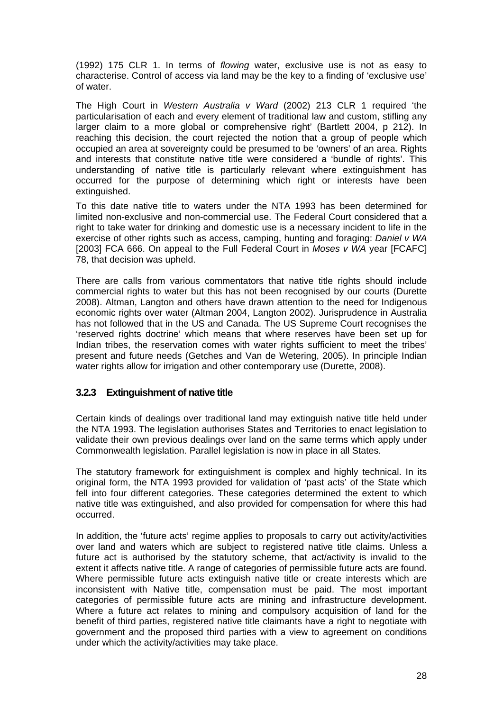<span id="page-27-0"></span>(1992) 175 CLR 1. In terms of *flowing* water, exclusive use is not as easy to characterise. Control of access via land may be the key to a finding of 'exclusive use' of water.

The High Court in *Western Australia v Ward* (2002) 213 CLR 1 required 'the particularisation of each and every element of traditional law and custom, stifling any larger claim to a more global or comprehensive right' (Bartlett 2004, p 212). In reaching this decision, the court rejected the notion that a group of people which occupied an area at sovereignty could be presumed to be 'owners' of an area. Rights and interests that constitute native title were considered a 'bundle of rights'. This understanding of native title is particularly relevant where extinguishment has occurred for the purpose of determining which right or interests have been extinguished.

To this date native title to waters under the NTA 1993 has been determined for limited non-exclusive and non-commercial use. The Federal Court considered that a right to take water for drinking and domestic use is a necessary incident to life in the exercise of other rights such as access, camping, hunting and foraging: *Daniel v WA*  [2003] FCA 666. On appeal to the Full Federal Court in *Moses v WA* year [FCAFC] 78, that decision was upheld.

There are calls from various commentators that native title rights should include commercial rights to water but this has not been recognised by our courts (Durette 2008). Altman, Langton and others have drawn attention to the need for Indigenous economic rights over water (Altman 2004, Langton 2002). Jurisprudence in Australia has not followed that in the US and Canada. The US Supreme Court recognises the 'reserved rights doctrine' which means that where reserves have been set up for Indian tribes, the reservation comes with water rights sufficient to meet the tribes' present and future needs (Getches and Van de Wetering, 2005). In principle Indian water rights allow for irrigation and other contemporary use (Durette, 2008).

### **3.2.3 Extinguishment of native title**

Certain kinds of dealings over traditional land may extinguish native title held under the NTA 1993. The legislation authorises States and Territories to enact legislation to validate their own previous dealings over land on the same terms which apply under Commonwealth legislation. Parallel legislation is now in place in all States.

The statutory framework for extinguishment is complex and highly technical. In its original form, the NTA 1993 provided for validation of 'past acts' of the State which fell into four different categories. These categories determined the extent to which native title was extinguished, and also provided for compensation for where this had occurred.

In addition, the 'future acts' regime applies to proposals to carry out activity/activities over land and waters which are subject to registered native title claims. Unless a future act is authorised by the statutory scheme, that act/activity is invalid to the extent it affects native title. A range of categories of permissible future acts are found. Where permissible future acts extinguish native title or create interests which are inconsistent with Native title, compensation must be paid. The most important categories of permissible future acts are mining and infrastructure development. Where a future act relates to mining and compulsory acquisition of land for the benefit of third parties, registered native title claimants have a right to negotiate with government and the proposed third parties with a view to agreement on conditions under which the activity/activities may take place.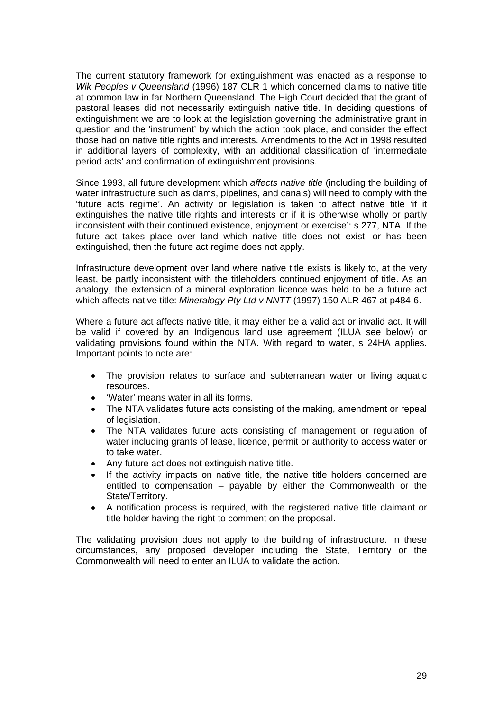The current statutory framework for extinguishment was enacted as a response to *Wik Peoples v Queensland* (1996) 187 CLR 1 which concerned claims to native title at common law in far Northern Queensland. The High Court decided that the grant of pastoral leases did not necessarily extinguish native title. In deciding questions of extinguishment we are to look at the legislation governing the administrative grant in question and the 'instrument' by which the action took place, and consider the effect those had on native title rights and interests. Amendments to the Act in 1998 resulted in additional layers of complexity, with an additional classification of 'intermediate period acts' and confirmation of extinguishment provisions.

Since 1993, all future development which *affects native title* (including the building of water infrastructure such as dams, pipelines, and canals) will need to comply with the 'future acts regime'. An activity or legislation is taken to affect native title 'if it extinguishes the native title rights and interests or if it is otherwise wholly or partly inconsistent with their continued existence, enjoyment or exercise': s 277, NTA. If the future act takes place over land which native title does not exist, or has been extinguished, then the future act regime does not apply.

Infrastructure development over land where native title exists is likely to, at the very least, be partly inconsistent with the titleholders continued enjoyment of title. As an analogy, the extension of a mineral exploration licence was held to be a future act which affects native title: *Mineralogy Pty Ltd v NNTT* (1997) 150 ALR 467 at p484-6.

Where a future act affects native title, it may either be a valid act or invalid act. It will be valid if covered by an Indigenous land use agreement (ILUA see below) or validating provisions found within the NTA. With regard to water, s 24HA applies. Important points to note are:

- The provision relates to surface and subterranean water or living aquatic resources.
- 'Water' means water in all its forms.
- The NTA validates future acts consisting of the making, amendment or repeal of legislation.
- The NTA validates future acts consisting of management or regulation of water including grants of lease, licence, permit or authority to access water or to take water.
- Any future act does not extinguish native title.
- If the activity impacts on native title, the native title holders concerned are entitled to compensation – payable by either the Commonwealth or the State/Territory.
- A notification process is required, with the registered native title claimant or title holder having the right to comment on the proposal.

The validating provision does not apply to the building of infrastructure. In these circumstances, any proposed developer including the State, Territory or the Commonwealth will need to enter an ILUA to validate the action.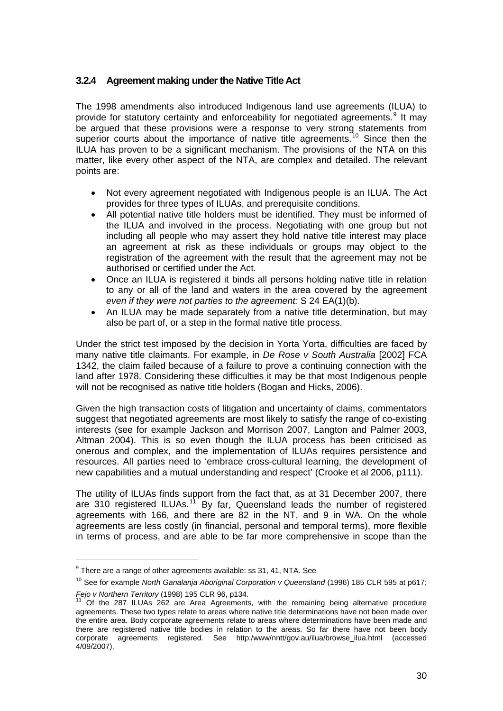### <span id="page-29-0"></span>**3.2.4 Agreement making under the Native Title Act**

The 1998 amendments also introduced Indigenous land use agreements (ILUA) to provide for statutory certainty and enforceability for negotiated agreements.<sup>[9](#page-29-1)</sup> It may be argued that these provisions were a response to very strong statements from superior courts about the importance of native title agreements.<sup>[10](#page-29-2)</sup> Since then the ILUA has proven to be a significant mechanism. The provisions of the NTA on this matter, like every other aspect of the NTA, are complex and detailed. The relevant points are:

- Not every agreement negotiated with Indigenous people is an ILUA. The Act provides for three types of ILUAs, and prerequisite conditions.
- All potential native title holders must be identified. They must be informed of the ILUA and involved in the process. Negotiating with one group but not including all people who may assert they hold native title interest may place an agreement at risk as these individuals or groups may object to the registration of the agreement with the result that the agreement may not be authorised or certified under the Act.
- Once an ILUA is registered it binds all persons holding native title in relation to any or all of the land and waters in the area covered by the agreement *even if they were not parties to the agreement:* S 24 EA(1)(b).
- An ILUA may be made separately from a native title determination, but may also be part of, or a step in the formal native title process.

Under the strict test imposed by the decision in Yorta Yorta, difficulties are faced by many native title claimants. For example, in *De Rose v South Australia* [2002] FCA 1342, the claim failed because of a failure to prove a continuing connection with the land after 1978. Considering these difficulties it may be that most Indigenous people will not be recognised as native title holders (Bogan and Hicks, 2006).

Given the high transaction costs of litigation and uncertainty of claims, commentators suggest that negotiated agreements are most likely to satisfy the range of co-existing interests (see for example Jackson and Morrison 2007, Langton and Palmer 2003, Altman 2004). This is so even though the ILUA process has been criticised as onerous and complex, and the implementation of ILUAs requires persistence and resources. All parties need to 'embrace cross-cultural learning, the development of new capabilities and a mutual understanding and respect' (Crooke et al 2006, p111).

The utility of ILUAs finds support from the fact that, as at 31 December 2007, there are 310 registered ILUAs.<sup>[11](#page-29-3)</sup> By far, Queensland leads the number of registered agreements with 166, and there are 82 in the NT, and 9 in WA. On the whole agreements are less costly (in financial, personal and temporal terms), more flexible in terms of process, and are able to be far more comprehensive in scope than the

 $\overline{a}$ 

 $9$  There are a range of other agreements available: ss 31, 41, NTA. See

<span id="page-29-2"></span><span id="page-29-1"></span><sup>&</sup>lt;sup>10</sup> See for example *North Ganalanja Aboriginal Corporation v Queensland* (1996) 185 CLR 595 at p617;<br>Fejo v Northern Territory (1998) 195 CLR 96, p134.<br><sup>11</sup> Of the 287 JULIAS 200

<span id="page-29-3"></span>*Feff* the 287 ILUAs 262 are Area Agreements, with the remaining being alternative procedure agreements. These two types relate to areas where native title determinations have not been made over the entire area. Body corporate agreements relate to areas where determinations have been made and there are registered native title bodies in relation to the areas. So far there have not been body corporate agreements registered. See http:/www/nntt/gov.au/ilua/browse\_ilua.html (accessed 4/09/2007).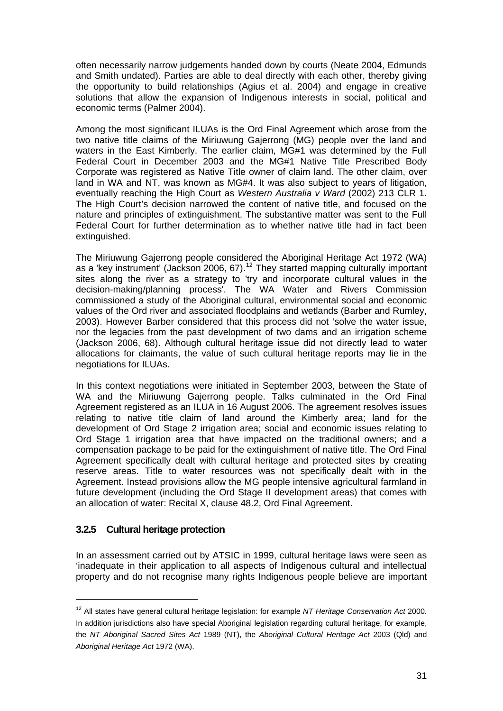<span id="page-30-0"></span>often necessarily narrow judgements handed down by courts (Neate 2004, Edmunds and Smith undated). Parties are able to deal directly with each other, thereby giving the opportunity to build relationships (Agius et al. 2004) and engage in creative solutions that allow the expansion of Indigenous interests in social, political and economic terms (Palmer 2004).

Among the most significant ILUAs is the Ord Final Agreement which arose from the two native title claims of the Miriuwung Gajerrong (MG) people over the land and waters in the East Kimberly. The earlier claim, MG#1 was determined by the Full Federal Court in December 2003 and the MG#1 Native Title Prescribed Body Corporate was registered as Native Title owner of claim land. The other claim, over land in WA and NT, was known as MG#4. It was also subject to years of litigation, eventually reaching the High Court as *Western Australia v Ward* (2002) 213 CLR 1. The High Court's decision narrowed the content of native title, and focused on the nature and principles of extinguishment. The substantive matter was sent to the Full Federal Court for further determination as to whether native title had in fact been extinguished.

The Miriuwung Gajerrong people considered the Aboriginal Heritage Act 1972 (WA) as a 'key instrument' (Jackson 2006, 67).<sup>[12](#page-30-1)</sup> They started mapping culturally important sites along the river as a strategy to 'try and incorporate cultural values in the decision-making/planning process'. The WA Water and Rivers Commission commissioned a study of the Aboriginal cultural, environmental social and economic values of the Ord river and associated floodplains and wetlands (Barber and Rumley, 2003). However Barber considered that this process did not 'solve the water issue, nor the legacies from the past development of two dams and an irrigation scheme (Jackson 2006, 68). Although cultural heritage issue did not directly lead to water allocations for claimants, the value of such cultural heritage reports may lie in the negotiations for ILUAs.

In this context negotiations were initiated in September 2003, between the State of WA and the Miriuwung Gajerrong people. Talks culminated in the Ord Final Agreement registered as an ILUA in 16 August 2006. The agreement resolves issues relating to native title claim of land around the Kimberly area; land for the development of Ord Stage 2 irrigation area; social and economic issues relating to Ord Stage 1 irrigation area that have impacted on the traditional owners; and a compensation package to be paid for the extinguishment of native title. The Ord Final Agreement specifically dealt with cultural heritage and protected sites by creating reserve areas. Title to water resources was not specifically dealt with in the Agreement. Instead provisions allow the MG people intensive agricultural farmland in future development (including the Ord Stage II development areas) that comes with an allocation of water: Recital X, clause 48.2, Ord Final Agreement.

### **3.2.5 Cultural heritage protection**

 $\overline{a}$ 

In an assessment carried out by ATSIC in 1999, cultural heritage laws were seen as 'inadequate in their application to all aspects of Indigenous cultural and intellectual property and do not recognise many rights Indigenous people believe are important

<span id="page-30-1"></span><sup>12</sup> All states have general cultural heritage legislation: for example *NT Heritage Conservation Act* 2000. In addition jurisdictions also have special Aboriginal legislation regarding cultural heritage, for example, the *NT Aboriginal Sacred Sites Act* 1989 (NT), the *Aboriginal Cultural Heritage Act* 2003 (Qld) and *Aboriginal Heritage Act* 1972 (WA).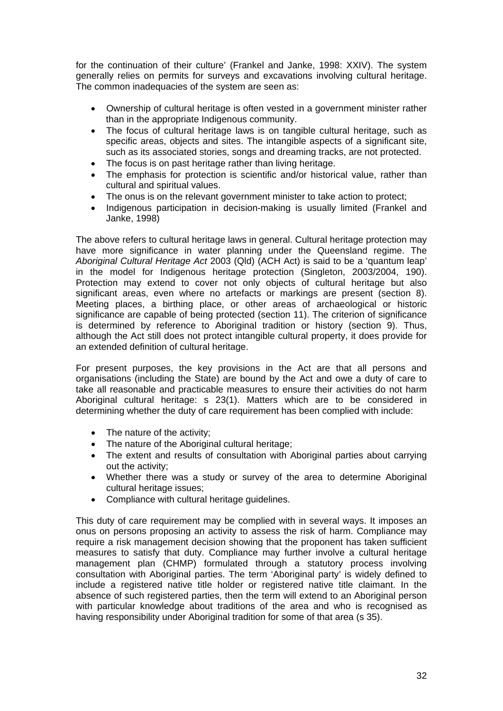for the continuation of their culture' (Frankel and Janke, 1998: XXIV). The system generally relies on permits for surveys and excavations involving cultural heritage. The common inadequacies of the system are seen as:

- Ownership of cultural heritage is often vested in a government minister rather than in the appropriate Indigenous community.
- The focus of cultural heritage laws is on tangible cultural heritage, such as specific areas, objects and sites. The intangible aspects of a significant site, such as its associated stories, songs and dreaming tracks, are not protected.
- The focus is on past heritage rather than living heritage.
- The emphasis for protection is scientific and/or historical value, rather than cultural and spiritual values.
- The onus is on the relevant government minister to take action to protect;
- Indigenous participation in decision-making is usually limited (Frankel and Janke, 1998)

The above refers to cultural heritage laws in general. Cultural heritage protection may have more significance in water planning under the Queensland regime. The *Aboriginal Cultural Heritage Act* 2003 (Qld) (ACH Act) is said to be a 'quantum leap' in the model for Indigenous heritage protection (Singleton, 2003/2004, 190). Protection may extend to cover not only objects of cultural heritage but also significant areas, even where no artefacts or markings are present (section 8). Meeting places, a birthing place, or other areas of archaeological or historic significance are capable of being protected (section 11). The criterion of significance is determined by reference to Aboriginal tradition or history (section 9). Thus, although the Act still does not protect intangible cultural property, it does provide for an extended definition of cultural heritage.

For present purposes, the key provisions in the Act are that all persons and organisations (including the State) are bound by the Act and owe a duty of care to take all reasonable and practicable measures to ensure their activities do not harm Aboriginal cultural heritage: s 23(1). Matters which are to be considered in determining whether the duty of care requirement has been complied with include:

- The nature of the activity;
- The nature of the Aboriginal cultural heritage;
- The extent and results of consultation with Aboriginal parties about carrying out the activity;
- Whether there was a study or survey of the area to determine Aboriginal cultural heritage issues;
- Compliance with cultural heritage guidelines.

This duty of care requirement may be complied with in several ways. It imposes an onus on persons proposing an activity to assess the risk of harm. Compliance may require a risk management decision showing that the proponent has taken sufficient measures to satisfy that duty. Compliance may further involve a cultural heritage management plan (CHMP) formulated through a statutory process involving consultation with Aboriginal parties. The term 'Aboriginal party' is widely defined to include a registered native title holder or registered native title claimant. In the absence of such registered parties, then the term will extend to an Aboriginal person with particular knowledge about traditions of the area and who is recognised as having responsibility under Aboriginal tradition for some of that area (s 35).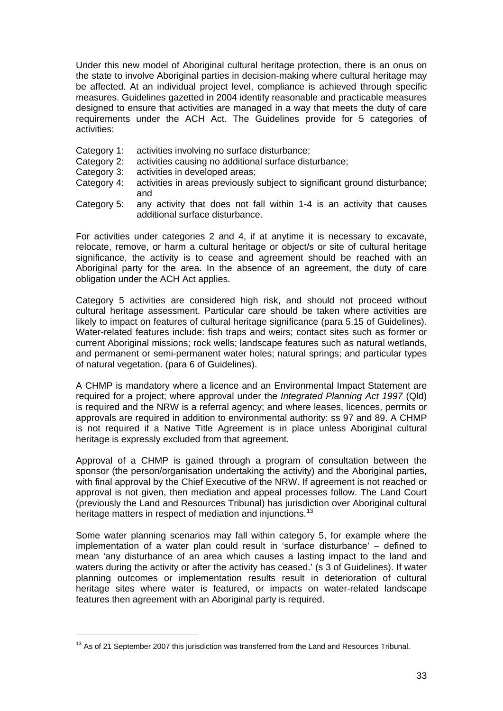Under this new model of Aboriginal cultural heritage protection, there is an onus on the state to involve Aboriginal parties in decision-making where cultural heritage may be affected. At an individual project level, compliance is achieved through specific measures. Guidelines gazetted in 2004 identify reasonable and practicable measures designed to ensure that activities are managed in a way that meets the duty of care requirements under the ACH Act. The Guidelines provide for 5 categories of activities:

- Category 1: activities involving no surface disturbance;
- Category 2: activities causing no additional surface disturbance;
- Category 3: activities in developed areas;
- Category 4: activities in areas previously subject to significant ground disturbance; and
- Category 5: any activity that does not fall within 1-4 is an activity that causes additional surface disturbance.

For activities under categories 2 and 4, if at anytime it is necessary to excavate, relocate, remove, or harm a cultural heritage or object/s or site of cultural heritage significance, the activity is to cease and agreement should be reached with an Aboriginal party for the area. In the absence of an agreement, the duty of care obligation under the ACH Act applies.

Category 5 activities are considered high risk, and should not proceed without cultural heritage assessment. Particular care should be taken where activities are likely to impact on features of cultural heritage significance (para 5.15 of Guidelines). Water-related features include: fish traps and weirs; contact sites such as former or current Aboriginal missions; rock wells; landscape features such as natural wetlands, and permanent or semi-permanent water holes; natural springs; and particular types of natural vegetation. (para 6 of Guidelines).

A CHMP is mandatory where a licence and an Environmental Impact Statement are required for a project; where approval under the *Integrated Planning Act 1997* (Qld) is required and the NRW is a referral agency; and where leases, licences, permits or approvals are required in addition to environmental authority: ss 97 and 89. A CHMP is not required if a Native Title Agreement is in place unless Aboriginal cultural heritage is expressly excluded from that agreement.

Approval of a CHMP is gained through a program of consultation between the sponsor (the person/organisation undertaking the activity) and the Aboriginal parties, with final approval by the Chief Executive of the NRW. If agreement is not reached or approval is not given, then mediation and appeal processes follow. The Land Court (previously the Land and Resources Tribunal) has jurisdiction over Aboriginal cultural heritage matters in respect of mediation and injunctions.<sup>[13](#page-32-0)</sup>

Some water planning scenarios may fall within category 5, for example where the implementation of a water plan could result in 'surface disturbance' – defined to mean 'any disturbance of an area which causes a lasting impact to the land and waters during the activity or after the activity has ceased.' (s 3 of Guidelines). If water planning outcomes or implementation results result in deterioration of cultural heritage sites where water is featured, or impacts on water-related landscape features then agreement with an Aboriginal party is required.

 $\overline{a}$ 

<span id="page-32-0"></span> $13$  As of 21 September 2007 this jurisdiction was transferred from the Land and Resources Tribunal.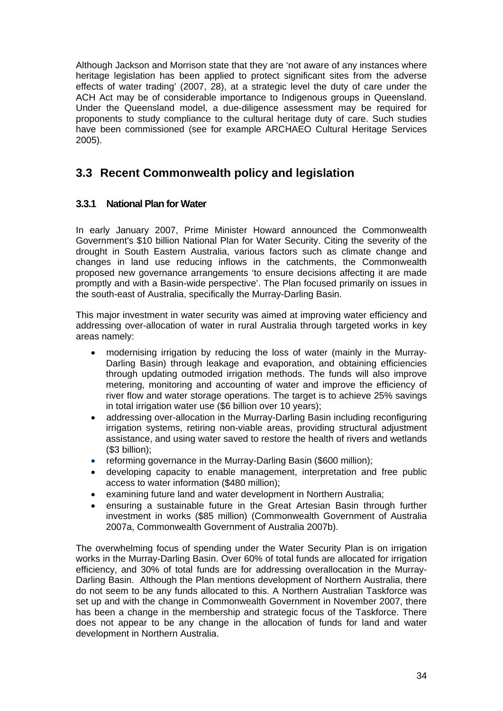<span id="page-33-0"></span>Although Jackson and Morrison state that they are 'not aware of any instances where heritage legislation has been applied to protect significant sites from the adverse effects of water trading' (2007, 28), at a strategic level the duty of care under the ACH Act may be of considerable importance to Indigenous groups in Queensland. Under the Queensland model, a due-diligence assessment may be required for proponents to study compliance to the cultural heritage duty of care. Such studies have been commissioned (see for example ARCHAEO Cultural Heritage Services 2005).

### **3.3 Recent Commonwealth policy and legislation**

### **3.3.1 National Plan for Water**

In early January 2007, Prime Minister Howard announced the Commonwealth Government's \$10 billion National Plan for Water Security. Citing the severity of the drought in South Eastern Australia, various factors such as climate change and changes in land use reducing inflows in the catchments, the Commonwealth proposed new governance arrangements 'to ensure decisions affecting it are made promptly and with a Basin-wide perspective'. The Plan focused primarily on issues in the south-east of Australia, specifically the Murray-Darling Basin.

This major investment in water security was aimed at improving water efficiency and addressing over-allocation of water in rural Australia through targeted works in key areas namely:

- modernising irrigation by reducing the loss of water (mainly in the Murray-Darling Basin) through leakage and evaporation, and obtaining efficiencies through updating outmoded irrigation methods. The funds will also improve metering, monitoring and accounting of water and improve the efficiency of river flow and water storage operations. The target is to achieve 25% savings in total irrigation water use (\$6 billion over 10 years);
- addressing over-allocation in the Murray-Darling Basin including reconfiguring irrigation systems, retiring non-viable areas, providing structural adjustment assistance, and using water saved to restore the health of rivers and wetlands (\$3 billion);
- reforming governance in the Murray-Darling Basin (\$600 million);
- developing capacity to enable management, interpretation and free public access to water information (\$480 million);
- examining future land and water development in Northern Australia;
- ensuring a sustainable future in the Great Artesian Basin through further investment in works (\$85 million) (Commonwealth Government of Australia 2007a, Commonwealth Government of Australia 2007b).

The overwhelming focus of spending under the Water Security Plan is on irrigation works in the Murray-Darling Basin. Over 60% of total funds are allocated for irrigation efficiency, and 30% of total funds are for addressing overallocation in the Murray-Darling Basin. Although the Plan mentions development of Northern Australia, there do not seem to be any funds allocated to this. A Northern Australian Taskforce was set up and with the change in Commonwealth Government in November 2007, there has been a change in the membership and strategic focus of the Taskforce. There does not appear to be any change in the allocation of funds for land and water development in Northern Australia.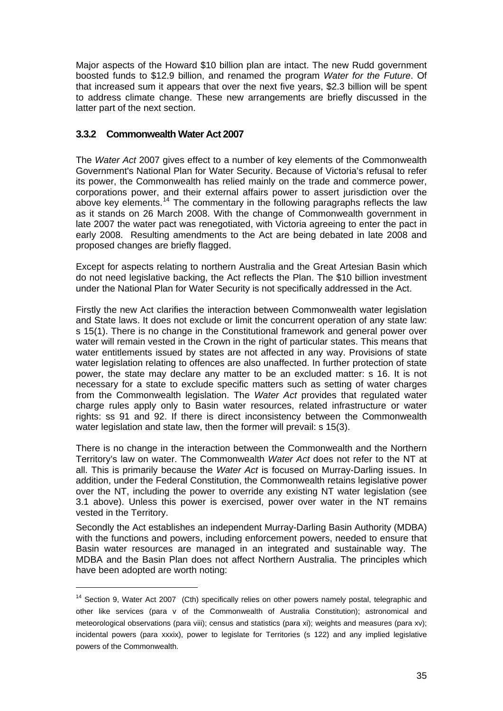<span id="page-34-0"></span>Major aspects of the Howard \$10 billion plan are intact. The new Rudd government boosted funds to \$12.9 billion, and renamed the program *Water for the Future*. Of that increased sum it appears that over the next five years, \$2.3 billion will be spent to address climate change. These new arrangements are briefly discussed in the latter part of the next section.

### **3.3.2 Commonwealth Water Act 2007**

The *Water Act* 2007 gives effect to a number of key elements of the Commonwealth Government's National Plan for Water Security. Because of Victoria's refusal to refer its power, the Commonwealth has relied mainly on the trade and commerce power, corporations power, and their external affairs power to assert jurisdiction over the above key elements.<sup>[14](#page-34-1)</sup> The commentary in the following paragraphs reflects the law as it stands on 26 March 2008. With the change of Commonwealth government in late 2007 the water pact was renegotiated, with Victoria agreeing to enter the pact in early 2008. Resulting amendments to the Act are being debated in late 2008 and proposed changes are briefly flagged.

Except for aspects relating to northern Australia and the Great Artesian Basin which do not need legislative backing, the Act reflects the Plan. The \$10 billion investment under the National Plan for Water Security is not specifically addressed in the Act.

Firstly the new Act clarifies the interaction between Commonwealth water legislation and State laws. It does not exclude or limit the concurrent operation of any state law: s 15(1). There is no change in the Constitutional framework and general power over water will remain vested in the Crown in the right of particular states. This means that water entitlements issued by states are not affected in any way. Provisions of state water legislation relating to offences are also unaffected. In further protection of state power, the state may declare any matter to be an excluded matter: s 16. It is not necessary for a state to exclude specific matters such as setting of water charges from the Commonwealth legislation. The *Water Act* provides that regulated water charge rules apply only to Basin water resources, related infrastructure or water rights: ss 91 and 92. If there is direct inconsistency between the Commonwealth water legislation and state law, then the former will prevail: s 15(3).

There is no change in the interaction between the Commonwealth and the Northern Territory's law on water. The Commonwealth *Water Act* does not refer to the NT at all. This is primarily because the *Water Act* is focused on Murray-Darling issues. In addition, under the Federal Constitution, the Commonwealth retains legislative power over the NT, including the power to override any existing NT water legislation (see 3.1 above). Unless this power is exercised, power over water in the NT remains vested in the Territory.

Secondly the Act establishes an independent Murray-Darling Basin Authority (MDBA) with the functions and powers, including enforcement powers, needed to ensure that Basin water resources are managed in an integrated and sustainable way. The MDBA and the Basin Plan does not affect Northern Australia. The principles which have been adopted are worth noting:

<span id="page-34-1"></span><sup>&</sup>lt;sup>14</sup> Section 9, Water Act 2007 (Cth) specifically relies on other powers namely postal, telegraphic and other like services (para v of the Commonwealth of Australia Constitution); astronomical and meteorological observations (para viii); census and statistics (para xi); weights and measures (para xv); incidental powers (para xxxix), power to legislate for Territories (s 122) and any implied legislative powers of the Commonwealth.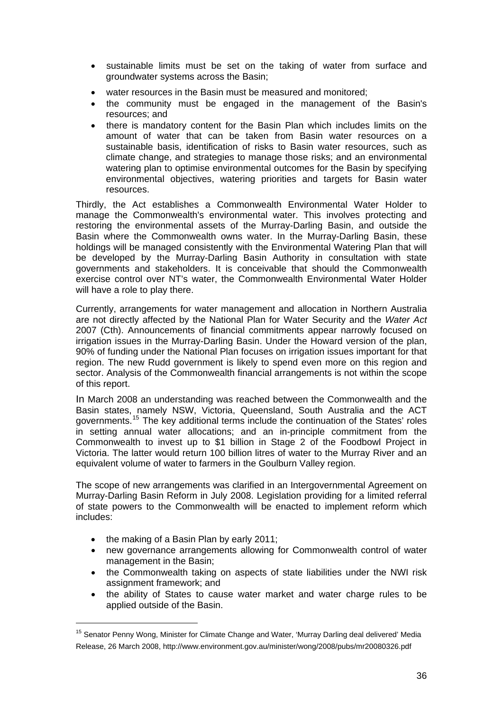- sustainable limits must be set on the taking of water from surface and groundwater systems across the Basin;
- water resources in the Basin must be measured and monitored;
- the community must be engaged in the management of the Basin's resources; and
- there is mandatory content for the Basin Plan which includes limits on the amount of water that can be taken from Basin water resources on a sustainable basis, identification of risks to Basin water resources, such as climate change, and strategies to manage those risks; and an environmental watering plan to optimise environmental outcomes for the Basin by specifying environmental objectives, watering priorities and targets for Basin water resources.

Thirdly, the Act establishes a Commonwealth Environmental Water Holder to manage the Commonwealth's environmental water. This involves protecting and restoring the environmental assets of the Murray-Darling Basin, and outside the Basin where the Commonwealth owns water. In the Murray-Darling Basin, these holdings will be managed consistently with the Environmental Watering Plan that will be developed by the Murray-Darling Basin Authority in consultation with state governments and stakeholders. It is conceivable that should the Commonwealth exercise control over NT's water, the Commonwealth Environmental Water Holder will have a role to play there.

Currently, arrangements for water management and allocation in Northern Australia are not directly affected by the National Plan for Water Security and the *Water Act* 2007 (Cth). Announcements of financial commitments appear narrowly focused on irrigation issues in the Murray-Darling Basin. Under the Howard version of the plan, 90% of funding under the National Plan focuses on irrigation issues important for that region. The new Rudd government is likely to spend even more on this region and sector. Analysis of the Commonwealth financial arrangements is not within the scope of this report.

In March 2008 an understanding was reached between the Commonwealth and the Basin states, namely NSW, Victoria, Queensland, South Australia and the ACT governments.[15](#page-35-0) The key additional terms include the continuation of the States' roles in setting annual water allocations; and an in-principle commitment from the Commonwealth to invest up to \$1 billion in Stage 2 of the Foodbowl Project in Victoria. The latter would return 100 billion litres of water to the Murray River and an equivalent volume of water to farmers in the Goulburn Valley region.

The scope of new arrangements was clarified in an Intergovernmental Agreement on Murray-Darling Basin Reform in July 2008. Legislation providing for a limited referral of state powers to the Commonwealth will be enacted to implement reform which includes:

• the making of a Basin Plan by early 2011;

- new governance arrangements allowing for Commonwealth control of water management in the Basin;
- the Commonwealth taking on aspects of state liabilities under the NWI risk assignment framework; and
- the ability of States to cause water market and water charge rules to be applied outside of the Basin.

<span id="page-35-0"></span><sup>&</sup>lt;sup>15</sup> Senator Penny Wong, Minister for Climate Change and Water, 'Murray Darling deal delivered' Media Release, 26 March 2008, http://www.environment.gov.au/minister/wong/2008/pubs/mr20080326.pdf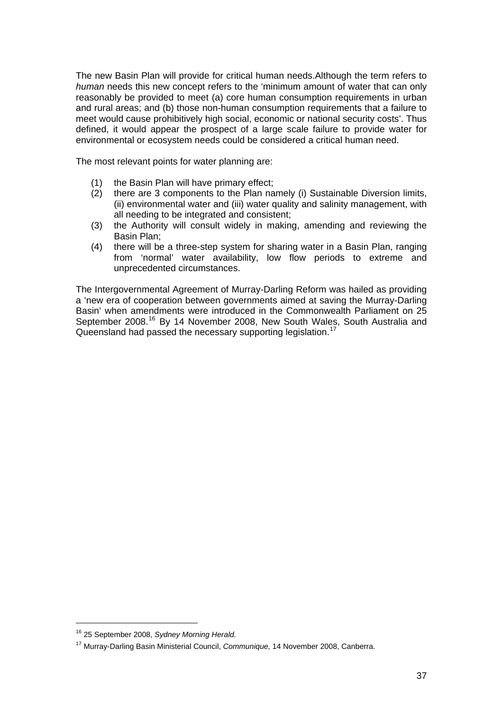The new Basin Plan will provide for critical human needs.Although the term refers to *human* needs this new concept refers to the 'minimum amount of water that can only reasonably be provided to meet (a) core human consumption requirements in urban and rural areas; and (b) those non-human consumption requirements that a failure to meet would cause prohibitively high social, economic or national security costs'. Thus defined, it would appear the prospect of a large scale failure to provide water for environmental or ecosystem needs could be considered a critical human need.

The most relevant points for water planning are:

- (1) the Basin Plan will have primary effect;
- (2) there are 3 components to the Plan namely (i) Sustainable Diversion limits, (ii) environmental water and (iii) water quality and salinity management, with all needing to be integrated and consistent;
- (3) the Authority will consult widely in making, amending and reviewing the Basin Plan;
- (4) there will be a three-step system for sharing water in a Basin Plan, ranging from 'normal' water availability, low flow periods to extreme and unprecedented circumstances.

The Intergovernmental Agreement of Murray-Darling Reform was hailed as providing a 'new era of cooperation between governments aimed at saving the Murray-Darling Basin' when amendments were introduced in the Commonwealth Parliament on 25 September 2008.<sup>[16](#page-36-0)</sup> By 14 November 2008, New South Wales, South Australia and Queensland had passed the necessary supporting legislation.<sup>[17](#page-36-1)</sup>

<span id="page-36-0"></span><sup>16 25</sup> September 2008, *Sydney Morning Herald.*

<span id="page-36-1"></span><sup>17</sup> Murray-Darling Basin Ministerial Council, *Communique,* 14 November 2008, Canberra.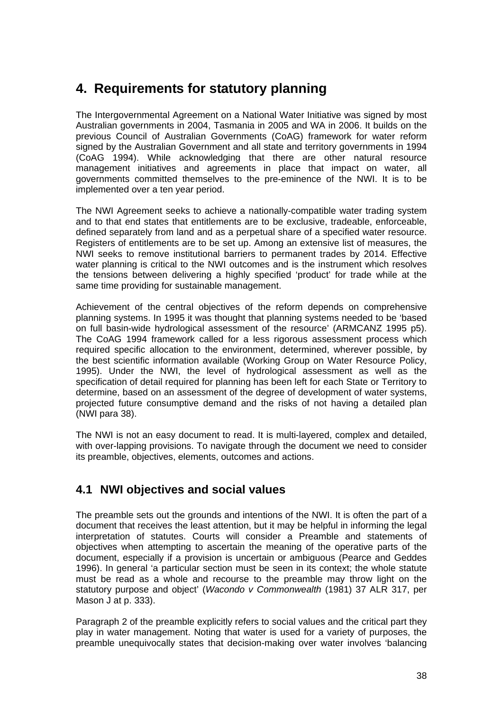# **4. Requirements for statutory planning**

The Intergovernmental Agreement on a National Water Initiative was signed by most Australian governments in 2004, Tasmania in 2005 and WA in 2006. It builds on the previous Council of Australian Governments (CoAG) framework for water reform signed by the Australian Government and all state and territory governments in 1994 (CoAG 1994). While acknowledging that there are other natural resource management initiatives and agreements in place that impact on water, all governments committed themselves to the pre-eminence of the NWI. It is to be implemented over a ten year period.

The NWI Agreement seeks to achieve a nationally-compatible water trading system and to that end states that entitlements are to be exclusive, tradeable, enforceable, defined separately from land and as a perpetual share of a specified water resource. Registers of entitlements are to be set up. Among an extensive list of measures, the NWI seeks to remove institutional barriers to permanent trades by 2014. Effective water planning is critical to the NWI outcomes and is the instrument which resolves the tensions between delivering a highly specified 'product' for trade while at the same time providing for sustainable management.

Achievement of the central objectives of the reform depends on comprehensive planning systems. In 1995 it was thought that planning systems needed to be 'based on full basin-wide hydrological assessment of the resource' (ARMCANZ 1995 p5). The CoAG 1994 framework called for a less rigorous assessment process which required specific allocation to the environment, determined, wherever possible, by the best scientific information available (Working Group on Water Resource Policy, 1995). Under the NWI, the level of hydrological assessment as well as the specification of detail required for planning has been left for each State or Territory to determine, based on an assessment of the degree of development of water systems, projected future consumptive demand and the risks of not having a detailed plan (NWI para 38).

The NWI is not an easy document to read. It is multi-layered, complex and detailed, with over-lapping provisions. To navigate through the document we need to consider its preamble, objectives, elements, outcomes and actions.

# **4.1 NWI objectives and social values**

The preamble sets out the grounds and intentions of the NWI. It is often the part of a document that receives the least attention, but it may be helpful in informing the legal interpretation of statutes. Courts will consider a Preamble and statements of objectives when attempting to ascertain the meaning of the operative parts of the document, especially if a provision is uncertain or ambiguous (Pearce and Geddes 1996). In general 'a particular section must be seen in its context; the whole statute must be read as a whole and recourse to the preamble may throw light on the statutory purpose and object' (*Wacondo v Commonwealth* (1981) 37 ALR 317, per Mason J at p. 333).

Paragraph 2 of the preamble explicitly refers to social values and the critical part they play in water management. Noting that water is used for a variety of purposes, the preamble unequivocally states that decision-making over water involves 'balancing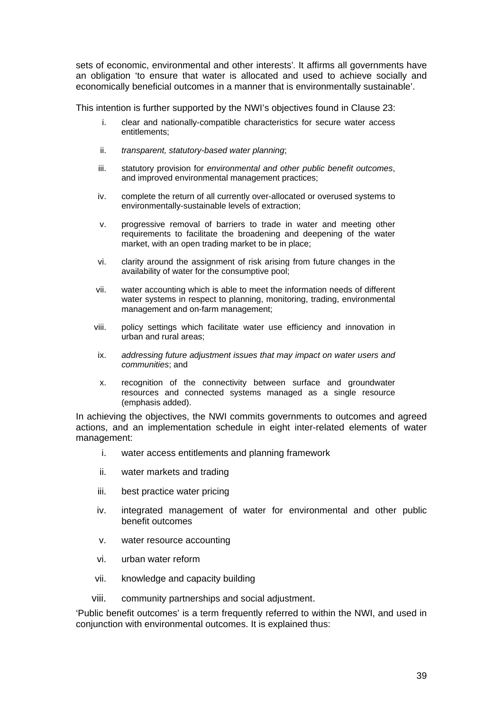sets of economic, environmental and other interests'*.* It affirms all governments have an obligation 'to ensure that water is allocated and used to achieve socially and economically beneficial outcomes in a manner that is environmentally sustainable'.

This intention is further supported by the NWI's objectives found in Clause 23:

- i. clear and nationally-compatible characteristics for secure water access entitlements;
- ii. *transparent, statutory-based water planning*;
- iii. statutory provision for *environmental and other public benefit outcomes*, and improved environmental management practices;
- iv. complete the return of all currently over-allocated or overused systems to environmentally-sustainable levels of extraction;
- v. progressive removal of barriers to trade in water and meeting other requirements to facilitate the broadening and deepening of the water market, with an open trading market to be in place;
- vi. clarity around the assignment of risk arising from future changes in the availability of water for the consumptive pool;
- vii. water accounting which is able to meet the information needs of different water systems in respect to planning, monitoring, trading, environmental management and on-farm management;
- viii. policy settings which facilitate water use efficiency and innovation in urban and rural areas;
- ix. *addressing future adjustment issues that may impact on water users and communities*; and
- x. recognition of the connectivity between surface and groundwater resources and connected systems managed as a single resource (emphasis added).

In achieving the objectives, the NWI commits governments to outcomes and agreed actions, and an implementation schedule in eight inter-related elements of water management:

- i. [water access entitlements and planning framework](http://www.nwc.gov.au/nwi/index.cfm#framework#framework)
- ii. [water markets and trading](http://www.nwc.gov.au/nwi/index.cfm#trading#trading)
- iii. [best practice water pricing](http://www.nwc.gov.au/nwi/index.cfm#pricing#pricing)
- iv. [integrated management of water for environmental and other public](http://www.nwc.gov.au/nwi/index.cfm#outcomes#outcomes)  [benefit outcomes](http://www.nwc.gov.au/nwi/index.cfm#outcomes#outcomes)
- v. [water resource accounting](http://www.nwc.gov.au/nwi/index.cfm#accounting#accounting)
- vi. [urban water reform](http://www.nwc.gov.au/nwi/index.cfm#reform#reform)
- vii. [knowledge and capacity building](http://www.nwc.gov.au/nwi/index.cfm#capacity#capacity)
- viii. [community partnerships and social adjustment](http://www.nwc.gov.au/nwi/index.cfm#community#community).

'Public benefit outcomes' is a term frequently referred to within the NWI, and used in conjunction with environmental outcomes. It is explained thus: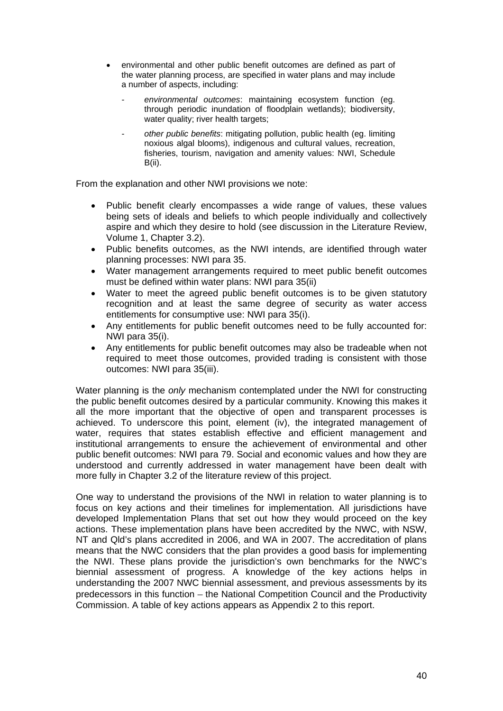- environmental and other public benefit outcomes are defined as part of the water planning process, are specified in water plans and may include a number of aspects, including:
	- *environmental outcomes*: maintaining ecosystem function (eg. through periodic inundation of floodplain wetlands); biodiversity, water quality; river health targets;
	- *other public benefits*: mitigating pollution, public health (eg. limiting noxious algal blooms), indigenous and cultural values, recreation, fisheries, tourism, navigation and amenity values: NWI, Schedule B(ii).

From the explanation and other NWI provisions we note:

- Public benefit clearly encompasses a wide range of values, these values being sets of ideals and beliefs to which people individually and collectively aspire and which they desire to hold (see discussion in the Literature Review, Volume 1, Chapter 3.2).
- Public benefits outcomes, as the NWI intends, are identified through water planning processes: NWI para 35.
- Water management arrangements required to meet public benefit outcomes must be defined within water plans: NWI para 35(ii)
- Water to meet the agreed public benefit outcomes is to be given statutory recognition and at least the same degree of security as water access entitlements for consumptive use: NWI para 35(i).
- Any entitlements for public benefit outcomes need to be fully accounted for: NWI para 35(i).
- Any entitlements for public benefit outcomes may also be tradeable when not required to meet those outcomes, provided trading is consistent with those outcomes: NWI para 35(iii).

Water planning is the *only* mechanism contemplated under the NWI for constructing the public benefit outcomes desired by a particular community. Knowing this makes it all the more important that the objective of open and transparent processes is achieved. To underscore this point, element (iv), the integrated management of water, requires that states establish effective and efficient management and institutional arrangements to ensure the achievement of environmental and other public benefit outcomes: NWI para 79. Social and economic values and how they are understood and currently addressed in water management have been dealt with more fully in Chapter 3.2 of the literature review of this project.

One way to understand the provisions of the NWI in relation to water planning is to focus on key actions and their timelines for implementation. All jurisdictions have developed Implementation Plans that set out how they would proceed on the key actions. These implementation plans have been accredited by the NWC, with NSW, NT and Qld's plans accredited in 2006, and WA in 2007. The accreditation of plans means that the NWC considers that the plan provides a good basis for implementing the NWI. These plans provide the jurisdiction's own benchmarks for the NWC's biennial assessment of progress. A knowledge of the key actions helps in understanding the 2007 NWC biennial assessment, and previous assessments by its predecessors in this function – the National Competition Council and the Productivity Commission. A table of key actions appears as Appendix 2 to this report.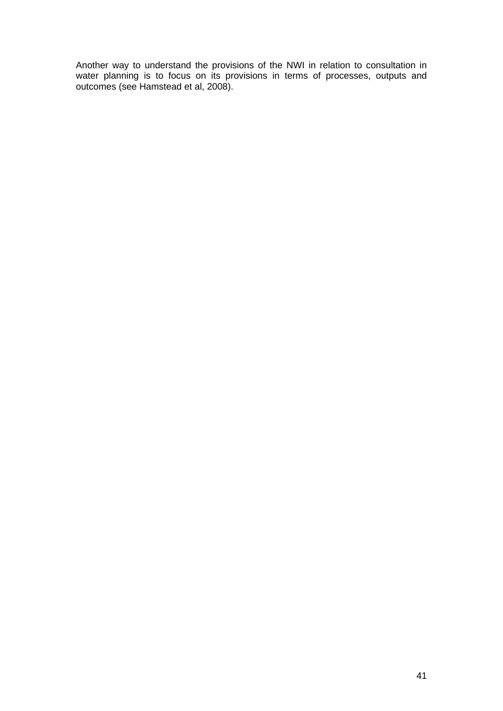Another way to understand the provisions of the NWI in relation to consultation in water planning is to focus on its provisions in terms of processes, outputs and outcomes (see Hamstead et al, 2008).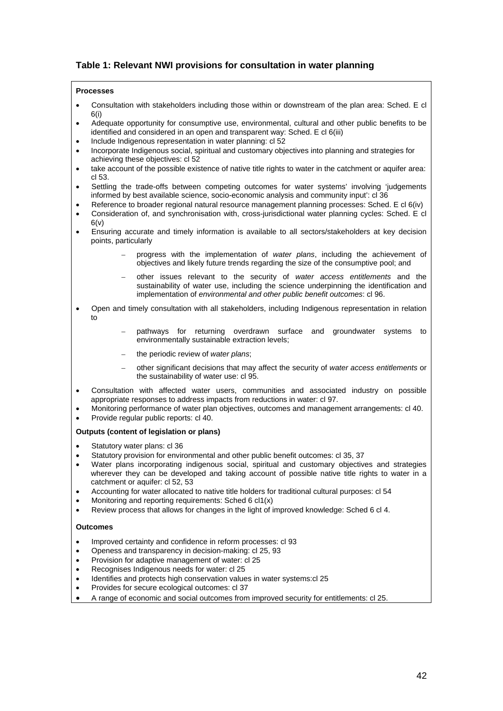### **Table 1: Relevant NWI provisions for consultation in water planning**

#### **Processes**

- Consultation with stakeholders including those within or downstream of the plan area: Sched. E cl 6(i)
- Adequate opportunity for consumptive use, environmental, cultural and other public benefits to be identified and considered in an open and transparent way: Sched. E cl 6(iii)
- Include Indigenous representation in water planning: cl 52
- Incorporate Indigenous social, spiritual and customary objectives into planning and strategies for achieving these objectives: cl 52
- take account of the possible existence of native title rights to water in the catchment or aquifer area: cl 53.
- Settling the trade-offs between competing outcomes for water systems' involving 'judgements informed by best available science, socio-economic analysis and community input': cl 36
- Reference to broader regional natural resource management planning processes: Sched. E cl 6(iv)
- Consideration of, and synchronisation with, cross-jurisdictional water planning cycles: Sched. E cl  $6(v)$
- Ensuring accurate and timely information is available to all sectors/stakeholders at key decision points, particularly
	- progress with the implementation of *water plans*, including the achievement of objectives and likely future trends regarding the size of the consumptive pool; and
	- other issues relevant to the security of *water access entitlements* and the sustainability of water use, including the science underpinning the identification and implementation of *environmental and other public benefit outcomes*: cl 96.
- Open and timely consultation with all stakeholders, including Indigenous representation in relation to
	- pathways for returning overdrawn surface and groundwater systems to environmentally sustainable extraction levels;
	- the periodic review of *water plans*;
	- other significant decisions that may affect the security of *water access entitlements* or the sustainability of water use: cl 95.
- Consultation with affected water users, communities and associated industry on possible appropriate responses to address impacts from reductions in water: cl 97.
- Monitoring performance of water plan objectives, outcomes and management arrangements: cl 40.
- Provide regular public reports: cl 40.

#### **Outputs (content of legislation or plans)**

- Statutory water plans: cl 36
- Statutory provision for environmental and other public benefit outcomes: cl 35, 37
- Water plans incorporating indigenous social, spiritual and customary objectives and strategies wherever they can be developed and taking account of possible native title rights to water in a catchment or aquifer: cl 52, 53
- Accounting for water allocated to native title holders for traditional cultural purposes: cl 54
- Monitoring and reporting requirements: Sched 6 cl1(x)
- Review process that allows for changes in the light of improved knowledge: Sched 6 cl 4.

#### **Outcomes**

- Improved certainty and confidence in reform processes: cl 93
- Openess and transparency in decision-making: cl 25, 93
- Provision for adaptive management of water: cl 25
- Recognises Indigenous needs for water: cl 25
- Identifies and protects high conservation values in water systems: cl 25
- Provides for secure ecological outcomes: cl 37
- A range of economic and social outcomes from improved security for entitlements: cl 25.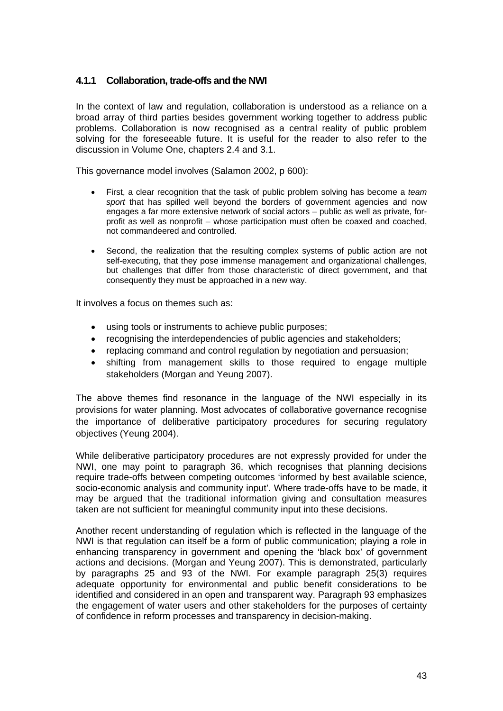### **4.1.1 Collaboration, trade-offs and the NWI**

In the context of law and regulation, collaboration is understood as a reliance on a broad array of third parties besides government working together to address public problems. Collaboration is now recognised as a central reality of public problem solving for the foreseeable future. It is useful for the reader to also refer to the discussion in Volume One, chapters 2.4 and 3.1.

This governance model involves (Salamon 2002, p 600):

- First, a clear recognition that the task of public problem solving has become a *team sport* that has spilled well beyond the borders of government agencies and now engages a far more extensive network of social actors – public as well as private, forprofit as well as nonprofit – whose participation must often be coaxed and coached, not commandeered and controlled.
- Second, the realization that the resulting complex systems of public action are not self-executing, that they pose immense management and organizational challenges, but challenges that differ from those characteristic of direct government, and that consequently they must be approached in a new way.

It involves a focus on themes such as:

- using tools or instruments to achieve public purposes;
- recognising the interdependencies of public agencies and stakeholders;
- replacing command and control regulation by negotiation and persuasion;
- shifting from management skills to those required to engage multiple stakeholders (Morgan and Yeung 2007).

The above themes find resonance in the language of the NWI especially in its provisions for water planning. Most advocates of collaborative governance recognise the importance of deliberative participatory procedures for securing regulatory objectives (Yeung 2004).

While deliberative participatory procedures are not expressly provided for under the NWI, one may point to paragraph 36, which recognises that planning decisions require trade-offs between competing outcomes 'informed by best available science, socio-economic analysis and community input'. Where trade-offs have to be made, it may be argued that the traditional information giving and consultation measures taken are not sufficient for meaningful community input into these decisions.

Another recent understanding of regulation which is reflected in the language of the NWI is that regulation can itself be a form of public communication; playing a role in enhancing transparency in government and opening the 'black box' of government actions and decisions. (Morgan and Yeung 2007). This is demonstrated, particularly by paragraphs 25 and 93 of the NWI. For example paragraph 25(3) requires adequate opportunity for environmental and public benefit considerations to be identified and considered in an open and transparent way. Paragraph 93 emphasizes the engagement of water users and other stakeholders for the purposes of certainty of confidence in reform processes and transparency in decision-making.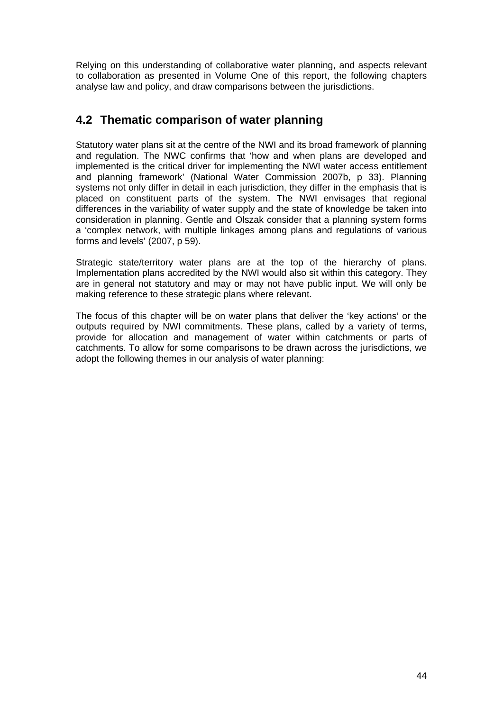Relying on this understanding of collaborative water planning, and aspects relevant to collaboration as presented in Volume One of this report, the following chapters analyse law and policy, and draw comparisons between the jurisdictions.

# **4.2 Thematic comparison of water planning**

Statutory water plans sit at the centre of the NWI and its broad framework of planning and regulation. The NWC confirms that 'how and when plans are developed and implemented is the critical driver for implementing the NWI water access entitlement and planning framework' (National Water Commission 2007b, p 33). Planning systems not only differ in detail in each jurisdiction, they differ in the emphasis that is placed on constituent parts of the system. The NWI envisages that regional differences in the variability of water supply and the state of knowledge be taken into consideration in planning. Gentle and Olszak consider that a planning system forms a 'complex network, with multiple linkages among plans and regulations of various forms and levels' (2007, p 59).

Strategic state/territory water plans are at the top of the hierarchy of plans. Implementation plans accredited by the NWI would also sit within this category. They are in general not statutory and may or may not have public input. We will only be making reference to these strategic plans where relevant.

The focus of this chapter will be on water plans that deliver the 'key actions' or the outputs required by NWI commitments. These plans, called by a variety of terms, provide for allocation and management of water within catchments or parts of catchments. To allow for some comparisons to be drawn across the jurisdictions, we adopt the following themes in our analysis of water planning: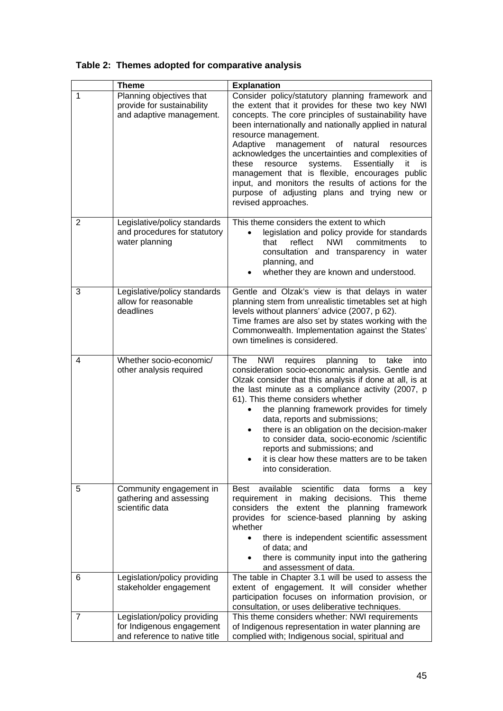|                | <b>Theme</b>                                                                               | <b>Explanation</b>                                                                                                                                                                                                                                                                                                                                                                                                                                                                                                                                                                                 |
|----------------|--------------------------------------------------------------------------------------------|----------------------------------------------------------------------------------------------------------------------------------------------------------------------------------------------------------------------------------------------------------------------------------------------------------------------------------------------------------------------------------------------------------------------------------------------------------------------------------------------------------------------------------------------------------------------------------------------------|
| 1              | Planning objectives that<br>provide for sustainability<br>and adaptive management.         | Consider policy/statutory planning framework and<br>the extent that it provides for these two key NWI<br>concepts. The core principles of sustainability have<br>been internationally and nationally applied in natural<br>resource management.<br>Adaptive<br>management of natural<br>resources<br>acknowledges the uncertainties and complexities of<br>systems.<br>Essentially<br>these<br>resource<br>it<br>is<br>management that is flexible, encourages public<br>input, and monitors the results of actions for the<br>purpose of adjusting plans and trying new or<br>revised approaches. |
| $\overline{2}$ | Legislative/policy standards<br>and procedures for statutory<br>water planning             | This theme considers the extent to which<br>legislation and policy provide for standards<br>$\bullet$<br>that<br>reflect<br><b>NWI</b><br>commitments<br>to<br>consultation and transparency in water<br>planning, and<br>whether they are known and understood.                                                                                                                                                                                                                                                                                                                                   |
| 3              | Legislative/policy standards<br>allow for reasonable<br>deadlines                          | Gentle and Olzak's view is that delays in water<br>planning stem from unrealistic timetables set at high<br>levels without planners' advice (2007, p 62).<br>Time frames are also set by states working with the<br>Commonwealth. Implementation against the States'<br>own timelines is considered.                                                                                                                                                                                                                                                                                               |
| 4              | Whether socio-economic/<br>other analysis required                                         | <b>NWI</b><br>requires<br>planning<br>The<br>to<br>take<br>into<br>consideration socio-economic analysis. Gentle and<br>Olzak consider that this analysis if done at all, is at<br>the last minute as a compliance activity (2007, p<br>61). This theme considers whether<br>the planning framework provides for timely<br>data, reports and submissions;<br>there is an obligation on the decision-maker<br>to consider data, socio-economic /scientific<br>reports and submissions; and<br>it is clear how these matters are to be taken<br>into consideration.                                  |
| 5              | Community engagement in<br>gathering and assessing<br>scientific data                      | available<br>scientific<br><b>Best</b><br>forms<br>data<br>a key<br>requirement in making decisions. This theme<br>considers the extent the planning framework<br>provides for science-based planning by asking<br>whether<br>there is independent scientific assessment<br>$\bullet$<br>of data; and<br>there is community input into the gathering<br>and assessment of data.                                                                                                                                                                                                                    |
| 6              | Legislation/policy providing<br>stakeholder engagement                                     | The table in Chapter 3.1 will be used to assess the<br>extent of engagement. It will consider whether<br>participation focuses on information provision, or<br>consultation, or uses deliberative techniques.                                                                                                                                                                                                                                                                                                                                                                                      |
| 7              | Legislation/policy providing<br>for Indigenous engagement<br>and reference to native title | This theme considers whether: NWI requirements<br>of Indigenous representation in water planning are<br>complied with; Indigenous social, spiritual and                                                                                                                                                                                                                                                                                                                                                                                                                                            |

# **Table 2: Themes adopted for comparative analysis**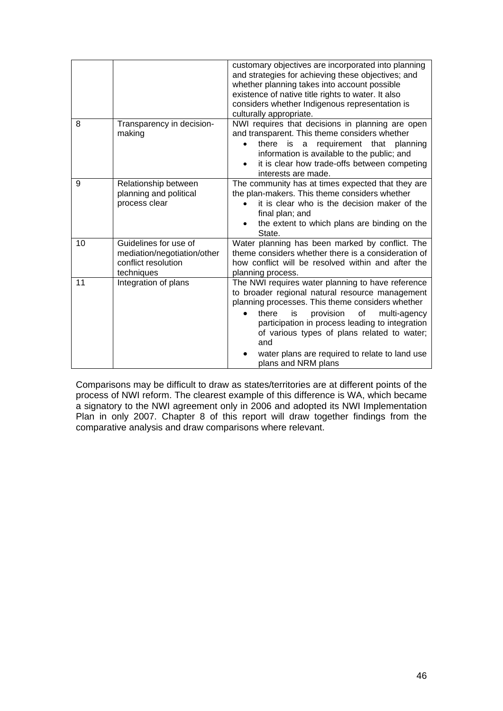|    |                                                                                           | customary objectives are incorporated into planning<br>and strategies for achieving these objectives; and<br>whether planning takes into account possible<br>existence of native title rights to water. It also<br>considers whether Indigenous representation is<br>culturally appropriate.                                                                                                              |
|----|-------------------------------------------------------------------------------------------|-----------------------------------------------------------------------------------------------------------------------------------------------------------------------------------------------------------------------------------------------------------------------------------------------------------------------------------------------------------------------------------------------------------|
| 8  | Transparency in decision-<br>making                                                       | NWI requires that decisions in planning are open<br>and transparent. This theme considers whether<br>requirement that<br>there<br>is<br>planning<br>a<br>information is available to the public; and<br>it is clear how trade-offs between competing<br>interests are made.                                                                                                                               |
| 9  | Relationship between<br>planning and political<br>process clear                           | The community has at times expected that they are<br>the plan-makers. This theme considers whether<br>it is clear who is the decision maker of the<br>final plan; and<br>the extent to which plans are binding on the<br>State.                                                                                                                                                                           |
| 10 | Guidelines for use of<br>mediation/negotiation/other<br>conflict resolution<br>techniques | Water planning has been marked by conflict. The<br>theme considers whether there is a consideration of<br>how conflict will be resolved within and after the<br>planning process.                                                                                                                                                                                                                         |
| 11 | Integration of plans                                                                      | The NWI requires water planning to have reference<br>to broader regional natural resource management<br>planning processes. This theme considers whether<br>there<br>is<br>provision<br>οf<br>multi-agency<br>$\bullet$<br>participation in process leading to integration<br>of various types of plans related to water;<br>and<br>water plans are required to relate to land use<br>plans and NRM plans |

Comparisons may be difficult to draw as states/territories are at different points of the process of NWI reform. The clearest example of this difference is WA, which became a signatory to the NWI agreement only in 2006 and adopted its NWI Implementation Plan in only 2007. Chapter 8 of this report will draw together findings from the comparative analysis and draw comparisons where relevant.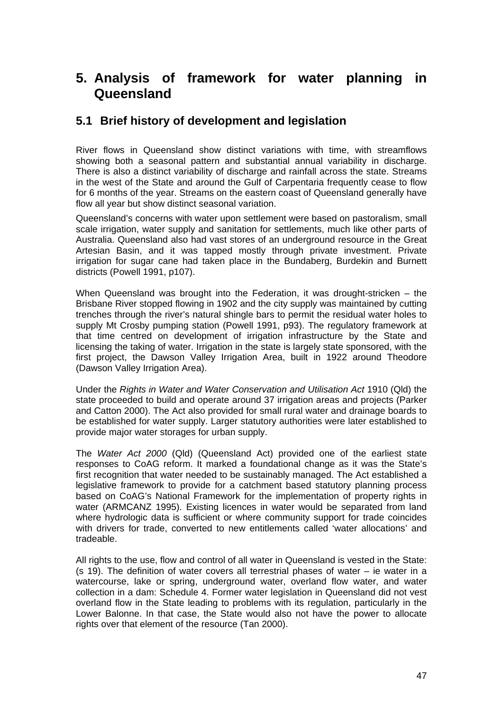# **5. Analysis of framework for water planning in Queensland**

## **5.1 Brief history of development and legislation**

River flows in Queensland show distinct variations with time, with streamflows showing both a seasonal pattern and substantial annual variability in discharge. There is also a distinct variability of discharge and rainfall across the state. Streams in the west of the State and around the Gulf of Carpentaria frequently cease to flow for 6 months of the year. Streams on the eastern coast of Queensland generally have flow all year but show distinct seasonal variation.

Queensland's concerns with water upon settlement were based on pastoralism, small scale irrigation, water supply and sanitation for settlements, much like other parts of Australia. Queensland also had vast stores of an underground resource in the Great Artesian Basin, and it was tapped mostly through private investment. Private irrigation for sugar cane had taken place in the Bundaberg, Burdekin and Burnett districts (Powell 1991, p107).

When Queensland was brought into the Federation, it was drought-stricken – the Brisbane River stopped flowing in 1902 and the city supply was maintained by cutting trenches through the river's natural shingle bars to permit the residual water holes to supply Mt Crosby pumping station (Powell 1991, p93). The regulatory framework at that time centred on development of irrigation infrastructure by the State and licensing the taking of water. Irrigation in the state is largely state sponsored, with the first project, the Dawson Valley Irrigation Area, built in 1922 around Theodore (Dawson Valley Irrigation Area).

Under the *Rights in Water and Water Conservation and Utilisation Act* 1910 (Qld) the state proceeded to build and operate around 37 irrigation areas and projects (Parker and Catton 2000). The Act also provided for small rural water and drainage boards to be established for water supply. Larger statutory authorities were later established to provide major water storages for urban supply.

The *Water Act 2000* (Qld) (Queensland Act) provided one of the earliest state responses to CoAG reform. It marked a foundational change as it was the State's first recognition that water needed to be sustainably managed. The Act established a legislative framework to provide for a catchment based statutory planning process based on CoAG's National Framework for the implementation of property rights in water (ARMCANZ 1995). Existing licences in water would be separated from land where hydrologic data is sufficient or where community support for trade coincides with drivers for trade, converted to new entitlements called 'water allocations' and tradeable.

All rights to the use, flow and control of all water in Queensland is vested in the State:  $(s, 19)$ . The definition of water covers all terrestrial phases of water – ie water in a watercourse, lake or spring, underground water, overland flow water, and water collection in a dam: Schedule 4. Former water legislation in Queensland did not vest overland flow in the State leading to problems with its regulation, particularly in the Lower Balonne. In that case, the State would also not have the power to allocate rights over that element of the resource (Tan 2000).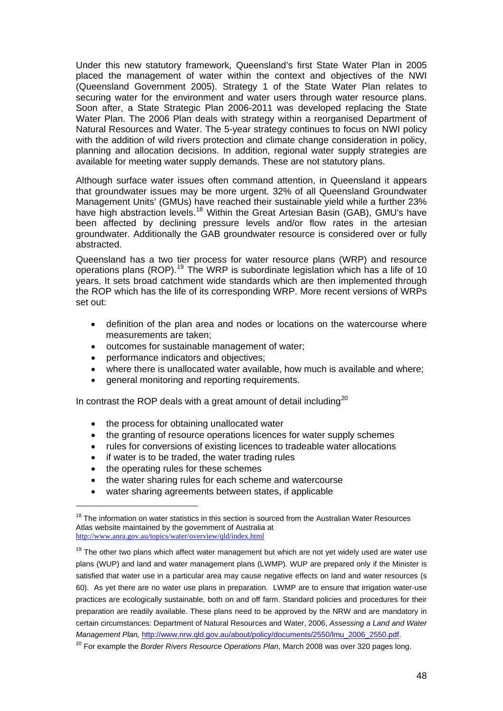Under this new statutory framework, Queensland's first State Water Plan in 2005 placed the management of water within the context and objectives of the NWI (Queensland Government 2005). Strategy 1 of the State Water Plan relates to securing water for the environment and water users through water resource plans. Soon after, a State Strategic Plan 2006-2011 was developed replacing the State Water Plan. The 2006 Plan deals with strategy within a reorganised Department of Natural Resources and Water. The 5-year strategy continues to focus on NWI policy with the addition of wild rivers protection and climate change consideration in policy, planning and allocation decisions. In addition, regional water supply strategies are available for meeting water supply demands. These are not statutory plans.

Although surface water issues often command attention, in Queensland it appears that groundwater issues may be more urgent. 32% of all Queensland Groundwater Management Units' (GMUs) have reached their sustainable yield while a further 23% have high abstraction levels.<sup>[18](#page-47-0)</sup> Within the Great Artesian Basin (GAB), GMU's have been affected by declining pressure levels and/or flow rates in the artesian groundwater. Additionally the GAB groundwater resource is considered over or fully abstracted.

Queensland has a two tier process for water resource plans (WRP) and resource operations plans (ROP).[19](#page-47-1) The WRP is subordinate legislation which has a life of 10 years. It sets broad catchment wide standards which are then implemented through the ROP which has the life of its corresponding WRP. More recent versions of WRPs set out:

- definition of the plan area and nodes or locations on the watercourse where measurements are taken;
- outcomes for sustainable management of water;
- performance indicators and objectives;
- where there is unallocated water available, how much is available and where;
- general monitoring and reporting requirements.

In contrast the ROP deals with a great amount of detail including<sup>[20](#page-47-2)</sup>

- the process for obtaining unallocated water
- the granting of resource operations licences for water supply schemes
- rules for conversions of existing licences to tradeable water allocations
- if water is to be traded, the water trading rules
- the operating rules for these schemes

 $\overline{a}$ 

- the water sharing rules for each scheme and watercourse
- water sharing agreements between states, if applicable

<span id="page-47-0"></span><sup>&</sup>lt;sup>18</sup> The information on water statistics in this section is sourced from the Australian Water Resources Atlas website maintained by the government of Australia at <http://www.anra.gov.au/topics/water/overview/qld/index.html>

<span id="page-47-1"></span> $19$  The other two plans which affect water management but which are not yet widely used are water use plans (WUP) and land and water management plans (LWMP). WUP are prepared only if the Minister is satisfied that water use in a particular area may cause negative effects on land and water resources (s 60). As yet there are no water use plans in preparation. LWMP are to ensure that irrigation water-use practices are ecologically sustainable, both on and off farm. Standard policies and procedures for their preparation are readily available. These plans need to be approved by the NRW and are mandatory in certain circumstances: Department of Natural Resources and Water, 2006, *Assessing a Land and Water Management Plan,* [http://www.nrw.qld.gov.au/about/policy/documents/2550/lmu\\_2006\\_2550.pdf](http://www.nrw.qld.gov.au/about/policy/documents/2550/lmu_2006_2550.pdf).

<span id="page-47-2"></span><sup>20</sup> For example the *Border Rivers Resource Operations Plan*, March 2008 was over 320 pages long.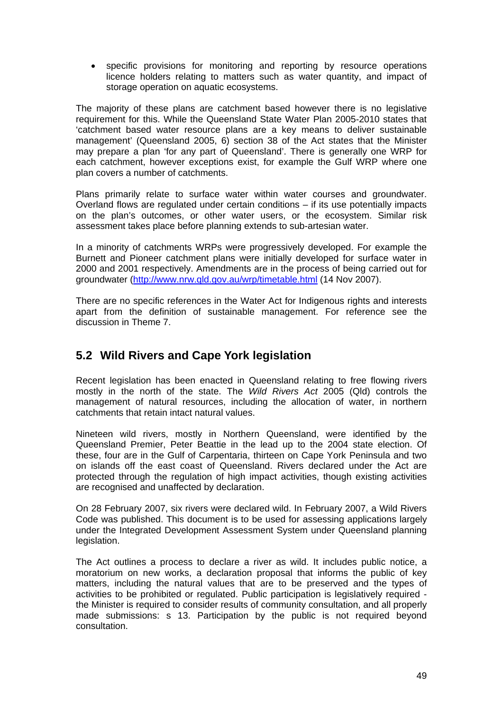• specific provisions for monitoring and reporting by resource operations licence holders relating to matters such as water quantity, and impact of storage operation on aquatic ecosystems.

The majority of these plans are catchment based however there is no legislative requirement for this. While the Queensland State Water Plan 2005-2010 states that 'catchment based water resource plans are a key means to deliver sustainable management' (Queensland 2005, 6) section 38 of the Act states that the Minister may prepare a plan 'for any part of Queensland'. There is generally one WRP for each catchment, however exceptions exist, for example the Gulf WRP where one plan covers a number of catchments.

Plans primarily relate to surface water within water courses and groundwater. Overland flows are regulated under certain conditions – if its use potentially impacts on the plan's outcomes, or other water users, or the ecosystem. Similar risk assessment takes place before planning extends to sub-artesian water.

In a minority of catchments WRPs were progressively developed. For example the Burnett and Pioneer catchment plans were initially developed for surface water in 2000 and 2001 respectively. Amendments are in the process of being carried out for groundwater (<http://www.nrw.qld.gov.au/wrp/timetable.html>(14 Nov 2007).

There are no specific references in the Water Act for Indigenous rights and interests apart from the definition of sustainable management. For reference see the discussion in Theme 7.

# **5.2 Wild Rivers and Cape York legislation**

Recent legislation has been enacted in Queensland relating to free flowing rivers mostly in the north of the state. The *Wild Rivers Act* 2005 (Qld) controls the management of natural resources, including the allocation of water, in northern catchments that retain intact natural values.

Nineteen wild rivers, mostly in Northern Queensland, were identified by the Queensland Premier, Peter Beattie in the lead up to the 2004 state election. Of these, four are in the Gulf of Carpentaria, thirteen on Cape York Peninsula and two on islands off the east coast of Queensland. Rivers declared under the Act are protected through the regulation of high impact activities, though existing activities are recognised and unaffected by declaration.

On 28 February 2007, six rivers were declared wild. In February 2007, a Wild Rivers Code was published. This document is to be used for assessing applications largely under the Integrated Development Assessment System under Queensland planning legislation.

The Act outlines a process to declare a river as wild. It includes public notice, a moratorium on new works, a declaration proposal that informs the public of key matters, including the natural values that are to be preserved and the types of activities to be prohibited or regulated. Public participation is legislatively required the Minister is required to consider results of community consultation, and all properly made submissions: s 13. Participation by the public is not required beyond consultation.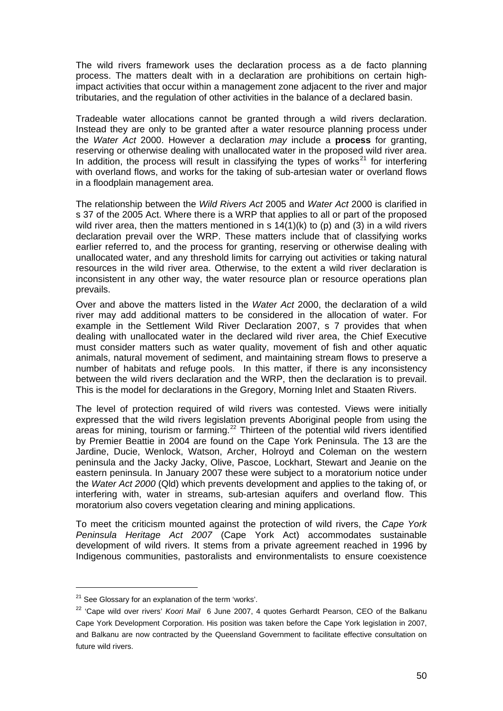The wild rivers framework uses the declaration process as a de facto planning process. The matters dealt with in a declaration are prohibitions on certain highimpact activities that occur within a management zone adjacent to the river and major tributaries, and the regulation of other activities in the balance of a declared basin.

Tradeable water allocations cannot be granted through a wild rivers declaration. Instead they are only to be granted after a water resource planning process under the *Water Act* 2000. However a declaration *may* include a **process** for granting, reserving or otherwise dealing with unallocated water in the proposed wild river area. In addition, the process will result in classifying the types of works<sup>[21](#page-49-0)</sup> for interfering with overland flows, and works for the taking of sub-artesian water or overland flows in a floodplain management area.

The relationship between the *Wild Rivers Act* 2005 and *Water Act* 2000 is clarified in s 37 of the 2005 Act. Where there is a WRP that applies to all or part of the proposed wild river area, then the matters mentioned in s  $14(1)(k)$  to (p) and (3) in a wild rivers declaration prevail over the WRP. These matters include that of classifying works earlier referred to, and the process for granting, reserving or otherwise dealing with unallocated water, and any threshold limits for carrying out activities or taking natural resources in the wild river area. Otherwise, to the extent a wild river declaration is inconsistent in any other way, the water resource plan or resource operations plan prevails.

Over and above the matters listed in the *Water Act* 2000, the declaration of a wild river may add additional matters to be considered in the allocation of water. For example in the Settlement Wild River Declaration 2007, s 7 provides that when dealing with unallocated water in the declared wild river area, the Chief Executive must consider matters such as water quality, movement of fish and other aquatic animals, natural movement of sediment, and maintaining stream flows to preserve a number of habitats and refuge pools. In this matter, if there is any inconsistency between the wild rivers declaration and the WRP, then the declaration is to prevail. This is the model for declarations in the Gregory, Morning Inlet and Staaten Rivers.

The level of protection required of wild rivers was contested. Views were initially expressed that the wild rivers legislation prevents Aboriginal people from using the areas for mining, tourism or farming.<sup>[22](#page-49-1)</sup> Thirteen of the potential wild rivers identified by Premier Beattie in 2004 are found on the Cape York Peninsula. The 13 are the Jardine, Ducie, Wenlock, Watson, Archer, Holroyd and Coleman on the western peninsula and the Jacky Jacky, Olive, Pascoe, Lockhart, Stewart and Jeanie on the eastern peninsula. In January 2007 these were subject to a moratorium notice under the *Water Act 2000* (Qld) which prevents development and applies to the taking of, or interfering with, water in streams, sub-artesian aquifers and overland flow. This moratorium also covers vegetation clearing and mining applications.

To meet the criticism mounted against the protection of wild rivers, the *Cape York Peninsula Heritage Act 2007* (Cape York Act) accommodates sustainable development of wild rivers. It stems from a private agreement reached in 1996 by Indigenous communities, pastoralists and environmentalists to ensure coexistence

<span id="page-49-0"></span><sup>&</sup>lt;sup>21</sup> See Glossary for an explanation of the term 'works'.

<span id="page-49-1"></span><sup>22 &#</sup>x27;Cape wild over rivers' *Koori Mail* 6 June 2007, 4 quotes Gerhardt Pearson, CEO of the Balkanu Cape York Development Corporation. His position was taken before the Cape York legislation in 2007, and Balkanu are now contracted by the Queensland Government to facilitate effective consultation on future wild rivers.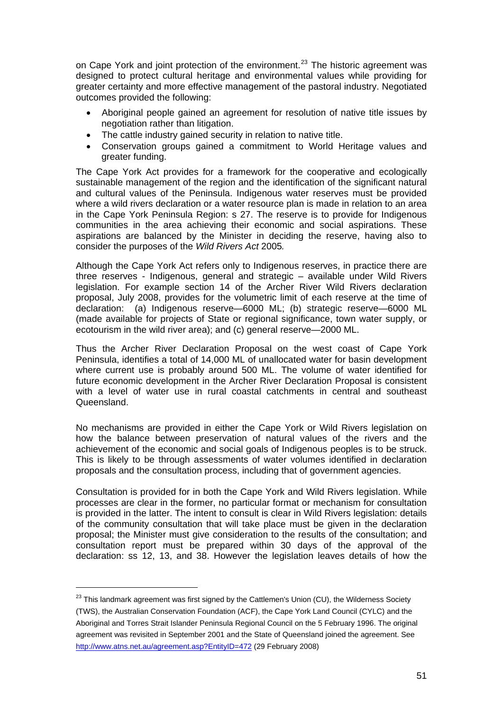on Cape York and joint protection of the environment.<sup>[23](#page-50-0)</sup> The historic agreement was designed to protect cultural heritage and environmental values while providing for greater certainty and more effective management of the pastoral industry. Negotiated outcomes provided the following:

- Aboriginal people gained an agreement for resolution of native title issues by negotiation rather than litigation.
- The cattle industry gained security in relation to native title.
- Conservation groups gained a commitment to World Heritage values and greater funding.

The Cape York Act provides for a framework for the cooperative and ecologically sustainable management of the region and the identification of the significant natural and cultural values of the Peninsula. Indigenous water reserves must be provided where a wild rivers declaration or a water resource plan is made in relation to an area in the Cape York Peninsula Region: s 27. The reserve is to provide for Indigenous communities in the area achieving their economic and social aspirations. These aspirations are balanced by the Minister in deciding the reserve, having also to consider the purposes of the *Wild Rivers Act* 2005*.* 

Although the Cape York Act refers only to Indigenous reserves, in practice there are three reserves - Indigenous, general and strategic – available under Wild Rivers legislation. For example section 14 of the Archer River Wild Rivers declaration proposal, July 2008, provides for the volumetric limit of each reserve at the time of declaration: (a) Indigenous reserve—6000 ML; (b) strategic reserve—6000 ML (made available for projects of State or regional significance, town water supply, or ecotourism in the wild river area); and (c) general reserve—2000 ML.

Thus the Archer River Declaration Proposal on the west coast of Cape York Peninsula, identifies a total of 14,000 ML of unallocated water for basin development where current use is probably around 500 ML. The volume of water identified for future economic development in the Archer River Declaration Proposal is consistent with a level of water use in rural coastal catchments in central and southeast Queensland.

No mechanisms are provided in either the Cape York or Wild Rivers legislation on how the balance between preservation of natural values of the rivers and the achievement of the economic and social goals of Indigenous peoples is to be struck. This is likely to be through assessments of water volumes identified in declaration proposals and the consultation process, including that of government agencies.

Consultation is provided for in both the Cape York and Wild Rivers legislation. While processes are clear in the former, no particular format or mechanism for consultation is provided in the latter. The intent to consult is clear in Wild Rivers legislation: details of the community consultation that will take place must be given in the declaration proposal; the Minister must give consideration to the results of the consultation; and consultation report must be prepared within 30 days of the approval of the declaration: ss 12, 13, and 38. However the legislation leaves details of how the

<span id="page-50-0"></span><sup>&</sup>lt;sup>23</sup> This landmark agreement was first signed by the Cattlemen's Union (CU), the Wilderness Society (TWS), the Australian Conservation Foundation (ACF), the Cape York Land Council (CYLC) and the Aboriginal and Torres Strait Islander Peninsula Regional Council on the 5 February 1996. The original agreement was revisited in September 2001 and the State of Queensland joined the agreement. See <http://www.atns.net.au/agreement.asp?EntityID=472> (29 February 2008)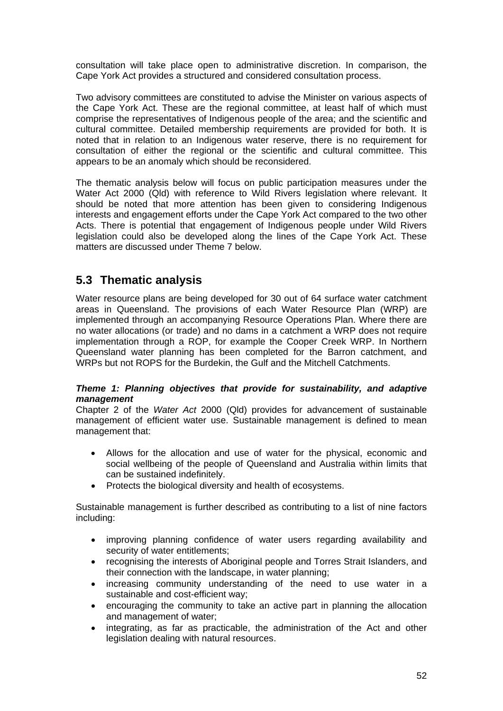consultation will take place open to administrative discretion. In comparison, the Cape York Act provides a structured and considered consultation process.

Two advisory committees are constituted to advise the Minister on various aspects of the Cape York Act. These are the regional committee, at least half of which must comprise the representatives of Indigenous people of the area; and the scientific and cultural committee. Detailed membership requirements are provided for both. It is noted that in relation to an Indigenous water reserve, there is no requirement for consultation of either the regional or the scientific and cultural committee. This appears to be an anomaly which should be reconsidered.

The thematic analysis below will focus on public participation measures under the Water Act 2000 (Qld) with reference to Wild Rivers legislation where relevant. It should be noted that more attention has been given to considering Indigenous interests and engagement efforts under the Cape York Act compared to the two other Acts. There is potential that engagement of Indigenous people under Wild Rivers legislation could also be developed along the lines of the Cape York Act. These matters are discussed under Theme 7 below.

## **5.3 Thematic analysis**

Water resource plans are being developed for 30 out of 64 surface water catchment areas in Queensland. The provisions of each Water Resource Plan (WRP) are implemented through an accompanying Resource Operations Plan. Where there are no water allocations (or trade) and no dams in a catchment a WRP does not require implementation through a ROP, for example the Cooper Creek WRP. In Northern Queensland water planning has been completed for the Barron catchment, and WRPs but not ROPS for the Burdekin, the Gulf and the Mitchell Catchments.

### *Theme 1: Planning objectives that provide for sustainability, and adaptive management*

Chapter 2 of the *Water Act* 2000 (Qld) provides for advancement of sustainable management of efficient water use. Sustainable management is defined to mean management that:

- Allows for the allocation and use of water for the physical, economic and social wellbeing of the people of Queensland and Australia within limits that can be sustained indefinitely.
- Protects the biological diversity and health of ecosystems.

Sustainable management is further described as contributing to a list of nine factors including:

- improving planning confidence of water users regarding availability and security of water entitlements;
- recognising the interests of Aboriginal people and Torres Strait Islanders, and their connection with the landscape, in water planning;
- increasing community understanding of the need to use water in a sustainable and cost-efficient way;
- encouraging the community to take an active part in planning the allocation and management of water;
- integrating, as far as practicable, the administration of the Act and other legislation dealing with natural resources.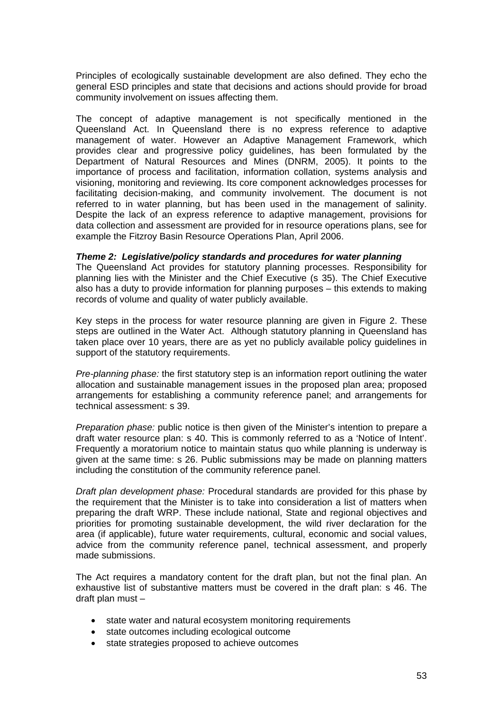Principles of ecologically sustainable development are also defined. They echo the general ESD principles and state that decisions and actions should provide for broad community involvement on issues affecting them.

The concept of adaptive management is not specifically mentioned in the Queensland Act. In Queensland there is no express reference to adaptive management of water. However an Adaptive Management Framework, which provides clear and progressive policy guidelines, has been formulated by the Department of Natural Resources and Mines (DNRM, 2005). It points to the importance of process and facilitation, information collation, systems analysis and visioning, monitoring and reviewing. Its core component acknowledges processes for facilitating decision-making, and community involvement. The document is not referred to in water planning, but has been used in the management of salinity. Despite the lack of an express reference to adaptive management, provisions for data collection and assessment are provided for in resource operations plans, see for example the Fitzroy Basin Resource Operations Plan, April 2006.

### *Theme 2: Legislative/policy standards and procedures for water planning*

The Queensland Act provides for statutory planning processes. Responsibility for planning lies with the Minister and the Chief Executive (s 35). The Chief Executive also has a duty to provide information for planning purposes – this extends to making records of volume and quality of water publicly available.

Key steps in the process for water resource planning are given in Figure 2. These steps are outlined in the Water Act. Although statutory planning in Queensland has taken place over 10 years, there are as yet no publicly available policy guidelines in support of the statutory requirements.

*Pre-planning phase:* the first statutory step is an information report outlining the water allocation and sustainable management issues in the proposed plan area; proposed arrangements for establishing a community reference panel; and arrangements for technical assessment: s 39.

*Preparation phase:* public notice is then given of the Minister's intention to prepare a draft water resource plan: s 40. This is commonly referred to as a 'Notice of Intent'. Frequently a moratorium notice to maintain status quo while planning is underway is given at the same time: s 26. Public submissions may be made on planning matters including the constitution of the community reference panel.

*Draft plan development phase:* Procedural standards are provided for this phase by the requirement that the Minister is to take into consideration a list of matters when preparing the draft WRP. These include national, State and regional objectives and priorities for promoting sustainable development, the wild river declaration for the area (if applicable), future water requirements, cultural, economic and social values, advice from the community reference panel, technical assessment, and properly made submissions.

The Act requires a mandatory content for the draft plan, but not the final plan. An exhaustive list of substantive matters must be covered in the draft plan: s 46. The draft plan must –

- state water and natural ecosystem monitoring requirements
- state outcomes including ecological outcome
- state strategies proposed to achieve outcomes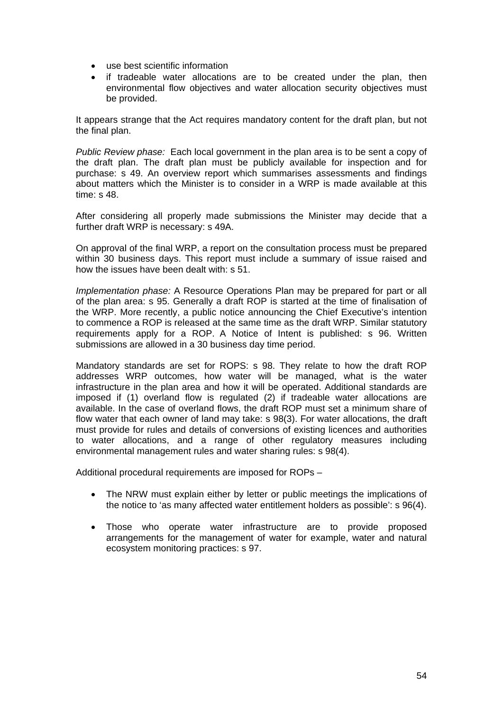- use best scientific information
- if tradeable water allocations are to be created under the plan, then environmental flow objectives and water allocation security objectives must be provided.

It appears strange that the Act requires mandatory content for the draft plan, but not the final plan.

*Public Review phase:* Each local government in the plan area is to be sent a copy of the draft plan. The draft plan must be publicly available for inspection and for purchase: s 49. An overview report which summarises assessments and findings about matters which the Minister is to consider in a WRP is made available at this time: s 48.

After considering all properly made submissions the Minister may decide that a further draft WRP is necessary: s 49A.

On approval of the final WRP, a report on the consultation process must be prepared within 30 business days. This report must include a summary of issue raised and how the issues have been dealt with: s 51.

*Implementation phase:* A Resource Operations Plan may be prepared for part or all of the plan area: s 95. Generally a draft ROP is started at the time of finalisation of the WRP. More recently, a public notice announcing the Chief Executive's intention to commence a ROP is released at the same time as the draft WRP. Similar statutory requirements apply for a ROP. A Notice of Intent is published: s 96. Written submissions are allowed in a 30 business day time period.

Mandatory standards are set for ROPS: s 98. They relate to how the draft ROP addresses WRP outcomes, how water will be managed, what is the water infrastructure in the plan area and how it will be operated. Additional standards are imposed if (1) overland flow is regulated (2) if tradeable water allocations are available. In the case of overland flows, the draft ROP must set a minimum share of flow water that each owner of land may take: s 98(3). For water allocations, the draft must provide for rules and details of conversions of existing licences and authorities to water allocations, and a range of other regulatory measures including environmental management rules and water sharing rules: s 98(4).

Additional procedural requirements are imposed for ROPs –

- The NRW must explain either by letter or public meetings the implications of the notice to 'as many affected water entitlement holders as possible': s 96(4).
- Those who operate water infrastructure are to provide proposed arrangements for the management of water for example, water and natural ecosystem monitoring practices: s 97.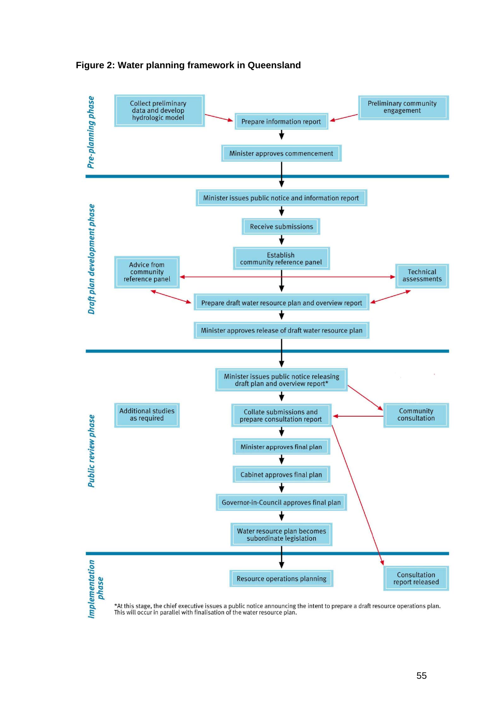

### **Figure 2: Water planning framework in Queensland**

\*At this stage, the chief executive issues a public notice announcing the intent to prepare a draft resource operations plan.<br>This will occur in parallel with finalisation of the water resource plan.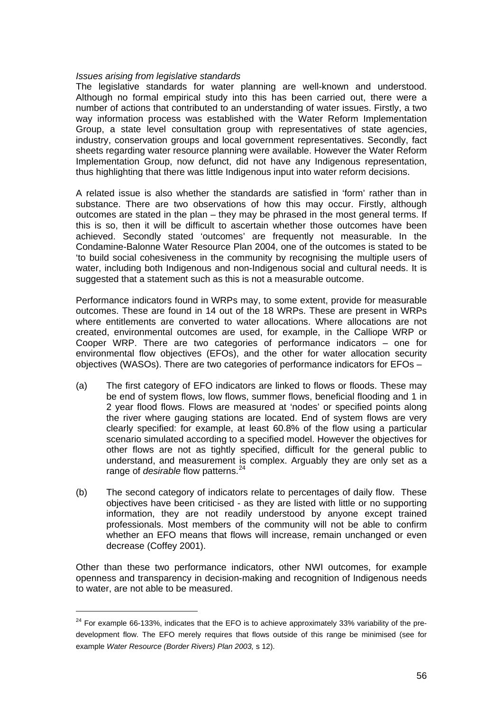### *Issues arising from legislative standards*

The legislative standards for water planning are well-known and understood. Although no formal empirical study into this has been carried out, there were a number of actions that contributed to an understanding of water issues. Firstly, a two way information process was established with the Water Reform Implementation Group, a state level consultation group with representatives of state agencies, industry, conservation groups and local government representatives. Secondly, fact sheets regarding water resource planning were available. However the Water Reform Implementation Group, now defunct, did not have any Indigenous representation, thus highlighting that there was little Indigenous input into water reform decisions.

A related issue is also whether the standards are satisfied in 'form' rather than in substance. There are two observations of how this may occur. Firstly, although outcomes are stated in the plan – they may be phrased in the most general terms. If this is so, then it will be difficult to ascertain whether those outcomes have been achieved. Secondly stated 'outcomes' are frequently not measurable. In the Condamine-Balonne Water Resource Plan 2004, one of the outcomes is stated to be 'to build social cohesiveness in the community by recognising the multiple users of water, including both Indigenous and non-Indigenous social and cultural needs. It is suggested that a statement such as this is not a measurable outcome.

Performance indicators found in WRPs may, to some extent, provide for measurable outcomes. These are found in 14 out of the 18 WRPs. These are present in WRPs where entitlements are converted to water allocations. Where allocations are not created, environmental outcomes are used, for example, in the Calliope WRP or Cooper WRP. There are two categories of performance indicators – one for environmental flow objectives (EFOs), and the other for water allocation security objectives (WASOs). There are two categories of performance indicators for EFOs –

- (a) The first category of EFO indicators are linked to flows or floods. These may be end of system flows, low flows, summer flows, beneficial flooding and 1 in 2 year flood flows. Flows are measured at 'nodes' or specified points along the river where gauging stations are located. End of system flows are very clearly specified: for example, at least 60.8% of the flow using a particular scenario simulated according to a specified model. However the objectives for other flows are not as tightly specified, difficult for the general public to understand, and measurement is complex. Arguably they are only set as a range of *desirable* flow patterns.<sup>[24](#page-55-0)</sup>
- (b) The second category of indicators relate to percentages of daily flow. These objectives have been criticised - as they are listed with little or no supporting information, they are not readily understood by anyone except trained professionals. Most members of the community will not be able to confirm whether an EFO means that flows will increase, remain unchanged or even decrease (Coffey 2001).

Other than these two performance indicators, other NWI outcomes, for example openness and transparency in decision-making and recognition of Indigenous needs to water, are not able to be measured.

<span id="page-55-0"></span> $24$  For example 66-133%, indicates that the EFO is to achieve approximately 33% variability of the predevelopment flow. The EFO merely requires that flows outside of this range be minimised (see for example *Water Resource (Border Rivers) Plan 2003,* s 12).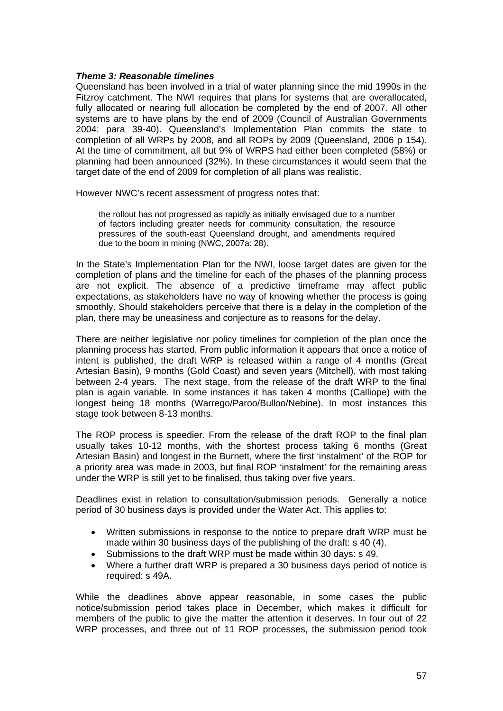### *Theme 3: Reasonable timelines*

Queensland has been involved in a trial of water planning since the mid 1990s in the Fitzroy catchment. The NWI requires that plans for systems that are overallocated, fully allocated or nearing full allocation be completed by the end of 2007. All other systems are to have plans by the end of 2009 (Council of Australian Governments 2004: para 39-40). Queensland's Implementation Plan commits the state to completion of all WRPs by 2008, and all ROPs by 2009 (Queensland, 2006 p 154). At the time of commitment, all but 9% of WRPS had either been completed (58%) or planning had been announced (32%). In these circumstances it would seem that the target date of the end of 2009 for completion of all plans was realistic.

However NWC's recent assessment of progress notes that:

the rollout has not progressed as rapidly as initially envisaged due to a number of factors including greater needs for community consultation, the resource pressures of the south-east Queensland drought, and amendments required due to the boom in mining (NWC, 2007a: 28).

In the State's Implementation Plan for the NWI, loose target dates are given for the completion of plans and the timeline for each of the phases of the planning process are not explicit. The absence of a predictive timeframe may affect public expectations, as stakeholders have no way of knowing whether the process is going smoothly. Should stakeholders perceive that there is a delay in the completion of the plan, there may be uneasiness and conjecture as to reasons for the delay.

There are neither legislative nor policy timelines for completion of the plan once the planning process has started. From public information it appears that once a notice of intent is published, the draft WRP is released within a range of 4 months (Great Artesian Basin), 9 months (Gold Coast) and seven years (Mitchell), with most taking between 2-4 years. The next stage, from the release of the draft WRP to the final plan is again variable. In some instances it has taken 4 months (Calliope) with the longest being 18 months (Warrego/Paroo/Bulloo/Nebine). In most instances this stage took between 8-13 months.

The ROP process is speedier. From the release of the draft ROP to the final plan usually takes 10-12 months, with the shortest process taking 6 months (Great Artesian Basin) and longest in the Burnett, where the first 'instalment' of the ROP for a priority area was made in 2003, but final ROP 'instalment' for the remaining areas under the WRP is still yet to be finalised, thus taking over five years.

Deadlines exist in relation to consultation/submission periods. Generally a notice period of 30 business days is provided under the Water Act. This applies to:

- Written submissions in response to the notice to prepare draft WRP must be made within 30 business days of the publishing of the draft: s 40 (4).
- Submissions to the draft WRP must be made within 30 days: s 49.
- Where a further draft WRP is prepared a 30 business days period of notice is required: s 49A.

While the deadlines above appear reasonable, in some cases the public notice/submission period takes place in December, which makes it difficult for members of the public to give the matter the attention it deserves. In four out of 22 WRP processes, and three out of 11 ROP processes, the submission period took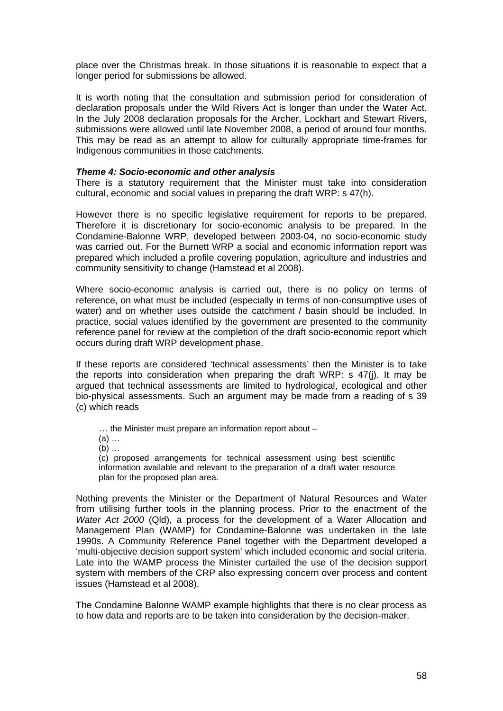place over the Christmas break. In those situations it is reasonable to expect that a longer period for submissions be allowed.

It is worth noting that the consultation and submission period for consideration of declaration proposals under the Wild Rivers Act is longer than under the Water Act. In the July 2008 declaration proposals for the Archer, Lockhart and Stewart Rivers, submissions were allowed until late November 2008, a period of around four months. This may be read as an attempt to allow for culturally appropriate time-frames for Indigenous communities in those catchments.

### *Theme 4: Socio-economic and other analysis*

There is a statutory requirement that the Minister must take into consideration cultural, economic and social values in preparing the draft WRP: s 47(h).

However there is no specific legislative requirement for reports to be prepared. Therefore it is discretionary for socio-economic analysis to be prepared. In the Condamine-Balonne WRP, developed between 2003-04, no socio-economic study was carried out. For the Burnett WRP a social and economic information report was prepared which included a profile covering population, agriculture and industries and community sensitivity to change (Hamstead et al 2008).

Where socio-economic analysis is carried out, there is no policy on terms of reference, on what must be included (especially in terms of non-consumptive uses of water) and on whether uses outside the catchment / basin should be included. In practice, social values identified by the government are presented to the community reference panel for review at the completion of the draft socio-economic report which occurs during draft WRP development phase.

If these reports are considered 'technical assessments' then the Minister is to take the reports into consideration when preparing the draft WRP: s 47(j). It may be argued that technical assessments are limited to hydrological, ecological and other bio-physical assessments. Such an argument may be made from a reading of s 39 (c) which reads

… the Minister must prepare an information report about –

(a) …

(b) …

(c) proposed arrangements for technical assessment using best scientific information available and relevant to the preparation of a draft water resource plan for the proposed plan area.

Nothing prevents the Minister or the Department of Natural Resources and Water from utilising further tools in the planning process. Prior to the enactment of the *Water Act 2000* (Qld), a process for the development of a Water Allocation and Management Plan (WAMP) for Condamine-Balonne was undertaken in the late 1990s. A Community Reference Panel together with the Department developed a 'multi-objective decision support system' which included economic and social criteria. Late into the WAMP process the Minister curtailed the use of the decision support system with members of the CRP also expressing concern over process and content issues (Hamstead et al 2008).

The Condamine Balonne WAMP example highlights that there is no clear process as to how data and reports are to be taken into consideration by the decision-maker.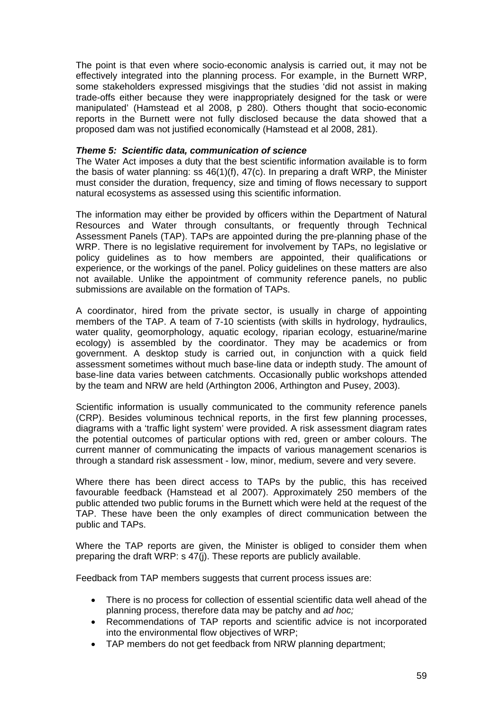The point is that even where socio-economic analysis is carried out, it may not be effectively integrated into the planning process. For example, in the Burnett WRP, some stakeholders expressed misgivings that the studies 'did not assist in making trade-offs either because they were inappropriately designed for the task or were manipulated' (Hamstead et al 2008, p 280). Others thought that socio-economic reports in the Burnett were not fully disclosed because the data showed that a proposed dam was not justified economically (Hamstead et al 2008, 281).

### *Theme 5: Scientific data, communication of science*

The Water Act imposes a duty that the best scientific information available is to form the basis of water planning: ss  $46(1)(f)$ ,  $47(c)$ . In preparing a draft WRP, the Minister must consider the duration, frequency, size and timing of flows necessary to support natural ecosystems as assessed using this scientific information.

The information may either be provided by officers within the Department of Natural Resources and Water through consultants, or frequently through Technical Assessment Panels (TAP). TAPs are appointed during the pre-planning phase of the WRP. There is no legislative requirement for involvement by TAPs, no legislative or policy guidelines as to how members are appointed, their qualifications or experience, or the workings of the panel. Policy guidelines on these matters are also not available. Unlike the appointment of community reference panels, no public submissions are available on the formation of TAPs.

A coordinator, hired from the private sector, is usually in charge of appointing members of the TAP. A team of 7-10 scientists (with skills in hydrology, hydraulics, water quality, geomorphology, aquatic ecology, riparian ecology, estuarine/marine ecology) is assembled by the coordinator. They may be academics or from government. A desktop study is carried out, in conjunction with a quick field assessment sometimes without much base-line data or indepth study. The amount of base-line data varies between catchments. Occasionally public workshops attended by the team and NRW are held (Arthington 2006, Arthington and Pusey, 2003).

Scientific information is usually communicated to the community reference panels (CRP). Besides voluminous technical reports, in the first few planning processes, diagrams with a 'traffic light system' were provided. A risk assessment diagram rates the potential outcomes of particular options with red, green or amber colours. The current manner of communicating the impacts of various management scenarios is through a standard risk assessment - low, minor, medium, severe and very severe.

Where there has been direct access to TAPs by the public, this has received favourable feedback (Hamstead et al 2007). Approximately 250 members of the public attended two public forums in the Burnett which were held at the request of the TAP. These have been the only examples of direct communication between the public and TAPs.

Where the TAP reports are given, the Minister is obliged to consider them when preparing the draft WRP: s 47(j). These reports are publicly available.

Feedback from TAP members suggests that current process issues are:

- There is no process for collection of essential scientific data well ahead of the planning process, therefore data may be patchy and *ad hoc;*
- Recommendations of TAP reports and scientific advice is not incorporated into the environmental flow objectives of WRP;
- TAP members do not get feedback from NRW planning department;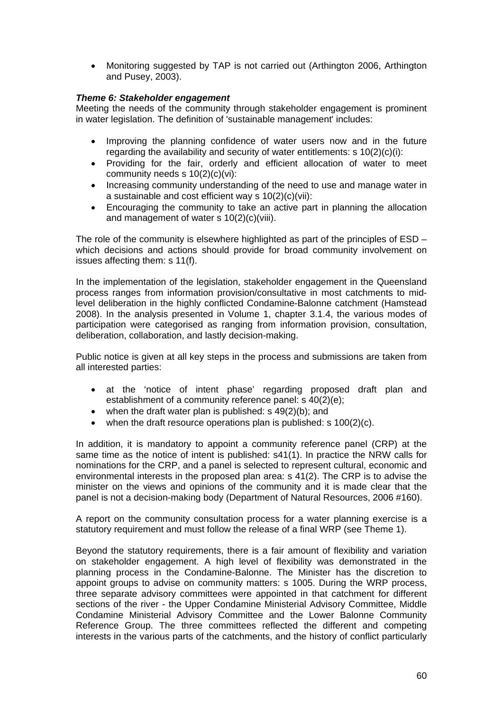• Monitoring suggested by TAP is not carried out (Arthington 2006, Arthington and Pusey, 2003).

### *Theme 6: Stakeholder engagement*

Meeting the needs of the community through stakeholder engagement is prominent in water legislation. The definition of 'sustainable management' includes:

- Improving the planning confidence of water users now and in the future regarding the availability and security of water entitlements: s 10(2)(c)(i):
- Providing for the fair, orderly and efficient allocation of water to meet community needs s 10(2)(c)(vi):
- Increasing community understanding of the need to use and manage water in a sustainable and cost efficient way s 10(2)(c)(vii):
- Encouraging the community to take an active part in planning the allocation and management of water s 10(2)(c)(viii).

The role of the community is elsewhere highlighted as part of the principles of ESD – which decisions and actions should provide for broad community involvement on issues affecting them: s 11(f).

In the implementation of the legislation, stakeholder engagement in the Queensland process ranges from information provision/consultative in most catchments to midlevel deliberation in the highly conflicted Condamine-Balonne catchment (Hamstead 2008). In the analysis presented in Volume 1, chapter 3.1.4, the various modes of participation were categorised as ranging from information provision, consultation, deliberation, collaboration, and lastly decision-making.

Public notice is given at all key steps in the process and submissions are taken from all interested parties:

- at the 'notice of intent phase' regarding proposed draft plan and establishment of a community reference panel: s 40(2)(e);
- when the draft water plan is published:  $s$  49(2)(b); and
- when the draft resource operations plan is published: s  $100(2)(c)$ .

In addition, it is mandatory to appoint a community reference panel (CRP) at the same time as the notice of intent is published: s41(1). In practice the NRW calls for nominations for the CRP, and a panel is selected to represent cultural, economic and environmental interests in the proposed plan area: s 41(2). The CRP is to advise the minister on the views and opinions of the community and it is made clear that the panel is not a decision-making body (Department of Natural Resources, 2006 #160).

A report on the community consultation process for a water planning exercise is a statutory requirement and must follow the release of a final WRP (see Theme 1).

Beyond the statutory requirements, there is a fair amount of flexibility and variation on stakeholder engagement. A high level of flexibility was demonstrated in the planning process in the Condamine-Balonne. The Minister has the discretion to appoint groups to advise on community matters: s 1005. During the WRP process, three separate advisory committees were appointed in that catchment for different sections of the river - the Upper Condamine Ministerial Advisory Committee, Middle Condamine Ministerial Advisory Committee and the Lower Balonne Community Reference Group. The three committees reflected the different and competing interests in the various parts of the catchments, and the history of conflict particularly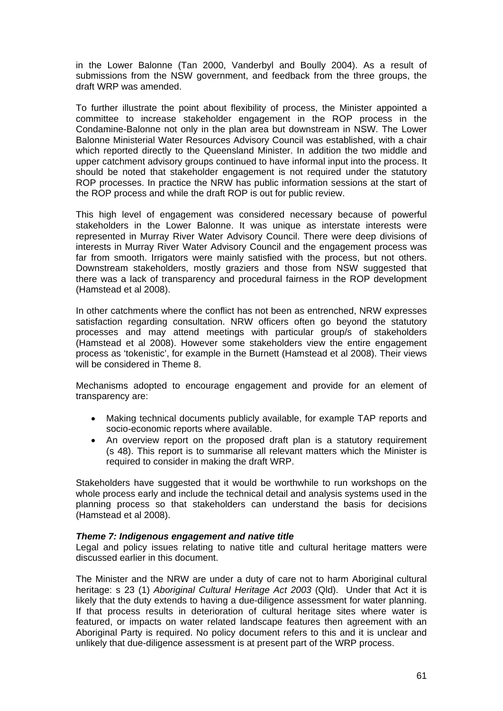in the Lower Balonne (Tan 2000, Vanderbyl and Boully 2004). As a result of submissions from the NSW government, and feedback from the three groups, the draft WRP was amended.

To further illustrate the point about flexibility of process, the Minister appointed a committee to increase stakeholder engagement in the ROP process in the Condamine-Balonne not only in the plan area but downstream in NSW. The Lower Balonne Ministerial Water Resources Advisory Council was established, with a chair which reported directly to the Queensland Minister. In addition the two middle and upper catchment advisory groups continued to have informal input into the process. It should be noted that stakeholder engagement is not required under the statutory ROP processes. In practice the NRW has public information sessions at the start of the ROP process and while the draft ROP is out for public review.

This high level of engagement was considered necessary because of powerful stakeholders in the Lower Balonne. It was unique as interstate interests were represented in Murray River Water Advisory Council. There were deep divisions of interests in Murray River Water Advisory Council and the engagement process was far from smooth. Irrigators were mainly satisfied with the process, but not others. Downstream stakeholders, mostly graziers and those from NSW suggested that there was a lack of transparency and procedural fairness in the ROP development (Hamstead et al 2008).

In other catchments where the conflict has not been as entrenched, NRW expresses satisfaction regarding consultation. NRW officers often go beyond the statutory processes and may attend meetings with particular group/s of stakeholders (Hamstead et al 2008). However some stakeholders view the entire engagement process as 'tokenistic', for example in the Burnett (Hamstead et al 2008). Their views will be considered in Theme 8.

Mechanisms adopted to encourage engagement and provide for an element of transparency are:

- Making technical documents publicly available, for example TAP reports and socio-economic reports where available.
- An overview report on the proposed draft plan is a statutory requirement (s 48). This report is to summarise all relevant matters which the Minister is required to consider in making the draft WRP.

Stakeholders have suggested that it would be worthwhile to run workshops on the whole process early and include the technical detail and analysis systems used in the planning process so that stakeholders can understand the basis for decisions (Hamstead et al 2008).

### *Theme 7: Indigenous engagement and native title*

Legal and policy issues relating to native title and cultural heritage matters were discussed earlier in this document.

The Minister and the NRW are under a duty of care not to harm Aboriginal cultural heritage: s 23 (1) *Aboriginal Cultural Heritage Act 2003* (Qld). Under that Act it is likely that the duty extends to having a due-diligence assessment for water planning. If that process results in deterioration of cultural heritage sites where water is featured, or impacts on water related landscape features then agreement with an Aboriginal Party is required. No policy document refers to this and it is unclear and unlikely that due-diligence assessment is at present part of the WRP process.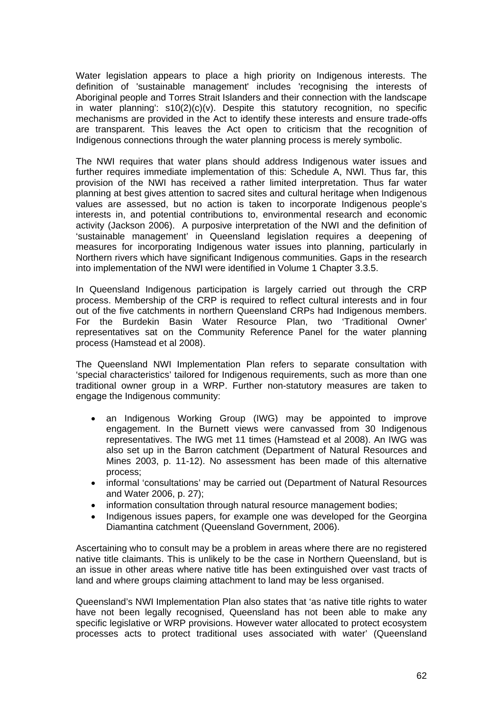Water legislation appears to place a high priority on Indigenous interests. The definition of 'sustainable management' includes 'recognising the interests of Aboriginal people and Torres Strait Islanders and their connection with the landscape in water planning': s10(2)(c)(v). Despite this statutory recognition, no specific mechanisms are provided in the Act to identify these interests and ensure trade-offs are transparent. This leaves the Act open to criticism that the recognition of Indigenous connections through the water planning process is merely symbolic.

The NWI requires that water plans should address Indigenous water issues and further requires immediate implementation of this: Schedule A, NWI. Thus far, this provision of the NWI has received a rather limited interpretation. Thus far water planning at best gives attention to sacred sites and cultural heritage when Indigenous values are assessed, but no action is taken to incorporate Indigenous people's interests in, and potential contributions to, environmental research and economic activity (Jackson 2006). A purposive interpretation of the NWI and the definition of 'sustainable management' in Queensland legislation requires a deepening of measures for incorporating Indigenous water issues into planning, particularly in Northern rivers which have significant Indigenous communities. Gaps in the research into implementation of the NWI were identified in Volume 1 Chapter 3.3.5.

In Queensland Indigenous participation is largely carried out through the CRP process. Membership of the CRP is required to reflect cultural interests and in four out of the five catchments in northern Queensland CRPs had Indigenous members. For the Burdekin Basin Water Resource Plan, two 'Traditional Owner' representatives sat on the Community Reference Panel for the water planning process (Hamstead et al 2008).

The Queensland NWI Implementation Plan refers to separate consultation with 'special characteristics' tailored for Indigenous requirements, such as more than one traditional owner group in a WRP. Further non-statutory measures are taken to engage the Indigenous community:

- an Indigenous Working Group (IWG) may be appointed to improve engagement. In the Burnett views were canvassed from 30 Indigenous representatives. The IWG met 11 times (Hamstead et al 2008). An IWG was also set up in the Barron catchment (Department of Natural Resources and Mines 2003, p. 11-12). No assessment has been made of this alternative process;
- informal 'consultations' may be carried out (Department of Natural Resources and Water 2006, p. 27);
- information consultation through natural resource management bodies;
- Indigenous issues papers, for example one was developed for the Georgina Diamantina catchment (Queensland Government, 2006).

Ascertaining who to consult may be a problem in areas where there are no registered native title claimants. This is unlikely to be the case in Northern Queensland, but is an issue in other areas where native title has been extinguished over vast tracts of land and where groups claiming attachment to land may be less organised.

Queensland's NWI Implementation Plan also states that 'as native title rights to water have not been legally recognised, Queensland has not been able to make any specific legislative or WRP provisions. However water allocated to protect ecosystem processes acts to protect traditional uses associated with water' (Queensland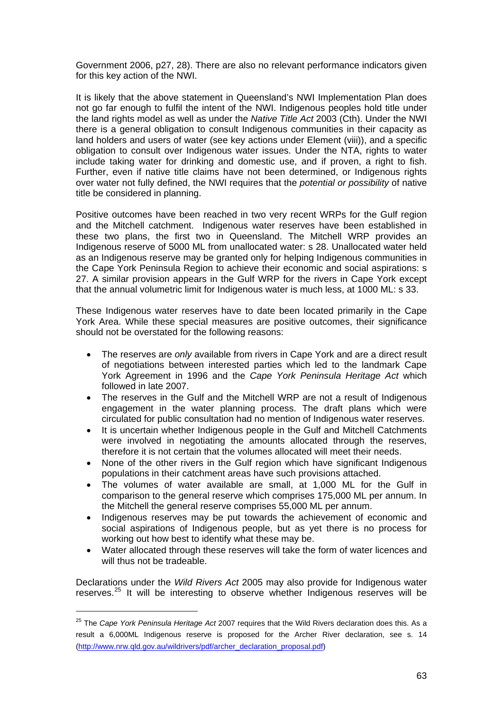Government 2006, p27, 28). There are also no relevant performance indicators given for this key action of the NWI.

It is likely that the above statement in Queensland's NWI Implementation Plan does not go far enough to fulfil the intent of the NWI. Indigenous peoples hold title under the land rights model as well as under the *Native Title Act* 2003 (Cth). Under the NWI there is a general obligation to consult Indigenous communities in their capacity as land holders and users of water (see key actions under Element (viii)), and a specific obligation to consult over Indigenous water issues. Under the NTA, rights to water include taking water for drinking and domestic use, and if proven, a right to fish. Further, even if native title claims have not been determined, or Indigenous rights over water not fully defined, the NWI requires that the *potential or possibility* of native title be considered in planning.

Positive outcomes have been reached in two very recent WRPs for the Gulf region and the Mitchell catchment. Indigenous water reserves have been established in these two plans, the first two in Queensland. The Mitchell WRP provides an Indigenous reserve of 5000 ML from unallocated water: s 28. Unallocated water held as an Indigenous reserve may be granted only for helping Indigenous communities in the Cape York Peninsula Region to achieve their economic and social aspirations: s 27. A similar provision appears in the Gulf WRP for the rivers in Cape York except that the annual volumetric limit for Indigenous water is much less, at 1000 ML: s 33.

These Indigenous water reserves have to date been located primarily in the Cape York Area. While these special measures are positive outcomes, their significance should not be overstated for the following reasons:

- The reserves are *only* available from rivers in Cape York and are a direct result of negotiations between interested parties which led to the landmark Cape York Agreement in 1996 and the *Cape York Peninsula Heritage Act* which followed in late 2007.
- The reserves in the Gulf and the Mitchell WRP are not a result of Indigenous engagement in the water planning process. The draft plans which were circulated for public consultation had no mention of Indigenous water reserves.
- It is uncertain whether Indigenous people in the Gulf and Mitchell Catchments were involved in negotiating the amounts allocated through the reserves, therefore it is not certain that the volumes allocated will meet their needs.
- None of the other rivers in the Gulf region which have significant Indigenous populations in their catchment areas have such provisions attached.
- The volumes of water available are small, at 1,000 ML for the Gulf in comparison to the general reserve which comprises 175,000 ML per annum. In the Mitchell the general reserve comprises 55,000 ML per annum.
- Indigenous reserves may be put towards the achievement of economic and social aspirations of Indigenous people, but as yet there is no process for working out how best to identify what these may be.
- Water allocated through these reserves will take the form of water licences and will thus not be tradeable.

Declarations under the *Wild Rivers Act* 2005 may also provide for Indigenous water reserves.<sup>[25](#page-62-0)</sup> It will be interesting to observe whether Indigenous reserves will be

<span id="page-62-0"></span><sup>25</sup> The *Cape York Peninsula Heritage Act* 2007 requires that the Wild Rivers declaration does this. As a result a 6,000ML Indigenous reserve is proposed for the Archer River declaration, see s. 14 ([http://www.nrw.qld.gov.au/wildrivers/pdf/archer\\_declaration\\_proposal.pdf](http://www.nrw.qld.gov.au/wildrivers/pdf/archer_declaration_proposal.pdf))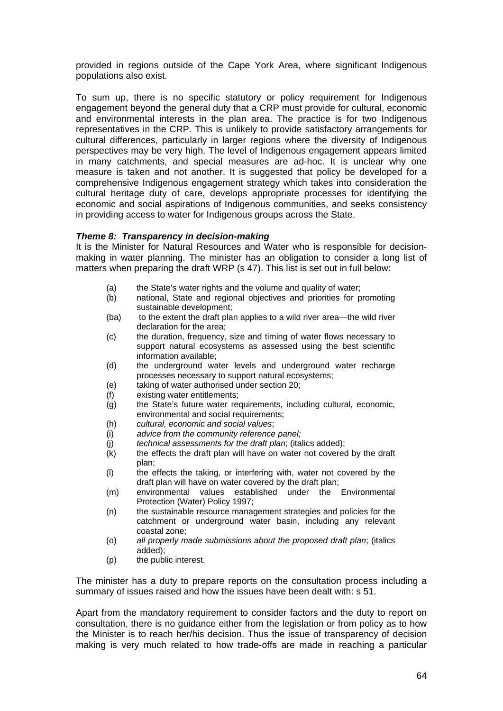provided in regions outside of the Cape York Area, where significant Indigenous populations also exist.

To sum up, there is no specific statutory or policy requirement for Indigenous engagement beyond the general duty that a CRP must provide for cultural, economic and environmental interests in the plan area. The practice is for two Indigenous representatives in the CRP. This is unlikely to provide satisfactory arrangements for cultural differences, particularly in larger regions where the diversity of Indigenous perspectives may be very high. The level of Indigenous engagement appears limited in many catchments, and special measures are ad-hoc. It is unclear why one measure is taken and not another. It is suggested that policy be developed for a comprehensive Indigenous engagement strategy which takes into consideration the cultural heritage duty of care, develops appropriate processes for identifying the economic and social aspirations of Indigenous communities, and seeks consistency in providing access to water for Indigenous groups across the State.

### *Theme 8: Transparency in decision-making*

It is the Minister for Natural Resources and Water who is responsible for decisionmaking in water planning. The minister has an obligation to consider a long list of matters when preparing the draft WRP (s 47). This list is set out in full below:

- (a) the State's water rights and the volume and quality of water;
- (b) national, State and regional objectives and priorities for promoting sustainable development;
- (ba) to the extent the draft plan applies to a wild river area—the wild river declaration for the area;
- (c) the duration, frequency, size and timing of water flows necessary to support natural ecosystems as assessed using the best scientific information available;
- (d) the underground water levels and underground water recharge processes necessary to support natural ecosystems;
- (e) taking of water authorised under section 20;
- (f) existing water entitlements;
- (g) the State's future water requirements, including cultural, economic, environmental and social requirements;
- (h) *cultural, economic and social values*;
- (i) *advice from the community reference panel;*
- (j) *technical assessments for the draft plan*; (italics added);
- $(k)$  the effects the draft plan will have on water not covered by the draft plan;
- (l) the effects the taking, or interfering with, water not covered by the draft plan will have on water covered by the draft plan;
- (m) environmental values established under the Environmental Protection (Water) Policy 1997;
- (n) the sustainable resource management strategies and policies for the catchment or underground water basin, including any relevant coastal zone;
- (o) *all properly made submissions about the proposed draft plan*; (italics added);
- (p) the public interest.

The minister has a duty to prepare reports on the consultation process including a summary of issues raised and how the issues have been dealt with: s 51.

Apart from the mandatory requirement to consider factors and the duty to report on consultation, there is no guidance either from the legislation or from policy as to how the Minister is to reach her/his decision. Thus the issue of transparency of decision making is very much related to how trade-offs are made in reaching a particular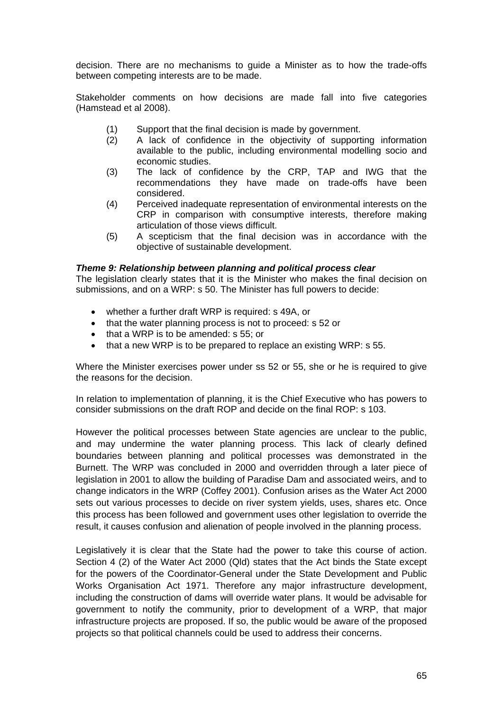decision. There are no mechanisms to guide a Minister as to how the trade-offs between competing interests are to be made.

Stakeholder comments on how decisions are made fall into five categories (Hamstead et al 2008).

- (1) Support that the final decision is made by government.
- (2) A lack of confidence in the objectivity of supporting information available to the public, including environmental modelling socio and economic studies.
- (3) The lack of confidence by the CRP, TAP and IWG that the recommendations they have made on trade-offs have been considered.
- (4) Perceived inadequate representation of environmental interests on the CRP in comparison with consumptive interests, therefore making articulation of those views difficult.
- (5) A scepticism that the final decision was in accordance with the objective of sustainable development.

### *Theme 9: Relationship between planning and political process clear*

The legislation clearly states that it is the Minister who makes the final decision on submissions, and on a WRP: s 50. The Minister has full powers to decide:

- whether a further draft WRP is required: s 49A, or
- that the water planning process is not to proceed: s 52 or
- that a WRP is to be amended: s 55; or
- that a new WRP is to be prepared to replace an existing WRP: s 55.

Where the Minister exercises power under ss 52 or 55, she or he is required to give the reasons for the decision.

In relation to implementation of planning, it is the Chief Executive who has powers to consider submissions on the draft ROP and decide on the final ROP: s 103.

However the political processes between State agencies are unclear to the public, and may undermine the water planning process. This lack of clearly defined boundaries between planning and political processes was demonstrated in the Burnett. The WRP was concluded in 2000 and overridden through a later piece of legislation in 2001 to allow the building of Paradise Dam and associated weirs, and to change indicators in the WRP (Coffey 2001). Confusion arises as the Water Act 2000 sets out various processes to decide on river system yields, uses, shares etc. Once this process has been followed and government uses other legislation to override the result, it causes confusion and alienation of people involved in the planning process.

Legislatively it is clear that the State had the power to take this course of action. Section 4 (2) of the Water Act 2000 (Qld) states that the Act binds the State except for the powers of the Coordinator-General under the State Development and Public Works Organisation Act 1971. Therefore any major infrastructure development, including the construction of dams will override water plans. It would be advisable for government to notify the community, prior to development of a WRP, that major infrastructure projects are proposed. If so, the public would be aware of the proposed projects so that political channels could be used to address their concerns.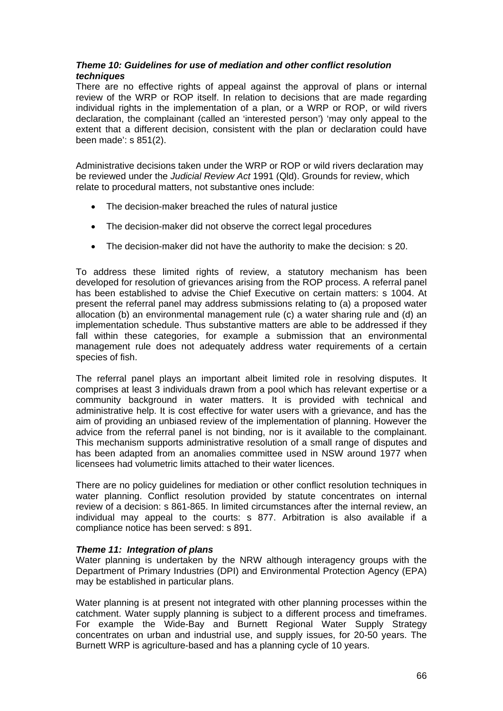### *Theme 10: Guidelines for use of mediation and other conflict resolution techniques*

There are no effective rights of appeal against the approval of plans or internal review of the WRP or ROP itself. In relation to decisions that are made regarding individual rights in the implementation of a plan, or a WRP or ROP, or wild rivers declaration, the complainant (called an 'interested person') 'may only appeal to the extent that a different decision, consistent with the plan or declaration could have been made': s 851(2).

Administrative decisions taken under the WRP or ROP or wild rivers declaration may be reviewed under the *Judicial Review Act* 1991 (Qld). Grounds for review, which relate to procedural matters, not substantive ones include:

- The decision-maker breached the rules of natural justice
- The decision-maker did not observe the correct legal procedures
- The decision-maker did not have the authority to make the decision: s 20.

To address these limited rights of review, a statutory mechanism has been developed for resolution of grievances arising from the ROP process. A referral panel has been established to advise the Chief Executive on certain matters: s 1004. At present the referral panel may address submissions relating to (a) a proposed water allocation (b) an environmental management rule (c) a water sharing rule and (d) an implementation schedule. Thus substantive matters are able to be addressed if they fall within these categories, for example a submission that an environmental management rule does not adequately address water requirements of a certain species of fish.

The referral panel plays an important albeit limited role in resolving disputes. It comprises at least 3 individuals drawn from a pool which has relevant expertise or a community background in water matters. It is provided with technical and administrative help. It is cost effective for water users with a grievance, and has the aim of providing an unbiased review of the implementation of planning. However the advice from the referral panel is not binding, nor is it available to the complainant. This mechanism supports administrative resolution of a small range of disputes and has been adapted from an anomalies committee used in NSW around 1977 when licensees had volumetric limits attached to their water licences.

There are no policy guidelines for mediation or other conflict resolution techniques in water planning. Conflict resolution provided by statute concentrates on internal review of a decision: s 861-865. In limited circumstances after the internal review, an individual may appeal to the courts: s 877. Arbitration is also available if a compliance notice has been served: s 891.

### *Theme 11: Integration of plans*

Water planning is undertaken by the NRW although interagency groups with the Department of Primary Industries (DPI) and Environmental Protection Agency (EPA) may be established in particular plans.

Water planning is at present not integrated with other planning processes within the catchment. Water supply planning is subject to a different process and timeframes. For example the Wide-Bay and Burnett Regional Water Supply Strategy concentrates on urban and industrial use, and supply issues, for 20-50 years. The Burnett WRP is agriculture-based and has a planning cycle of 10 years.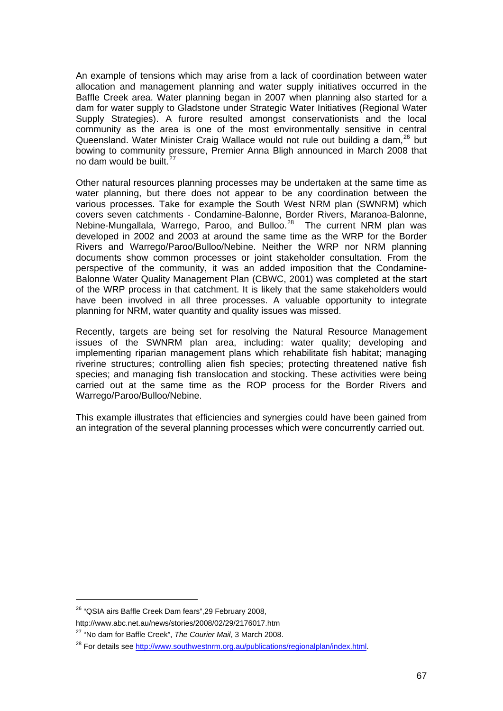An example of tensions which may arise from a lack of coordination between water allocation and management planning and water supply initiatives occurred in the Baffle Creek area. Water planning began in 2007 when planning also started for a dam for water supply to Gladstone under Strategic Water Initiatives (Regional Water Supply Strategies). A furore resulted amongst conservationists and the local community as the area is one of the most environmentally sensitive in central Queensland. Water Minister Craig Wallace would not rule out building a dam, <sup>[26](#page-66-0)</sup> but bowing to community pressure, Premier Anna Bligh announced in March 2008 that no dam would be built.<sup>[27](#page-66-1)</sup>

Other natural resources planning processes may be undertaken at the same time as water planning, but there does not appear to be any coordination between the various processes. Take for example the South West NRM plan (SWNRM) which covers seven catchments - Condamine-Balonne, Border Rivers, Maranoa-Balonne, Nebine-Mungallala, Warrego, Paroo, and Bulloo.<sup>[28](#page-66-2)</sup> The current NRM plan was developed in 2002 and 2003 at around the same time as the WRP for the Border Rivers and Warrego/Paroo/Bulloo/Nebine. Neither the WRP nor NRM planning documents show common processes or joint stakeholder consultation. From the perspective of the community, it was an added imposition that the Condamine-Balonne Water Quality Management Plan (CBWC, 2001) was completed at the start of the WRP process in that catchment. It is likely that the same stakeholders would have been involved in all three processes. A valuable opportunity to integrate planning for NRM, water quantity and quality issues was missed.

Recently, targets are being set for resolving the Natural Resource Management issues of the SWNRM plan area, including: water quality; developing and implementing riparian management plans which rehabilitate fish habitat; managing riverine structures; controlling alien fish species; protecting threatened native fish species; and managing fish translocation and stocking. These activities were being carried out at the same time as the ROP process for the Border Rivers and Warrego/Paroo/Bulloo/Nebine.

This example illustrates that efficiencies and synergies could have been gained from an integration of the several planning processes which were concurrently carried out.

 $\overline{a}$ 

<span id="page-66-0"></span><sup>26 &</sup>quot;QSIA airs Baffle Creek Dam fears",29 February 2008,

http://www.abc.net.au/news/stories/2008/02/29/2176017.htm

<span id="page-66-1"></span><sup>27 &</sup>quot;No dam for Baffle Creek", *The Courier Mail*, 3 March 2008.

<span id="page-66-2"></span><sup>&</sup>lt;sup>28</sup> For details see <http://www.southwestnrm.org.au/publications/regionalplan/index.html>.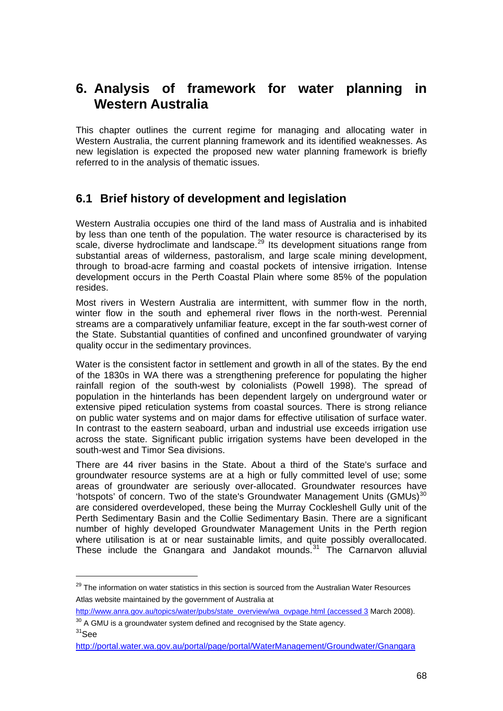# **6. Analysis of framework for water planning in Western Australia**

This chapter outlines the current regime for managing and allocating water in Western Australia, the current planning framework and its identified weaknesses. As new legislation is expected the proposed new water planning framework is briefly referred to in the analysis of thematic issues.

## **6.1 Brief history of development and legislation**

Western Australia occupies one third of the land mass of Australia and is inhabited by less than one tenth of the population. The water resource is characterised by its scale, diverse hydroclimate and landscape.<sup>[29](#page-67-0)</sup> Its development situations range from substantial areas of wilderness, pastoralism, and large scale mining development, through to broad-acre farming and coastal pockets of intensive irrigation. Intense development occurs in the Perth Coastal Plain where some 85% of the population resides.

Most rivers in Western Australia are intermittent, with summer flow in the north, winter flow in the south and ephemeral river flows in the north-west. Perennial streams are a comparatively unfamiliar feature, except in the far south-west corner of the State. Substantial quantities of confined and unconfined groundwater of varying quality occur in the sedimentary provinces.

Water is the consistent factor in settlement and growth in all of the states. By the end of the 1830s in WA there was a strengthening preference for populating the higher rainfall region of the south-west by colonialists (Powell 1998). The spread of population in the hinterlands has been dependent largely on underground water or extensive piped reticulation systems from coastal sources. There is strong reliance on public water systems and on major dams for effective utilisation of surface water. In contrast to the eastern seaboard, urban and industrial use exceeds irrigation use across the state. Significant public irrigation systems have been developed in the south-west and Timor Sea divisions.

There are 44 river basins in the State. About a third of the State's surface and groundwater resource systems are at a high or fully committed level of use; some areas of groundwater are seriously over-allocated. Groundwater resources have 'hotspots' of concern. Two of the state's Groundwater Management Units (GMUs) $30$ are considered overdeveloped, these being the Murray Cockleshell Gully unit of the Perth Sedimentary Basin and the Collie Sedimentary Basin. There are a significant number of highly developed Groundwater Management Units in the Perth region where utilisation is at or near sustainable limits, and quite possibly overallocated. These include the Gnangara and Jandakot mounds.<sup>[31](#page-67-2)</sup> The Carnarvon alluvial

<span id="page-67-0"></span><sup>&</sup>lt;sup>29</sup> The information on water statistics in this section is sourced from the Australian Water Resources Atlas website maintained by the government of Australia at

[http://www.anra.gov.au/topics/water/pubs/state\\_overview/wa\\_ovpage.html \(accessed 3](http://www.anra.gov.au/topics/water/pubs/state_overview/wa_ovpage.html%20(accessed%203) March 2008).

<span id="page-67-1"></span> $30$  A GMU is a groundwater system defined and recognised by the State agency.  $31$ See

<span id="page-67-2"></span><http://portal.water.wa.gov.au/portal/page/portal/WaterManagement/Groundwater/Gnangara>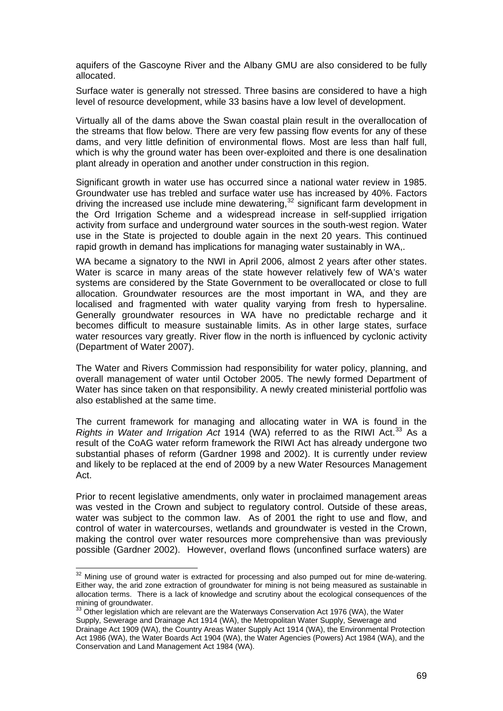aquifers of the Gascoyne River and the Albany GMU are also considered to be fully allocated.

Surface water is generally not stressed. Three basins are considered to have a high level of resource development, while 33 basins have a low level of development.

Virtually all of the dams above the Swan coastal plain result in the overallocation of the streams that flow below. There are very few passing flow events for any of these dams, and very little definition of environmental flows. Most are less than half full, which is why the ground water has been over-exploited and there is one desalination plant already in operation and another under construction in this region.

Significant growth in water use has occurred since a national water review in 1985. Groundwater use has trebled and surface water use has increased by 40%. Factors driving the increased use include mine dewatering,<sup>[32](#page-68-0)</sup> significant farm development in the Ord Irrigation Scheme and a widespread increase in self-supplied irrigation activity from surface and underground water sources in the south-west region. Water use in the State is projected to double again in the next 20 years. This continued rapid growth in demand has implications for managing water sustainably in WA,.

WA became a signatory to the NWI in April 2006, almost 2 years after other states. Water is scarce in many areas of the state however relatively few of WA's water systems are considered by the State Government to be overallocated or close to full allocation. Groundwater resources are the most important in WA, and they are localised and fragmented with water quality varying from fresh to hypersaline. Generally groundwater resources in WA have no predictable recharge and it becomes difficult to measure sustainable limits. As in other large states, surface water resources vary greatly. River flow in the north is influenced by cyclonic activity (Department of Water 2007).

The Water and Rivers Commission had responsibility for water policy, planning, and overall management of water until October 2005. The newly formed Department of Water has since taken on that responsibility. A newly created ministerial portfolio was also established at the same time.

The current framework for managing and allocating water in WA is found in the *Rights in Water and Irrigation Act* 1914 (WA) referred to as the RIWI Act.<sup>[33](#page-68-1)</sup> As a result of the CoAG water reform framework the RIWI Act has already undergone two substantial phases of reform (Gardner 1998 and 2002). It is currently under review and likely to be replaced at the end of 2009 by a new Water Resources Management Act.

Prior to recent legislative amendments, only water in proclaimed management areas was vested in the Crown and subject to regulatory control. Outside of these areas, water was subject to the common law. As of 2001 the right to use and flow, and control of water in watercourses, wetlands and groundwater is vested in the Crown, making the control over water resources more comprehensive than was previously possible (Gardner 2002). However, overland flows (unconfined surface waters) are

 $\overline{\phantom{a}}$ 

<span id="page-68-0"></span> $32$  Mining use of ground water is extracted for processing and also pumped out for mine de-watering. Either way, the arid zone extraction of groundwater for mining is not being measured as sustainable in allocation terms. There is a lack of knowledge and scrutiny about the ecological consequences of the mining of groundwater.

<span id="page-68-1"></span> $33$  Other legislation which are relevant are the Waterways Conservation Act 1976 (WA), the Water Supply, Sewerage and Drainage Act 1914 (WA), the Metropolitan Water Supply, Sewerage and Drainage Act 1909 (WA), the Country Areas Water Supply Act 1914 (WA), the Environmental Protection Act 1986 (WA), the Water Boards Act 1904 (WA), the Water Agencies (Powers) Act 1984 (WA), and the Conservation and Land Management Act 1984 (WA).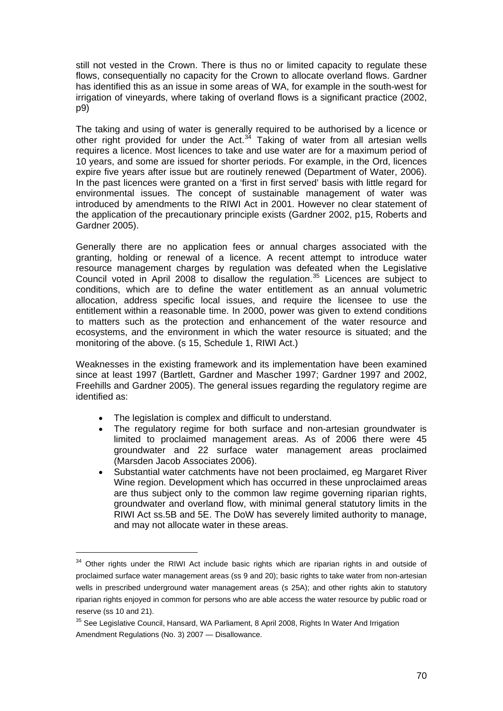still not vested in the Crown. There is thus no or limited capacity to regulate these flows, consequentially no capacity for the Crown to allocate overland flows. Gardner has identified this as an issue in some areas of WA, for example in the south-west for irrigation of vineyards, where taking of overland flows is a significant practice (2002, p9)

The taking and using of water is generally required to be authorised by a licence or other right provided for under the Act. $34$  Taking of water from all artesian wells requires a licence. Most licences to take and use water are for a maximum period of 10 years, and some are issued for shorter periods. For example, in the Ord, licences expire five years after issue but are routinely renewed (Department of Water, 2006). In the past licences were granted on a 'first in first served' basis with little regard for environmental issues. The concept of sustainable management of water was introduced by amendments to the RIWI Act in 2001. However no clear statement of the application of the precautionary principle exists (Gardner 2002, p15, Roberts and Gardner 2005).

Generally there are no application fees or annual charges associated with the granting, holding or renewal of a licence. A recent attempt to introduce water resource management charges by regulation was defeated when the Legislative Council voted in April 2008 to disallow the regulation.<sup>[35](#page-69-1)</sup> Licences are subject to conditions, which are to define the water entitlement as an annual volumetric allocation, address specific local issues, and require the licensee to use the entitlement within a reasonable time. In 2000, power was given to extend conditions to matters such as the protection and enhancement of the water resource and ecosystems, and the environment in which the water resource is situated; and the monitoring of the above. (s 15, Schedule 1, RIWI Act.)

Weaknesses in the existing framework and its implementation have been examined since at least 1997 (Bartlett, Gardner and Mascher 1997; Gardner 1997 and 2002, Freehills and Gardner 2005). The general issues regarding the regulatory regime are identified as:

The legislation is complex and difficult to understand.

- The regulatory regime for both surface and non-artesian groundwater is limited to proclaimed management areas. As of 2006 there were 45 groundwater and 22 surface water management areas proclaimed (Marsden Jacob Associates 2006).
- Substantial water catchments have not been proclaimed, eg Margaret River Wine region. Development which has occurred in these unproclaimed areas are thus subject only to the common law regime governing riparian rights, groundwater and overland flow, with minimal general statutory limits in the RIWI Act ss.5B and 5E. The DoW has severely limited authority to manage, and may not allocate water in these areas.

<span id="page-69-0"></span><sup>&</sup>lt;sup>34</sup> Other rights under the RIWI Act include basic rights which are riparian rights in and outside of proclaimed surface water management areas (ss 9 and 20); basic rights to take water from non-artesian wells in prescribed underground water management areas (s 25A); and other rights akin to statutory riparian rights enjoyed in common for persons who are able access the water resource by public road or reserve (ss 10 and 21).

<span id="page-69-1"></span><sup>&</sup>lt;sup>35</sup> See Legislative Council, Hansard, WA Parliament, 8 April 2008, Rights In Water And Irrigation Amendment Regulations (No. 3) 2007 — Disallowance.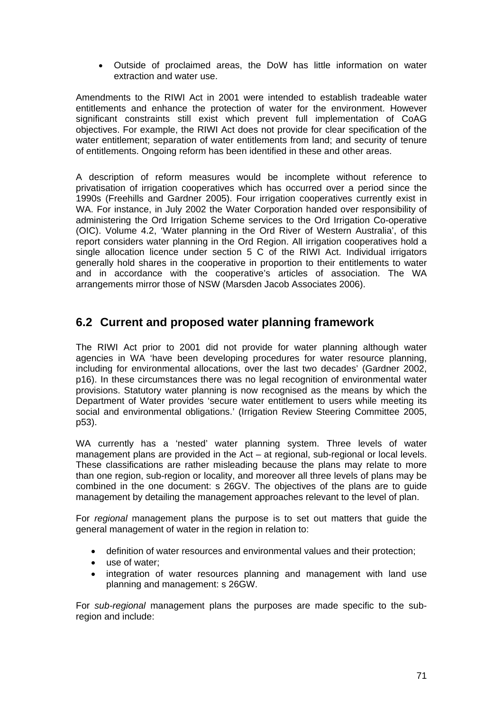• Outside of proclaimed areas, the DoW has little information on water extraction and water use.

Amendments to the RIWI Act in 2001 were intended to establish tradeable water entitlements and enhance the protection of water for the environment. However significant constraints still exist which prevent full implementation of CoAG objectives. For example, the RIWI Act does not provide for clear specification of the water entitlement; separation of water entitlements from land; and security of tenure of entitlements. Ongoing reform has been identified in these and other areas.

A description of reform measures would be incomplete without reference to privatisation of irrigation cooperatives which has occurred over a period since the 1990s (Freehills and Gardner 2005). Four irrigation cooperatives currently exist in WA. For instance, in July 2002 the Water Corporation handed over responsibility of administering the Ord Irrigation Scheme services to the Ord Irrigation Co-operative (OIC). Volume 4.2, 'Water planning in the Ord River of Western Australia', of this report considers water planning in the Ord Region. All irrigation cooperatives hold a single allocation licence under section 5 C of the RIWI Act. Individual irrigators generally hold shares in the cooperative in proportion to their entitlements to water and in accordance with the cooperative's articles of association. The WA arrangements mirror those of NSW (Marsden Jacob Associates 2006).

# **6.2 Current and proposed water planning framework**

The RIWI Act prior to 2001 did not provide for water planning although water agencies in WA 'have been developing procedures for water resource planning, including for environmental allocations, over the last two decades' (Gardner 2002, p16). In these circumstances there was no legal recognition of environmental water provisions. Statutory water planning is now recognised as the means by which the Department of Water provides 'secure water entitlement to users while meeting its social and environmental obligations.' (Irrigation Review Steering Committee 2005, p53).

WA currently has a 'nested' water planning system. Three levels of water management plans are provided in the Act – at regional, sub-regional or local levels. These classifications are rather misleading because the plans may relate to more than one region, sub-region or locality, and moreover all three levels of plans may be combined in the one document: s 26GV. The objectives of the plans are to guide management by detailing the management approaches relevant to the level of plan.

For *regional* management plans the purpose is to set out matters that guide the general management of water in the region in relation to:

- definition of water resources and environmental values and their protection;
- use of water:
- integration of water resources planning and management with land use planning and management: s 26GW.

For *sub-regional* management plans the purposes are made specific to the subregion and include: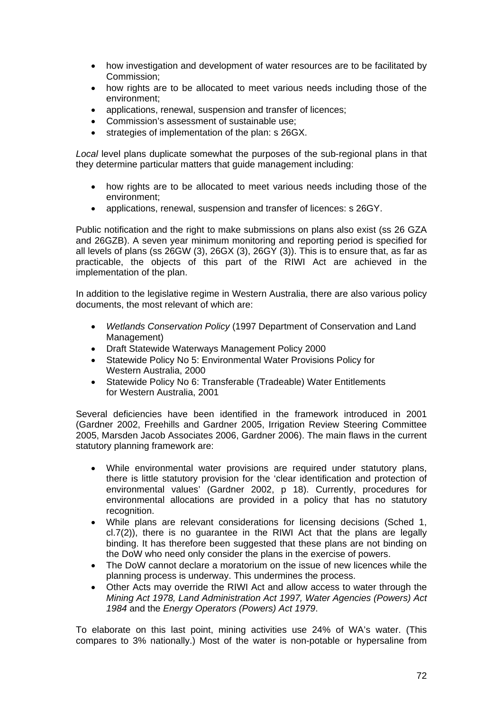- how investigation and development of water resources are to be facilitated by Commission;
- how rights are to be allocated to meet various needs including those of the environment;
- applications, renewal, suspension and transfer of licences;
- Commission's assessment of sustainable use;
- strategies of implementation of the plan: s 26GX.

*Local* level plans duplicate somewhat the purposes of the sub-regional plans in that they determine particular matters that guide management including:

- how rights are to be allocated to meet various needs including those of the environment;
- applications, renewal, suspension and transfer of licences: s 26GY.

Public notification and the right to make submissions on plans also exist (ss 26 GZA and 26GZB). A seven year minimum monitoring and reporting period is specified for all levels of plans (ss 26GW (3), 26GX (3), 26GY (3)). This is to ensure that, as far as practicable, the objects of this part of the RIWI Act are achieved in the implementation of the plan.

In addition to the legislative regime in Western Australia, there are also various policy documents, the most relevant of which are:

- *Wetlands Conservation Policy* (1997 Department of Conservation and Land Management)
- Draft Statewide Waterways Management Policy 2000
- Statewide Policy No 5: Environmental Water Provisions Policy for Western Australia, 2000
- Statewide Policy No 6: Transferable (Tradeable) Water Entitlements for Western Australia, 2001

Several deficiencies have been identified in the framework introduced in 2001 (Gardner 2002, Freehills and Gardner 2005, Irrigation Review Steering Committee 2005, Marsden Jacob Associates 2006, Gardner 2006). The main flaws in the current statutory planning framework are:

- While environmental water provisions are required under statutory plans, there is little statutory provision for the 'clear identification and protection of environmental values' (Gardner 2002, p 18). Currently, procedures for environmental allocations are provided in a policy that has no statutory recognition.
- While plans are relevant considerations for licensing decisions (Sched 1, cl.7(2)), there is no guarantee in the RIWI Act that the plans are legally binding. It has therefore been suggested that these plans are not binding on the DoW who need only consider the plans in the exercise of powers.
- The DoW cannot declare a moratorium on the issue of new licences while the planning process is underway. This undermines the process.
- Other Acts may override the RIWI Act and allow access to water through the *Mining Act 1978, Land Administration Act 1997, Water Agencies (Powers) Act 1984* and the *Energy Operators (Powers) Act 1979*.

To elaborate on this last point, mining activities use 24% of WA's water. (This compares to 3% nationally.) Most of the water is non-potable or hypersaline from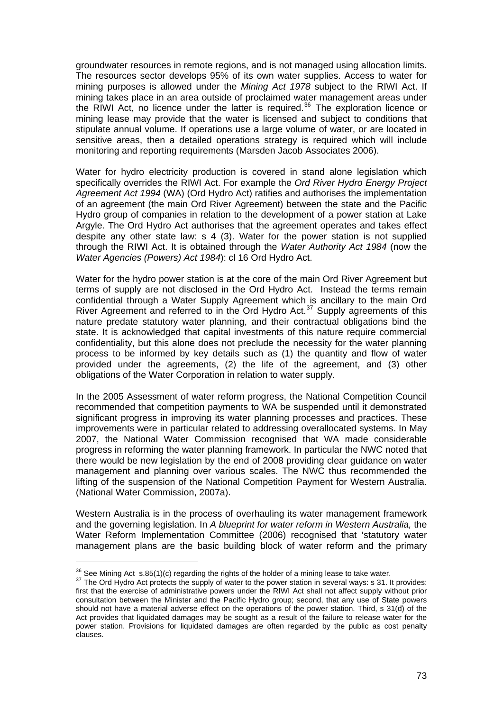groundwater resources in remote regions, and is not managed using allocation limits. The resources sector develops 95% of its own water supplies. Access to water for mining purposes is allowed under the *Mining Act 1978* subject to the RIWI Act. If mining takes place in an area outside of proclaimed water management areas under the RIWI Act, no licence under the latter is required.<sup>[36](#page-72-0)</sup> The exploration licence or mining lease may provide that the water is licensed and subject to conditions that stipulate annual volume. If operations use a large volume of water, or are located in sensitive areas, then a detailed operations strategy is required which will include monitoring and reporting requirements (Marsden Jacob Associates 2006).

Water for hydro electricity production is covered in stand alone legislation which specifically overrides the RIWI Act. For example the *Ord River Hydro Energy Project Agreement Act 1994* (WA) (Ord Hydro Act) ratifies and authorises the implementation of an agreement (the main Ord River Agreement) between the state and the Pacific Hydro group of companies in relation to the development of a power station at Lake Argyle. The Ord Hydro Act authorises that the agreement operates and takes effect despite any other state law: s 4 (3). Water for the power station is not supplied through the RIWI Act. It is obtained through the *Water Authority Act 1984* (now the *Water Agencies (Powers) Act 1984*): cl 16 Ord Hydro Act.

Water for the hydro power station is at the core of the main Ord River Agreement but terms of supply are not disclosed in the Ord Hydro Act. Instead the terms remain confidential through a Water Supply Agreement which is ancillary to the main Ord River Agreement and referred to in the Ord Hydro Act.<sup>[37](#page-72-1)</sup> Supply agreements of this nature predate statutory water planning, and their contractual obligations bind the state. It is acknowledged that capital investments of this nature require commercial confidentiality, but this alone does not preclude the necessity for the water planning process to be informed by key details such as (1) the quantity and flow of water provided under the agreements, (2) the life of the agreement, and (3) other obligations of the Water Corporation in relation to water supply.

In the 2005 Assessment of water reform progress, the National Competition Council recommended that competition payments to WA be suspended until it demonstrated significant progress in improving its water planning processes and practices. These improvements were in particular related to addressing overallocated systems. In May 2007, the National Water Commission recognised that WA made considerable progress in reforming the water planning framework. In particular the NWC noted that there would be new legislation by the end of 2008 providing clear guidance on water management and planning over various scales. The NWC thus recommended the lifting of the suspension of the National Competition Payment for Western Australia. (National Water Commission, 2007a).

Western Australia is in the process of overhauling its water management framework and the governing legislation. In *A blueprint for water reform in Western Australia,* the Water Reform Implementation Committee (2006) recognised that 'statutory water management plans are the basic building block of water reform and the primary

<span id="page-72-1"></span><span id="page-72-0"></span><sup>&</sup>lt;sup>36</sup> See Mining Act s.85(1)(c) regarding the rights of the holder of a mining lease to take water.<br><sup>37</sup> The Ord Hydro Act protects the supply of water to the power station in several ways: s 31. It provides: first that the exercise of administrative powers under the RIWI Act shall not affect supply without prior consultation between the Minister and the Pacific Hydro group; second, that any use of State powers should not have a material adverse effect on the operations of the power station. Third, s 31(d) of the Act provides that liquidated damages may be sought as a result of the failure to release water for the power station. Provisions for liquidated damages are often regarded by the public as cost penalty clauses.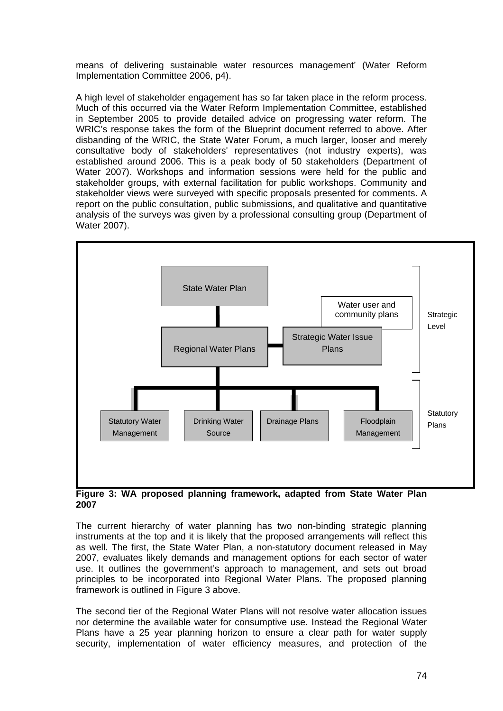means of delivering sustainable water resources management' (Water Reform Implementation Committee 2006, p4).

A high level of stakeholder engagement has so far taken place in the reform process. Much of this occurred via the Water Reform Implementation Committee, established in September 2005 to provide detailed advice on progressing water reform. The WRIC's response takes the form of the Blueprint document referred to above. After disbanding of the WRIC, the State Water Forum, a much larger, looser and merely consultative body of stakeholders' representatives (not industry experts), was established around 2006. This is a peak body of 50 stakeholders (Department of Water 2007). Workshops and information sessions were held for the public and stakeholder groups, with external facilitation for public workshops. Community and stakeholder views were surveyed with specific proposals presented for comments. A report on the public consultation, public submissions, and qualitative and quantitative analysis of the surveys was given by a professional consulting group (Department of Water 2007).



**Figure 3: WA proposed planning framework, adapted from State Water Plan 2007** 

The current hierarchy of water planning has two non-binding strategic planning instruments at the top and it is likely that the proposed arrangements will reflect this as well. The first, the State Water Plan, a non-statutory document released in May 2007, evaluates likely demands and management options for each sector of water use. It outlines the government's approach to management, and sets out broad principles to be incorporated into Regional Water Plans. The proposed planning framework is outlined in Figure 3 above.

The second tier of the Regional Water Plans will not resolve water allocation issues nor determine the available water for consumptive use. Instead the Regional Water Plans have a 25 year planning horizon to ensure a clear path for water supply security, implementation of water efficiency measures, and protection of the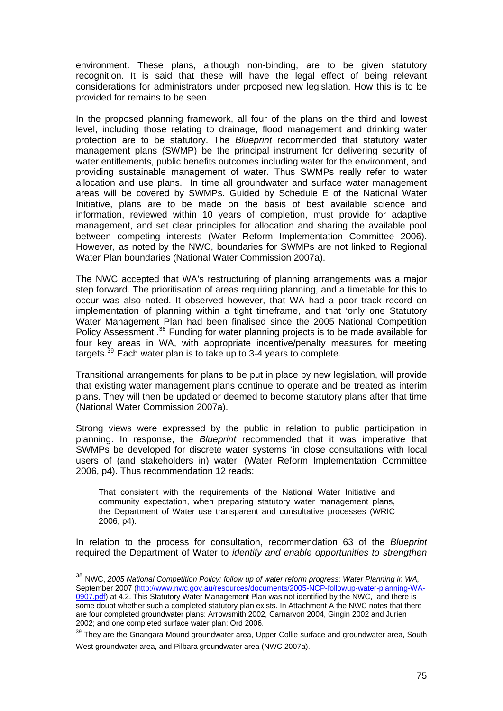environment. These plans, although non-binding, are to be given statutory recognition. It is said that these will have the legal effect of being relevant considerations for administrators under proposed new legislation. How this is to be provided for remains to be seen.

In the proposed planning framework, all four of the plans on the third and lowest level, including those relating to drainage, flood management and drinking water protection are to be statutory. The *Blueprint* recommended that statutory water management plans (SWMP) be the principal instrument for delivering security of water entitlements, public benefits outcomes including water for the environment, and providing sustainable management of water. Thus SWMPs really refer to water allocation and use plans. In time all groundwater and surface water management areas will be covered by SWMPs. Guided by Schedule E of the National Water Initiative, plans are to be made on the basis of best available science and information, reviewed within 10 years of completion, must provide for adaptive management, and set clear principles for allocation and sharing the available pool between competing interests (Water Reform Implementation Committee 2006). However, as noted by the NWC, boundaries for SWMPs are not linked to Regional Water Plan boundaries (National Water Commission 2007a).

The NWC accepted that WA's restructuring of planning arrangements was a major step forward. The prioritisation of areas requiring planning, and a timetable for this to occur was also noted. It observed however, that WA had a poor track record on implementation of planning within a tight timeframe, and that 'only one Statutory Water Management Plan had been finalised since the 2005 National Competition Policy Assessment'.[38](#page-74-0) Funding for water planning projects is to be made available for four key areas in WA, with appropriate incentive/penalty measures for meeting targets.<sup>[39](#page-74-1)</sup> Each water plan is to take up to 3-4 years to complete.

Transitional arrangements for plans to be put in place by new legislation, will provide that existing water management plans continue to operate and be treated as interim plans. They will then be updated or deemed to become statutory plans after that time (National Water Commission 2007a).

Strong views were expressed by the public in relation to public participation in planning. In response, the *Blueprint* recommended that it was imperative that SWMPs be developed for discrete water systems 'in close consultations with local users of (and stakeholders in) water' (Water Reform Implementation Committee 2006, p4). Thus recommendation 12 reads:

That consistent with the requirements of the National Water Initiative and community expectation, when preparing statutory water management plans, the Department of Water use transparent and consultative processes (WRIC 2006, p4).

In relation to the process for consultation, recommendation 63 of the *Blueprint*  required the Department of Water to *identify and enable opportunities to strengthen* 

 $\overline{a}$ 

<span id="page-74-0"></span><sup>38</sup> NWC, *2005 National Competition Policy: follow up of water reform progress: Water Planning in WA,*  September 2007 ([http://www.nwc.gov.au/resources/documents/2005-NCP-followup-water-planning-WA-](http://www.nwc.gov.au/resources/documents/2005-NCP-followup-water-planning-WA-0907.pdf)[0907.pdf\)](http://www.nwc.gov.au/resources/documents/2005-NCP-followup-water-planning-WA-0907.pdf) at 4.2. This Statutory Water Management Plan was not identified by the NWC, and there is some doubt whether such a completed statutory plan exists. In Attachment A the NWC notes that there are four completed groundwater plans: Arrowsmith 2002, Carnarvon 2004, Gingin 2002 and Jurien 2002; and one completed surface water plan: Ord 2006.

<span id="page-74-1"></span><sup>&</sup>lt;sup>39</sup> They are the Gnangara Mound groundwater area, Upper Collie surface and groundwater area, South West groundwater area, and Pilbara groundwater area (NWC 2007a).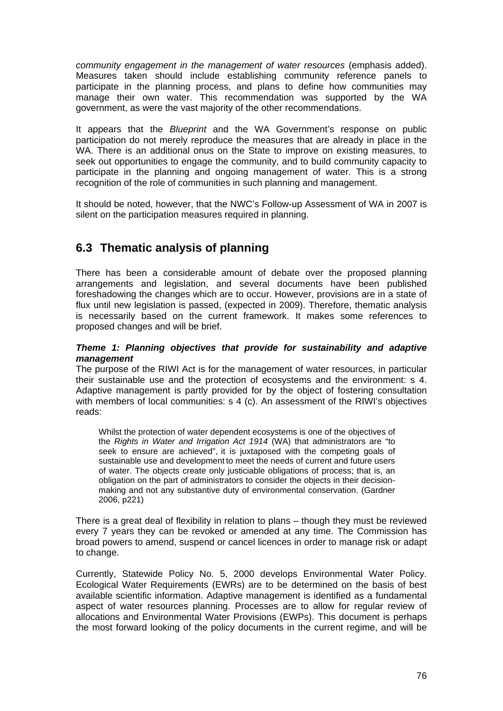*community engagement in the management of water resources (emphasis added).* Measures taken should include establishing community reference panels to participate in the planning process, and plans to define how communities may manage their own water. This recommendation was supported by the WA government, as were the vast majority of the other recommendations.

It appears that the *Blueprint* and the WA Government's response on public participation do not merely reproduce the measures that are already in place in the WA. There is an additional onus on the State to improve on existing measures, to seek out opportunities to engage the community, and to build community capacity to participate in the planning and ongoing management of water. This is a strong recognition of the role of communities in such planning and management.

It should be noted, however, that the NWC's Follow-up Assessment of WA in 2007 is silent on the participation measures required in planning.

## **6.3 Thematic analysis of planning**

There has been a considerable amount of debate over the proposed planning arrangements and legislation, and several documents have been published foreshadowing the changes which are to occur. However, provisions are in a state of flux until new legislation is passed, (expected in 2009). Therefore, thematic analysis is necessarily based on the current framework. It makes some references to proposed changes and will be brief.

#### *Theme 1: Planning objectives that provide for sustainability and adaptive management*

The purpose of the RIWI Act is for the management of water resources, in particular their sustainable use and the protection of ecosystems and the environment: s 4. Adaptive management is partly provided for by the object of fostering consultation with members of local communities: s 4 (c). An assessment of the RIWI's objectives reads:

Whilst the protection of water dependent ecosystems is one of the objectives of the *Rights in Water and Irrigation Act 1914* (WA) that administrators are "to seek to ensure are achieved", it is juxtaposed with the competing goals of sustainable use and development to meet the needs of current and future users of water. The objects create only justiciable obligations of process; that is, an obligation on the part of administrators to consider the objects in their decisionmaking and not any substantive duty of environmental conservation. (Gardner 2006, p221)

There is a great deal of flexibility in relation to plans – though they must be reviewed every 7 years they can be revoked or amended at any time. The Commission has broad powers to amend, suspend or cancel licences in order to manage risk or adapt to change.

Currently, Statewide Policy No. 5, 2000 develops Environmental Water Policy. Ecological Water Requirements (EWRs) are to be determined on the basis of best available scientific information. Adaptive management is identified as a fundamental aspect of water resources planning. Processes are to allow for regular review of allocations and Environmental Water Provisions (EWPs). This document is perhaps the most forward looking of the policy documents in the current regime, and will be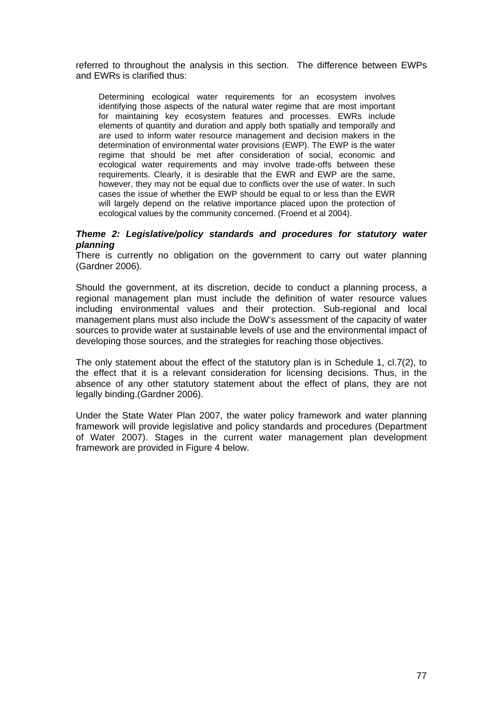referred to throughout the analysis in this section. The difference between EWPs and EWRs is clarified thus:

Determining ecological water requirements for an ecosystem involves identifying those aspects of the natural water regime that are most important for maintaining key ecosystem features and processes. EWRs include elements of quantity and duration and apply both spatially and temporally and are used to inform water resource management and decision makers in the determination of environmental water provisions (EWP). The EWP is the water regime that should be met after consideration of social, economic and ecological water requirements and may involve trade-offs between these requirements. Clearly, it is desirable that the EWR and EWP are the same, however, they may not be equal due to conflicts over the use of water. In such cases the issue of whether the EWP should be equal to or less than the EWR will largely depend on the relative importance placed upon the protection of ecological values by the community concerned. (Froend et al 2004).

#### *Theme 2: Legislative/policy standards and procedures for statutory water planning*

There is currently no obligation on the government to carry out water planning (Gardner 2006).

Should the government, at its discretion, decide to conduct a planning process, a regional management plan must include the definition of water resource values including environmental values and their protection. Sub-regional and local management plans must also include the DoW's assessment of the capacity of water sources to provide water at sustainable levels of use and the environmental impact of developing those sources, and the strategies for reaching those objectives.

The only statement about the effect of the statutory plan is in Schedule 1, cl.7(2), to the effect that it is a relevant consideration for licensing decisions. Thus, in the absence of any other statutory statement about the effect of plans, they are not legally binding.(Gardner 2006).

Under the State Water Plan 2007, the water policy framework and water planning framework will provide legislative and policy standards and procedures (Department of Water 2007). Stages in the current water management plan development framework are provided in Figure 4 below.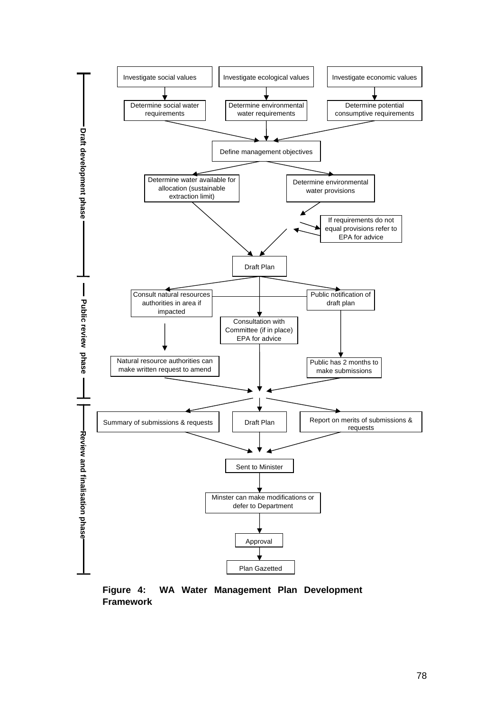

**Figure 4: WA Water Management Plan Development Framework**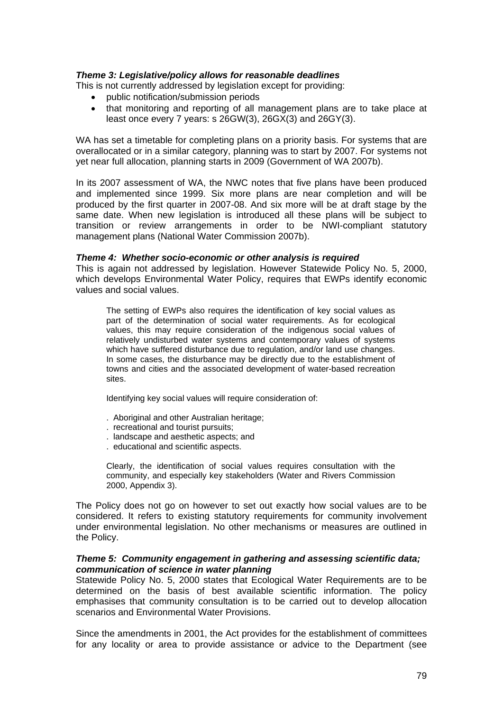#### *Theme 3: Legislative/policy allows for reasonable deadlines*

This is not currently addressed by legislation except for providing:

- public notification/submission periods
- that monitoring and reporting of all management plans are to take place at least once every 7 years: s 26GW(3), 26GX(3) and 26GY(3).

WA has set a timetable for completing plans on a priority basis. For systems that are overallocated or in a similar category, planning was to start by 2007. For systems not yet near full allocation, planning starts in 2009 (Government of WA 2007b).

In its 2007 assessment of WA, the NWC notes that five plans have been produced and implemented since 1999. Six more plans are near completion and will be produced by the first quarter in 2007-08. And six more will be at draft stage by the same date. When new legislation is introduced all these plans will be subject to transition or review arrangements in order to be NWI-compliant statutory management plans (National Water Commission 2007b).

#### *Theme 4: Whether socio-economic or other analysis is required*

This is again not addressed by legislation. However Statewide Policy No. 5, 2000, which develops Environmental Water Policy, requires that EWPs identify economic values and social values.

The setting of EWPs also requires the identification of key social values as part of the determination of social water requirements. As for ecological values, this may require consideration of the indigenous social values of relatively undisturbed water systems and contemporary values of systems which have suffered disturbance due to regulation, and/or land use changes. In some cases, the disturbance may be directly due to the establishment of towns and cities and the associated development of water-based recreation sites.

Identifying key social values will require consideration of:

- . Aboriginal and other Australian heritage;
- . recreational and tourist pursuits;
- . landscape and aesthetic aspects; and
- . educational and scientific aspects.

Clearly, the identification of social values requires consultation with the community, and especially key stakeholders (Water and Rivers Commission 2000, Appendix 3).

The Policy does not go on however to set out exactly how social values are to be considered. It refers to existing statutory requirements for community involvement under environmental legislation. No other mechanisms or measures are outlined in the Policy.

#### *Theme 5: Community engagement in gathering and assessing scientific data; communication of science in water planning*

Statewide Policy No. 5, 2000 states that Ecological Water Requirements are to be determined on the basis of best available scientific information. The policy emphasises that community consultation is to be carried out to develop allocation scenarios and Environmental Water Provisions.

Since the amendments in 2001, the Act provides for the establishment of committees for any locality or area to provide assistance or advice to the Department (see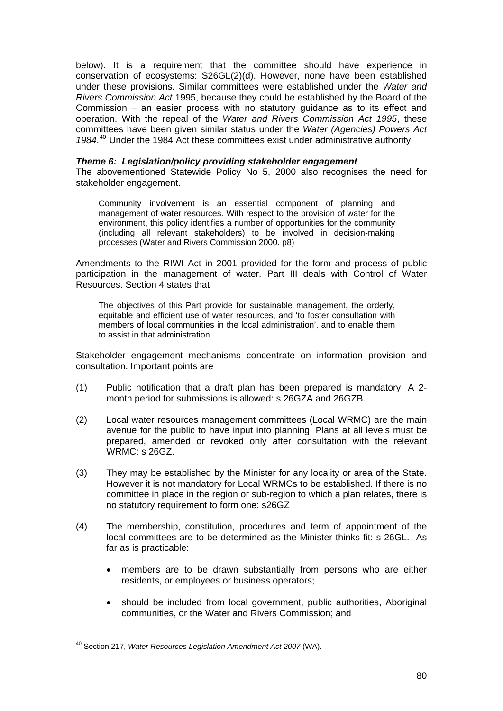below). It is a requirement that the committee should have experience in conservation of ecosystems: S26GL(2)(d). However, none have been established under these provisions. Similar committees were established under the *Water and Rivers Commission Act* 1995, because they could be established by the Board of the Commission – an easier process with no statutory guidance as to its effect and operation. With the repeal of the *Water and Rivers Commission Act 1995*, these committees have been given similar status under the *Water (Agencies) Powers Act 1984*. [40](#page-79-0) Under the 1984 Act these committees exist under administrative authority.

#### *Theme 6: Legislation/policy providing stakeholder engagement*

The abovementioned Statewide Policy No 5, 2000 also recognises the need for stakeholder engagement.

Community involvement is an essential component of planning and management of water resources. With respect to the provision of water for the environment, this policy identifies a number of opportunities for the community (including all relevant stakeholders) to be involved in decision-making processes (Water and Rivers Commission 2000. p8)

Amendments to the RIWI Act in 2001 provided for the form and process of public participation in the management of water. Part III deals with Control of Water Resources. Section 4 states that

The objectives of this Part provide for sustainable management, the orderly, equitable and efficient use of water resources, and 'to foster consultation with members of local communities in the local administration', and to enable them to assist in that administration.

Stakeholder engagement mechanisms concentrate on information provision and consultation. Important points are

- (1) Public notification that a draft plan has been prepared is mandatory. A 2 month period for submissions is allowed: s 26GZA and 26GZB.
- (2) Local water resources management committees (Local WRMC) are the main avenue for the public to have input into planning. Plans at all levels must be prepared, amended or revoked only after consultation with the relevant WRMC: s 26GZ.
- (3) They may be established by the Minister for any locality or area of the State. However it is not mandatory for Local WRMCs to be established. If there is no committee in place in the region or sub-region to which a plan relates, there is no statutory requirement to form one: s26GZ
- (4) The membership, constitution, procedures and term of appointment of the local committees are to be determined as the Minister thinks fit: s 26GL. As far as is practicable:
	- members are to be drawn substantially from persons who are either residents, or employees or business operators;
	- should be included from local government, public authorities, Aboriginal communities, or the Water and Rivers Commission; and

 $\overline{a}$ 

<span id="page-79-0"></span><sup>40</sup> Section 217, *Water Resources Legislation Amendment Act 2007* (WA).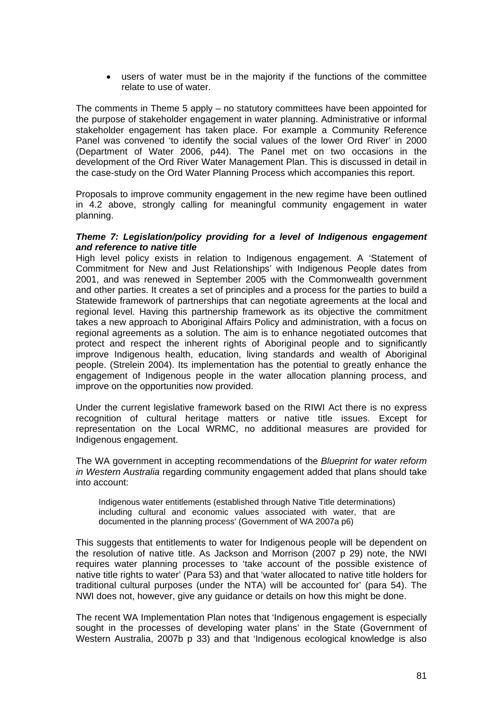• users of water must be in the majority if the functions of the committee relate to use of water.

The comments in Theme 5 apply – no statutory committees have been appointed for the purpose of stakeholder engagement in water planning. Administrative or informal stakeholder engagement has taken place. For example a Community Reference Panel was convened 'to identify the social values of the lower Ord River' in 2000 (Department of Water 2006, p44). The Panel met on two occasions in the development of the Ord River Water Management Plan. This is discussed in detail in the case-study on the Ord Water Planning Process which accompanies this report.

Proposals to improve community engagement in the new regime have been outlined in 4.2 above, strongly calling for meaningful community engagement in water planning.

#### *Theme 7: Legislation/policy providing for a level of Indigenous engagement and reference to native title*

High level policy exists in relation to Indigenous engagement. A 'Statement of Commitment for New and Just Relationships' with Indigenous People dates from 2001, and was renewed in September 2005 with the Commonwealth government and other parties. It creates a set of principles and a process for the parties to build a Statewide framework of partnerships that can negotiate agreements at the local and regional level. Having this partnership framework as its objective the commitment takes a new approach to Aboriginal Affairs Policy and administration, with a focus on regional agreements as a solution. The aim is to enhance negotiated outcomes that protect and respect the inherent rights of Aboriginal people and to significantly improve Indigenous health, education, living standards and wealth of Aboriginal people. (Strelein 2004). Its implementation has the potential to greatly enhance the engagement of Indigenous people in the water allocation planning process, and improve on the opportunities now provided.

Under the current legislative framework based on the RIWI Act there is no express recognition of cultural heritage matters or native title issues. Except for representation on the Local WRMC, no additional measures are provided for Indigenous engagement.

The WA government in accepting recommendations of the *Blueprint for water reform in Western Australia* regarding community engagement added that plans should take into account:

Indigenous water entitlements (established through Native Title determinations) including cultural and economic values associated with water, that are documented in the planning process' (Government of WA 2007a p6)

This suggests that entitlements to water for Indigenous people will be dependent on the resolution of native title. As Jackson and Morrison (2007 p 29) note, the NWI requires water planning processes to 'take account of the possible existence of native title rights to water' (Para 53) and that 'water allocated to native title holders for traditional cultural purposes (under the NTA) will be accounted for' (para 54). The NWI does not, however, give any guidance or details on how this might be done.

The recent WA Implementation Plan notes that 'Indigenous engagement is especially sought in the processes of developing water plans' in the State (Government of Western Australia, 2007b p 33) and that 'Indigenous ecological knowledge is also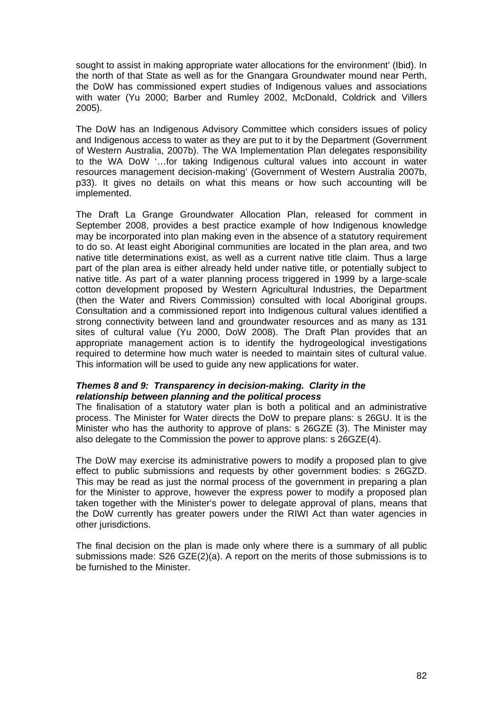sought to assist in making appropriate water allocations for the environment' (Ibid). In the north of that State as well as for the Gnangara Groundwater mound near Perth, the DoW has commissioned expert studies of Indigenous values and associations with water (Yu 2000; Barber and Rumley 2002, McDonald, Coldrick and Villers 2005).

The DoW has an Indigenous Advisory Committee which considers issues of policy and Indigenous access to water as they are put to it by the Department (Government of Western Australia, 2007b). The WA Implementation Plan delegates responsibility to the WA DoW '…for taking Indigenous cultural values into account in water resources management decision-making' (Government of Western Australia 2007b, p33). It gives no details on what this means or how such accounting will be implemented.

The Draft La Grange Groundwater Allocation Plan, released for comment in September 2008, provides a best practice example of how Indigenous knowledge may be incorporated into plan making even in the absence of a statutory requirement to do so. At least eight Aboriginal communities are located in the plan area, and two native title determinations exist, as well as a current native title claim. Thus a large part of the plan area is either already held under native title, or potentially subject to native title. As part of a water planning process triggered in 1999 by a large-scale cotton development proposed by Western Agricultural Industries, the Department (then the Water and Rivers Commission) consulted with local Aboriginal groups. Consultation and a commissioned report into Indigenous cultural values identified a strong connectivity between land and groundwater resources and as many as 131 sites of cultural value (Yu 2000, DoW 2008). The Draft Plan provides that an appropriate management action is to identify the hydrogeological investigations required to determine how much water is needed to maintain sites of cultural value. This information will be used to guide any new applications for water.

#### *Themes 8 and 9: Transparency in decision-making. Clarity in the relationship between planning and the political process*

The finalisation of a statutory water plan is both a political and an administrative process. The Minister for Water directs the DoW to prepare plans: s 26GU. It is the Minister who has the authority to approve of plans: s 26GZE (3). The Minister may also delegate to the Commission the power to approve plans: s 26GZE(4).

The DoW may exercise its administrative powers to modify a proposed plan to give effect to public submissions and requests by other government bodies: s 26GZD. This may be read as just the normal process of the government in preparing a plan for the Minister to approve, however the express power to modify a proposed plan taken together with the Minister's power to delegate approval of plans, means that the DoW currently has greater powers under the RIWI Act than water agencies in other jurisdictions.

The final decision on the plan is made only where there is a summary of all public submissions made: S26 GZE(2)(a). A report on the merits of those submissions is to be furnished to the Minister.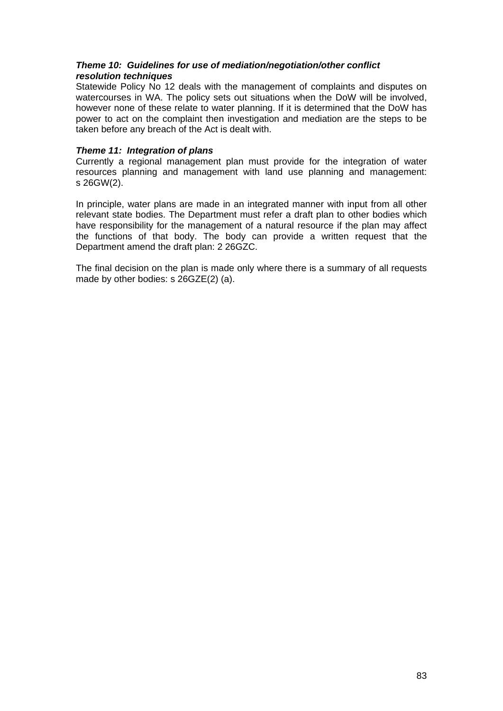#### *Theme 10: Guidelines for use of mediation/negotiation/other conflict resolution techniques*

Statewide Policy No 12 deals with the management of complaints and disputes on watercourses in WA. The policy sets out situations when the DoW will be involved, however none of these relate to water planning. If it is determined that the DoW has power to act on the complaint then investigation and mediation are the steps to be taken before any breach of the Act is dealt with.

#### *Theme 11: Integration of plans*

Currently a regional management plan must provide for the integration of water resources planning and management with land use planning and management: s 26GW(2).

In principle, water plans are made in an integrated manner with input from all other relevant state bodies. The Department must refer a draft plan to other bodies which have responsibility for the management of a natural resource if the plan may affect the functions of that body. The body can provide a written request that the Department amend the draft plan: 2 26GZC.

The final decision on the plan is made only where there is a summary of all requests made by other bodies: s 26GZE(2) (a).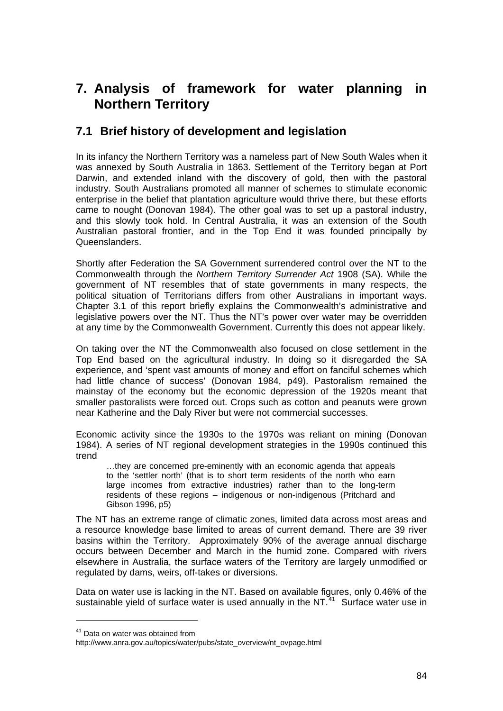# **7. Analysis of framework for water planning in Northern Territory**

### **7.1 Brief history of development and legislation**

In its infancy the Northern Territory was a nameless part of New South Wales when it was annexed by South Australia in 1863. Settlement of the Territory began at Port Darwin, and extended inland with the discovery of gold, then with the pastoral industry. South Australians promoted all manner of schemes to stimulate economic enterprise in the belief that plantation agriculture would thrive there, but these efforts came to nought (Donovan 1984). The other goal was to set up a pastoral industry, and this slowly took hold. In Central Australia, it was an extension of the South Australian pastoral frontier, and in the Top End it was founded principally by Queenslanders.

Shortly after Federation the SA Government surrendered control over the NT to the Commonwealth through the *Northern Territory Surrender Act* 1908 (SA). While the government of NT resembles that of state governments in many respects, the political situation of Territorians differs from other Australians in important ways. Chapter 3.1 of this report briefly explains the Commonwealth's administrative and legislative powers over the NT. Thus the NT's power over water may be overridden at any time by the Commonwealth Government. Currently this does not appear likely.

On taking over the NT the Commonwealth also focused on close settlement in the Top End based on the agricultural industry. In doing so it disregarded the SA experience, and 'spent vast amounts of money and effort on fanciful schemes which had little chance of success' (Donovan 1984, p49). Pastoralism remained the mainstay of the economy but the economic depression of the 1920s meant that smaller pastoralists were forced out. Crops such as cotton and peanuts were grown near Katherine and the Daly River but were not commercial successes.

Economic activity since the 1930s to the 1970s was reliant on mining (Donovan 1984). A series of NT regional development strategies in the 1990s continued this trend

 …they are concerned pre-eminently with an economic agenda that appeals to the 'settler north' (that is to short term residents of the north who earn large incomes from extractive industries) rather than to the long-term residents of these regions – indigenous or non-indigenous (Pritchard and Gibson 1996, p5)

The NT has an extreme range of climatic zones, limited data across most areas and a resource knowledge base limited to areas of current demand. There are 39 river basins within the Territory. Approximately 90% of the average annual discharge occurs between December and March in the humid zone. Compared with rivers elsewhere in Australia, the surface waters of the Territory are largely unmodified or regulated by dams, weirs, off-takes or diversions.

Data on water use is lacking in the NT. Based on available figures, only 0.46% of the sustainable yield of surface water is used annually in the NT. $41$  Surface water use in

<span id="page-83-0"></span><sup>&</sup>lt;sup>41</sup> Data on water was obtained from

http://www.anra.gov.au/topics/water/pubs/state\_overview/nt\_ovpage.html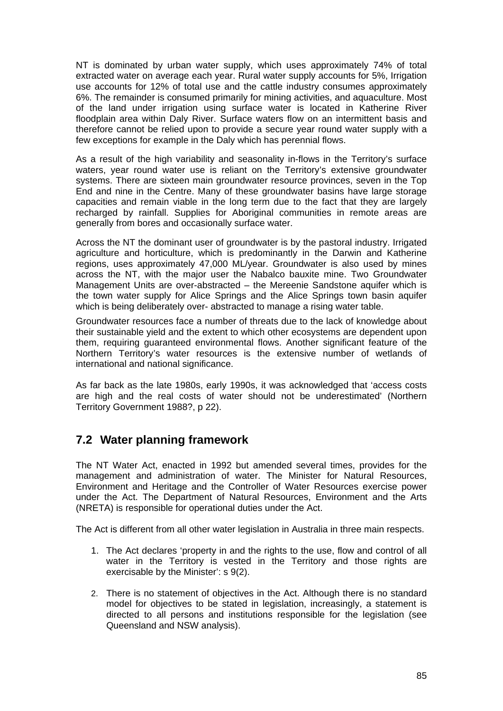NT is dominated by urban water supply, which uses approximately 74% of total extracted water on average each year. Rural water supply accounts for 5%, Irrigation use accounts for 12% of total use and the cattle industry consumes approximately 6%. The remainder is consumed primarily for mining activities, and aquaculture. Most of the land under irrigation using surface water is located in Katherine River floodplain area within Daly River. Surface waters flow on an intermittent basis and therefore cannot be relied upon to provide a secure year round water supply with a few exceptions for example in the Daly which has perennial flows.

As a result of the high variability and seasonality in-flows in the Territory's surface waters, year round water use is reliant on the Territory's extensive groundwater systems. There are sixteen main groundwater resource provinces, seven in the Top End and nine in the Centre. Many of these groundwater basins have large storage capacities and remain viable in the long term due to the fact that they are largely recharged by rainfall. Supplies for Aboriginal communities in remote areas are generally from bores and occasionally surface water.

Across the NT the dominant user of groundwater is by the pastoral industry. Irrigated agriculture and horticulture, which is predominantly in the Darwin and Katherine regions, uses approximately 47,000 ML/year. Groundwater is also used by mines across the NT, with the major user the Nabalco bauxite mine. Two Groundwater Management Units are over-abstracted – the Mereenie Sandstone aquifer which is the town water supply for Alice Springs and the Alice Springs town basin aquifer which is being deliberately over- abstracted to manage a rising water table.

Groundwater resources face a number of threats due to the lack of knowledge about their sustainable yield and the extent to which other ecosystems are dependent upon them, requiring guaranteed environmental flows. Another significant feature of the Northern Territory's water resources is the extensive number of wetlands of international and national significance.

As far back as the late 1980s, early 1990s, it was acknowledged that 'access costs are high and the real costs of water should not be underestimated' (Northern Territory Government 1988?, p 22).

## **7.2 Water planning framework**

The NT Water Act, enacted in 1992 but amended several times, provides for the management and administration of water. The Minister for Natural Resources, Environment and Heritage and the Controller of Water Resources exercise power under the Act. The Department of Natural Resources, Environment and the Arts (NRETA) is responsible for operational duties under the Act.

The Act is different from all other water legislation in Australia in three main respects.

- 1. The Act declares 'property in and the rights to the use, flow and control of all water in the Territory is vested in the Territory and those rights are exercisable by the Minister': s 9(2).
- 2. There is no statement of objectives in the Act. Although there is no standard model for objectives to be stated in legislation, increasingly, a statement is directed to all persons and institutions responsible for the legislation (see Queensland and NSW analysis).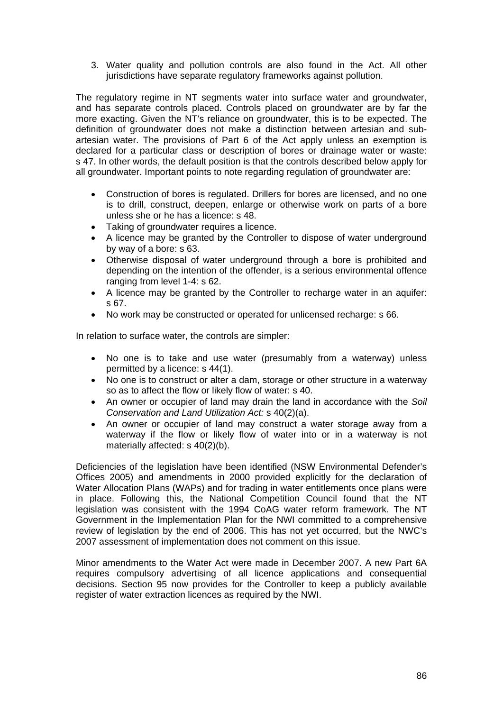3. Water quality and pollution controls are also found in the Act. All other jurisdictions have separate regulatory frameworks against pollution.

The regulatory regime in NT segments water into surface water and groundwater, and has separate controls placed. Controls placed on groundwater are by far the more exacting. Given the NT's reliance on groundwater, this is to be expected. The definition of groundwater does not make a distinction between artesian and subartesian water. The provisions of Part 6 of the Act apply unless an exemption is declared for a particular class or description of bores or drainage water or waste: s 47. In other words, the default position is that the controls described below apply for all groundwater. Important points to note regarding regulation of groundwater are:

- Construction of bores is regulated. Drillers for bores are licensed, and no one is to drill, construct, deepen, enlarge or otherwise work on parts of a bore unless she or he has a licence: s 48.
- Taking of groundwater requires a licence.
- A licence may be granted by the Controller to dispose of water underground by way of a bore: s 63.
- Otherwise disposal of water underground through a bore is prohibited and depending on the intention of the offender, is a serious environmental offence ranging from level 1-4: s 62.
- A licence may be granted by the Controller to recharge water in an aquifer: s 67.
- No work may be constructed or operated for unlicensed recharge: s 66.

In relation to surface water, the controls are simpler:

- No one is to take and use water (presumably from a waterway) unless permitted by a licence: s 44(1).
- No one is to construct or alter a dam, storage or other structure in a waterway so as to affect the flow or likely flow of water: s 40.
- An owner or occupier of land may drain the land in accordance with the *Soil Conservation and Land Utilization Act:* s 40(2)(a).
- An owner or occupier of land may construct a water storage away from a waterway if the flow or likely flow of water into or in a waterway is not materially affected: s 40(2)(b).

Deficiencies of the legislation have been identified (NSW Environmental Defender's Offices 2005) and amendments in 2000 provided explicitly for the declaration of Water Allocation Plans (WAPs) and for trading in water entitlements once plans were in place. Following this, the National Competition Council found that the NT legislation was consistent with the 1994 CoAG water reform framework. The NT Government in the Implementation Plan for the NWI committed to a comprehensive review of legislation by the end of 2006. This has not yet occurred, but the NWC's 2007 assessment of implementation does not comment on this issue.

Minor amendments to the Water Act were made in December 2007. A new Part 6A requires compulsory advertising of all licence applications and consequential decisions. Section 95 now provides for the Controller to keep a publicly available register of water extraction licences as required by the NWI.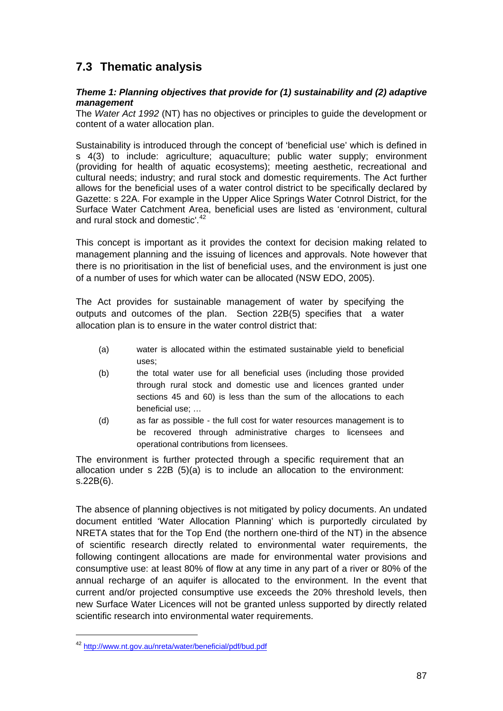## **7.3 Thematic analysis**

#### *Theme 1: Planning objectives that provide for (1) sustainability and (2) adaptive management*

The *Water Act 1992* (NT) has no objectives or principles to guide the development or content of a water allocation plan.

Sustainability is introduced through the concept of 'beneficial use' which is defined in s 4(3) to include: agriculture; aquaculture; public water supply; environment (providing for health of aquatic ecosystems); meeting aesthetic, recreational and cultural needs; industry; and rural stock and domestic requirements. The Act further allows for the beneficial uses of a water control district to be specifically declared by Gazette: s 22A. For example in the Upper Alice Springs Water Cotnrol District, for the Surface Water Catchment Area, beneficial uses are listed as 'environment, cultural and rural stock and domestic'.<sup>[42](#page-86-0)</sup>

This concept is important as it provides the context for decision making related to management planning and the issuing of licences and approvals. Note however that there is no prioritisation in the list of beneficial uses, and the environment is just one of a number of uses for which water can be allocated (NSW EDO, 2005).

The Act provides for sustainable management of water by specifying the outputs and outcomes of the plan. Section 22B(5) specifies that a water allocation plan is to ensure in the water control district that:

- (a) water is allocated within the estimated sustainable yield to beneficial uses;
- (b) the total water use for all beneficial uses (including those provided through rural stock and domestic use and licences granted under sections 45 and 60) is less than the sum of the allocations to each beneficial use; …
- (d) as far as possible the full cost for water resources management is to be recovered through administrative charges to licensees and operational contributions from licensees.

The environment is further protected through a specific requirement that an allocation under s 22B (5)(a) is to include an allocation to the environment: s.22B(6).

The absence of planning objectives is not mitigated by policy documents. An undated document entitled 'Water Allocation Planning' which is purportedly circulated by NRETA states that for the Top End (the northern one-third of the NT) in the absence of scientific research directly related to environmental water requirements, the following contingent allocations are made for environmental water provisions and consumptive use: at least 80% of flow at any time in any part of a river or 80% of the annual recharge of an aquifer is allocated to the environment. In the event that current and/or projected consumptive use exceeds the 20% threshold levels, then new Surface Water Licences will not be granted unless supported by directly related scientific research into environmental water requirements.

 $\overline{a}$ 

<span id="page-86-0"></span><sup>42</sup> <http://www.nt.gov.au/nreta/water/beneficial/pdf/bud.pdf>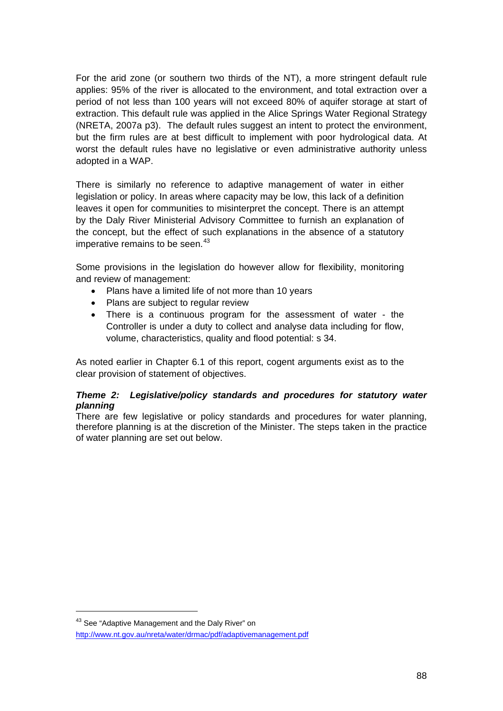For the arid zone (or southern two thirds of the NT), a more stringent default rule applies: 95% of the river is allocated to the environment, and total extraction over a period of not less than 100 years will not exceed 80% of aquifer storage at start of extraction. This default rule was applied in the Alice Springs Water Regional Strategy (NRETA, 2007a p3). The default rules suggest an intent to protect the environment, but the firm rules are at best difficult to implement with poor hydrological data. At worst the default rules have no legislative or even administrative authority unless adopted in a WAP.

There is similarly no reference to adaptive management of water in either legislation or policy. In areas where capacity may be low, this lack of a definition leaves it open for communities to misinterpret the concept. There is an attempt by the Daly River Ministerial Advisory Committee to furnish an explanation of the concept, but the effect of such explanations in the absence of a statutory imperative remains to be seen.<sup>[43](#page-87-0)</sup>

Some provisions in the legislation do however allow for flexibility, monitoring and review of management:

- Plans have a limited life of not more than 10 years
- Plans are subject to regular review
- There is a continuous program for the assessment of water the Controller is under a duty to collect and analyse data including for flow, volume, characteristics, quality and flood potential: s 34.

As noted earlier in Chapter 6.1 of this report, cogent arguments exist as to the clear provision of statement of objectives.

#### *Theme 2: Legislative/policy standards and procedures for statutory water planning*

There are few legislative or policy standards and procedures for water planning, therefore planning is at the discretion of the Minister. The steps taken in the practice of water planning are set out below.

<span id="page-87-0"></span><sup>&</sup>lt;sup>43</sup> See "Adaptive Management and the Daly River" on

<http://www.nt.gov.au/nreta/water/drmac/pdf/adaptivemanagement.pdf>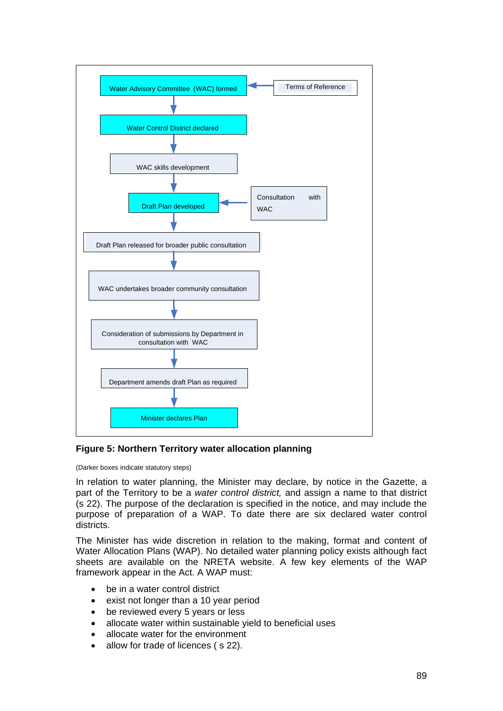

**Figure 5: Northern Territory water allocation planning** 

#### (Darker boxes indicate statutory steps)

In relation to water planning, the Minister may declare, by notice in the Gazette, a part of the Territory to be a *water control district,* and assign a name to that district (s 22). The purpose of the declaration is specified in the notice, and may include the purpose of preparation of a WAP. To date there are six declared water control districts.

The Minister has wide discretion in relation to the making, format and content of Water Allocation Plans (WAP). No detailed water planning policy exists although fact sheets are available on the NRETA website. A few key elements of the WAP framework appear in the Act. A WAP must:

- be in a water control district
- exist not longer than a 10 year period
- be reviewed every 5 years or less
- allocate water within sustainable yield to beneficial uses
- allocate water for the environment
- allow for trade of licences (s 22).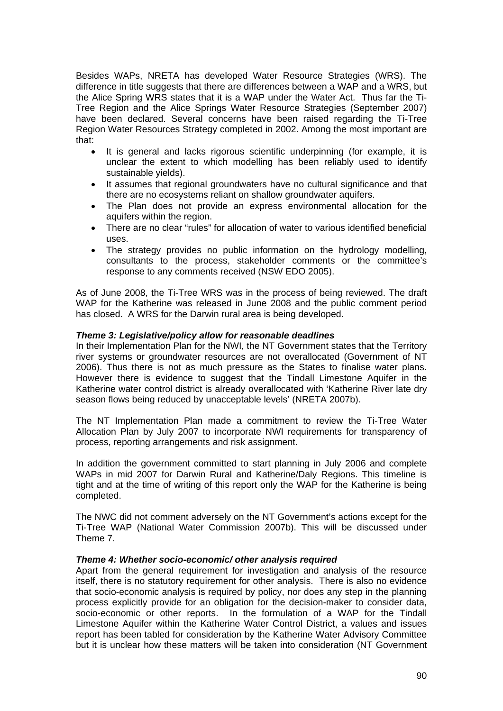Besides WAPs, NRETA has developed Water Resource Strategies (WRS). The difference in title suggests that there are differences between a WAP and a WRS, but the Alice Spring WRS states that it is a WAP under the Water Act. Thus far the Ti-Tree Region and the Alice Springs Water Resource Strategies (September 2007) have been declared. Several concerns have been raised regarding the Ti-Tree Region Water Resources Strategy completed in 2002. Among the most important are that:

- It is general and lacks rigorous scientific underpinning (for example, it is unclear the extent to which modelling has been reliably used to identify sustainable yields).
- It assumes that regional groundwaters have no cultural significance and that there are no ecosystems reliant on shallow groundwater aquifers.
- The Plan does not provide an express environmental allocation for the aquifers within the region.
- There are no clear "rules" for allocation of water to various identified beneficial uses.
- The strategy provides no public information on the hydrology modelling, consultants to the process, stakeholder comments or the committee's response to any comments received (NSW EDO 2005).

As of June 2008, the Ti-Tree WRS was in the process of being reviewed. The draft WAP for the Katherine was released in June 2008 and the public comment period has closed. A WRS for the Darwin rural area is being developed.

#### *Theme 3: Legislative/policy allow for reasonable deadlines*

In their Implementation Plan for the NWI, the NT Government states that the Territory river systems or groundwater resources are not overallocated (Government of NT 2006). Thus there is not as much pressure as the States to finalise water plans. However there is evidence to suggest that the Tindall Limestone Aquifer in the Katherine water control district is already overallocated with 'Katherine River late dry season flows being reduced by unacceptable levels' (NRETA 2007b).

The NT Implementation Plan made a commitment to review the Ti-Tree Water Allocation Plan by July 2007 to incorporate NWI requirements for transparency of process, reporting arrangements and risk assignment.

In addition the government committed to start planning in July 2006 and complete WAPs in mid 2007 for Darwin Rural and Katherine/Daly Regions. This timeline is tight and at the time of writing of this report only the WAP for the Katherine is being completed.

The NWC did not comment adversely on the NT Government's actions except for the Ti-Tree WAP (National Water Commission 2007b). This will be discussed under Theme 7.

#### *Theme 4: Whether socio-economic/ other analysis required*

Apart from the general requirement for investigation and analysis of the resource itself, there is no statutory requirement for other analysis. There is also no evidence that socio-economic analysis is required by policy, nor does any step in the planning process explicitly provide for an obligation for the decision-maker to consider data, socio-economic or other reports. In the formulation of a WAP for the Tindall Limestone Aquifer within the Katherine Water Control District, a values and issues report has been tabled for consideration by the Katherine Water Advisory Committee but it is unclear how these matters will be taken into consideration (NT Government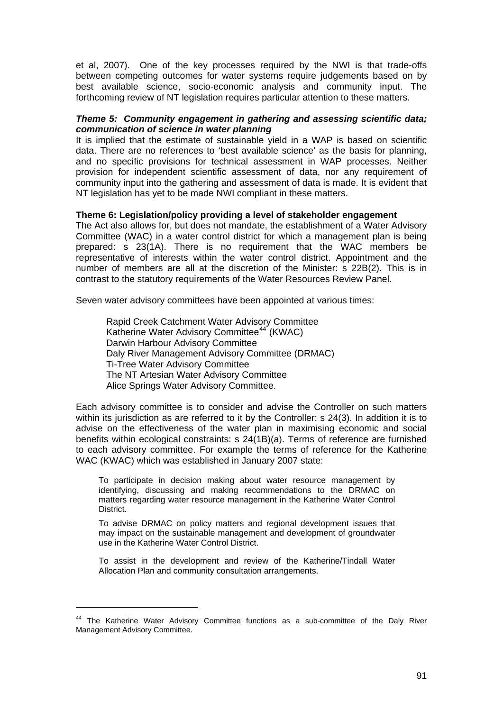et al, 2007). One of the key processes required by the NWI is that trade-offs between competing outcomes for water systems require judgements based on by best available science, socio-economic analysis and community input. The forthcoming review of NT legislation requires particular attention to these matters.

#### *Theme 5: Community engagement in gathering and assessing scientific data; communication of science in water planning*

It is implied that the estimate of sustainable yield in a WAP is based on scientific data. There are no references to 'best available science' as the basis for planning, and no specific provisions for technical assessment in WAP processes. Neither provision for independent scientific assessment of data, nor any requirement of community input into the gathering and assessment of data is made. It is evident that NT legislation has yet to be made NWI compliant in these matters.

#### **Theme 6: Legislation/policy providing a level of stakeholder engagement**

The Act also allows for, but does not mandate, the establishment of a Water Advisory Committee (WAC) in a water control district for which a management plan is being prepared: s 23(1A). There is no requirement that the WAC members be representative of interests within the water control district. Appointment and the number of members are all at the discretion of the Minister: s 22B(2). This is in contrast to the statutory requirements of the Water Resources Review Panel.

Seven water advisory committees have been appointed at various times:

Rapid Creek Catchment Water Advisory Committee Katherine Water Advisory Committee<sup>[44](#page-90-0)</sup> (KWAC) Darwin Harbour Advisory Committee Daly River Management Advisory Committee (DRMAC) Ti-Tree Water Advisory Committee The NT Artesian Water Advisory Committee Alice Springs Water Advisory Committee.

Each advisory committee is to consider and advise the Controller on such matters within its jurisdiction as are referred to it by the Controller: s 24(3). In addition it is to advise on the effectiveness of the water plan in maximising economic and social benefits within ecological constraints: s 24(1B)(a). Terms of reference are furnished to each advisory committee. For example the terms of reference for the Katherine WAC (KWAC) which was established in January 2007 state:

To participate in decision making about water resource management by identifying, discussing and making recommendations to the DRMAC on matters regarding water resource management in the Katherine Water Control District.

To advise DRMAC on policy matters and regional development issues that may impact on the sustainable management and development of groundwater use in the Katherine Water Control District.

To assist in the development and review of the Katherine/Tindall Water Allocation Plan and community consultation arrangements.

 $\overline{a}$ 

<span id="page-90-0"></span><sup>&</sup>lt;sup>44</sup> The Katherine Water Advisory Committee functions as a sub-committee of the Daly River Management Advisory Committee.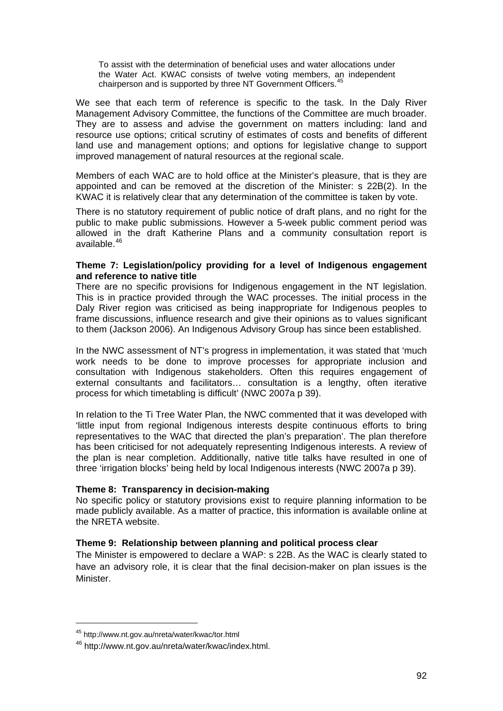To assist with the determination of beneficial uses and water allocations under the Water Act. KWAC consists of twelve voting members, an independent chairperson and is supported by three NT Government Officers.<sup>[45](#page-91-0)</sup>

We see that each term of reference is specific to the task. In the Daly River Management Advisory Committee, the functions of the Committee are much broader. They are to assess and advise the government on matters including: land and resource use options; critical scrutiny of estimates of costs and benefits of different land use and management options; and options for legislative change to support improved management of natural resources at the regional scale.

Members of each WAC are to hold office at the Minister's pleasure, that is they are appointed and can be removed at the discretion of the Minister: s 22B(2). In the KWAC it is relatively clear that any determination of the committee is taken by vote.

There is no statutory requirement of public notice of draft plans, and no right for the public to make public submissions. However a 5-week public comment period was allowed in the draft Katherine Plans and a community consultation report is available.[46](#page-91-1)

#### **Theme 7: Legislation/policy providing for a level of Indigenous engagement and reference to native title**

There are no specific provisions for Indigenous engagement in the NT legislation. This is in practice provided through the WAC processes. The initial process in the Daly River region was criticised as being inappropriate for Indigenous peoples to frame discussions, influence research and give their opinions as to values significant to them (Jackson 2006). An Indigenous Advisory Group has since been established.

In the NWC assessment of NT's progress in implementation, it was stated that 'much work needs to be done to improve processes for appropriate inclusion and consultation with Indigenous stakeholders. Often this requires engagement of external consultants and facilitators… consultation is a lengthy, often iterative process for which timetabling is difficult' (NWC 2007a p 39).

In relation to the Ti Tree Water Plan, the NWC commented that it was developed with 'little input from regional Indigenous interests despite continuous efforts to bring representatives to the WAC that directed the plan's preparation'. The plan therefore has been criticised for not adequately representing Indigenous interests. A review of the plan is near completion. Additionally, native title talks have resulted in one of three 'irrigation blocks' being held by local Indigenous interests (NWC 2007a p 39).

#### **Theme 8: Transparency in decision-making**

No specific policy or statutory provisions exist to require planning information to be made publicly available. As a matter of practice, this information is available online at the NRETA website.

#### **Theme 9: Relationship between planning and political process clear**

The Minister is empowered to declare a WAP: s 22B. As the WAC is clearly stated to have an advisory role, it is clear that the final decision-maker on plan issues is the Minister.

<span id="page-91-0"></span><sup>45</sup> http://www.nt.gov.au/nreta/water/kwac/tor.html

<span id="page-91-1"></span><sup>46</sup> http://www.nt.gov.au/nreta/water/kwac/index.html.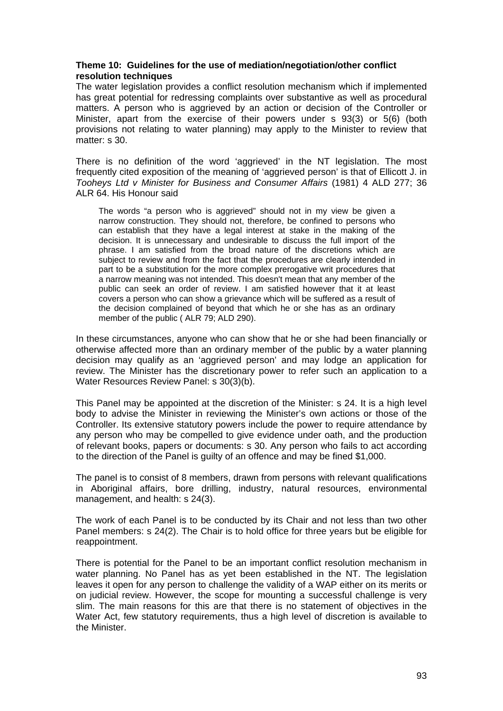#### **Theme 10: Guidelines for the use of mediation/negotiation/other conflict resolution techniques**

The water legislation provides a conflict resolution mechanism which if implemented has great potential for redressing complaints over substantive as well as procedural matters. A person who is aggrieved by an action or decision of the Controller or Minister, apart from the exercise of their powers under s 93(3) or 5(6) (both provisions not relating to water planning) may apply to the Minister to review that matter: s 30.

There is no definition of the word 'aggrieved' in the NT legislation. The most frequently cited exposition of the meaning of 'aggrieved person' is that of Ellicott J. in *Tooheys Ltd v Minister for Business and Consumer Affairs* [\(1981\) 4 ALD 277](http://www.lexisnexis.com.libraryproxy.griffith.edu.au/au/legal/search/runRemoteLink.do?service=citation&langcountry=AU&risb=21_T2976727464&A=0.3800960285496049&linkInfo=AU%23ALD%23year%251981%25page%25277%25decisiondate%251981%25vol%254%25sel2%254%25sel1%251981%25&bct=A); [36](http://www.lexisnexis.com.libraryproxy.griffith.edu.au/au/legal/search/runRemoteLink.do?service=citation&langcountry=AU&risb=21_T2976727464&A=0.5625409868601308&linkInfo=AU%23ALR%23year%251981%25page%2564%25decisiondate%251981%25vol%2536%25sel2%2536%25sel1%251981%25&bct=A)  [ALR 64.](http://www.lexisnexis.com.libraryproxy.griffith.edu.au/au/legal/search/runRemoteLink.do?service=citation&langcountry=AU&risb=21_T2976727464&A=0.5625409868601308&linkInfo=AU%23ALR%23year%251981%25page%2564%25decisiondate%251981%25vol%2536%25sel2%2536%25sel1%251981%25&bct=A) His Honour said

The words "a person who is aggrieved" should not in my view be given a narrow construction. They should not, therefore, be confined to persons who can establish that they have a legal interest at stake in the making of the decision. It is unnecessary and undesirable to discuss the full import of the phrase. I am satisfied from the broad nature of the discretions which are subject to review and from the fact that the procedures are clearly intended in part to be a substitution for the more complex prerogative writ procedures that a narrow meaning was not intended. This doesn't mean that any member of the public can seek an order of review. I am satisfied however that it at least covers a person who can show a grievance which will be suffered as a result of the decision complained of beyond that which he or she has as an ordinary member of the public [\( ALR 79;](http://www.lexisnexis.com.libraryproxy.griffith.edu.au/au/legal/search/runRemoteLink.do?service=citation&langcountry=AU&risb=21_T2976727464&A=0.4003600225915086&linkInfo=AU%23ALR%23year%251981%25tpage%2579%25vol%2536%25sel2%2536%25sel1%251981%25&bct=A) [ALD 290\)](http://www.lexisnexis.com.libraryproxy.griffith.edu.au/au/legal/search/runRemoteLink.do?service=citation&langcountry=AU&risb=21_T2976727464&A=0.2293406103724167&linkInfo=AU%23ALD%23year%251981%25tpage%25290%25vol%254%25sel2%254%25sel1%251981%25&bct=A).

In these circumstances, anyone who can show that he or she had been financially or otherwise affected more than an ordinary member of the public by a water planning decision may qualify as an 'aggrieved person' and may lodge an application for review. The Minister has the discretionary power to refer such an application to a Water Resources Review Panel: s 30(3)(b).

This Panel may be appointed at the discretion of the Minister: s 24. It is a high level body to advise the Minister in reviewing the Minister's own actions or those of the Controller. Its extensive statutory powers include the power to require attendance by any person who may be compelled to give evidence under oath, and the production of relevant books, papers or documents: s 30. Any person who fails to act according to the direction of the Panel is guilty of an offence and may be fined \$1,000.

The panel is to consist of 8 members, drawn from persons with relevant qualifications in Aboriginal affairs, bore drilling, industry, natural resources, environmental management, and health: s 24(3).

The work of each Panel is to be conducted by its Chair and not less than two other Panel members: s 24(2). The Chair is to hold office for three years but be eligible for reappointment.

There is potential for the Panel to be an important conflict resolution mechanism in water planning. No Panel has as yet been established in the NT. The legislation leaves it open for any person to challenge the validity of a WAP either on its merits or on judicial review. However, the scope for mounting a successful challenge is very slim. The main reasons for this are that there is no statement of objectives in the Water Act, few statutory requirements, thus a high level of discretion is available to the Minister.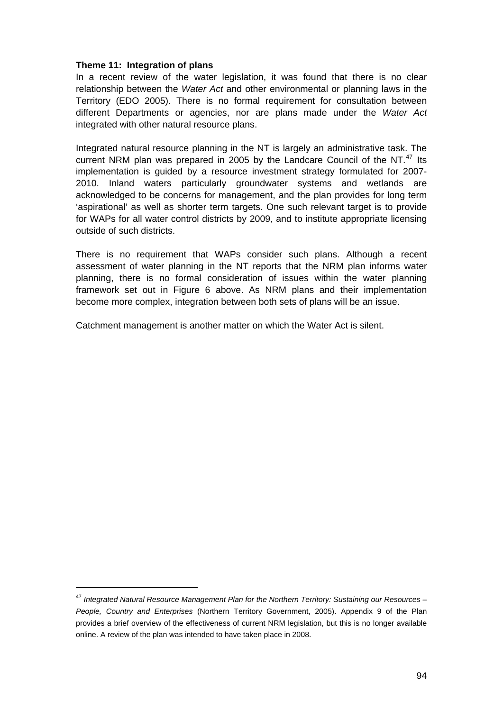#### **Theme 11: Integration of plans**

In a recent review of the water legislation, it was found that there is no clear relationship between the *Water Act* and other environmental or planning laws in the Territory (EDO 2005). There is no formal requirement for consultation between different Departments or agencies, nor are plans made under the *Water Act*  integrated with other natural resource plans.

Integrated natural resource planning in the NT is largely an administrative task. The current NRM plan was prepared in 2005 by the Landcare Council of the NT. $47$  Its implementation is guided by a resource investment strategy formulated for 2007- 2010. Inland waters particularly groundwater systems and wetlands are acknowledged to be concerns for management, and the plan provides for long term 'aspirational' as well as shorter term targets. One such relevant target is to provide for WAPs for all water control districts by 2009, and to institute appropriate licensing outside of such districts.

There is no requirement that WAPs consider such plans. Although a recent assessment of water planning in the NT reports that the NRM plan informs water planning, there is no formal consideration of issues within the water planning framework set out in Figure 6 above. As NRM plans and their implementation become more complex, integration between both sets of plans will be an issue.

Catchment management is another matter on which the Water Act is silent.

<span id="page-93-0"></span><sup>47</sup> *Integrated Natural Resource Management Plan for the Northern Territory: Sustaining our Resources – People, Country and Enterprises* (Northern Territory Government, 2005). Appendix 9 of the Plan provides a brief overview of the effectiveness of current NRM legislation, but this is no longer available online. A review of the plan was intended to have taken place in 2008.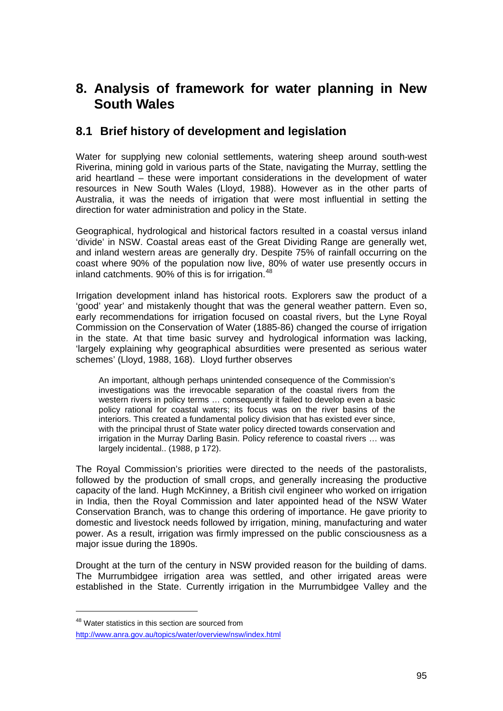# **8. Analysis of framework for water planning in New South Wales**

### **8.1 Brief history of development and legislation**

Water for supplying new colonial settlements, watering sheep around south-west Riverina, mining gold in various parts of the State, navigating the Murray, settling the arid heartland – these were important considerations in the development of water resources in New South Wales (Lloyd, 1988). However as in the other parts of Australia, it was the needs of irrigation that were most influential in setting the direction for water administration and policy in the State.

Geographical, hydrological and historical factors resulted in a coastal versus inland 'divide' in NSW. Coastal areas east of the Great Dividing Range are generally wet, and inland western areas are generally dry. Despite 75% of rainfall occurring on the coast where 90% of the population now live, 80% of water use presently occurs in inland catchments. 90% of this is for irrigation.<sup>[48](#page-94-0)</sup>

Irrigation development inland has historical roots. Explorers saw the product of a 'good' year' and mistakenly thought that was the general weather pattern. Even so, early recommendations for irrigation focused on coastal rivers, but the Lyne Royal Commission on the Conservation of Water (1885-86) changed the course of irrigation in the state. At that time basic survey and hydrological information was lacking, 'largely explaining why geographical absurdities were presented as serious water schemes' (Lloyd, 1988, 168). Lloyd further observes

An important, although perhaps unintended consequence of the Commission's investigations was the irrevocable separation of the coastal rivers from the western rivers in policy terms … consequently it failed to develop even a basic policy rational for coastal waters; its focus was on the river basins of the interiors. This created a fundamental policy division that has existed ever since, with the principal thrust of State water policy directed towards conservation and irrigation in the Murray Darling Basin. Policy reference to coastal rivers … was largely incidental.. (1988, p 172).

The Royal Commission's priorities were directed to the needs of the pastoralists, followed by the production of small crops, and generally increasing the productive capacity of the land. Hugh McKinney, a British civil engineer who worked on irrigation in India, then the Royal Commission and later appointed head of the NSW Water Conservation Branch, was to change this ordering of importance. He gave priority to domestic and livestock needs followed by irrigation, mining, manufacturing and water power. As a result, irrigation was firmly impressed on the public consciousness as a major issue during the 1890s.

Drought at the turn of the century in NSW provided reason for the building of dams. The Murrumbidgee irrigation area was settled, and other irrigated areas were established in the State. Currently irrigation in the Murrumbidgee Valley and the

<span id="page-94-0"></span><sup>&</sup>lt;sup>48</sup> Water statistics in this section are sourced from

<http://www.anra.gov.au/topics/water/overview/nsw/index.html>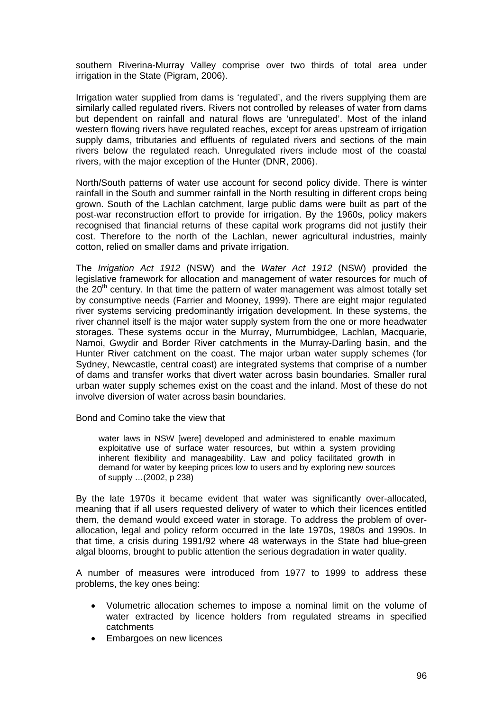southern Riverina-Murray Valley comprise over two thirds of total area under irrigation in the State (Pigram, 2006).

Irrigation water supplied from dams is 'regulated', and the rivers supplying them are similarly called regulated rivers. Rivers not controlled by releases of water from dams but dependent on rainfall and natural flows are 'unregulated'. Most of the inland western flowing rivers have regulated reaches, except for areas upstream of irrigation supply dams, tributaries and effluents of regulated rivers and sections of the main rivers below the regulated reach. Unregulated rivers include most of the coastal rivers, with the major exception of the Hunter (DNR, 2006).

North/South patterns of water use account for second policy divide. There is winter rainfall in the South and summer rainfall in the North resulting in different crops being grown. South of the Lachlan catchment, large public dams were built as part of the post-war reconstruction effort to provide for irrigation. By the 1960s, policy makers recognised that financial returns of these capital work programs did not justify their cost. Therefore to the north of the Lachlan, newer agricultural industries, mainly cotton, relied on smaller dams and private irrigation.

The *Irrigation Act 1912* (NSW) and the *Water Act 1912* (NSW) provided the legislative framework for allocation and management of water resources for much of the  $20<sup>th</sup>$  century. In that time the pattern of water management was almost totally set by consumptive needs (Farrier and Mooney, 1999). There are eight major regulated river systems servicing predominantly irrigation development. In these systems, the river channel itself is the major water supply system from the one or more headwater storages. These systems occur in the Murray, Murrumbidgee, Lachlan, Macquarie, Namoi, Gwydir and Border River catchments in the Murray-Darling basin, and the Hunter River catchment on the coast. The major urban water supply schemes (for Sydney, Newcastle, central coast) are integrated systems that comprise of a number of dams and transfer works that divert water across basin boundaries. Smaller rural urban water supply schemes exist on the coast and the inland. Most of these do not involve diversion of water across basin boundaries.

Bond and Comino take the view that

water laws in NSW [were] developed and administered to enable maximum exploitative use of surface water resources, but within a system providing inherent flexibility and manageability. Law and policy facilitated growth in demand for water by keeping prices low to users and by exploring new sources of supply …(2002, p 238)

By the late 1970s it became evident that water was significantly over-allocated, meaning that if all users requested delivery of water to which their licences entitled them, the demand would exceed water in storage. To address the problem of overallocation, legal and policy reform occurred in the late 1970s, 1980s and 1990s. In that time, a crisis during 1991/92 where 48 waterways in the State had blue-green algal blooms, brought to public attention the serious degradation in water quality.

A number of measures were introduced from 1977 to 1999 to address these problems, the key ones being:

- Volumetric allocation schemes to impose a nominal limit on the volume of water extracted by licence holders from regulated streams in specified catchments
- Embargoes on new licences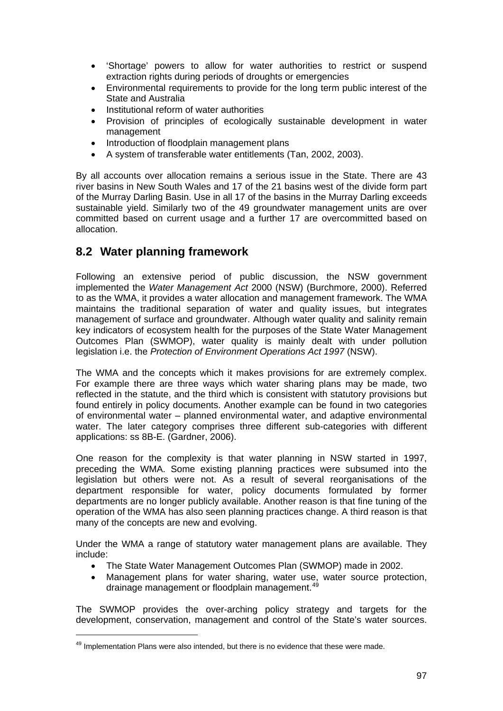- 'Shortage' powers to allow for water authorities to restrict or suspend extraction rights during periods of droughts or emergencies
- Environmental requirements to provide for the long term public interest of the State and Australia
- Institutional reform of water authorities
- Provision of principles of ecologically sustainable development in water management
- Introduction of floodplain management plans
- A system of transferable water entitlements (Tan, 2002, 2003).

By all accounts over allocation remains a serious issue in the State. There are 43 river basins in New South Wales and 17 of the 21 basins west of the divide form part of the Murray Darling Basin. Use in all 17 of the basins in the Murray Darling exceeds sustainable yield. Similarly two of the 49 groundwater management units are over committed based on current usage and a further 17 are overcommitted based on allocation.

## **8.2 Water planning framework**

Following an extensive period of public discussion, the NSW government implemented the *Water Management Act* 2000 (NSW) (Burchmore, 2000). Referred to as the WMA, it provides a water allocation and management framework. The WMA maintains the traditional separation of water and quality issues, but integrates management of surface and groundwater. Although water quality and salinity remain key indicators of ecosystem health for the purposes of the State Water Management Outcomes Plan (SWMOP), water quality is mainly dealt with under pollution legislation i.e. the *Protection of Environment Operations Act 1997* (NSW).

The WMA and the concepts which it makes provisions for are extremely complex. For example there are three ways which water sharing plans may be made, two reflected in the statute, and the third which is consistent with statutory provisions but found entirely in policy documents. Another example can be found in two categories of environmental water – planned environmental water, and adaptive environmental water. The later category comprises three different sub-categories with different applications: ss 8B-E. (Gardner, 2006).

One reason for the complexity is that water planning in NSW started in 1997, preceding the WMA. Some existing planning practices were subsumed into the legislation but others were not. As a result of several reorganisations of the department responsible for water, policy documents formulated by former departments are no longer publicly available. Another reason is that fine tuning of the operation of the WMA has also seen planning practices change. A third reason is that many of the concepts are new and evolving.

Under the WMA a range of statutory water management plans are available. They include:

- The State Water Management Outcomes Plan (SWMOP) made in 2002.
- Management plans for water sharing, water use, water source protection, drainage management or floodplain management.<sup>[49](#page-96-0)</sup>

The SWMOP provides the over-arching policy strategy and targets for the development, conservation, management and control of the State's water sources.

<span id="page-96-0"></span> $49$  Implementation Plans were also intended, but there is no evidence that these were made.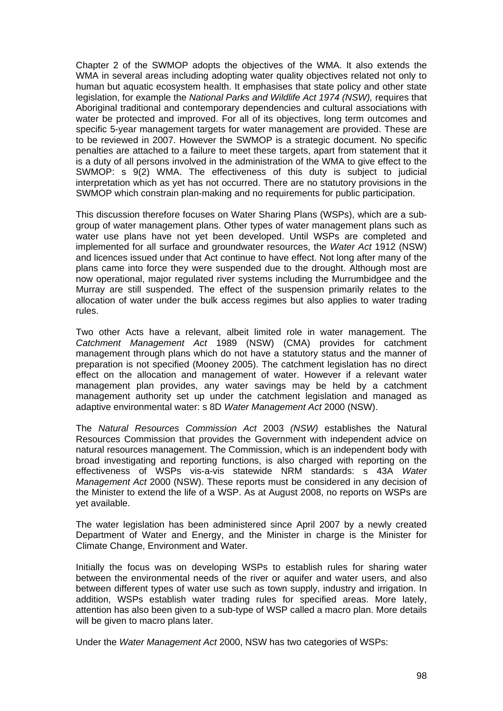Chapter 2 of the SWMOP adopts the objectives of the WMA. It also extends the WMA in several areas including adopting water quality objectives related not only to human but aquatic ecosystem health. It emphasises that state policy and other state legislation, for example the *National Parks and Wildlife Act 1974 (NSW),* requires that Aboriginal traditional and contemporary dependencies and cultural associations with water be protected and improved. For all of its objectives, long term outcomes and specific 5-year management targets for water management are provided. These are to be reviewed in 2007. However the SWMOP is a strategic document. No specific penalties are attached to a failure to meet these targets, apart from statement that it is a duty of all persons involved in the administration of the WMA to give effect to the SWMOP: s 9(2) WMA. The effectiveness of this duty is subject to judicial interpretation which as yet has not occurred. There are no statutory provisions in the SWMOP which constrain plan-making and no requirements for public participation.

This discussion therefore focuses on Water Sharing Plans (WSPs), which are a subgroup of water management plans. Other types of water management plans such as water use plans have not yet been developed. Until WSPs are completed and implemented for all surface and groundwater resources, the *Water Act* 1912 (NSW) and licences issued under that Act continue to have effect. Not long after many of the plans came into force they were suspended due to the drought. Although most are now operational, major regulated river systems including the Murrumbidgee and the Murray are still suspended. The effect of the suspension primarily relates to the allocation of water under the bulk access regimes but also applies to water trading rules.

Two other Acts have a relevant, albeit limited role in water management. The *Catchment Management Act* 1989 (NSW) (CMA) provides for catchment management through plans which do not have a statutory status and the manner of preparation is not specified (Mooney 2005). The catchment legislation has no direct effect on the allocation and management of water. However if a relevant water management plan provides, any water savings may be held by a catchment management authority set up under the catchment legislation and managed as adaptive environmental water: s 8D *Water Management Act* 2000 (NSW).

The *Natural Resources Commission Act* 2003 *(NSW)* establishes the Natural Resources Commission that provides the Government with independent advice on natural resources management. The Commission, which is an independent body with broad investigating and reporting functions, is also charged with reporting on the effectiveness of WSPs vis-a-vis statewide NRM standards: s 43A *Water Management Act* 2000 (NSW). These reports must be considered in any decision of the Minister to extend the life of a WSP. As at August 2008, no reports on WSPs are yet available.

The water legislation has been administered since April 2007 by a newly created Department of Water and Energy, and the Minister in charge is the Minister for Climate Change, Environment and Water.

Initially the focus was on developing WSPs to establish rules for sharing water between the environmental needs of the river or aquifer and water users, and also between different types of water use such as town supply, industry and irrigation. In addition, WSPs establish water trading rules for specified areas. More lately, attention has also been given to a sub-type of WSP called a macro plan. More details will be given to macro plans later.

Under the *Water Management Act* 2000, NSW has two categories of WSPs: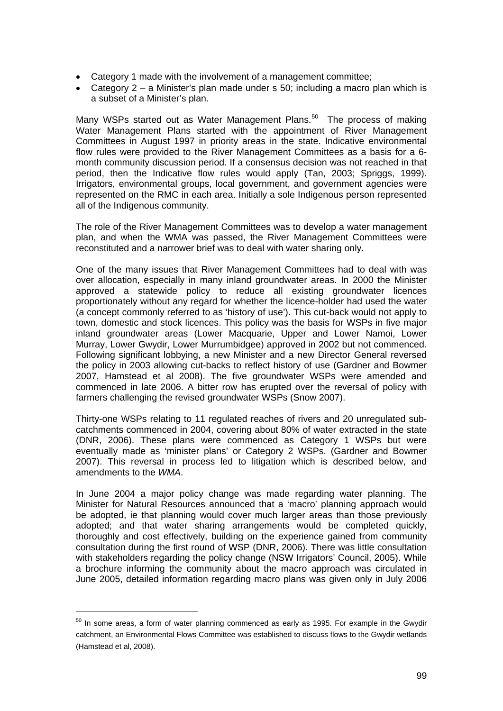- Category 1 made with the involvement of a management committee;
- Category 2 a Minister's plan made under s 50; including a macro plan which is a subset of a Minister's plan.

Many WSPs started out as Water Management Plans.<sup>[50](#page-98-0)</sup> The process of making Water Management Plans started with the appointment of River Management Committees in August 1997 in priority areas in the state. Indicative environmental flow rules were provided to the River Management Committees as a basis for a 6 month community discussion period. If a consensus decision was not reached in that period, then the Indicative flow rules would apply (Tan, 2003; Spriggs, 1999). Irrigators, environmental groups, local government, and government agencies were represented on the RMC in each area. Initially a sole Indigenous person represented all of the Indigenous community.

The role of the River Management Committees was to develop a water management plan, and when the WMA was passed, the River Management Committees were reconstituted and a narrower brief was to deal with water sharing only.

One of the many issues that River Management Committees had to deal with was over allocation, especially in many inland groundwater areas. In 2000 the Minister approved a statewide policy to reduce all existing groundwater licences proportionately without any regard for whether the licence-holder had used the water (a concept commonly referred to as 'history of use'). This cut-back would not apply to town, domestic and stock licences. This policy was the basis for WSPs in five major inland groundwater areas (Lower Macquarie, Upper and Lower Namoi, Lower Murray, Lower Gwydir, Lower Murrumbidgee) approved in 2002 but not commenced. Following significant lobbying, a new Minister and a new Director General reversed the policy in 2003 allowing cut-backs to reflect history of use (Gardner and Bowmer 2007, Hamstead et al 2008). The five groundwater WSPs were amended and commenced in late 2006. A bitter row has erupted over the reversal of policy with farmers challenging the revised groundwater WSPs (Snow 2007).

Thirty-one WSPs relating to 11 regulated reaches of rivers and 20 unregulated subcatchments commenced in 2004, covering about 80% of water extracted in the state (DNR, 2006). These plans were commenced as Category 1 WSPs but were eventually made as 'minister plans' or Category 2 WSPs. (Gardner and Bowmer 2007). This reversal in process led to litigation which is described below, and amendments to the *WMA*.

In June 2004 a major policy change was made regarding water planning. The Minister for Natural Resources announced that a 'macro' planning approach would be adopted, ie that planning would cover much larger areas than those previously adopted; and that water sharing arrangements would be completed quickly, thoroughly and cost effectively, building on the experience gained from community consultation during the first round of WSP (DNR, 2006). There was little consultation with stakeholders regarding the policy change (NSW Irrigators' Council, 2005). While a brochure informing the community about the macro approach was circulated in June 2005, detailed information regarding macro plans was given only in July 2006

<span id="page-98-0"></span> $50$  In some areas, a form of water planning commenced as early as 1995. For example in the Gwydir catchment, an Environmental Flows Committee was established to discuss flows to the Gwydir wetlands (Hamstead et al, 2008).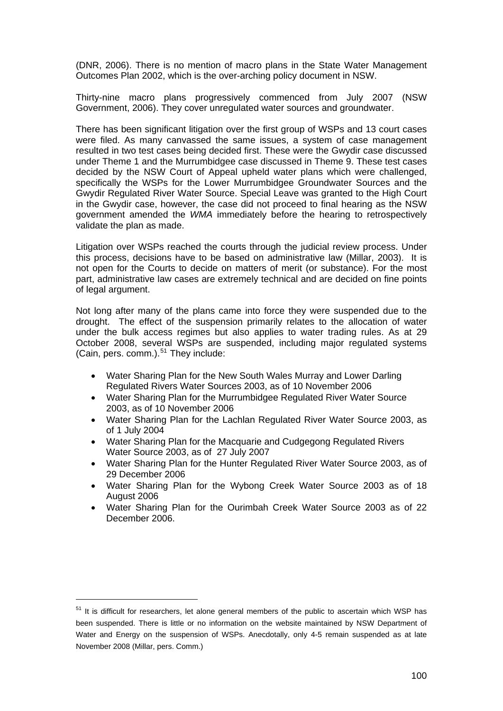(DNR, 2006). There is no mention of macro plans in the State Water Management Outcomes Plan 2002, which is the over-arching policy document in NSW.

Thirty-nine macro plans progressively commenced from July 2007 (NSW Government, 2006). They cover unregulated water sources and groundwater.

There has been significant litigation over the first group of WSPs and 13 court cases were filed. As many canvassed the same issues, a system of case management resulted in two test cases being decided first. These were the Gwydir case discussed under Theme 1 and the Murrumbidgee case discussed in Theme 9. These test cases decided by the NSW Court of Appeal upheld water plans which were challenged, specifically the WSPs for the Lower Murrumbidgee Groundwater Sources and the Gwydir Regulated River Water Source. Special Leave was granted to the High Court in the Gwydir case, however, the case did not proceed to final hearing as the NSW government amended the *WMA* immediately before the hearing to retrospectively validate the plan as made.

Litigation over WSPs reached the courts through the judicial review process. Under this process, decisions have to be based on administrative law (Millar, 2003). It is not open for the Courts to decide on matters of merit (or substance). For the most part, administrative law cases are extremely technical and are decided on fine points of legal argument.

Not long after many of the plans came into force they were suspended due to the drought. The effect of the suspension primarily relates to the allocation of water under the bulk access regimes but also applies to water trading rules. As at 29 October 2008, several WSPs are suspended, including major regulated systems (Cain, pers. comm.). $51$  They include:

- Water Sharing Plan for the New South Wales Murray and Lower Darling Regulated Rivers Water Sources 2003, as of 10 November 2006
- Water Sharing Plan for the Murrumbidgee Regulated River Water Source 2003, as of 10 November 2006
- Water Sharing Plan for the Lachlan Regulated River Water Source 2003, as of 1 July 2004
- Water Sharing Plan for the Macquarie and Cudgegong Regulated Rivers Water Source 2003, as of 27 July 2007
- Water Sharing Plan for the Hunter Regulated River Water Source 2003, as of 29 December 2006
- Water Sharing Plan for the Wybong Creek Water Source 2003 as of 18 August 2006
- Water Sharing Plan for the Ourimbah Creek Water Source 2003 as of 22 December 2006.

 $\overline{a}$ 

<span id="page-99-0"></span> $51$  It is difficult for researchers, let alone general members of the public to ascertain which WSP has been suspended. There is little or no information on the website maintained by NSW Department of Water and Energy on the suspension of WSPs. Anecdotally, only 4-5 remain suspended as at late November 2008 (Millar, pers. Comm.)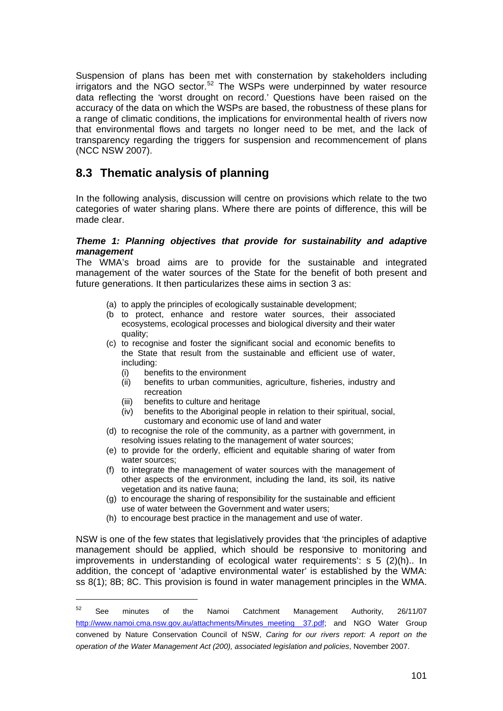Suspension of plans has been met with consternation by stakeholders including irrigators and the NGO sector. $52$  The WSPs were underpinned by water resource data reflecting the 'worst drought on record.' Questions have been raised on the accuracy of the data on which the WSPs are based, the robustness of these plans for a range of climatic conditions, the implications for environmental health of rivers now that environmental flows and targets no longer need to be met, and the lack of transparency regarding the triggers for suspension and recommencement of plans (NCC NSW 2007).

## **8.3 Thematic analysis of planning**

In the following analysis, discussion will centre on provisions which relate to the two categories of water sharing plans. Where there are points of difference, this will be made clear.

#### *Theme 1: Planning objectives that provide for sustainability and adaptive management*

The WMA's broad aims are to provide for the sustainable and integrated management of the water sources of the State for the benefit of both present and future generations. It then particularizes these aims in section 3 as:

- (a) to apply the principles of ecologically sustainable development;
- (b to protect, enhance and restore water sources, their associated ecosystems, ecological processes and biological diversity and their water quality;
- (c) to recognise and foster the significant social and economic benefits to the State that result from the sustainable and efficient use of water, including:
	- (i) benefits to the environment

 $\overline{a}$ 

- (ii) benefits to urban communities, agriculture, fisheries, industry and recreation
- (iii) benefits to culture and heritage<br>(iv) benefits to the Aboriginal people
- benefits to the Aboriginal people in relation to their spiritual, social, customary and economic use of land and water
- (d) to recognise the role of the community, as a partner with government, in resolving issues relating to the management of water sources;
- (e) to provide for the orderly, efficient and equitable sharing of water from water sources;
- (f) to integrate the management of water sources with the management of other aspects of the environment, including the land, its soil, its native vegetation and its native fauna;
- (g) to encourage the sharing of responsibility for the sustainable and efficient use of water between the Government and water users;
- (h) to encourage best practice in the management and use of water.

NSW is one of the few states that legislatively provides that 'the principles of adaptive management should be applied, which should be responsive to monitoring and improvements in understanding of ecological water requirements': s 5 (2)(h).. In addition, the concept of 'adaptive environmental water' is established by the WMA: ss 8(1); 8B; 8C. This provision is found in water management principles in the WMA.

<span id="page-100-0"></span> $52$  See minutes of the Namoi Catchment Management Authority, 26/11/07 [http://www.namoi.cma.nsw.gov.au/attachments/Minutes\\_meeting\\_\\_37.pdf](http://www.namoi.cma.nsw.gov.au/attachments/Minutes_meeting__37.pdf); and NGO Water Group convened by Nature Conservation Council of NSW, *Caring for our rivers report: A report on the operation of the Water Management Act (200), associated legislation and policies*, November 2007.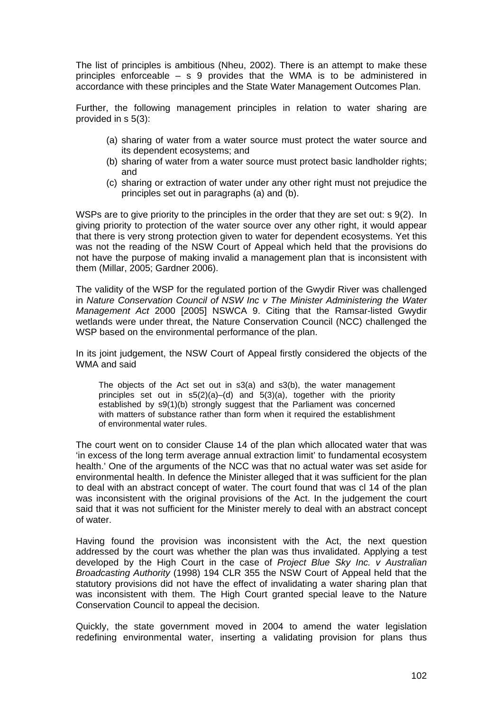The list of principles is ambitious (Nheu, 2002). There is an attempt to make these principles enforceable – s 9 provides that the WMA is to be administered in accordance with these principles and the State Water Management Outcomes Plan.

Further, the following management principles in relation to water sharing are provided in s 5(3):

- (a) sharing of water from a water source must protect the water source and its dependent ecosystems; and
- (b) sharing of water from a water source must protect basic landholder rights; and
- (c) sharing or extraction of water under any other right must not prejudice the principles set out in paragraphs (a) and (b).

WSPs are to give priority to the principles in the order that they are set out: s 9(2). In giving priority to protection of the water source over any other right, it would appear that there is very strong protection given to water for dependent ecosystems. Yet this was not the reading of the NSW Court of Appeal which held that the provisions do not have the purpose of making invalid a management plan that is inconsistent with them (Millar, 2005; Gardner 2006).

The validity of the WSP for the regulated portion of the Gwydir River was challenged in *Nature Conservation Council of NSW Inc v The Minister Administering the Water Management Act* 2000 [2005] NSWCA 9. Citing that the Ramsar-listed Gwydir wetlands were under threat, the Nature Conservation Council (NCC) challenged the WSP based on the environmental performance of the plan.

In its joint judgement, the NSW Court of Appeal firstly considered the objects of the WMA and said

The objects of the Act set out in s3(a) and s3(b), the water management principles set out in  $s5(2)(a)$ –(d) and  $5(3)(a)$ , together with the priority established by s9(1)(b) strongly suggest that the Parliament was concerned with matters of substance rather than form when it required the establishment of environmental water rules.

The court went on to consider Clause 14 of the plan which allocated water that was 'in excess of the long term average annual extraction limit' to fundamental ecosystem health.' One of the arguments of the NCC was that no actual water was set aside for environmental health. In defence the Minister alleged that it was sufficient for the plan to deal with an abstract concept of water. The court found that was cl 14 of the plan was inconsistent with the original provisions of the Act. In the judgement the court said that it was not sufficient for the Minister merely to deal with an abstract concept of water.

Having found the provision was inconsistent with the Act, the next question addressed by the court was whether the plan was thus invalidated. Applying a test developed by the High Court in the case of *Project Blue Sky Inc. v Australian Broadcasting Authority* (1998) 194 CLR 355 the NSW Court of Appeal held that the statutory provisions did not have the effect of invalidating a water sharing plan that was inconsistent with them. The High Court granted special leave to the Nature Conservation Council to appeal the decision.

Quickly, the state government moved in 2004 to amend the water legislation redefining environmental water, inserting a validating provision for plans thus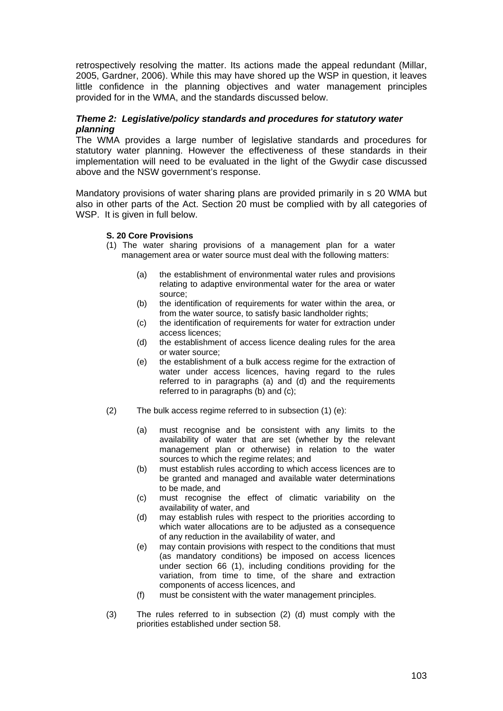retrospectively resolving the matter. Its actions made the appeal redundant (Millar, 2005, Gardner, 2006). While this may have shored up the WSP in question, it leaves little confidence in the planning objectives and water management principles provided for in the WMA, and the standards discussed below.

#### *Theme 2: Legislative/policy standards and procedures for statutory water planning*

The WMA provides a large number of legislative standards and procedures for statutory water planning. However the effectiveness of these standards in their implementation will need to be evaluated in the light of the Gwydir case discussed above and the NSW government's response.

Mandatory provisions of water sharing plans are provided primarily in s 20 WMA but also in other parts of the Act. Section 20 must be complied with by all categories of WSP. It is given in full below.

#### **S. 20 Core Provisions**

- (1) The water sharing provisions of a management plan for a water management area or water source must deal with the following matters:
	- (a) the establishment of environmental water rules and provisions relating to adaptive environmental water for the area or water source;
	- (b) the identification of requirements for water within the area, or from the water source, to satisfy basic landholder rights;
	- (c) the identification of requirements for water for extraction under access licences;
	- (d) the establishment of access licence dealing rules for the area or water source;
	- (e) the establishment of a bulk access regime for the extraction of water under access licences, having regard to the rules referred to in paragraphs (a) and (d) and the requirements referred to in paragraphs (b) and (c);
- (2) The bulk access regime referred to in subsection (1) (e):
	- (a) must recognise and be consistent with any limits to the availability of water that are set (whether by the relevant management plan or otherwise) in relation to the water sources to which the regime relates; and
	- (b) must establish rules according to which access licences are to be granted and managed and available water determinations to be made, and
	- (c) must recognise the effect of climatic variability on the availability of water, and
	- (d) may establish rules with respect to the priorities according to which water allocations are to be adjusted as a consequence of any reduction in the availability of water, and
	- (e) may contain provisions with respect to the conditions that must (as mandatory conditions) be imposed on access licences under section 66 (1), including conditions providing for the variation, from time to time, of the share and extraction components of access licences, and
	- (f) must be consistent with the water management principles.
- (3) The rules referred to in subsection (2) (d) must comply with the priorities established under section 58.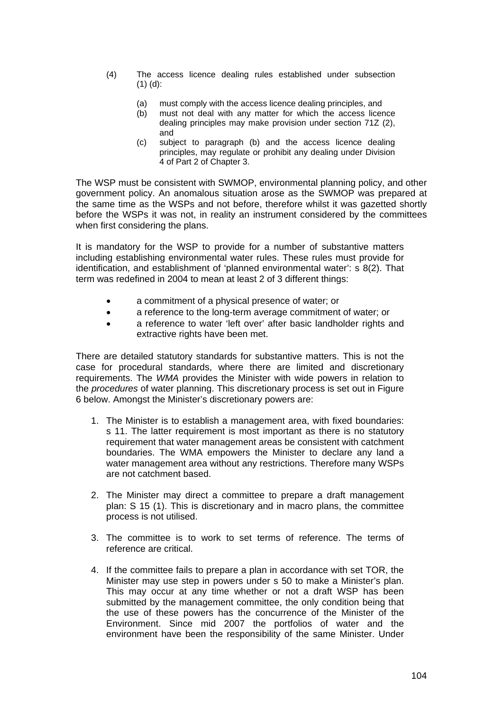- (4) The access licence dealing rules established under subsection (1) (d):
	- (a) must comply with the access licence dealing principles, and
	- (b) must not deal with any matter for which the access licence dealing principles may make provision under section 71Z (2), and
	- (c) subject to paragraph (b) and the access licence dealing principles, may regulate or prohibit any dealing under Division 4 of Part 2 of Chapter 3.

The WSP must be consistent with SWMOP, environmental planning policy, and other government policy. An anomalous situation arose as the SWMOP was prepared at the same time as the WSPs and not before, therefore whilst it was gazetted shortly before the WSPs it was not, in reality an instrument considered by the committees when first considering the plans.

It is mandatory for the WSP to provide for a number of substantive matters including establishing environmental water rules. These rules must provide for identification, and establishment of 'planned environmental water': s 8(2). That term was redefined in 2004 to mean at least 2 of 3 different things:

- a commitment of a physical presence of water; or
- a reference to the long-term average commitment of water; or
- a reference to water 'left over' after basic landholder rights and extractive rights have been met.

There are detailed statutory standards for substantive matters. This is not the case for procedural standards, where there are limited and discretionary requirements. The *WMA* provides the Minister with wide powers in relation to the *procedures* of water planning. This discretionary process is set out in Figure 6 below. Amongst the Minister's discretionary powers are:

- 1. The Minister is to establish a management area, with fixed boundaries: s 11. The latter requirement is most important as there is no statutory requirement that water management areas be consistent with catchment boundaries. The WMA empowers the Minister to declare any land a water management area without any restrictions. Therefore many WSPs are not catchment based.
- 2. The Minister may direct a committee to prepare a draft management plan: S 15 (1). This is discretionary and in macro plans, the committee process is not utilised.
- 3. The committee is to work to set terms of reference. The terms of reference are critical.
- 4. If the committee fails to prepare a plan in accordance with set TOR, the Minister may use step in powers under s 50 to make a Minister's plan. This may occur at any time whether or not a draft WSP has been submitted by the management committee, the only condition being that the use of these powers has the concurrence of the Minister of the Environment. Since mid 2007 the portfolios of water and the environment have been the responsibility of the same Minister. Under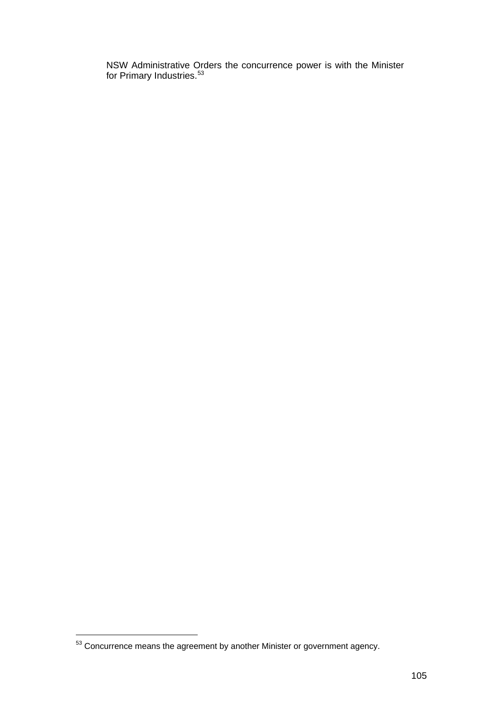NSW Administrative Orders the concurrence power is with the Minister for Primary Industries.<sup>53</sup>

 $53$  Concurrence means the agreement by another Minister or government agency.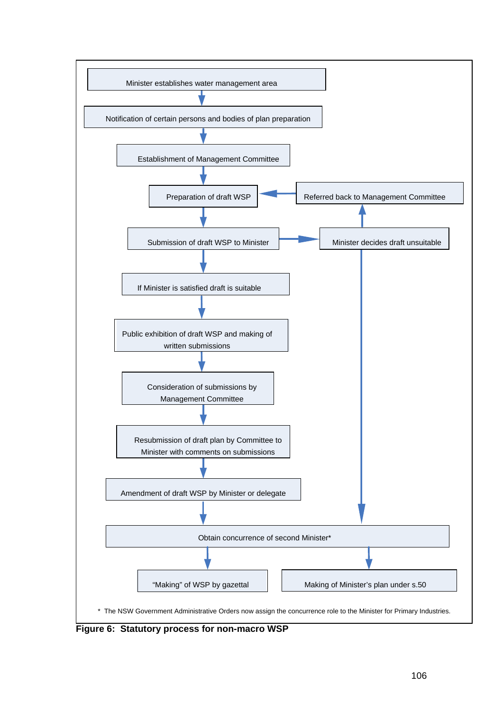

**Figure 6: Statutory process for non-macro WSP**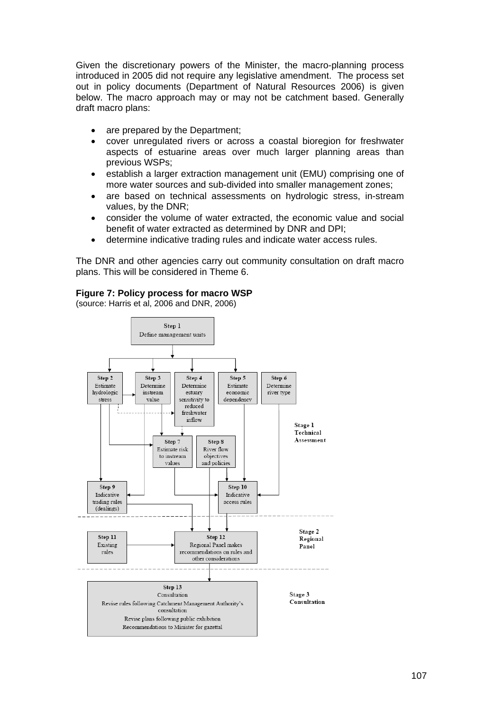Given the discretionary powers of the Minister, the macro-planning process introduced in 2005 did not require any legislative amendment. The process set out in policy documents (Department of Natural Resources 2006) is given below. The macro approach may or may not be catchment based. Generally draft macro plans:

- are prepared by the Department:
- cover unregulated rivers or across a coastal bioregion for freshwater aspects of estuarine areas over much larger planning areas than previous WSPs;
- establish a larger extraction management unit (EMU) comprising one of more water sources and sub-divided into smaller management zones;
- are based on technical assessments on hydrologic stress, in-stream values, by the DNR;
- consider the volume of water extracted, the economic value and social benefit of water extracted as determined by DNR and DPI;
- determine indicative trading rules and indicate water access rules.

The DNR and other agencies carry out community consultation on draft macro plans. This will be considered in Theme 6.

#### **Figure 7: Policy process for macro WSP**

(source: Harris et al, 2006 and DNR, 2006)

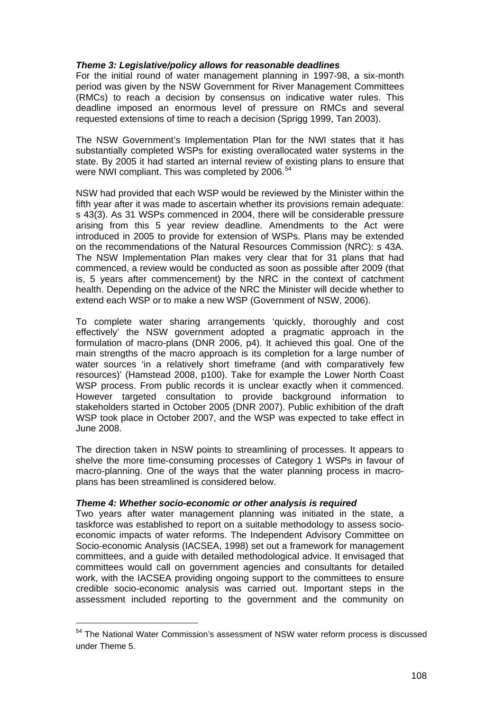#### *Theme 3: Legislative/policy allows for reasonable deadlines*

For the initial round of water management planning in 1997-98, a six-month period was given by the NSW Government for River Management Committees (RMCs) to reach a decision by consensus on indicative water rules. This deadline imposed an enormous level of pressure on RMCs and several requested extensions of time to reach a decision (Sprigg 1999, Tan 2003).

The NSW Government's Implementation Plan for the NWI states that it has substantially completed WSPs for existing overallocated water systems in the state. By 2005 it had started an internal review of existing plans to ensure that were NWI compliant. This was completed by 2006.<sup>[54](#page-107-0)</sup>

NSW had provided that each WSP would be reviewed by the Minister within the fifth year after it was made to ascertain whether its provisions remain adequate: s 43(3). As 31 WSPs commenced in 2004, there will be considerable pressure arising from this 5 year review deadline. Amendments to the Act were introduced in 2005 to provide for extension of WSPs. Plans may be extended on the recommendations of the Natural Resources Commission (NRC): s 43A. The NSW Implementation Plan makes very clear that for 31 plans that had commenced, a review would be conducted as soon as possible after 2009 (that is, 5 years after commencement) by the NRC in the context of catchment health. Depending on the advice of the NRC the Minister will decide whether to extend each WSP or to make a new WSP (Government of NSW, 2006).

To complete water sharing arrangements 'quickly, thoroughly and cost effectively' the NSW government adopted a pragmatic approach in the formulation of macro-plans (DNR 2006, p4). It achieved this goal. One of the main strengths of the macro approach is its completion for a large number of water sources 'in a relatively short timeframe (and with comparatively few resources)' (Hamstead 2008, p100). Take for example the Lower North Coast WSP process. From public records it is unclear exactly when it commenced. However targeted consultation to provide background information to stakeholders started in October 2005 (DNR 2007). Public exhibition of the draft WSP took place in October 2007, and the WSP was expected to take effect in June 2008.

The direction taken in NSW points to streamlining of processes. It appears to shelve the more time-consuming processes of Category 1 WSPs in favour of macro-planning. One of the ways that the water planning process in macroplans has been streamlined is considered below.

#### *Theme 4: Whether socio-economic or other analysis is required*

Two years after water management planning was initiated in the state, a taskforce was established to report on a suitable methodology to assess socioeconomic impacts of water reforms. The Independent Advisory Committee on Socio-economic Analysis (IACSEA, 1998) set out a framework for management committees, and a guide with detailed methodological advice. It envisaged that committees would call on government agencies and consultants for detailed work, with the IACSEA providing ongoing support to the committees to ensure credible socio-economic analysis was carried out. Important steps in the assessment included reporting to the government and the community on

<span id="page-107-0"></span><sup>&</sup>lt;sup>54</sup> The National Water Commission's assessment of NSW water reform process is discussed under Theme 5.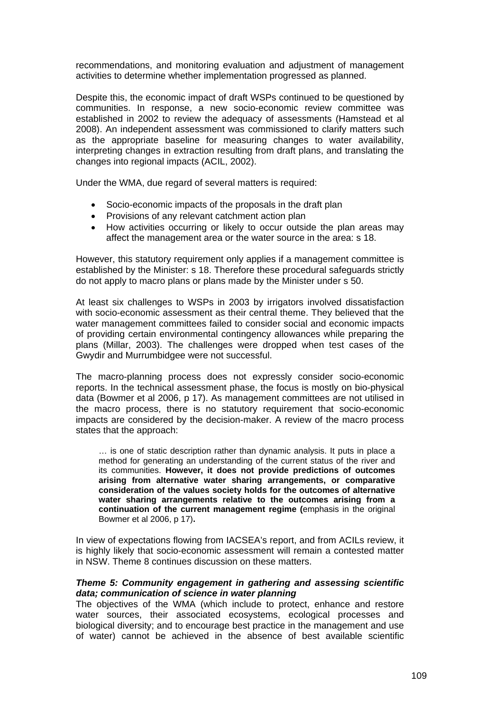recommendations, and monitoring evaluation and adjustment of management activities to determine whether implementation progressed as planned.

Despite this, the economic impact of draft WSPs continued to be questioned by communities. In response, a new socio-economic review committee was established in 2002 to review the adequacy of assessments (Hamstead et al 2008). An independent assessment was commissioned to clarify matters such as the appropriate baseline for measuring changes to water availability, interpreting changes in extraction resulting from draft plans, and translating the changes into regional impacts (ACIL, 2002).

Under the WMA, due regard of several matters is required:

- Socio-economic impacts of the proposals in the draft plan
- Provisions of any relevant catchment action plan
- How activities occurring or likely to occur outside the plan areas may affect the management area or the water source in the area: s 18.

However, this statutory requirement only applies if a management committee is established by the Minister: s 18. Therefore these procedural safeguards strictly do not apply to macro plans or plans made by the Minister under s 50.

At least six challenges to WSPs in 2003 by irrigators involved dissatisfaction with socio-economic assessment as their central theme. They believed that the water management committees failed to consider social and economic impacts of providing certain environmental contingency allowances while preparing the plans (Millar, 2003). The challenges were dropped when test cases of the Gwydir and Murrumbidgee were not successful.

The macro-planning process does not expressly consider socio-economic reports. In the technical assessment phase, the focus is mostly on bio-physical data (Bowmer et al 2006, p 17). As management committees are not utilised in the macro process, there is no statutory requirement that socio-economic impacts are considered by the decision-maker. A review of the macro process states that the approach:

… is one of static description rather than dynamic analysis. It puts in place a method for generating an understanding of the current status of the river and its communities. **However, it does not provide predictions of outcomes arising from alternative water sharing arrangements, or comparative consideration of the values society holds for the outcomes of alternative water sharing arrangements relative to the outcomes arising from a continuation of the current management regime (**emphasis in the original Bowmer et al 2006, p 17)**.** 

In view of expectations flowing from IACSEA's report, and from ACILs review, it is highly likely that socio-economic assessment will remain a contested matter in NSW. Theme 8 continues discussion on these matters.

#### *Theme 5: Community engagement in gathering and assessing scientific data; communication of science in water planning*

The objectives of the WMA (which include to protect, enhance and restore water sources, their associated ecosystems, ecological processes and biological diversity; and to encourage best practice in the management and use of water) cannot be achieved in the absence of best available scientific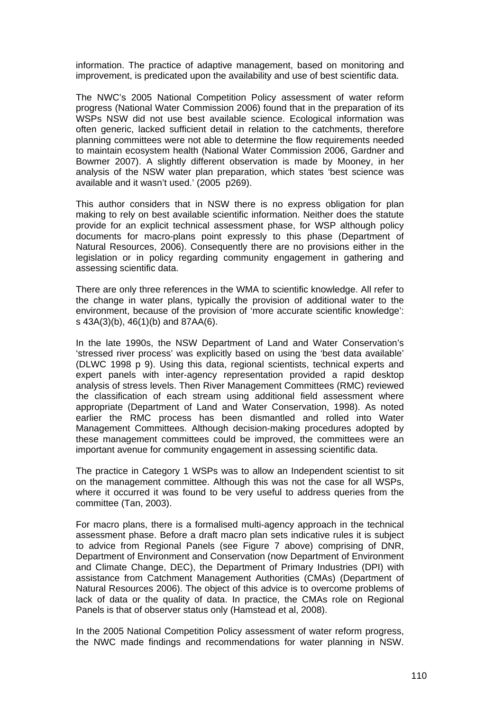information. The practice of adaptive management, based on monitoring and improvement, is predicated upon the availability and use of best scientific data.

The NWC's 2005 National Competition Policy assessment of water reform progress (National Water Commission 2006) found that in the preparation of its WSPs NSW did not use best available science. Ecological information was often generic, lacked sufficient detail in relation to the catchments, therefore planning committees were not able to determine the flow requirements needed to maintain ecosystem health (National Water Commission 2006, Gardner and Bowmer 2007). A slightly different observation is made by Mooney, in her analysis of the NSW water plan preparation, which states 'best science was available and it wasn't used.' (2005 p269).

This author considers that in NSW there is no express obligation for plan making to rely on best available scientific information. Neither does the statute provide for an explicit technical assessment phase, for WSP although policy documents for macro-plans point expressly to this phase (Department of Natural Resources, 2006). Consequently there are no provisions either in the legislation or in policy regarding community engagement in gathering and assessing scientific data.

There are only three references in the WMA to scientific knowledge. All refer to the change in water plans, typically the provision of additional water to the environment, because of the provision of 'more accurate scientific knowledge': s 43A(3)(b), 46(1)(b) and 87AA(6).

In the late 1990s, the NSW Department of Land and Water Conservation's 'stressed river process' was explicitly based on using the 'best data available' (DLWC 1998 p 9). Using this data, regional scientists, technical experts and expert panels with inter-agency representation provided a rapid desktop analysis of stress levels. Then River Management Committees (RMC) reviewed the classification of each stream using additional field assessment where appropriate (Department of Land and Water Conservation, 1998). As noted earlier the RMC process has been dismantled and rolled into Water Management Committees. Although decision-making procedures adopted by these management committees could be improved, the committees were an important avenue for community engagement in assessing scientific data.

The practice in Category 1 WSPs was to allow an Independent scientist to sit on the management committee. Although this was not the case for all WSPs, where it occurred it was found to be very useful to address queries from the committee (Tan, 2003).

For macro plans, there is a formalised multi-agency approach in the technical assessment phase. Before a draft macro plan sets indicative rules it is subject to advice from Regional Panels (see Figure 7 above) comprising of DNR, Department of Environment and Conservation (now Department of Environment and Climate Change, DEC), the Department of Primary Industries (DPI) with assistance from Catchment Management Authorities (CMAs) (Department of Natural Resources 2006). The object of this advice is to overcome problems of lack of data or the quality of data. In practice, the CMAs role on Regional Panels is that of observer status only (Hamstead et al, 2008).

In the 2005 National Competition Policy assessment of water reform progress, the NWC made findings and recommendations for water planning in NSW.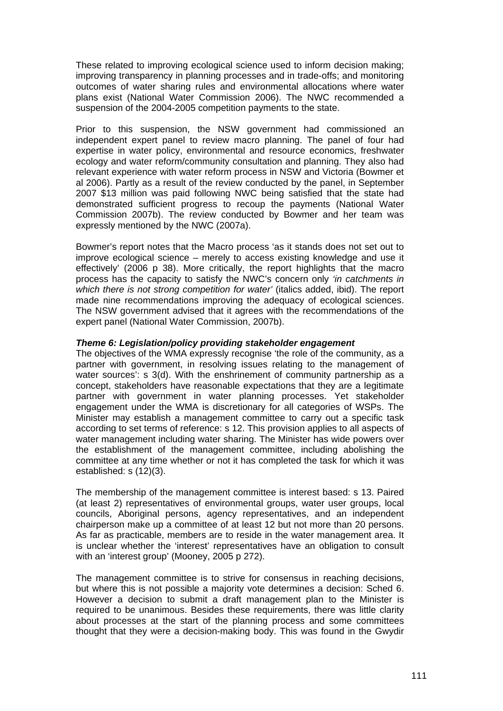These related to improving ecological science used to inform decision making; improving transparency in planning processes and in trade-offs; and monitoring outcomes of water sharing rules and environmental allocations where water plans exist (National Water Commission 2006). The NWC recommended a suspension of the 2004-2005 competition payments to the state.

Prior to this suspension, the NSW government had commissioned an independent expert panel to review macro planning. The panel of four had expertise in water policy, environmental and resource economics, freshwater ecology and water reform/community consultation and planning. They also had relevant experience with water reform process in NSW and Victoria (Bowmer et al 2006). Partly as a result of the review conducted by the panel, in September 2007 \$13 million was paid following NWC being satisfied that the state had demonstrated sufficient progress to recoup the payments (National Water Commission 2007b). The review conducted by Bowmer and her team was expressly mentioned by the NWC (2007a).

Bowmer's report notes that the Macro process 'as it stands does not set out to improve ecological science – merely to access existing knowledge and use it effectively' (2006 p 38). More critically, the report highlights that the macro process has the capacity to satisfy the NWC's concern only *'in catchments in*  which there is not strong competition for water' (italics added, ibid). The report made nine recommendations improving the adequacy of ecological sciences. The NSW government advised that it agrees with the recommendations of the expert panel (National Water Commission, 2007b).

## *Theme 6: Legislation/policy providing stakeholder engagement*

The objectives of the WMA expressly recognise 'the role of the community, as a partner with government, in resolving issues relating to the management of water sources': s 3(d). With the enshrinement of community partnership as a concept, stakeholders have reasonable expectations that they are a legitimate partner with government in water planning processes. Yet stakeholder engagement under the WMA is discretionary for all categories of WSPs. The Minister may establish a management committee to carry out a specific task according to set terms of reference: s 12. This provision applies to all aspects of water management including water sharing. The Minister has wide powers over the establishment of the management committee, including abolishing the committee at any time whether or not it has completed the task for which it was established: s (12)(3).

The membership of the management committee is interest based: s 13. Paired (at least 2) representatives of environmental groups, water user groups, local councils, Aboriginal persons, agency representatives, and an independent chairperson make up a committee of at least 12 but not more than 20 persons. As far as practicable, members are to reside in the water management area. It is unclear whether the 'interest' representatives have an obligation to consult with an 'interest group' (Mooney, 2005 p 272).

The management committee is to strive for consensus in reaching decisions, but where this is not possible a majority vote determines a decision: Sched 6. However a decision to submit a draft management plan to the Minister is required to be unanimous. Besides these requirements, there was little clarity about processes at the start of the planning process and some committees thought that they were a decision-making body. This was found in the Gwydir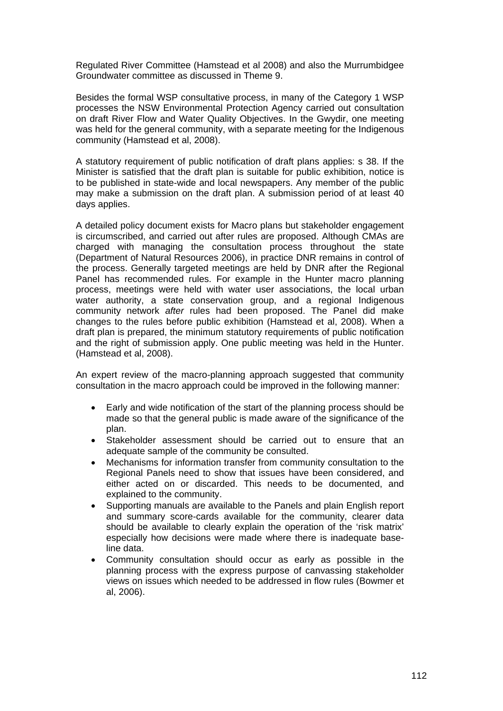Regulated River Committee (Hamstead et al 2008) and also the Murrumbidgee Groundwater committee as discussed in Theme 9.

Besides the formal WSP consultative process, in many of the Category 1 WSP processes the NSW Environmental Protection Agency carried out consultation on draft River Flow and Water Quality Objectives. In the Gwydir, one meeting was held for the general community, with a separate meeting for the Indigenous community (Hamstead et al, 2008).

A statutory requirement of public notification of draft plans applies: s 38. If the Minister is satisfied that the draft plan is suitable for public exhibition, notice is to be published in state-wide and local newspapers. Any member of the public may make a submission on the draft plan. A submission period of at least 40 days applies.

A detailed policy document exists for Macro plans but stakeholder engagement is circumscribed, and carried out after rules are proposed. Although CMAs are charged with managing the consultation process throughout the state (Department of Natural Resources 2006), in practice DNR remains in control of the process. Generally targeted meetings are held by DNR after the Regional Panel has recommended rules. For example in the Hunter macro planning process, meetings were held with water user associations, the local urban water authority, a state conservation group, and a regional Indigenous community network *after* rules had been proposed. The Panel did make changes to the rules before public exhibition (Hamstead et al, 2008). When a draft plan is prepared, the minimum statutory requirements of public notification and the right of submission apply. One public meeting was held in the Hunter. (Hamstead et al, 2008).

An expert review of the macro-planning approach suggested that community consultation in the macro approach could be improved in the following manner:

- Early and wide notification of the start of the planning process should be made so that the general public is made aware of the significance of the plan.
- Stakeholder assessment should be carried out to ensure that an adequate sample of the community be consulted.
- Mechanisms for information transfer from community consultation to the Regional Panels need to show that issues have been considered, and either acted on or discarded. This needs to be documented, and explained to the community.
- Supporting manuals are available to the Panels and plain English report and summary score-cards available for the community, clearer data should be available to clearly explain the operation of the 'risk matrix' especially how decisions were made where there is inadequate baseline data.
- Community consultation should occur as early as possible in the planning process with the express purpose of canvassing stakeholder views on issues which needed to be addressed in flow rules (Bowmer et al, 2006).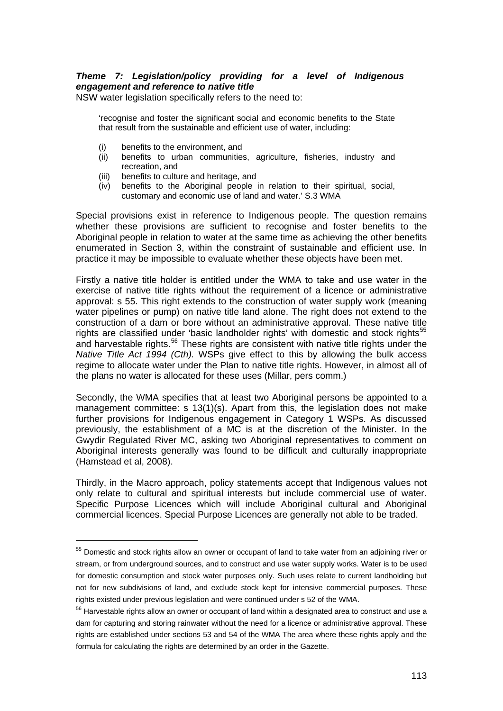# *Theme 7: Legislation/policy providing for a level of Indigenous engagement and reference to native title*

NSW water legislation specifically refers to the need to:

'recognise and foster the significant social and economic benefits to the State that result from the sustainable and efficient use of water, including:

(i) benefits to the environment, and

- (ii) benefits to urban communities, agriculture, fisheries, industry and recreation, and
- (iii) benefits to culture and heritage, and
- (iv) benefits to the Aboriginal people in relation to their spiritual, social, customary and economic use of land and water.' S.3 WMA

Special provisions exist in reference to Indigenous people. The question remains whether these provisions are sufficient to recognise and foster benefits to the Aboriginal people in relation to water at the same time as achieving the other benefits enumerated in Section 3, within the constraint of sustainable and efficient use. In practice it may be impossible to evaluate whether these objects have been met.

Firstly a native title holder is entitled under the WMA to take and use water in the exercise of native title rights without the requirement of a licence or administrative approval: s 55. This right extends to the construction of water supply work (meaning water pipelines or pump) on native title land alone. The right does not extend to the construction of a dam or bore without an administrative approval. These native title rights are classified under 'basic landholder rights' with domestic and stock rights<sup>[55](#page-112-0)</sup> and harvestable rights.<sup>[56](#page-112-1)</sup> These rights are consistent with native title rights under the *Native Title Act 1994 (Cth).* WSPs give effect to this by allowing the bulk access regime to allocate water under the Plan to native title rights. However, in almost all of the plans no water is allocated for these uses (Millar, pers comm.)

Secondly, the WMA specifies that at least two Aboriginal persons be appointed to a management committee: s 13(1)(s). Apart from this, the legislation does not make further provisions for Indigenous engagement in Category 1 WSPs. As discussed previously, the establishment of a MC is at the discretion of the Minister. In the Gwydir Regulated River MC, asking two Aboriginal representatives to comment on Aboriginal interests generally was found to be difficult and culturally inappropriate (Hamstead et al, 2008).

Thirdly, in the Macro approach, policy statements accept that Indigenous values not only relate to cultural and spiritual interests but include commercial use of water. Specific Purpose Licences which will include Aboriginal cultural and Aboriginal commercial licences. Special Purpose Licences are generally not able to be traded.

<span id="page-112-0"></span><sup>&</sup>lt;sup>55</sup> Domestic and stock rights allow an owner or occupant of land to take water from an adjoining river or stream, or from underground sources, and to construct and use water supply works. Water is to be used for domestic consumption and stock water purposes only. Such uses relate to current landholding but not for new subdivisions of land, and exclude stock kept for intensive commercial purposes. These rights existed under previous legislation and were continued under s 52 of the WMA.

<span id="page-112-1"></span><sup>&</sup>lt;sup>56</sup> Harvestable rights allow an owner or occupant of land within a designated area to construct and use a dam for capturing and storing rainwater without the need for a licence or administrative approval. These rights are established under sections 53 and 54 of the WMA The area where these rights apply and the formula for calculating the rights are determined by an order in the Gazette.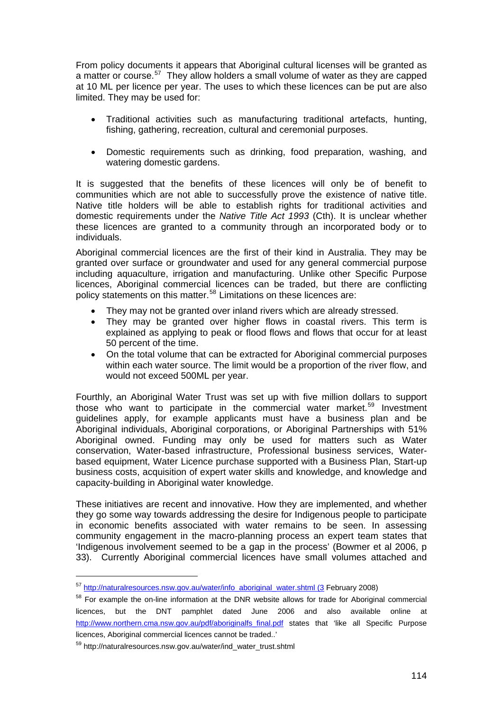From policy documents it appears that Aboriginal cultural licenses will be granted as a matter or course.<sup>[57](#page-113-0)</sup> They allow holders a small volume of water as they are capped at 10 ML per licence per year. The uses to which these licences can be put are also limited. They may be used for:

- Traditional activities such as manufacturing traditional artefacts, hunting, fishing, gathering, recreation, cultural and ceremonial purposes.
- Domestic requirements such as drinking, food preparation, washing, and watering domestic gardens.

It is suggested that the benefits of these licences will only be of benefit to communities which are not able to successfully prove the existence of native title. Native title holders will be able to establish rights for traditional activities and domestic requirements under the *Native Title Act 1993* (Cth). It is unclear whether these licences are granted to a community through an incorporated body or to individuals.

Aboriginal commercial licences are the first of their kind in Australia. They may be granted over surface or groundwater and used for any general commercial purpose including aquaculture, irrigation and manufacturing. Unlike other Specific Purpose licences, Aboriginal commercial licences can be traded, but there are conflicting policy statements on this matter.<sup>[58](#page-113-1)</sup> Limitations on these licences are:

- They may not be granted over inland rivers which are already stressed.
- They may be granted over higher flows in coastal rivers. This term is explained as applying to peak or flood flows and flows that occur for at least 50 percent of the time.
- On the total volume that can be extracted for Aboriginal commercial purposes within each water source. The limit would be a proportion of the river flow, and would not exceed 500ML per year.

Fourthly, an Aboriginal Water Trust was set up with five million dollars to support those who want to participate in the commercial water market.<sup>[59](#page-113-2)</sup> Investment guidelines apply, for example applicants must have a business plan and be Aboriginal individuals, Aboriginal corporations, or Aboriginal Partnerships with 51% Aboriginal owned. Funding may only be used for matters such as Water conservation, Water-based infrastructure, Professional business services, Waterbased equipment, Water Licence purchase supported with a Business Plan, Start-up business costs, acquisition of expert water skills and knowledge, and knowledge and capacity-building in Aboriginal water knowledge.

These initiatives are recent and innovative. How they are implemented, and whether they go some way towards addressing the desire for Indigenous people to participate in economic benefits associated with water remains to be seen. In assessing community engagement in the macro-planning process an expert team states that 'Indigenous involvement seemed to be a gap in the process' (Bowmer et al 2006, p 33). Currently Aboriginal commercial licences have small volumes attached and

<span id="page-113-0"></span><sup>57</sup> [http://naturalresources.nsw.gov.au/water/info\\_aboriginal\\_water.shtml \(3](http://naturalresources.nsw.gov.au/water/info_aboriginal_water.shtml%20(3) February 2008)

<span id="page-113-1"></span><sup>&</sup>lt;sup>58</sup> For example the on-line information at the DNR website allows for trade for Aboriginal commercial licences, but the DNT pamphlet dated June 2006 and also available online at [http://www.northern.cma.nsw.gov.au/pdf/aboriginalfs\\_final.pdf](http://www.northern.cma.nsw.gov.au/pdf/aboriginalfs_final.pdf) states that 'like all Specific Purpose licences, Aboriginal commercial licences cannot be traded..'

<span id="page-113-2"></span><sup>59</sup> http://naturalresources.nsw.gov.au/water/ind\_water\_trust.shtml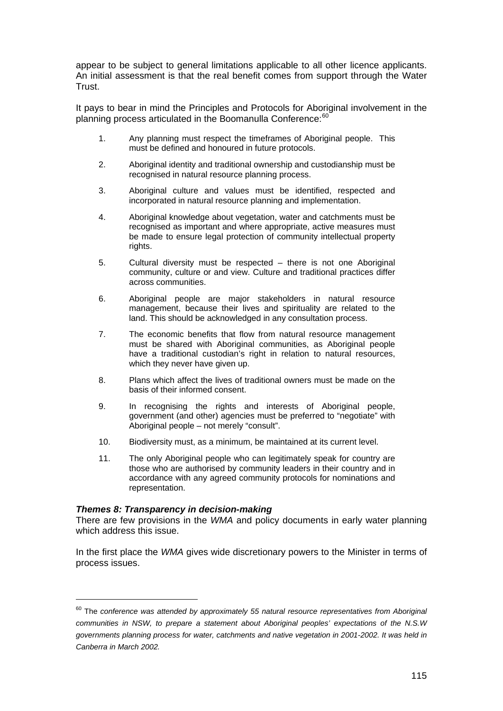appear to be subject to general limitations applicable to all other licence applicants. An initial assessment is that the real benefit comes from support through the Water Trust.

It pays to bear in mind the Principles and Protocols for Aboriginal involvement in the planning process articulated in the Boomanulla Conference:<sup>[60](#page-114-0)</sup>

- 1. Any planning must respect the timeframes of Aboriginal people. This must be defined and honoured in future protocols.
- 2. Aboriginal identity and traditional ownership and custodianship must be recognised in natural resource planning process.
- 3. Aboriginal culture and values must be identified, respected and incorporated in natural resource planning and implementation.
- 4. Aboriginal knowledge about vegetation, water and catchments must be recognised as important and where appropriate, active measures must be made to ensure legal protection of community intellectual property rights.
- 5. Cultural diversity must be respected there is not one Aboriginal community, culture or and view. Culture and traditional practices differ across communities.
- 6. Aboriginal people are major stakeholders in natural resource management, because their lives and spirituality are related to the land. This should be acknowledged in any consultation process.
- 7. The economic benefits that flow from natural resource management must be shared with Aboriginal communities, as Aboriginal people have a traditional custodian's right in relation to natural resources, which they never have given up.
- 8. Plans which affect the lives of traditional owners must be made on the basis of their informed consent.
- 9. In recognising the rights and interests of Aboriginal people, government (and other) agencies must be preferred to "negotiate" with Aboriginal people – not merely "consult".
- 10. Biodiversity must, as a minimum, be maintained at its current level.
- 11. The only Aboriginal people who can legitimately speak for country are those who are authorised by community leaders in their country and in accordance with any agreed community protocols for nominations and representation.

## *Themes 8: Transparency in decision-making*

 $\overline{a}$ 

There are few provisions in the *WMA* and policy documents in early water planning which address this issue.

In the first place the *WMA* gives wide discretionary powers to the Minister in terms of process issues.

<span id="page-114-0"></span><sup>60</sup> The *conference was attended by approximately 55 natural resource representatives from Aboriginal communities in NSW, to prepare a statement about Aboriginal peoples' expectations of the N.S.W governments planning process for water, catchments and native vegetation in 2001-2002. It was held in Canberra in March 2002.*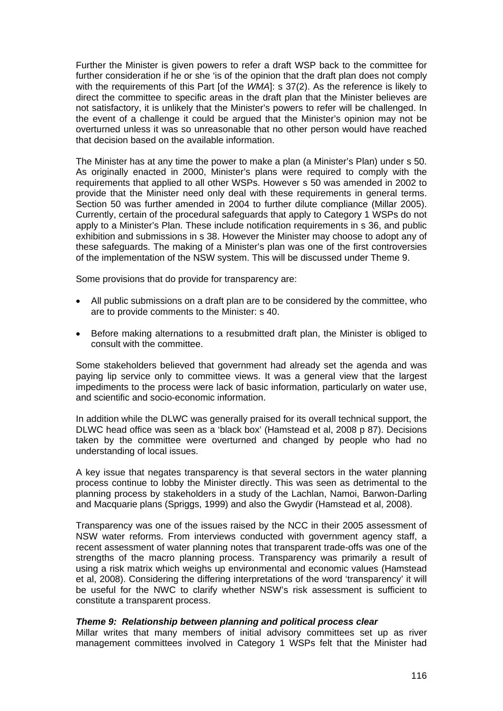Further the Minister is given powers to refer a draft WSP back to the committee for further consideration if he or she 'is of the opinion that the draft plan does not comply with the requirements of this Part [of the *WMA*]: s 37(2). As the reference is likely to direct the committee to specific areas in the draft plan that the Minister believes are not satisfactory, it is unlikely that the Minister's powers to refer will be challenged. In the event of a challenge it could be argued that the Minister's opinion may not be overturned unless it was so unreasonable that no other person would have reached that decision based on the available information.

The Minister has at any time the power to make a plan (a Minister's Plan) under s 50. As originally enacted in 2000, Minister's plans were required to comply with the requirements that applied to all other WSPs. However s 50 was amended in 2002 to provide that the Minister need only deal with these requirements in general terms. Section 50 was further amended in 2004 to further dilute compliance (Millar 2005). Currently, certain of the procedural safeguards that apply to Category 1 WSPs do not apply to a Minister's Plan. These include notification requirements in s 36, and public exhibition and submissions in s 38. However the Minister may choose to adopt any of these safeguards. The making of a Minister's plan was one of the first controversies of the implementation of the NSW system. This will be discussed under Theme 9.

Some provisions that do provide for transparency are:

- All public submissions on a draft plan are to be considered by the committee, who are to provide comments to the Minister: s 40.
- Before making alternations to a resubmitted draft plan, the Minister is obliged to consult with the committee.

Some stakeholders believed that government had already set the agenda and was paying lip service only to committee views. It was a general view that the largest impediments to the process were lack of basic information, particularly on water use, and scientific and socio-economic information.

In addition while the DLWC was generally praised for its overall technical support, the DLWC head office was seen as a 'black box' (Hamstead et al, 2008 p 87). Decisions taken by the committee were overturned and changed by people who had no understanding of local issues.

A key issue that negates transparency is that several sectors in the water planning process continue to lobby the Minister directly. This was seen as detrimental to the planning process by stakeholders in a study of the Lachlan, Namoi, Barwon-Darling and Macquarie plans (Spriggs, 1999) and also the Gwydir (Hamstead et al, 2008).

Transparency was one of the issues raised by the NCC in their 2005 assessment of NSW water reforms. From interviews conducted with government agency staff, a recent assessment of water planning notes that transparent trade-offs was one of the strengths of the macro planning process. Transparency was primarily a result of using a risk matrix which weighs up environmental and economic values (Hamstead et al, 2008). Considering the differing interpretations of the word 'transparency' it will be useful for the NWC to clarify whether NSW's risk assessment is sufficient to constitute a transparent process.

#### *Theme 9: Relationship between planning and political process clear*

Millar writes that many members of initial advisory committees set up as river management committees involved in Category 1 WSPs felt that the Minister had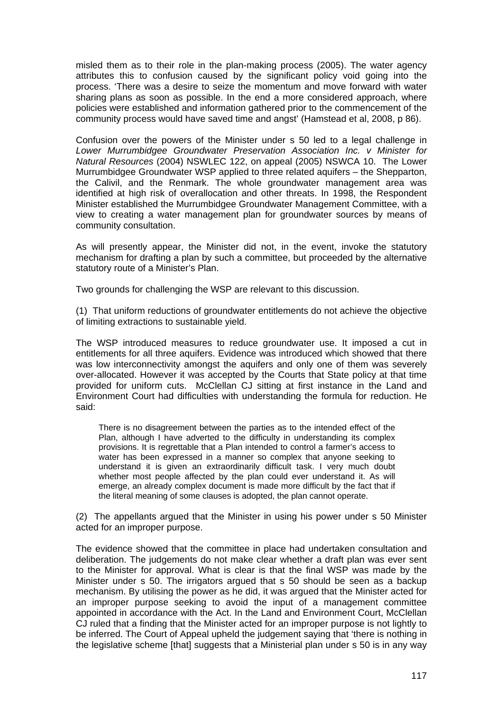misled them as to their role in the plan-making process (2005). The water agency attributes this to confusion caused by the significant policy void going into the process. 'There was a desire to seize the momentum and move forward with water sharing plans as soon as possible. In the end a more considered approach, where policies were established and information gathered prior to the commencement of the community process would have saved time and angst' (Hamstead et al, 2008, p 86).

Confusion over the powers of the Minister under s 50 led to a legal challenge in *Lower Murrumbidgee Groundwater Preservation Association Inc. v Minister for Natural Resources* (2004) NSWLEC 122, on appeal (2005) NSWCA 10. The Lower Murrumbidgee Groundwater WSP applied to three related aquifers – the Shepparton, the Calivil, and the Renmark. The whole groundwater management area was identified at high risk of overallocation and other threats. In 1998, the Respondent Minister established the Murrumbidgee Groundwater Management Committee, with a view to creating a water management plan for groundwater sources by means of community consultation.

As will presently appear, the Minister did not, in the event, invoke the statutory mechanism for drafting a plan by such a committee, but proceeded by the alternative statutory route of a Minister's Plan.

Two grounds for challenging the WSP are relevant to this discussion.

(1) That uniform reductions of groundwater entitlements do not achieve the objective of limiting extractions to sustainable yield.

The WSP introduced measures to reduce groundwater use. It imposed a cut in entitlements for all three aquifers. Evidence was introduced which showed that there was low interconnectivity amongst the aquifers and only one of them was severely over-allocated. However it was accepted by the Courts that State policy at that time provided for uniform cuts. McClellan CJ sitting at first instance in the Land and Environment Court had difficulties with understanding the formula for reduction. He said:

There is no disagreement between the parties as to the intended effect of the Plan, although I have adverted to the difficulty in understanding its complex provisions. It is regrettable that a Plan intended to control a farmer's access to water has been expressed in a manner so complex that anyone seeking to understand it is given an extraordinarily difficult task. I very much doubt whether most people affected by the plan could ever understand it. As will emerge, an already complex document is made more difficult by the fact that if the literal meaning of some clauses is adopted, the plan cannot operate.

(2) The appellants argued that the Minister in using his power under s 50 Minister acted for an improper purpose.

The evidence showed that the committee in place had undertaken consultation and deliberation. The judgements do not make clear whether a draft plan was ever sent to the Minister for approval. What is clear is that the final WSP was made by the Minister under s 50. The irrigators argued that s 50 should be seen as a backup mechanism. By utilising the power as he did, it was argued that the Minister acted for an improper purpose seeking to avoid the input of a management committee appointed in accordance with the Act. In the Land and Environment Court, McClellan CJ ruled that a finding that the Minister acted for an improper purpose is not lightly to be inferred. The Court of Appeal upheld the judgement saying that 'there is nothing in the legislative scheme [that] suggests that a Ministerial plan under s 50 is in any way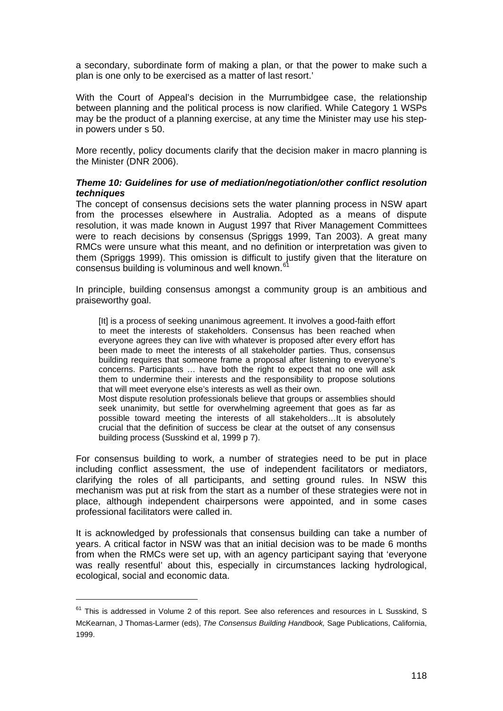a secondary, subordinate form of making a plan, or that the power to make such a plan is one only to be exercised as a matter of last resort.'

With the Court of Appeal's decision in the Murrumbidgee case, the relationship between planning and the political process is now clarified. While Category 1 WSPs may be the product of a planning exercise, at any time the Minister may use his stepin powers under s 50.

More recently, policy documents clarify that the decision maker in macro planning is the Minister (DNR 2006).

## *Theme 10: Guidelines for use of mediation/negotiation/other conflict resolution techniques*

The concept of consensus decisions sets the water planning process in NSW apart from the processes elsewhere in Australia. Adopted as a means of dispute resolution, it was made known in August 1997 that River Management Committees were to reach decisions by consensus (Spriggs 1999, Tan 2003). A great many RMCs were unsure what this meant, and no definition or interpretation was given to them (Spriggs 1999). This omission is difficult to justify given that the literature on consensus building is voluminous and well known. $<sup>6</sup>$ </sup>

In principle, building consensus amongst a community group is an ambitious and praiseworthy goal.

[It] is a process of seeking unanimous agreement. It involves a good-faith effort to meet the interests of stakeholders. Consensus has been reached when everyone agrees they can live with whatever is proposed after every effort has been made to meet the interests of all stakeholder parties. Thus, consensus building requires that someone frame a proposal after listening to everyone's concerns. Participants … have both the right to expect that no one will ask them to undermine their interests and the responsibility to propose solutions that will meet everyone else's interests as well as their own. Most dispute resolution professionals believe that groups or assemblies should seek unanimity, but settle for overwhelming agreement that goes as far as

possible toward meeting the interests of all stakeholders…It is absolutely crucial that the definition of success be clear at the outset of any consensus building process (Susskind et al, 1999 p 7).

For consensus building to work, a number of strategies need to be put in place including conflict assessment, the use of independent facilitators or mediators, clarifying the roles of all participants, and setting ground rules. In NSW this mechanism was put at risk from the start as a number of these strategies were not in place, although independent chairpersons were appointed, and in some cases professional facilitators were called in.

It is acknowledged by professionals that consensus building can take a number of years. A critical factor in NSW was that an initial decision was to be made 6 months from when the RMCs were set up, with an agency participant saying that 'everyone was really resentful' about this, especially in circumstances lacking hydrological, ecological, social and economic data.

 $\overline{a}$ 

<span id="page-117-0"></span> $61$  This is addressed in Volume 2 of this report. See also references and resources in L Susskind, S McKearnan, J Thomas-Larmer (eds), *The Consensus Building Handbook,* Sage Publications, California, 1999.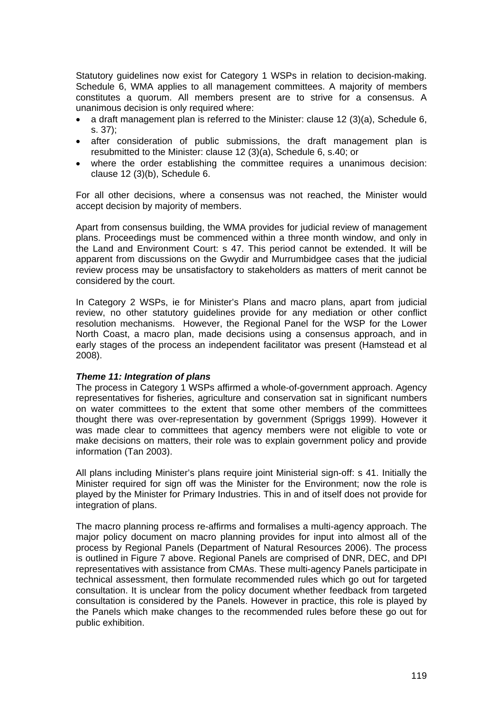Statutory guidelines now exist for Category 1 WSPs in relation to decision-making. Schedule 6, WMA applies to all management committees. A majority of members constitutes a quorum. All members present are to strive for a consensus. A unanimous decision is only required where:

- a draft management plan is referred to the Minister: clause 12 (3)(a), Schedule 6, s. 37);
- after consideration of public submissions, the draft management plan is resubmitted to the Minister: clause 12 (3)(a), Schedule 6, s.40; or
- where the order establishing the committee requires a unanimous decision: clause 12 (3)(b), Schedule 6.

For all other decisions, where a consensus was not reached, the Minister would accept decision by majority of members.

Apart from consensus building, the WMA provides for judicial review of management plans. Proceedings must be commenced within a three month window, and only in the Land and Environment Court: s 47. This period cannot be extended. It will be apparent from discussions on the Gwydir and Murrumbidgee cases that the judicial review process may be unsatisfactory to stakeholders as matters of merit cannot be considered by the court.

In Category 2 WSPs, ie for Minister's Plans and macro plans, apart from judicial review, no other statutory guidelines provide for any mediation or other conflict resolution mechanisms. However, the Regional Panel for the WSP for the Lower North Coast, a macro plan, made decisions using a consensus approach, and in early stages of the process an independent facilitator was present (Hamstead et al 2008).

#### *Theme 11: Integration of plans*

The process in Category 1 WSPs affirmed a whole-of-government approach. Agency representatives for fisheries, agriculture and conservation sat in significant numbers on water committees to the extent that some other members of the committees thought there was over-representation by government (Spriggs 1999). However it was made clear to committees that agency members were not eligible to vote or make decisions on matters, their role was to explain government policy and provide information (Tan 2003).

All plans including Minister's plans require joint Ministerial sign-off: s 41. Initially the Minister required for sign off was the Minister for the Environment; now the role is played by the Minister for Primary Industries. This in and of itself does not provide for integration of plans.

The macro planning process re-affirms and formalises a multi-agency approach. The major policy document on macro planning provides for input into almost all of the process by Regional Panels (Department of Natural Resources 2006). The process is outlined in Figure 7 above. Regional Panels are comprised of DNR, DEC, and DPI representatives with assistance from CMAs. These multi-agency Panels participate in technical assessment, then formulate recommended rules which go out for targeted consultation. It is unclear from the policy document whether feedback from targeted consultation is considered by the Panels. However in practice, this role is played by the Panels which make changes to the recommended rules before these go out for public exhibition.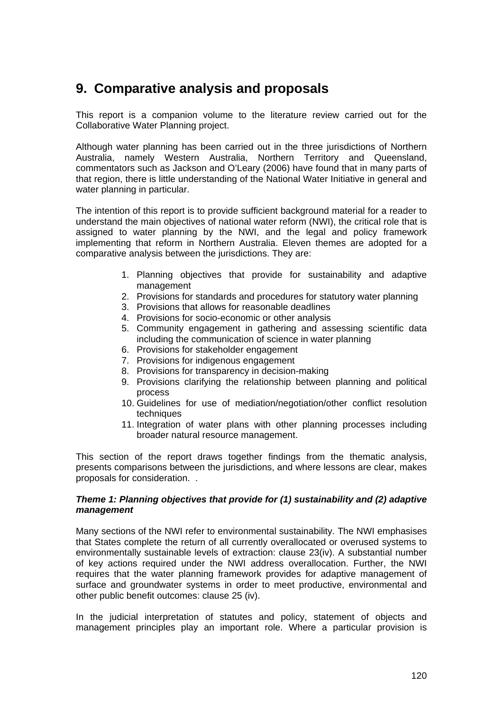# **9. Comparative analysis and proposals**

This report is a companion volume to the literature review carried out for the Collaborative Water Planning project.

Although water planning has been carried out in the three jurisdictions of Northern Australia, namely Western Australia, Northern Territory and Queensland, commentators such as Jackson and O'Leary (2006) have found that in many parts of that region, there is little understanding of the National Water Initiative in general and water planning in particular.

The intention of this report is to provide sufficient background material for a reader to understand the main objectives of national water reform (NWI), the critical role that is assigned to water planning by the NWI, and the legal and policy framework implementing that reform in Northern Australia. Eleven themes are adopted for a comparative analysis between the jurisdictions. They are:

- 1. Planning objectives that provide for sustainability and adaptive management
- 2. Provisions for standards and procedures for statutory water planning
- 3. Provisions that allows for reasonable deadlines
- 4. Provisions for socio-economic or other analysis
- 5. Community engagement in gathering and assessing scientific data including the communication of science in water planning
- 6. Provisions for stakeholder engagement
- 7. Provisions for indigenous engagement
- 8. Provisions for transparency in decision-making
- 9. Provisions clarifying the relationship between planning and political process
- 10. Guidelines for use of mediation/negotiation/other conflict resolution techniques
- 11. Integration of water plans with other planning processes including broader natural resource management.

This section of the report draws together findings from the thematic analysis, presents comparisons between the jurisdictions, and where lessons are clear, makes proposals for consideration. .

## *Theme 1: Planning objectives that provide for (1) sustainability and (2) adaptive management*

Many sections of the NWI refer to environmental sustainability. The NWI emphasises that States complete the return of all currently overallocated or overused systems to environmentally sustainable levels of extraction: clause 23(iv). A substantial number of key actions required under the NWI address overallocation. Further, the NWI requires that the water planning framework provides for adaptive management of surface and groundwater systems in order to meet productive, environmental and other public benefit outcomes: clause 25 (iv).

In the judicial interpretation of statutes and policy, statement of objects and management principles play an important role. Where a particular provision is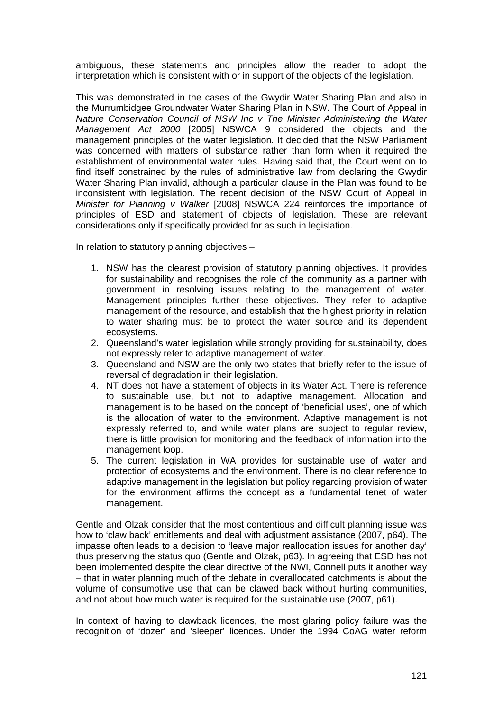ambiguous, these statements and principles allow the reader to adopt the interpretation which is consistent with or in support of the objects of the legislation.

This was demonstrated in the cases of the Gwydir Water Sharing Plan and also in the Murrumbidgee Groundwater Water Sharing Plan in NSW. The Court of Appeal in *Nature Conservation Council of NSW Inc v The Minister Administering the Water Management Act 2000* [2005] NSWCA 9 considered the objects and the management principles of the water legislation. It decided that the NSW Parliament was concerned with matters of substance rather than form when it required the establishment of environmental water rules. Having said that, the Court went on to find itself constrained by the rules of administrative law from declaring the Gwydir Water Sharing Plan invalid, although a particular clause in the Plan was found to be inconsistent with legislation. The recent decision of the NSW Court of Appeal in *Minister for Planning v Walker* [2008] NSWCA 224 reinforces the importance of principles of ESD and statement of objects of legislation. These are relevant considerations only if specifically provided for as such in legislation.

In relation to statutory planning objectives –

- 1. NSW has the clearest provision of statutory planning objectives. It provides for sustainability and recognises the role of the community as a partner with government in resolving issues relating to the management of water. Management principles further these objectives. They refer to adaptive management of the resource, and establish that the highest priority in relation to water sharing must be to protect the water source and its dependent ecosystems.
- 2. Queensland's water legislation while strongly providing for sustainability, does not expressly refer to adaptive management of water.
- 3. Queensland and NSW are the only two states that briefly refer to the issue of reversal of degradation in their legislation.
- 4. NT does not have a statement of objects in its Water Act. There is reference to sustainable use, but not to adaptive management. Allocation and management is to be based on the concept of 'beneficial uses', one of which is the allocation of water to the environment. Adaptive management is not expressly referred to, and while water plans are subject to regular review, there is little provision for monitoring and the feedback of information into the management loop.
- 5. The current legislation in WA provides for sustainable use of water and protection of ecosystems and the environment. There is no clear reference to adaptive management in the legislation but policy regarding provision of water for the environment affirms the concept as a fundamental tenet of water management.

Gentle and Olzak consider that the most contentious and difficult planning issue was how to 'claw back' entitlements and deal with adjustment assistance (2007, p64). The impasse often leads to a decision to 'leave major reallocation issues for another day' thus preserving the status quo (Gentle and Olzak, p63). In agreeing that ESD has not been implemented despite the clear directive of the NWI, Connell puts it another way – that in water planning much of the debate in overallocated catchments is about the volume of consumptive use that can be clawed back without hurting communities, and not about how much water is required for the sustainable use (2007, p61).

In context of having to clawback licences, the most glaring policy failure was the recognition of 'dozer' and 'sleeper' licences. Under the 1994 CoAG water reform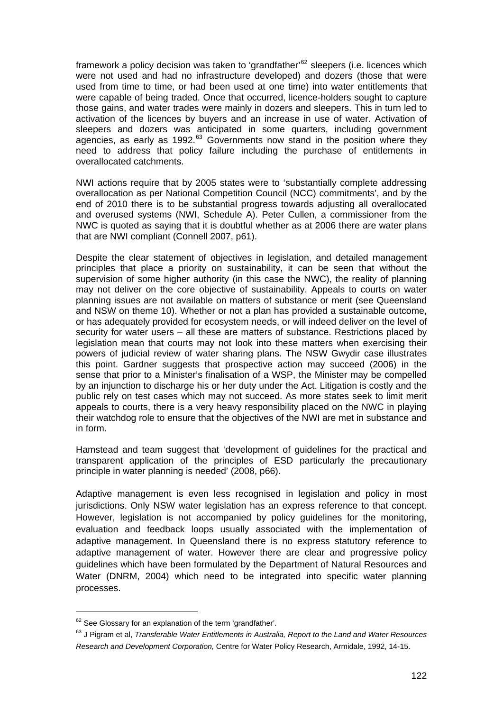framework a policy decision was taken to 'grandfather'<sup>[62](#page-121-0)</sup> sleepers (i.e. licences which were not used and had no infrastructure developed) and dozers (those that were used from time to time, or had been used at one time) into water entitlements that were capable of being traded. Once that occurred, licence-holders sought to capture those gains, and water trades were mainly in dozers and sleepers. This in turn led to activation of the licences by buyers and an increase in use of water. Activation of sleepers and dozers was anticipated in some quarters, including government agencies, as early as 1992. $^{63}$  $^{63}$  $^{63}$  Governments now stand in the position where they need to address that policy failure including the purchase of entitlements in overallocated catchments.

NWI actions require that by 2005 states were to 'substantially complete addressing overallocation as per National Competition Council (NCC) commitments', and by the end of 2010 there is to be substantial progress towards adjusting all overallocated and overused systems (NWI, Schedule A). Peter Cullen, a commissioner from the NWC is quoted as saying that it is doubtful whether as at 2006 there are water plans that are NWI compliant (Connell 2007, p61).

Despite the clear statement of objectives in legislation, and detailed management principles that place a priority on sustainability, it can be seen that without the supervision of some higher authority (in this case the NWC), the reality of planning may not deliver on the core objective of sustainability. Appeals to courts on water planning issues are not available on matters of substance or merit (see Queensland and NSW on theme 10). Whether or not a plan has provided a sustainable outcome, or has adequately provided for ecosystem needs, or will indeed deliver on the level of security for water users – all these are matters of substance. Restrictions placed by legislation mean that courts may not look into these matters when exercising their powers of judicial review of water sharing plans. The NSW Gwydir case illustrates this point. Gardner suggests that prospective action may succeed (2006) in the sense that prior to a Minister's finalisation of a WSP, the Minister may be compelled by an injunction to discharge his or her duty under the Act. Litigation is costly and the public rely on test cases which may not succeed. As more states seek to limit merit appeals to courts, there is a very heavy responsibility placed on the NWC in playing their watchdog role to ensure that the objectives of the NWI are met in substance and in form.

Hamstead and team suggest that 'development of guidelines for the practical and transparent application of the principles of ESD particularly the precautionary principle in water planning is needed' (2008, p66).

Adaptive management is even less recognised in legislation and policy in most jurisdictions. Only NSW water legislation has an express reference to that concept. However, legislation is not accompanied by policy guidelines for the monitoring, evaluation and feedback loops usually associated with the implementation of adaptive management. In Queensland there is no express statutory reference to adaptive management of water. However there are clear and progressive policy guidelines which have been formulated by the Department of Natural Resources and Water (DNRM, 2004) which need to be integrated into specific water planning processes.

<span id="page-121-0"></span><sup>&</sup>lt;sup>62</sup> See Glossary for an explanation of the term 'grandfather'.

<span id="page-121-1"></span><sup>63</sup> J Pigram et al, *Transferable Water Entitlements in Australia, Report to the Land and Water Resources Research and Development Corporation,* Centre for Water Policy Research, Armidale, 1992, 14-15.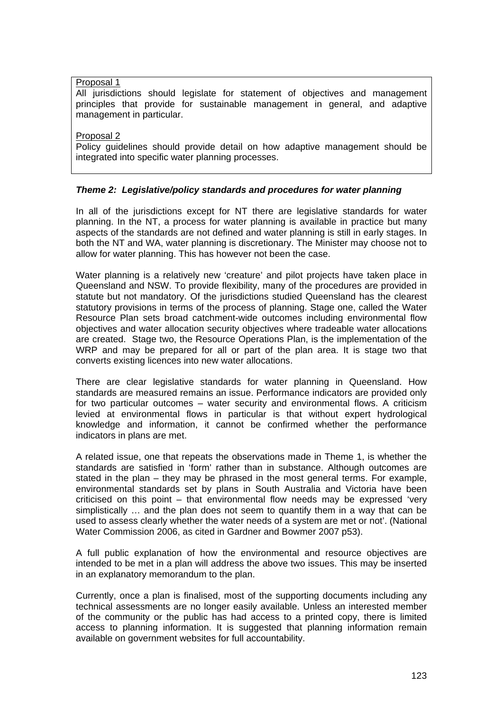Proposal 1

All jurisdictions should legislate for statement of objectives and management principles that provide for sustainable management in general, and adaptive management in particular.

Proposal 2

Policy guidelines should provide detail on how adaptive management should be integrated into specific water planning processes.

# *Theme 2: Legislative/policy standards and procedures for water planning*

In all of the jurisdictions except for NT there are legislative standards for water planning. In the NT, a process for water planning is available in practice but many aspects of the standards are not defined and water planning is still in early stages. In both the NT and WA, water planning is discretionary. The Minister may choose not to allow for water planning. This has however not been the case.

Water planning is a relatively new 'creature' and pilot projects have taken place in Queensland and NSW. To provide flexibility, many of the procedures are provided in statute but not mandatory. Of the jurisdictions studied Queensland has the clearest statutory provisions in terms of the process of planning. Stage one, called the Water Resource Plan sets broad catchment-wide outcomes including environmental flow objectives and water allocation security objectives where tradeable water allocations are created. Stage two, the Resource Operations Plan, is the implementation of the WRP and may be prepared for all or part of the plan area. It is stage two that converts existing licences into new water allocations.

There are clear legislative standards for water planning in Queensland. How standards are measured remains an issue. Performance indicators are provided only for two particular outcomes – water security and environmental flows. A criticism levied at environmental flows in particular is that without expert hydrological knowledge and information, it cannot be confirmed whether the performance indicators in plans are met.

A related issue, one that repeats the observations made in Theme 1, is whether the standards are satisfied in 'form' rather than in substance. Although outcomes are stated in the plan – they may be phrased in the most general terms. For example, environmental standards set by plans in South Australia and Victoria have been criticised on this point – that environmental flow needs may be expressed 'very simplistically … and the plan does not seem to quantify them in a way that can be used to assess clearly whether the water needs of a system are met or not'. (National Water Commission 2006, as cited in Gardner and Bowmer 2007 p53).

A full public explanation of how the environmental and resource objectives are intended to be met in a plan will address the above two issues. This may be inserted in an explanatory memorandum to the plan.

Currently, once a plan is finalised, most of the supporting documents including any technical assessments are no longer easily available. Unless an interested member of the community or the public has had access to a printed copy, there is limited access to planning information. It is suggested that planning information remain available on government websites for full accountability.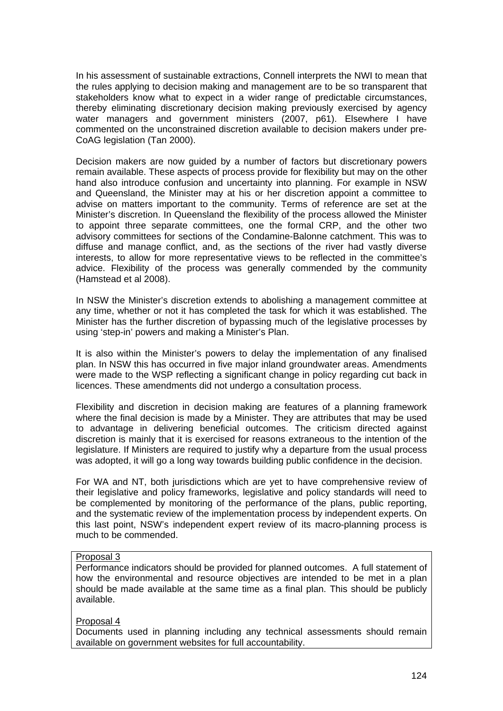In his assessment of sustainable extractions, Connell interprets the NWI to mean that the rules applying to decision making and management are to be so transparent that stakeholders know what to expect in a wider range of predictable circumstances, thereby eliminating discretionary decision making previously exercised by agency water managers and government ministers (2007, p61). Elsewhere I have commented on the unconstrained discretion available to decision makers under pre-CoAG legislation (Tan 2000).

Decision makers are now guided by a number of factors but discretionary powers remain available. These aspects of process provide for flexibility but may on the other hand also introduce confusion and uncertainty into planning. For example in NSW and Queensland, the Minister may at his or her discretion appoint a committee to advise on matters important to the community. Terms of reference are set at the Minister's discretion. In Queensland the flexibility of the process allowed the Minister to appoint three separate committees, one the formal CRP, and the other two advisory committees for sections of the Condamine-Balonne catchment. This was to diffuse and manage conflict, and, as the sections of the river had vastly diverse interests, to allow for more representative views to be reflected in the committee's advice. Flexibility of the process was generally commended by the community (Hamstead et al 2008).

In NSW the Minister's discretion extends to abolishing a management committee at any time, whether or not it has completed the task for which it was established. The Minister has the further discretion of bypassing much of the legislative processes by using 'step-in' powers and making a Minister's Plan.

It is also within the Minister's powers to delay the implementation of any finalised plan. In NSW this has occurred in five major inland groundwater areas. Amendments were made to the WSP reflecting a significant change in policy regarding cut back in licences. These amendments did not undergo a consultation process.

Flexibility and discretion in decision making are features of a planning framework where the final decision is made by a Minister. They are attributes that may be used to advantage in delivering beneficial outcomes. The criticism directed against discretion is mainly that it is exercised for reasons extraneous to the intention of the legislature. If Ministers are required to justify why a departure from the usual process was adopted, it will go a long way towards building public confidence in the decision.

For WA and NT, both jurisdictions which are yet to have comprehensive review of their legislative and policy frameworks, legislative and policy standards will need to be complemented by monitoring of the performance of the plans, public reporting, and the systematic review of the implementation process by independent experts. On this last point, NSW's independent expert review of its macro-planning process is much to be commended.

## Proposal 3

Performance indicators should be provided for planned outcomes. A full statement of how the environmental and resource objectives are intended to be met in a plan should be made available at the same time as a final plan. This should be publicly available.

#### Proposal 4

Documents used in planning including any technical assessments should remain available on government websites for full accountability.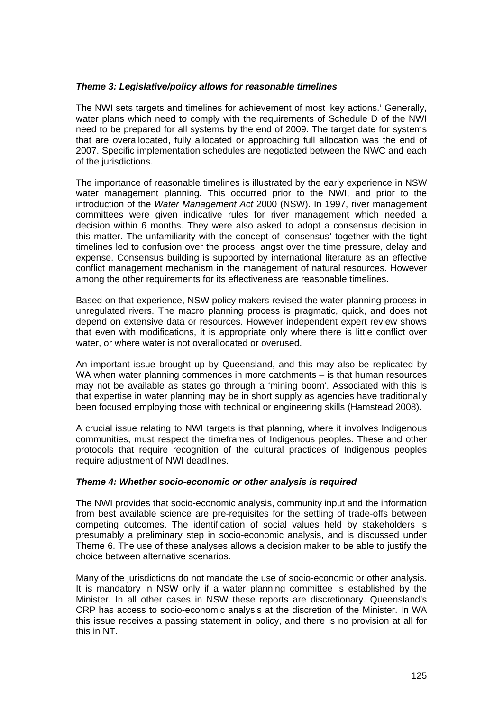## *Theme 3: Legislative/policy allows for reasonable timelines*

The NWI sets targets and timelines for achievement of most 'key actions.' Generally, water plans which need to comply with the requirements of Schedule D of the NWI need to be prepared for all systems by the end of 2009. The target date for systems that are overallocated, fully allocated or approaching full allocation was the end of 2007. Specific implementation schedules are negotiated between the NWC and each of the jurisdictions.

The importance of reasonable timelines is illustrated by the early experience in NSW water management planning. This occurred prior to the NWI, and prior to the introduction of the *Water Management Act* 2000 (NSW). In 1997, river management committees were given indicative rules for river management which needed a decision within 6 months. They were also asked to adopt a consensus decision in this matter. The unfamiliarity with the concept of 'consensus' together with the tight timelines led to confusion over the process, angst over the time pressure, delay and expense. Consensus building is supported by international literature as an effective conflict management mechanism in the management of natural resources. However among the other requirements for its effectiveness are reasonable timelines.

Based on that experience, NSW policy makers revised the water planning process in unregulated rivers. The macro planning process is pragmatic, quick, and does not depend on extensive data or resources. However independent expert review shows that even with modifications, it is appropriate only where there is little conflict over water, or where water is not overallocated or overused.

An important issue brought up by Queensland, and this may also be replicated by WA when water planning commences in more catchments – is that human resources may not be available as states go through a 'mining boom'. Associated with this is that expertise in water planning may be in short supply as agencies have traditionally been focused employing those with technical or engineering skills (Hamstead 2008).

A crucial issue relating to NWI targets is that planning, where it involves Indigenous communities, must respect the timeframes of Indigenous peoples. These and other protocols that require recognition of the cultural practices of Indigenous peoples require adjustment of NWI deadlines.

## *Theme 4: Whether socio-economic or other analysis is required*

The NWI provides that socio-economic analysis, community input and the information from best available science are pre-requisites for the settling of trade-offs between competing outcomes. The identification of social values held by stakeholders is presumably a preliminary step in socio-economic analysis, and is discussed under Theme 6. The use of these analyses allows a decision maker to be able to justify the choice between alternative scenarios.

Many of the jurisdictions do not mandate the use of socio-economic or other analysis. It is mandatory in NSW only if a water planning committee is established by the Minister. In all other cases in NSW these reports are discretionary. Queensland's CRP has access to socio-economic analysis at the discretion of the Minister. In WA this issue receives a passing statement in policy, and there is no provision at all for this in NT.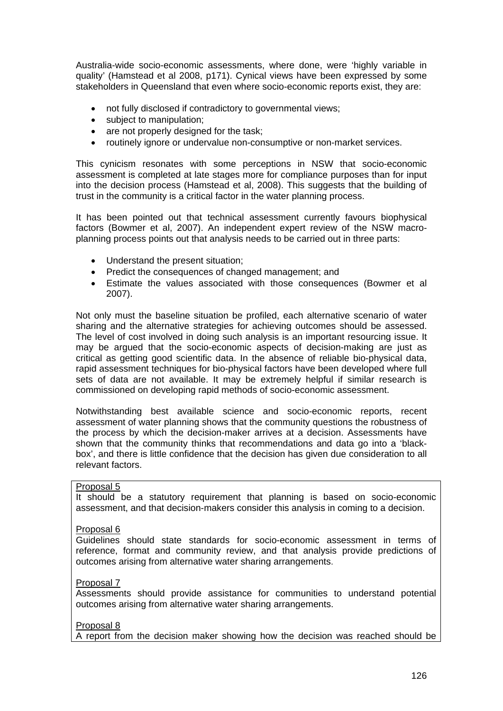Australia-wide socio-economic assessments, where done, were 'highly variable in quality' (Hamstead et al 2008, p171). Cynical views have been expressed by some stakeholders in Queensland that even where socio-economic reports exist, they are:

- not fully disclosed if contradictory to governmental views;
- subject to manipulation;
- are not properly designed for the task;
- routinely ignore or undervalue non-consumptive or non-market services.

This cynicism resonates with some perceptions in NSW that socio-economic assessment is completed at late stages more for compliance purposes than for input into the decision process (Hamstead et al, 2008). This suggests that the building of trust in the community is a critical factor in the water planning process.

It has been pointed out that technical assessment currently favours biophysical factors (Bowmer et al, 2007). An independent expert review of the NSW macroplanning process points out that analysis needs to be carried out in three parts:

- Understand the present situation;
- Predict the consequences of changed management; and
- Estimate the values associated with those consequences (Bowmer et al 2007).

Not only must the baseline situation be profiled, each alternative scenario of water sharing and the alternative strategies for achieving outcomes should be assessed. The level of cost involved in doing such analysis is an important resourcing issue. It may be argued that the socio-economic aspects of decision-making are just as critical as getting good scientific data. In the absence of reliable bio-physical data, rapid assessment techniques for bio-physical factors have been developed where full sets of data are not available. It may be extremely helpful if similar research is commissioned on developing rapid methods of socio-economic assessment.

Notwithstanding best available science and socio-economic reports, recent assessment of water planning shows that the community questions the robustness of the process by which the decision-maker arrives at a decision. Assessments have shown that the community thinks that recommendations and data go into a 'blackbox', and there is little confidence that the decision has given due consideration to all relevant factors.

## Proposal 5

It should be a statutory requirement that planning is based on socio-economic assessment, and that decision-makers consider this analysis in coming to a decision.

#### Proposal 6

Guidelines should state standards for socio-economic assessment in terms of reference, format and community review, and that analysis provide predictions of outcomes arising from alternative water sharing arrangements.

#### Proposal 7

Assessments should provide assistance for communities to understand potential outcomes arising from alternative water sharing arrangements.

#### Proposal 8

A report from the decision maker showing how the decision was reached should be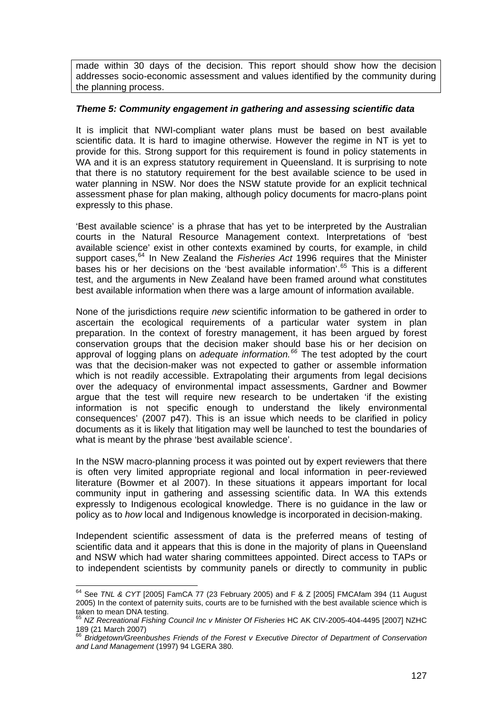made within 30 days of the decision. This report should show how the decision addresses socio-economic assessment and values identified by the community during the planning process.

## *Theme 5: Community engagement in gathering and assessing scientific data*

It is implicit that NWI-compliant water plans must be based on best available scientific data. It is hard to imagine otherwise. However the regime in NT is yet to provide for this. Strong support for this requirement is found in policy statements in WA and it is an express statutory requirement in Queensland. It is surprising to note that there is no statutory requirement for the best available science to be used in water planning in NSW. Nor does the NSW statute provide for an explicit technical assessment phase for plan making, although policy documents for macro-plans point expressly to this phase.

'Best available science' is a phrase that has yet to be interpreted by the Australian courts in the Natural Resource Management context. Interpretations of 'best available science' exist in other contexts examined by courts, for example, in child support cases,<sup>[64](#page-126-0)</sup> In New Zealand the *Fisheries Act* 1996 requires that the Minister bases his or her decisions on the 'best available information'.<sup>[65](#page-126-1)</sup> This is a different test, and the arguments in New Zealand have been framed around what constitutes best available information when there was a large amount of information available.

None of the jurisdictions require *new* scientific information to be gathered in order to ascertain the ecological requirements of a particular water system in plan preparation. In the context of forestry management, it has been argued by forest conservation groups that the decision maker should base his or her decision on approval of logging plans on *adequate information.[66](#page-126-2)* The test adopted by the court was that the decision-maker was not expected to gather or assemble information which is not readily accessible. Extrapolating their arguments from legal decisions over the adequacy of environmental impact assessments, Gardner and Bowmer argue that the test will require new research to be undertaken 'if the existing information is not specific enough to understand the likely environmental consequences' (2007 p47). This is an issue which needs to be clarified in policy documents as it is likely that litigation may well be launched to test the boundaries of what is meant by the phrase 'best available science'.

In the NSW macro-planning process it was pointed out by expert reviewers that there is often very limited appropriate regional and local information in peer-reviewed literature (Bowmer et al 2007). In these situations it appears important for local community input in gathering and assessing scientific data. In WA this extends expressly to Indigenous ecological knowledge. There is no guidance in the law or policy as to *how* local and Indigenous knowledge is incorporated in decision-making.

Independent scientific assessment of data is the preferred means of testing of scientific data and it appears that this is done in the majority of plans in Queensland and NSW which had water sharing committees appointed. Direct access to TAPs or to independent scientists by community panels or directly to community in public

<span id="page-126-0"></span> 64 See *TNL & CYT* [2005] FamCA 77 (23 February 2005) and F & Z [2005] FMCAfam 394 (11 August 2005) In the context of paternity suits, courts are to be furnished with the best available science which is taken to mean DNA testing.

<span id="page-126-1"></span><sup>65</sup> *NZ Recreational Fishing Council Inc v Minister Of Fisheries* HC AK CIV-2005-404-4495 [2007] NZHC 189 (21 March 2007)

<span id="page-126-2"></span><sup>66</sup> *Bridgetown/Greenbushes Friends of the Forest v Executive Director of Department of Conservation and Land Management* (1997) 94 LGERA 380.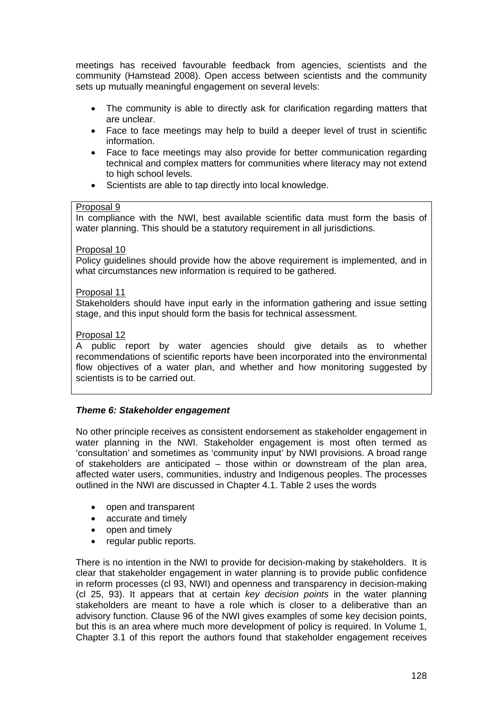meetings has received favourable feedback from agencies, scientists and the community (Hamstead 2008). Open access between scientists and the community sets up mutually meaningful engagement on several levels:

- The community is able to directly ask for clarification regarding matters that are unclear.
- Face to face meetings may help to build a deeper level of trust in scientific information.
- Face to face meetings may also provide for better communication regarding technical and complex matters for communities where literacy may not extend to high school levels.
- Scientists are able to tap directly into local knowledge.

#### Proposal 9

In compliance with the NWI, best available scientific data must form the basis of water planning. This should be a statutory requirement in all jurisdictions.

## Proposal 10

Policy guidelines should provide how the above requirement is implemented, and in what circumstances new information is required to be gathered.

#### Proposal 11

Stakeholders should have input early in the information gathering and issue setting stage, and this input should form the basis for technical assessment.

## Proposal 12

A public report by water agencies should give details as to whether recommendations of scientific reports have been incorporated into the environmental flow objectives of a water plan, and whether and how monitoring suggested by scientists is to be carried out.

## *Theme 6: Stakeholder engagement*

No other principle receives as consistent endorsement as stakeholder engagement in water planning in the NWI. Stakeholder engagement is most often termed as 'consultation' and sometimes as 'community input' by NWI provisions. A broad range of stakeholders are anticipated – those within or downstream of the plan area, affected water users, communities, industry and Indigenous peoples. The processes outlined in the NWI are discussed in Chapter 4.1. Table 2 uses the words

- open and transparent
- accurate and timely
- open and timely
- regular public reports.

There is no intention in the NWI to provide for decision-making by stakeholders. It is clear that stakeholder engagement in water planning is to provide public confidence in reform processes (cl 93, NWI) and openness and transparency in decision-making (cl 25, 93). It appears that at certain *key decision points* in the water planning stakeholders are meant to have a role which is closer to a deliberative than an advisory function. Clause 96 of the NWI gives examples of some key decision points, but this is an area where much more development of policy is required. In Volume 1, Chapter 3.1 of this report the authors found that stakeholder engagement receives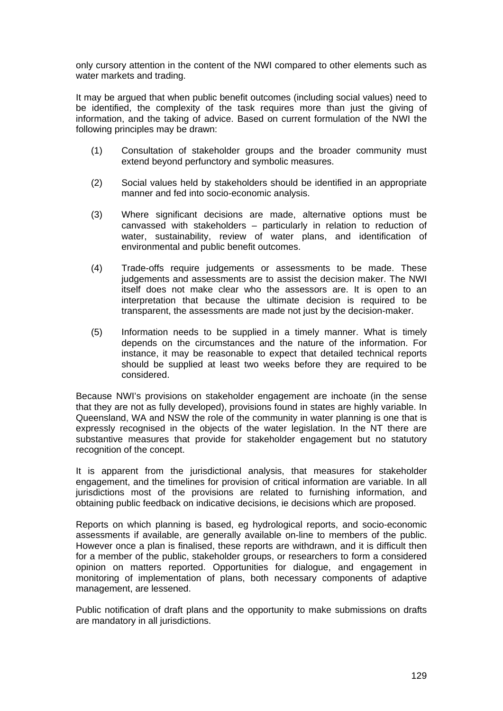only cursory attention in the content of the NWI compared to other elements such as water markets and trading.

It may be argued that when public benefit outcomes (including social values) need to be identified, the complexity of the task requires more than just the giving of information, and the taking of advice. Based on current formulation of the NWI the following principles may be drawn:

- (1) Consultation of stakeholder groups and the broader community must extend beyond perfunctory and symbolic measures.
- (2) Social values held by stakeholders should be identified in an appropriate manner and fed into socio-economic analysis.
- (3) Where significant decisions are made, alternative options must be canvassed with stakeholders – particularly in relation to reduction of water, sustainability, review of water plans, and identification of environmental and public benefit outcomes.
- (4) Trade-offs require judgements or assessments to be made. These judgements and assessments are to assist the decision maker. The NWI itself does not make clear who the assessors are. It is open to an interpretation that because the ultimate decision is required to be transparent, the assessments are made not just by the decision-maker.
- (5) Information needs to be supplied in a timely manner. What is timely depends on the circumstances and the nature of the information. For instance, it may be reasonable to expect that detailed technical reports should be supplied at least two weeks before they are required to be considered.

Because NWI's provisions on stakeholder engagement are inchoate (in the sense that they are not as fully developed), provisions found in states are highly variable. In Queensland, WA and NSW the role of the community in water planning is one that is expressly recognised in the objects of the water legislation. In the NT there are substantive measures that provide for stakeholder engagement but no statutory recognition of the concept.

It is apparent from the jurisdictional analysis, that measures for stakeholder engagement, and the timelines for provision of critical information are variable. In all jurisdictions most of the provisions are related to furnishing information, and obtaining public feedback on indicative decisions, ie decisions which are proposed.

Reports on which planning is based, eg hydrological reports, and socio-economic assessments if available, are generally available on-line to members of the public. However once a plan is finalised, these reports are withdrawn, and it is difficult then for a member of the public, stakeholder groups, or researchers to form a considered opinion on matters reported. Opportunities for dialogue, and engagement in monitoring of implementation of plans, both necessary components of adaptive management, are lessened.

Public notification of draft plans and the opportunity to make submissions on drafts are mandatory in all jurisdictions.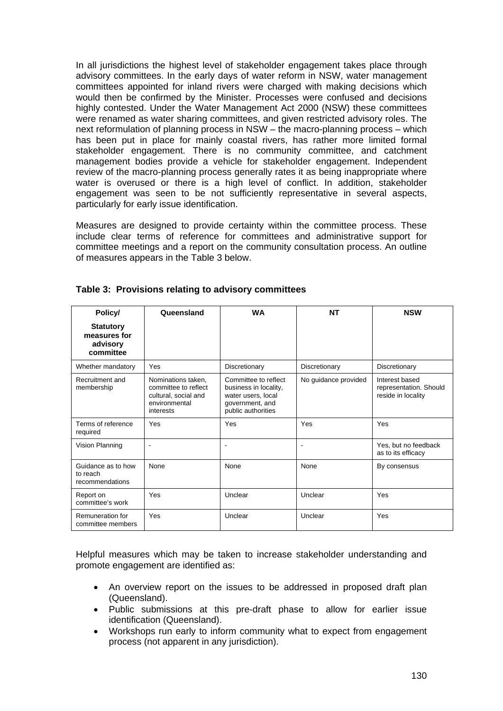In all jurisdictions the highest level of stakeholder engagement takes place through advisory committees. In the early days of water reform in NSW, water management committees appointed for inland rivers were charged with making decisions which would then be confirmed by the Minister. Processes were confused and decisions highly contested. Under the Water Management Act 2000 (NSW) these committees were renamed as water sharing committees, and given restricted advisory roles. The next reformulation of planning process in NSW – the macro-planning process – which has been put in place for mainly coastal rivers, has rather more limited formal stakeholder engagement. There is no community committee, and catchment management bodies provide a vehicle for stakeholder engagement. Independent review of the macro-planning process generally rates it as being inappropriate where water is overused or there is a high level of conflict. In addition, stakeholder engagement was seen to be not sufficiently representative in several aspects, particularly for early issue identification.

Measures are designed to provide certainty within the committee process. These include clear terms of reference for committees and administrative support for committee meetings and a report on the community consultation process. An outline of measures appears in the Table 3 below.

| Policy/                                                   | Queensland                                                                                       | <b>WA</b>                                                                                                    | <b>NT</b>            | <b>NSW</b>                                                     |
|-----------------------------------------------------------|--------------------------------------------------------------------------------------------------|--------------------------------------------------------------------------------------------------------------|----------------------|----------------------------------------------------------------|
| <b>Statutory</b><br>measures for<br>advisory<br>committee |                                                                                                  |                                                                                                              |                      |                                                                |
| Whether mandatory                                         | Yes                                                                                              | Discretionary                                                                                                | Discretionary        | Discretionary                                                  |
| Recruitment and<br>membership                             | Nominations taken.<br>committee to reflect<br>cultural, social and<br>environmental<br>interests | Committee to reflect<br>business in locality,<br>water users, local<br>government, and<br>public authorities | No guidance provided | Interest based<br>representation. Should<br>reside in locality |
| Terms of reference<br>required                            | Yes                                                                                              | Yes                                                                                                          | Yes                  | Yes                                                            |
| Vision Planning                                           | $\blacksquare$                                                                                   | $\blacksquare$                                                                                               | ۰                    | Yes, but no feedback<br>as to its efficacy                     |
| Guidance as to how<br>to reach<br>recommendations         | <b>None</b>                                                                                      | None                                                                                                         | None                 | By consensus                                                   |
| Report on<br>committee's work                             | Yes                                                                                              | Unclear                                                                                                      | Unclear              | Yes                                                            |
| Remuneration for<br>committee members                     | Yes                                                                                              | Unclear                                                                                                      | Unclear              | Yes                                                            |

## **Table 3: Provisions relating to advisory committees**

Helpful measures which may be taken to increase stakeholder understanding and promote engagement are identified as:

- An overview report on the issues to be addressed in proposed draft plan (Queensland).
- Public submissions at this pre-draft phase to allow for earlier issue identification (Queensland).
- Workshops run early to inform community what to expect from engagement process (not apparent in any jurisdiction).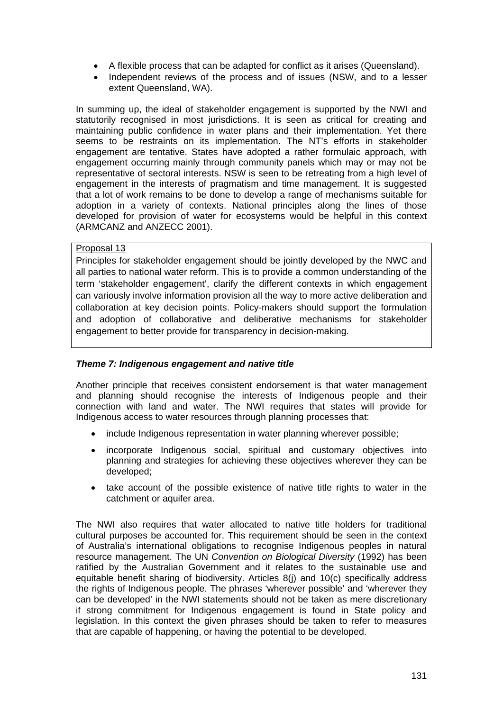- A flexible process that can be adapted for conflict as it arises (Queensland).
- Independent reviews of the process and of issues (NSW, and to a lesser extent Queensland, WA).

In summing up, the ideal of stakeholder engagement is supported by the NWI and statutorily recognised in most jurisdictions. It is seen as critical for creating and maintaining public confidence in water plans and their implementation. Yet there seems to be restraints on its implementation. The NT's efforts in stakeholder engagement are tentative. States have adopted a rather formulaic approach, with engagement occurring mainly through community panels which may or may not be representative of sectoral interests. NSW is seen to be retreating from a high level of engagement in the interests of pragmatism and time management. It is suggested that a lot of work remains to be done to develop a range of mechanisms suitable for adoption in a variety of contexts. National principles along the lines of those developed for provision of water for ecosystems would be helpful in this context (ARMCANZ and ANZECC 2001).

# Proposal 13

Principles for stakeholder engagement should be jointly developed by the NWC and all parties to national water reform. This is to provide a common understanding of the term 'stakeholder engagement', clarify the different contexts in which engagement can variously involve information provision all the way to more active deliberation and collaboration at key decision points. Policy-makers should support the formulation and adoption of collaborative and deliberative mechanisms for stakeholder engagement to better provide for transparency in decision-making.

## *Theme 7: Indigenous engagement and native title*

Another principle that receives consistent endorsement is that water management and planning should recognise the interests of Indigenous people and their connection with land and water. The NWI requires that states will provide for Indigenous access to water resources through planning processes that:

- include Indigenous representation in water planning wherever possible;
- incorporate Indigenous social, spiritual and customary objectives into planning and strategies for achieving these objectives wherever they can be developed;
- take account of the possible existence of native title rights to water in the catchment or aquifer area.

The NWI also requires that water allocated to native title holders for traditional cultural purposes be accounted for. This requirement should be seen in the context of Australia's international obligations to recognise Indigenous peoples in natural resource management. The UN *Convention on Biological Diversity* (1992) has been ratified by the Australian Government and it relates to the sustainable use and equitable benefit sharing of biodiversity. Articles 8(j) and 10(c) specifically address the rights of Indigenous people. The phrases 'wherever possible' and 'wherever they can be developed' in the NWI statements should not be taken as mere discretionary if strong commitment for Indigenous engagement is found in State policy and legislation. In this context the given phrases should be taken to refer to measures that are capable of happening, or having the potential to be developed.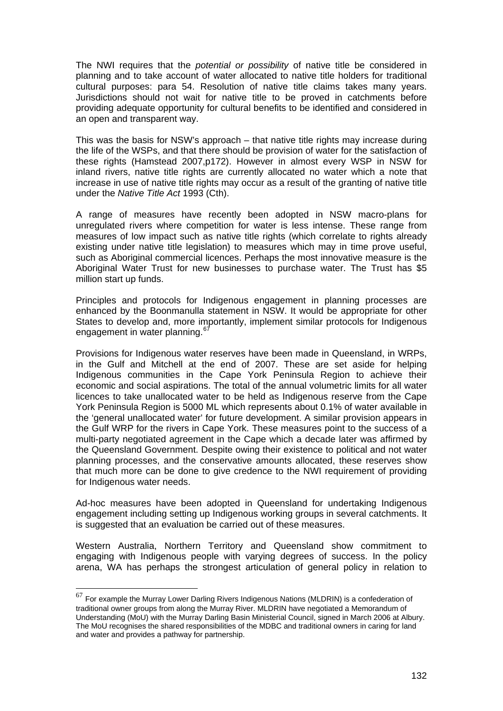The NWI requires that the *potential or possibility* of native title be considered in planning and to take account of water allocated to native title holders for traditional cultural purposes: para 54. Resolution of native title claims takes many years. Jurisdictions should not wait for native title to be proved in catchments before providing adequate opportunity for cultural benefits to be identified and considered in an open and transparent way.

This was the basis for NSW's approach – that native title rights may increase during the life of the WSPs, and that there should be provision of water for the satisfaction of these rights (Hamstead 2007,p172). However in almost every WSP in NSW for inland rivers, native title rights are currently allocated no water which a note that increase in use of native title rights may occur as a result of the granting of native title under the *Native Title Act* 1993 (Cth).

A range of measures have recently been adopted in NSW macro-plans for unregulated rivers where competition for water is less intense. These range from measures of low impact such as native title rights (which correlate to rights already existing under native title legislation) to measures which may in time prove useful, such as Aboriginal commercial licences. Perhaps the most innovative measure is the Aboriginal Water Trust for new businesses to purchase water. The Trust has \$5 million start up funds.

Principles and protocols for Indigenous engagement in planning processes are enhanced by the Boonmanulla statement in NSW. It would be appropriate for other States to develop and, more importantly, implement similar protocols for Indigenous engagement in water planning.<sup>[67](#page-131-0)</sup>

Provisions for Indigenous water reserves have been made in Queensland, in WRPs, in the Gulf and Mitchell at the end of 2007. These are set aside for helping Indigenous communities in the Cape York Peninsula Region to achieve their economic and social aspirations. The total of the annual volumetric limits for all water licences to take unallocated water to be held as Indigenous reserve from the Cape York Peninsula Region is 5000 ML which represents about 0.1% of water available in the 'general unallocated water' for future development. A similar provision appears in the Gulf WRP for the rivers in Cape York. These measures point to the success of a multi-party negotiated agreement in the Cape which a decade later was affirmed by the Queensland Government. Despite owing their existence to political and not water planning processes, and the conservative amounts allocated, these reserves show that much more can be done to give credence to the NWI requirement of providing for Indigenous water needs.

Ad-hoc measures have been adopted in Queensland for undertaking Indigenous engagement including setting up Indigenous working groups in several catchments. It is suggested that an evaluation be carried out of these measures.

Western Australia, Northern Territory and Queensland show commitment to engaging with Indigenous people with varying degrees of success. In the policy arena, WA has perhaps the strongest articulation of general policy in relation to

<span id="page-131-0"></span> $^{67}$  For example the Murray Lower Darling Rivers Indigenous Nations (MLDRIN) is a confederation of traditional owner groups from along the Murray River. MLDRIN have negotiated a Memorandum of Understanding (MoU) with the Murray Darling Basin Ministerial Council, signed in March 2006 at Albury. The MoU recognises the shared responsibilities of the MDBC and traditional owners in caring for land and water and provides a pathway for partnership.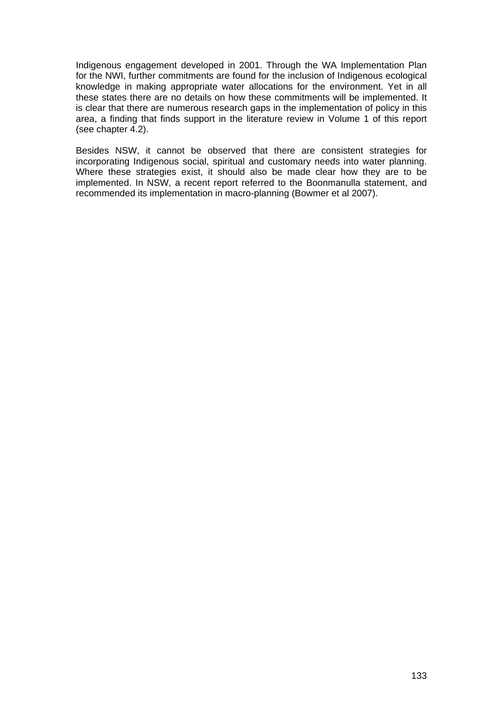Indigenous engagement developed in 2001. Through the WA Implementation Plan for the NWI, further commitments are found for the inclusion of Indigenous ecological knowledge in making appropriate water allocations for the environment. Yet in all these states there are no details on how these commitments will be implemented. It is clear that there are numerous research gaps in the implementation of policy in this area, a finding that finds support in the literature review in Volume 1 of this report (see chapter 4.2).

Besides NSW, it cannot be observed that there are consistent strategies for incorporating Indigenous social, spiritual and customary needs into water planning. Where these strategies exist, it should also be made clear how they are to be implemented. In NSW, a recent report referred to the Boonmanulla statement, and recommended its implementation in macro-planning (Bowmer et al 2007).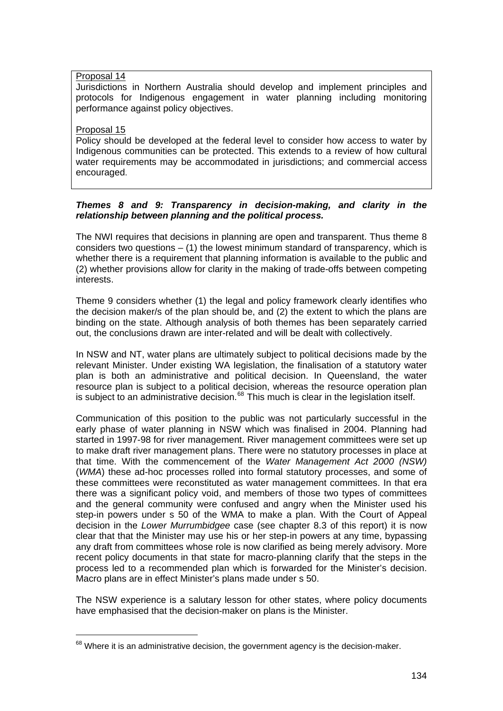## Proposal 14

Jurisdictions in Northern Australia should develop and implement principles and protocols for Indigenous engagement in water planning including monitoring performance against policy objectives.

## Proposal 15

 $\overline{a}$ 

Policy should be developed at the federal level to consider how access to water by Indigenous communities can be protected. This extends to a review of how cultural water requirements may be accommodated in jurisdictions; and commercial access encouraged.

## *Themes 8 and 9: Transparency in decision-making, and clarity in the relationship between planning and the political process.*

The NWI requires that decisions in planning are open and transparent. Thus theme 8 considers two questions  $-$  (1) the lowest minimum standard of transparency, which is whether there is a requirement that planning information is available to the public and (2) whether provisions allow for clarity in the making of trade-offs between competing interests.

Theme 9 considers whether (1) the legal and policy framework clearly identifies who the decision maker/s of the plan should be, and (2) the extent to which the plans are binding on the state. Although analysis of both themes has been separately carried out, the conclusions drawn are inter-related and will be dealt with collectively.

In NSW and NT, water plans are ultimately subject to political decisions made by the relevant Minister. Under existing WA legislation, the finalisation of a statutory water plan is both an administrative and political decision. In Queensland, the water resource plan is subject to a political decision, whereas the resource operation plan is subject to an administrative decision.<sup>[68](#page-133-0)</sup> This much is clear in the legislation itself.

Communication of this position to the public was not particularly successful in the early phase of water planning in NSW which was finalised in 2004. Planning had started in 1997-98 for river management. River management committees were set up to make draft river management plans. There were no statutory processes in place at that time. With the commencement of the *Water Management Act 2000 (NSW)* (*WMA*) these ad-hoc processes rolled into formal statutory processes, and some of these committees were reconstituted as water management committees. In that era there was a significant policy void, and members of those two types of committees and the general community were confused and angry when the Minister used his step-in powers under s 50 of the WMA to make a plan. With the Court of Appeal decision in the *Lower Murrumbidgee* case (see chapter 8.3 of this report) it is now clear that that the Minister may use his or her step-in powers at any time, bypassing any draft from committees whose role is now clarified as being merely advisory. More recent policy documents in that state for macro-planning clarify that the steps in the process led to a recommended plan which is forwarded for the Minister's decision. Macro plans are in effect Minister's plans made under s 50.

The NSW experience is a salutary lesson for other states, where policy documents have emphasised that the decision-maker on plans is the Minister.

<span id="page-133-0"></span> $68$  Where it is an administrative decision, the government agency is the decision-maker.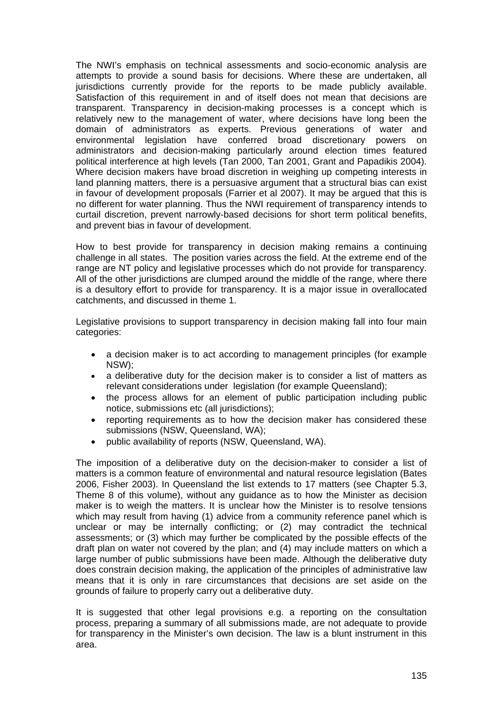The NWI's emphasis on technical assessments and socio-economic analysis are attempts to provide a sound basis for decisions. Where these are undertaken, all jurisdictions currently provide for the reports to be made publicly available. Satisfaction of this requirement in and of itself does not mean that decisions are transparent. Transparency in decision-making processes is a concept which is relatively new to the management of water, where decisions have long been the domain of administrators as experts. Previous generations of water and environmental legislation have conferred broad discretionary powers on administrators and decision-making particularly around election times featured political interference at high levels (Tan 2000, Tan 2001, Grant and Papadikis 2004). Where decision makers have broad discretion in weighing up competing interests in land planning matters, there is a persuasive argument that a structural bias can exist in favour of development proposals (Farrier et al 2007). It may be argued that this is no different for water planning. Thus the NWI requirement of transparency intends to curtail discretion, prevent narrowly-based decisions for short term political benefits, and prevent bias in favour of development.

How to best provide for transparency in decision making remains a continuing challenge in all states. The position varies across the field. At the extreme end of the range are NT policy and legislative processes which do not provide for transparency. All of the other jurisdictions are clumped around the middle of the range, where there is a desultory effort to provide for transparency. It is a major issue in overallocated catchments, and discussed in theme 1.

Legislative provisions to support transparency in decision making fall into four main categories:

- a decision maker is to act according to management principles (for example NSW);
- a deliberative duty for the decision maker is to consider a list of matters as relevant considerations under legislation (for example Queensland);
- the process allows for an element of public participation including public notice, submissions etc (all jurisdictions);
- reporting requirements as to how the decision maker has considered these submissions (NSW, Queensland, WA);
- public availability of reports (NSW, Queensland, WA).

The imposition of a deliberative duty on the decision-maker to consider a list of matters is a common feature of environmental and natural resource legislation (Bates 2006, Fisher 2003). In Queensland the list extends to 17 matters (see Chapter 5.3, Theme 8 of this volume), without any guidance as to how the Minister as decision maker is to weigh the matters. It is unclear how the Minister is to resolve tensions which may result from having (1) advice from a community reference panel which is unclear or may be internally conflicting; or (2) may contradict the technical assessments; or (3) which may further be complicated by the possible effects of the draft plan on water not covered by the plan; and (4) may include matters on which a large number of public submissions have been made. Although the deliberative duty does constrain decision making, the application of the principles of administrative law means that it is only in rare circumstances that decisions are set aside on the grounds of failure to properly carry out a deliberative duty.

It is suggested that other legal provisions e.g. a reporting on the consultation process, preparing a summary of all submissions made, are not adequate to provide for transparency in the Minister's own decision. The law is a blunt instrument in this area.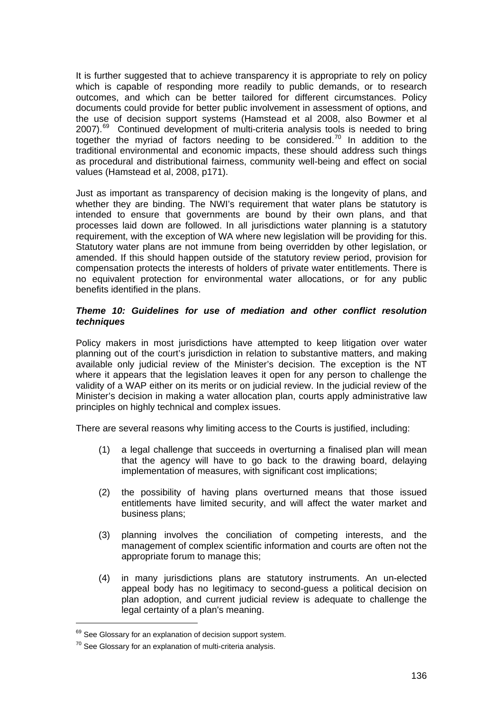It is further suggested that to achieve transparency it is appropriate to rely on policy which is capable of responding more readily to public demands, or to research outcomes, and which can be better tailored for different circumstances. Policy documents could provide for better public involvement in assessment of options, and the use of decision support systems (Hamstead et al 2008, also Bowmer et al 2007).<sup>[69](#page-135-0)</sup> Continued development of multi-criteria analysis tools is needed to bring together the myriad of factors needing to be considered.<sup>[70](#page-135-1)</sup> In addition to the traditional environmental and economic impacts, these should address such things as procedural and distributional fairness, community well-being and effect on social values (Hamstead et al, 2008, p171).

Just as important as transparency of decision making is the longevity of plans, and whether they are binding. The NWI's requirement that water plans be statutory is intended to ensure that governments are bound by their own plans, and that processes laid down are followed. In all jurisdictions water planning is a statutory requirement, with the exception of WA where new legislation will be providing for this. Statutory water plans are not immune from being overridden by other legislation, or amended. If this should happen outside of the statutory review period, provision for compensation protects the interests of holders of private water entitlements. There is no equivalent protection for environmental water allocations, or for any public benefits identified in the plans.

## *Theme 10: Guidelines for use of mediation and other conflict resolution techniques*

Policy makers in most jurisdictions have attempted to keep litigation over water planning out of the court's jurisdiction in relation to substantive matters, and making available only judicial review of the Minister's decision. The exception is the NT where it appears that the legislation leaves it open for any person to challenge the validity of a WAP either on its merits or on judicial review. In the judicial review of the Minister's decision in making a water allocation plan, courts apply administrative law principles on highly technical and complex issues.

There are several reasons why limiting access to the Courts is justified, including:

- (1) a legal challenge that succeeds in overturning a finalised plan will mean that the agency will have to go back to the drawing board, delaying implementation of measures, with significant cost implications;
- (2) the possibility of having plans overturned means that those issued entitlements have limited security, and will affect the water market and business plans;
- (3) planning involves the conciliation of competing interests, and the management of complex scientific information and courts are often not the appropriate forum to manage this;
- (4) in many jurisdictions plans are statutory instruments. An un-elected appeal body has no legitimacy to second-guess a political decision on plan adoption, and current judicial review is adequate to challenge the legal certainty of a plan's meaning.

<span id="page-135-0"></span><sup>&</sup>lt;sup>69</sup> See Glossary for an explanation of decision support system.

<span id="page-135-1"></span> $70$  See Glossary for an explanation of multi-criteria analysis.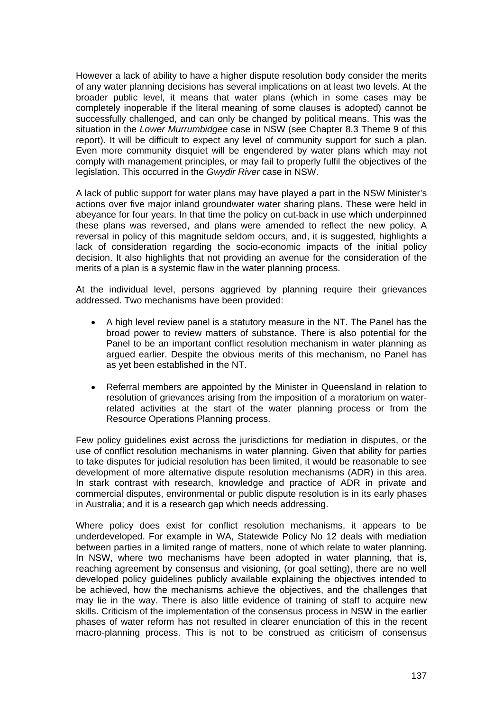However a lack of ability to have a higher dispute resolution body consider the merits of any water planning decisions has several implications on at least two levels. At the broader public level, it means that water plans (which in some cases may be completely inoperable if the literal meaning of some clauses is adopted) cannot be successfully challenged, and can only be changed by political means. This was the situation in the *Lower Murrumbidgee* case in NSW (see Chapter 8.3 Theme 9 of this report). It will be difficult to expect any level of community support for such a plan. Even more community disquiet will be engendered by water plans which may not comply with management principles, or may fail to properly fulfil the objectives of the legislation. This occurred in the *Gwydir River* case in NSW.

A lack of public support for water plans may have played a part in the NSW Minister's actions over five major inland groundwater water sharing plans. These were held in abeyance for four years. In that time the policy on cut-back in use which underpinned these plans was reversed, and plans were amended to reflect the new policy. A reversal in policy of this magnitude seldom occurs, and, it is suggested, highlights a lack of consideration regarding the socio-economic impacts of the initial policy decision. It also highlights that not providing an avenue for the consideration of the merits of a plan is a systemic flaw in the water planning process.

At the individual level, persons aggrieved by planning require their grievances addressed. Two mechanisms have been provided:

- A high level review panel is a statutory measure in the NT. The Panel has the broad power to review matters of substance. There is also potential for the Panel to be an important conflict resolution mechanism in water planning as argued earlier. Despite the obvious merits of this mechanism, no Panel has as yet been established in the NT.
- Referral members are appointed by the Minister in Queensland in relation to resolution of grievances arising from the imposition of a moratorium on waterrelated activities at the start of the water planning process or from the Resource Operations Planning process.

Few policy guidelines exist across the jurisdictions for mediation in disputes, or the use of conflict resolution mechanisms in water planning. Given that ability for parties to take disputes for judicial resolution has been limited, it would be reasonable to see development of more alternative dispute resolution mechanisms (ADR) in this area. In stark contrast with research, knowledge and practice of ADR in private and commercial disputes, environmental or public dispute resolution is in its early phases in Australia; and it is a research gap which needs addressing.

Where policy does exist for conflict resolution mechanisms, it appears to be underdeveloped. For example in WA, Statewide Policy No 12 deals with mediation between parties in a limited range of matters, none of which relate to water planning. In NSW, where two mechanisms have been adopted in water planning, that is, reaching agreement by consensus and visioning, (or goal setting), there are no well developed policy guidelines publicly available explaining the objectives intended to be achieved, how the mechanisms achieve the objectives, and the challenges that may lie in the way. There is also little evidence of training of staff to acquire new skills. Criticism of the implementation of the consensus process in NSW in the earlier phases of water reform has not resulted in clearer enunciation of this in the recent macro-planning process. This is not to be construed as criticism of consensus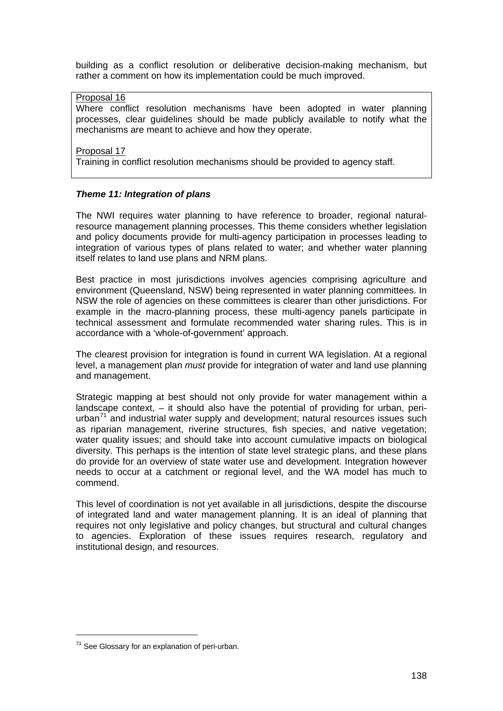building as a conflict resolution or deliberative decision-making mechanism, but rather a comment on how its implementation could be much improved.

## Proposal 16

Where conflict resolution mechanisms have been adopted in water planning processes, clear guidelines should be made publicly available to notify what the mechanisms are meant to achieve and how they operate.

Proposal 17

Training in conflict resolution mechanisms should be provided to agency staff.

# *Theme 11: Integration of plans*

The NWI requires water planning to have reference to broader, regional naturalresource management planning processes. This theme considers whether legislation and policy documents provide for multi-agency participation in processes leading to integration of various types of plans related to water; and whether water planning itself relates to land use plans and NRM plans.

Best practice in most jurisdictions involves agencies comprising agriculture and environment (Queensland, NSW) being represented in water planning committees. In NSW the role of agencies on these committees is clearer than other jurisdictions. For example in the macro-planning process, these multi-agency panels participate in technical assessment and formulate recommended water sharing rules. This is in accordance with a 'whole-of-government' approach.

The clearest provision for integration is found in current WA legislation. At a regional level, a management plan *must* provide for integration of water and land use planning and management.

Strategic mapping at best should not only provide for water management within a landscape context, – it should also have the potential of providing for urban, periurban $<sup>71</sup>$  $<sup>71</sup>$  $<sup>71</sup>$  and industrial water supply and development; natural resources issues such</sup> as riparian management, riverine structures, fish species, and native vegetation; water quality issues; and should take into account cumulative impacts on biological diversity. This perhaps is the intention of state level strategic plans, and these plans do provide for an overview of state water use and development. Integration however needs to occur at a catchment or regional level, and the WA model has much to commend.

This level of coordination is not yet available in all jurisdictions, despite the discourse of integrated land and water management planning. It is an ideal of planning that requires not only legislative and policy changes, but structural and cultural changes to agencies. Exploration of these issues requires research, regulatory and institutional design, and resources.

 $\overline{a}$ 

<span id="page-137-0"></span> $71$  See Glossary for an explanation of peri-urban.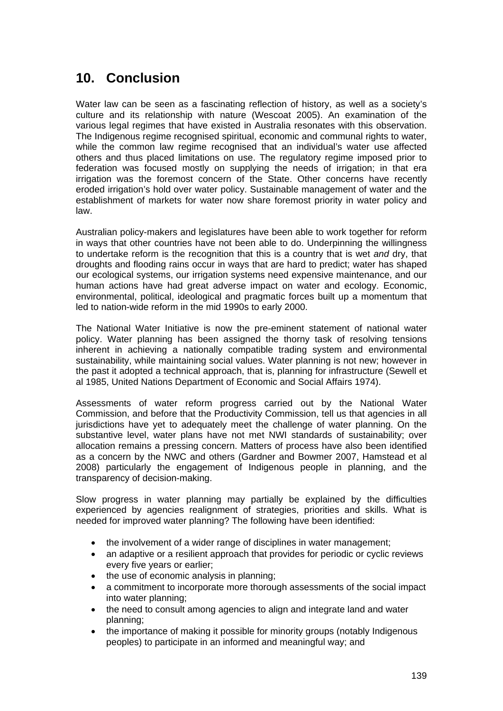# **10. Conclusion**

Water law can be seen as a fascinating reflection of history, as well as a society's culture and its relationship with nature (Wescoat 2005). An examination of the various legal regimes that have existed in Australia resonates with this observation. The Indigenous regime recognised spiritual, economic and communal rights to water, while the common law regime recognised that an individual's water use affected others and thus placed limitations on use. The regulatory regime imposed prior to federation was focused mostly on supplying the needs of irrigation; in that era irrigation was the foremost concern of the State. Other concerns have recently eroded irrigation's hold over water policy. Sustainable management of water and the establishment of markets for water now share foremost priority in water policy and law.

Australian policy-makers and legislatures have been able to work together for reform in ways that other countries have not been able to do. Underpinning the willingness to undertake reform is the recognition that this is a country that is wet *and* dry, that droughts and flooding rains occur in ways that are hard to predict; water has shaped our ecological systems, our irrigation systems need expensive maintenance, and our human actions have had great adverse impact on water and ecology. Economic, environmental, political, ideological and pragmatic forces built up a momentum that led to nation-wide reform in the mid 1990s to early 2000.

The National Water Initiative is now the pre-eminent statement of national water policy. Water planning has been assigned the thorny task of resolving tensions inherent in achieving a nationally compatible trading system and environmental sustainability, while maintaining social values. Water planning is not new; however in the past it adopted a technical approach, that is, planning for infrastructure (Sewell et al 1985, United Nations Department of Economic and Social Affairs 1974).

Assessments of water reform progress carried out by the National Water Commission, and before that the Productivity Commission, tell us that agencies in all jurisdictions have yet to adequately meet the challenge of water planning. On the substantive level, water plans have not met NWI standards of sustainability; over allocation remains a pressing concern. Matters of process have also been identified as a concern by the NWC and others (Gardner and Bowmer 2007, Hamstead et al 2008) particularly the engagement of Indigenous people in planning, and the transparency of decision-making.

Slow progress in water planning may partially be explained by the difficulties experienced by agencies realignment of strategies, priorities and skills. What is needed for improved water planning? The following have been identified:

- the involvement of a wider range of disciplines in water management;
- an adaptive or a resilient approach that provides for periodic or cyclic reviews every five years or earlier;
- the use of economic analysis in planning;
- a commitment to incorporate more thorough assessments of the social impact into water planning;
- the need to consult among agencies to align and integrate land and water planning;
- the importance of making it possible for minority groups (notably Indigenous peoples) to participate in an informed and meaningful way; and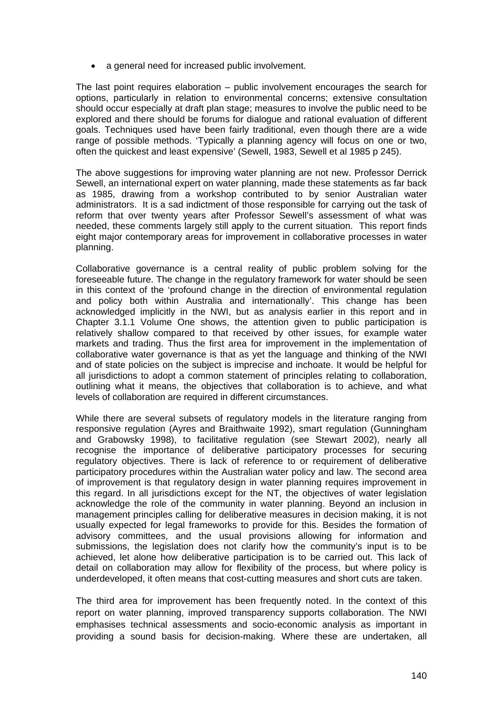• a general need for increased public involvement.

The last point requires elaboration – public involvement encourages the search for options, particularly in relation to environmental concerns; extensive consultation should occur especially at draft plan stage; measures to involve the public need to be explored and there should be forums for dialogue and rational evaluation of different goals. Techniques used have been fairly traditional, even though there are a wide range of possible methods. 'Typically a planning agency will focus on one or two, often the quickest and least expensive' (Sewell, 1983, Sewell et al 1985 p 245).

The above suggestions for improving water planning are not new. Professor Derrick Sewell, an international expert on water planning, made these statements as far back as 1985, drawing from a workshop contributed to by senior Australian water administrators. It is a sad indictment of those responsible for carrying out the task of reform that over twenty years after Professor Sewell's assessment of what was needed, these comments largely still apply to the current situation. This report finds eight major contemporary areas for improvement in collaborative processes in water planning.

Collaborative governance is a central reality of public problem solving for the foreseeable future. The change in the regulatory framework for water should be seen in this context of the 'profound change in the direction of environmental regulation and policy both within Australia and internationally'. This change has been acknowledged implicitly in the NWI, but as analysis earlier in this report and in Chapter 3.1.1 Volume One shows, the attention given to public participation is relatively shallow compared to that received by other issues, for example water markets and trading. Thus the first area for improvement in the implementation of collaborative water governance is that as yet the language and thinking of the NWI and of state policies on the subject is imprecise and inchoate. It would be helpful for all jurisdictions to adopt a common statement of principles relating to collaboration, outlining what it means, the objectives that collaboration is to achieve, and what levels of collaboration are required in different circumstances.

While there are several subsets of regulatory models in the literature ranging from responsive regulation (Ayres and Braithwaite 1992), smart regulation (Gunningham and Grabowsky 1998), to facilitative regulation (see Stewart 2002), nearly all recognise the importance of deliberative participatory processes for securing regulatory objectives. There is lack of reference to or requirement of deliberative participatory procedures within the Australian water policy and law. The second area of improvement is that regulatory design in water planning requires improvement in this regard. In all jurisdictions except for the NT, the objectives of water legislation acknowledge the role of the community in water planning. Beyond an inclusion in management principles calling for deliberative measures in decision making, it is not usually expected for legal frameworks to provide for this. Besides the formation of advisory committees, and the usual provisions allowing for information and submissions, the legislation does not clarify how the community's input is to be achieved, let alone how deliberative participation is to be carried out. This lack of detail on collaboration may allow for flexibility of the process, but where policy is underdeveloped, it often means that cost-cutting measures and short cuts are taken.

The third area for improvement has been frequently noted. In the context of this report on water planning, improved transparency supports collaboration. The NWI emphasises technical assessments and socio-economic analysis as important in providing a sound basis for decision-making. Where these are undertaken, all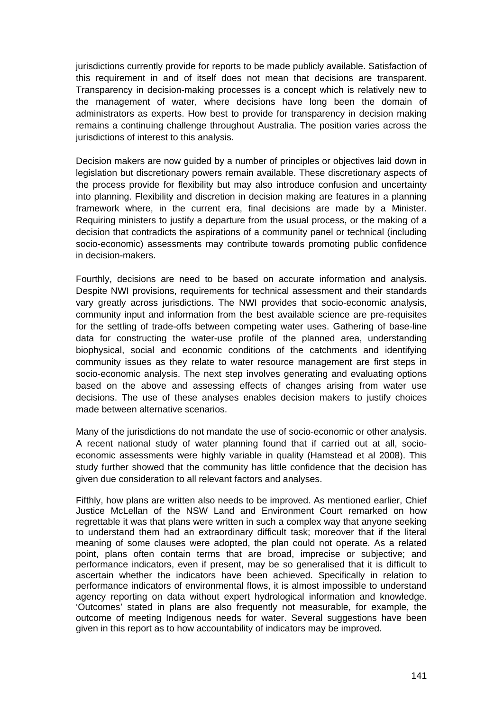jurisdictions currently provide for reports to be made publicly available. Satisfaction of this requirement in and of itself does not mean that decisions are transparent. Transparency in decision-making processes is a concept which is relatively new to the management of water, where decisions have long been the domain of administrators as experts. How best to provide for transparency in decision making remains a continuing challenge throughout Australia. The position varies across the jurisdictions of interest to this analysis.

Decision makers are now guided by a number of principles or objectives laid down in legislation but discretionary powers remain available. These discretionary aspects of the process provide for flexibility but may also introduce confusion and uncertainty into planning. Flexibility and discretion in decision making are features in a planning framework where, in the current era, final decisions are made by a Minister. Requiring ministers to justify a departure from the usual process, or the making of a decision that contradicts the aspirations of a community panel or technical (including socio-economic) assessments may contribute towards promoting public confidence in decision-makers.

Fourthly, decisions are need to be based on accurate information and analysis. Despite NWI provisions, requirements for technical assessment and their standards vary greatly across jurisdictions. The NWI provides that socio-economic analysis, community input and information from the best available science are pre-requisites for the settling of trade-offs between competing water uses. Gathering of base-line data for constructing the water-use profile of the planned area, understanding biophysical, social and economic conditions of the catchments and identifying community issues as they relate to water resource management are first steps in socio-economic analysis. The next step involves generating and evaluating options based on the above and assessing effects of changes arising from water use decisions. The use of these analyses enables decision makers to justify choices made between alternative scenarios.

Many of the jurisdictions do not mandate the use of socio-economic or other analysis. A recent national study of water planning found that if carried out at all, socioeconomic assessments were highly variable in quality (Hamstead et al 2008). This study further showed that the community has little confidence that the decision has given due consideration to all relevant factors and analyses.

Fifthly, how plans are written also needs to be improved. As mentioned earlier, Chief Justice McLellan of the NSW Land and Environment Court remarked on how regrettable it was that plans were written in such a complex way that anyone seeking to understand them had an extraordinary difficult task; moreover that if the literal meaning of some clauses were adopted, the plan could not operate. As a related point, plans often contain terms that are broad, imprecise or subjective; and performance indicators, even if present, may be so generalised that it is difficult to ascertain whether the indicators have been achieved. Specifically in relation to performance indicators of environmental flows, it is almost impossible to understand agency reporting on data without expert hydrological information and knowledge. 'Outcomes' stated in plans are also frequently not measurable, for example, the outcome of meeting Indigenous needs for water. Several suggestions have been given in this report as to how accountability of indicators may be improved.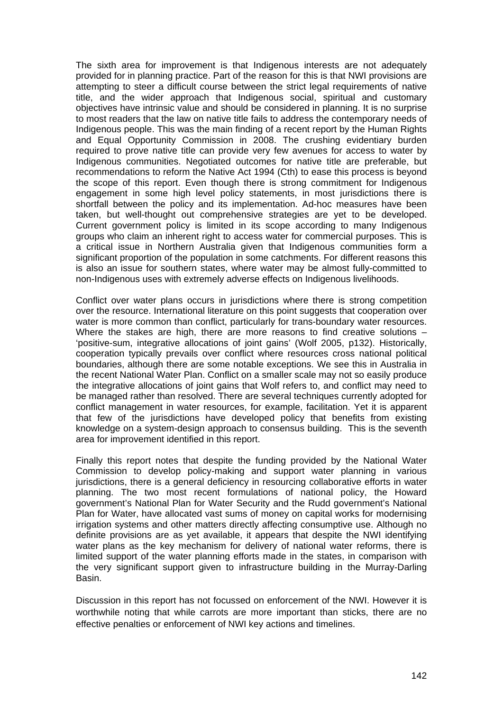The sixth area for improvement is that Indigenous interests are not adequately provided for in planning practice. Part of the reason for this is that NWI provisions are attempting to steer a difficult course between the strict legal requirements of native title, and the wider approach that Indigenous social, spiritual and customary objectives have intrinsic value and should be considered in planning. It is no surprise to most readers that the law on native title fails to address the contemporary needs of Indigenous people. This was the main finding of a recent report by the Human Rights and Equal Opportunity Commission in 2008. The crushing evidentiary burden required to prove native title can provide very few avenues for access to water by Indigenous communities. Negotiated outcomes for native title are preferable, but recommendations to reform the Native Act 1994 (Cth) to ease this process is beyond the scope of this report. Even though there is strong commitment for Indigenous engagement in some high level policy statements, in most jurisdictions there is shortfall between the policy and its implementation. Ad-hoc measures have been taken, but well-thought out comprehensive strategies are yet to be developed. Current government policy is limited in its scope according to many Indigenous groups who claim an inherent right to access water for commercial purposes. This is a critical issue in Northern Australia given that Indigenous communities form a significant proportion of the population in some catchments. For different reasons this is also an issue for southern states, where water may be almost fully-committed to non-Indigenous uses with extremely adverse effects on Indigenous livelihoods.

Conflict over water plans occurs in jurisdictions where there is strong competition over the resource. International literature on this point suggests that cooperation over water is more common than conflict, particularly for trans-boundary water resources. Where the stakes are high, there are more reasons to find creative solutions – 'positive-sum, integrative allocations of joint gains' (Wolf 2005, p132). Historically, cooperation typically prevails over conflict where resources cross national political boundaries, although there are some notable exceptions. We see this in Australia in the recent National Water Plan. Conflict on a smaller scale may not so easily produce the integrative allocations of joint gains that Wolf refers to, and conflict may need to be managed rather than resolved. There are several techniques currently adopted for conflict management in water resources, for example, facilitation. Yet it is apparent that few of the jurisdictions have developed policy that benefits from existing knowledge on a system-design approach to consensus building. This is the seventh area for improvement identified in this report.

Finally this report notes that despite the funding provided by the National Water Commission to develop policy-making and support water planning in various jurisdictions, there is a general deficiency in resourcing collaborative efforts in water planning. The two most recent formulations of national policy, the Howard government's National Plan for Water Security and the Rudd government's National Plan for Water, have allocated vast sums of money on capital works for modernising irrigation systems and other matters directly affecting consumptive use. Although no definite provisions are as yet available, it appears that despite the NWI identifying water plans as the key mechanism for delivery of national water reforms, there is limited support of the water planning efforts made in the states, in comparison with the very significant support given to infrastructure building in the Murray-Darling Basin.

Discussion in this report has not focussed on enforcement of the NWI. However it is worthwhile noting that while carrots are more important than sticks, there are no effective penalties or enforcement of NWI key actions and timelines.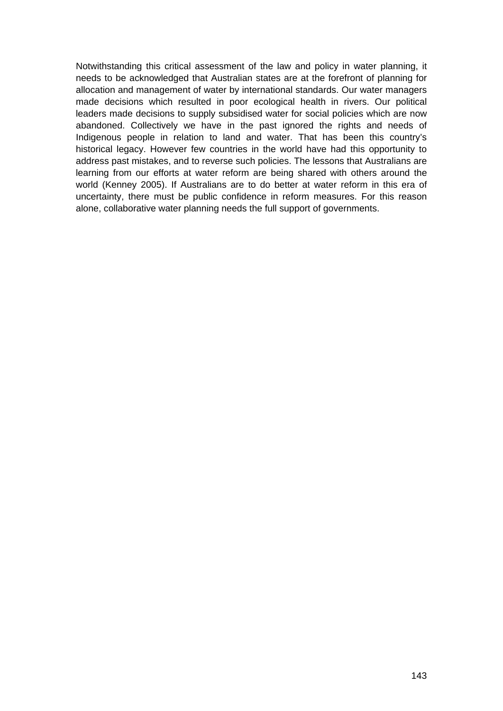Notwithstanding this critical assessment of the law and policy in water planning, it needs to be acknowledged that Australian states are at the forefront of planning for allocation and management of water by international standards. Our water managers made decisions which resulted in poor ecological health in rivers. Our political leaders made decisions to supply subsidised water for social policies which are now abandoned. Collectively we have in the past ignored the rights and needs of Indigenous people in relation to land and water. That has been this country's historical legacy. However few countries in the world have had this opportunity to address past mistakes, and to reverse such policies. The lessons that Australians are learning from our efforts at water reform are being shared with others around the world (Kenney 2005). If Australians are to do better at water reform in this era of uncertainty, there must be public confidence in reform measures. For this reason alone, collaborative water planning needs the full support of governments.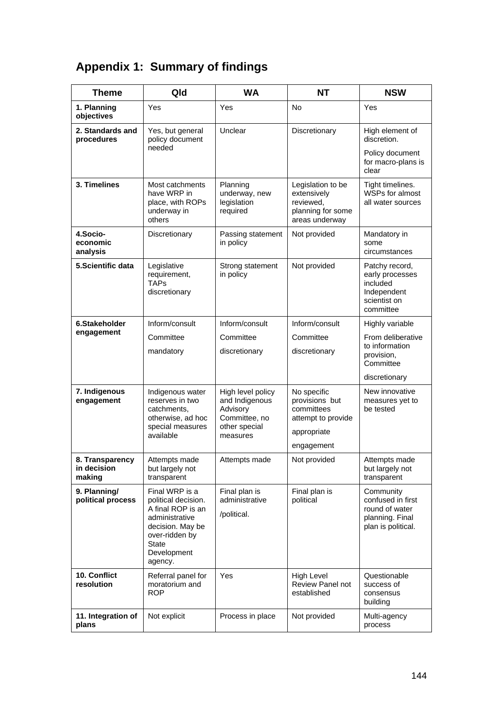# **Appendix 1: Summary of findings**

| <b>Theme</b>                             | Qld                                                                                                                                                          | <b>WA</b>                                                                         | <b>NT</b>                                                                            | <b>NSW</b>                                                                                |
|------------------------------------------|--------------------------------------------------------------------------------------------------------------------------------------------------------------|-----------------------------------------------------------------------------------|--------------------------------------------------------------------------------------|-------------------------------------------------------------------------------------------|
| 1. Planning<br>objectives                | Yes                                                                                                                                                          | Yes                                                                               | No                                                                                   | Yes                                                                                       |
| 2. Standards and<br>procedures           | Yes, but general<br>policy document                                                                                                                          | Unclear                                                                           | Discretionary                                                                        | High element of<br>discretion.                                                            |
|                                          | needed                                                                                                                                                       |                                                                                   |                                                                                      | Policy document<br>for macro-plans is<br>clear                                            |
| 3. Timelines                             | Most catchments<br>have WRP in<br>place, with ROPs<br>underway in<br>others                                                                                  | Planning<br>underway, new<br>legislation<br>required                              | Legislation to be<br>extensively<br>reviewed,<br>planning for some<br>areas underway | Tight timelines.<br><b>WSPs for almost</b><br>all water sources                           |
| 4.Socio-<br>economic<br>analysis         | Discretionary                                                                                                                                                | Passing statement<br>in policy                                                    | Not provided                                                                         | Mandatory in<br>some<br>circumstances                                                     |
| 5.Scientific data                        | Legislative<br>requirement,<br><b>TAPs</b><br>discretionary                                                                                                  | Strong statement<br>in policy                                                     | Not provided                                                                         | Patchy record,<br>early processes<br>included<br>Independent<br>scientist on<br>committee |
| 6.Stakeholder                            | Inform/consult                                                                                                                                               | Inform/consult                                                                    | Inform/consult                                                                       | Highly variable                                                                           |
| engagement                               | Committee<br>mandatory                                                                                                                                       | Committee<br>discretionary                                                        | Committee<br>discretionary                                                           | From deliberative<br>to information<br>provision,<br>Committee                            |
|                                          |                                                                                                                                                              |                                                                                   |                                                                                      | discretionary                                                                             |
| 7. Indigenous<br>engagement              | Indigenous water<br>reserves in two<br>catchments,<br>otherwise, ad hoc<br>special measures                                                                  | High level policy<br>and Indigenous<br>Advisory<br>Committee, no<br>other special | No specific<br>provisions but<br>committees<br>attempt to provide<br>appropriate     | New innovative<br>measures yet to<br>be tested                                            |
|                                          | available                                                                                                                                                    | measures                                                                          | engagement                                                                           |                                                                                           |
| 8. Transparency<br>in decision<br>making | Attempts made<br>but largely not<br>transparent                                                                                                              | Attempts made                                                                     | Not provided                                                                         | Attempts made<br>but largely not<br>transparent                                           |
| 9. Planning/<br>political process        | Final WRP is a<br>political decision.<br>A final ROP is an<br>administrative<br>decision. May be<br>over-ridden by<br><b>State</b><br>Development<br>agency. | Final plan is<br>administrative<br>/political.                                    | Final plan is<br>political                                                           | Community<br>confused in first<br>round of water<br>planning. Final<br>plan is political. |
| 10. Conflict<br>resolution               | Referral panel for<br>moratorium and<br><b>ROP</b>                                                                                                           | Yes                                                                               | High Level<br>Review Panel not<br>established                                        | Questionable<br>success of<br>consensus<br>building                                       |
| 11. Integration of<br>plans              | Not explicit                                                                                                                                                 | Process in place                                                                  | Not provided                                                                         | Multi-agency<br>process                                                                   |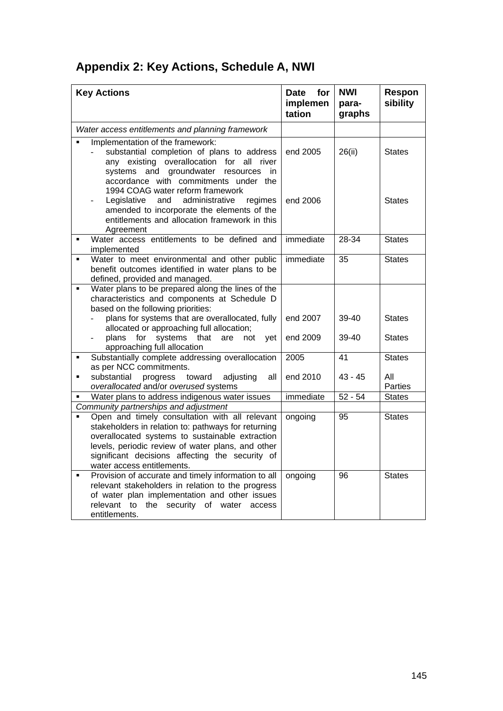|  |  |  | Appendix 2: Key Actions, Schedule A, NWI |  |
|--|--|--|------------------------------------------|--|
|--|--|--|------------------------------------------|--|

| <b>Key Actions</b>                                                                                                                                                                                                                                                                                                                      | for<br>Date<br>implemen<br>tation | <b>NWI</b><br>para-<br>graphs | Respon<br>sibility    |
|-----------------------------------------------------------------------------------------------------------------------------------------------------------------------------------------------------------------------------------------------------------------------------------------------------------------------------------------|-----------------------------------|-------------------------------|-----------------------|
| Water access entitlements and planning framework                                                                                                                                                                                                                                                                                        |                                   |                               |                       |
| Implementation of the framework:<br>substantial completion of plans to address<br>any existing overallocation for all river<br>systems and groundwater<br>resources<br>in.                                                                                                                                                              | end 2005                          | 26(ii)                        | <b>States</b>         |
| accordance with commitments under the<br>1994 COAG water reform framework<br>administrative<br>Legislative<br>and<br>regimes<br>amended to incorporate the elements of the<br>entitlements and allocation framework in this<br>Agreement                                                                                                | end 2006                          |                               | <b>States</b>         |
| Water access entitlements to be defined and<br>implemented                                                                                                                                                                                                                                                                              | immediate                         | $28 - 34$                     | <b>States</b>         |
| Water to meet environmental and other public<br>$\blacksquare$<br>benefit outcomes identified in water plans to be<br>defined, provided and managed.                                                                                                                                                                                    | immediate                         | $\overline{35}$               | <b>States</b>         |
| Water plans to be prepared along the lines of the<br>$\blacksquare$<br>characteristics and components at Schedule D<br>based on the following priorities:                                                                                                                                                                               |                                   |                               |                       |
| plans for systems that are overallocated, fully<br>allocated or approaching full allocation;                                                                                                                                                                                                                                            | end 2007                          | 39-40                         | <b>States</b>         |
| plans for<br>systems<br>that<br>are<br>not<br>yet<br>approaching full allocation                                                                                                                                                                                                                                                        | end 2009                          | 39-40                         | <b>States</b>         |
| Substantially complete addressing overallocation<br>as per NCC commitments.                                                                                                                                                                                                                                                             | 2005                              | 41                            | <b>States</b>         |
| substantial<br>progress<br>toward<br>adjusting<br>$\blacksquare$<br>all<br>overallocated and/or overused systems                                                                                                                                                                                                                        | end 2010                          | $43 - 45$                     | All<br><b>Parties</b> |
| Water plans to address indigenous water issues                                                                                                                                                                                                                                                                                          | immediate                         | $52 - 54$                     | <b>States</b>         |
| Community partnerships and adjustment<br>Open and timely consultation with all relevant<br>stakeholders in relation to: pathways for returning<br>overallocated systems to sustainable extraction<br>levels, periodic review of water plans, and other<br>significant decisions affecting the security of<br>water access entitlements. | ongoing                           | 95                            | <b>States</b>         |
| Provision of accurate and timely information to all<br>$\blacksquare$<br>relevant stakeholders in relation to the progress<br>of water plan implementation and other issues<br>relevant<br>to the security of water<br>access<br>entitlements.                                                                                          | ongoing                           | 96                            | <b>States</b>         |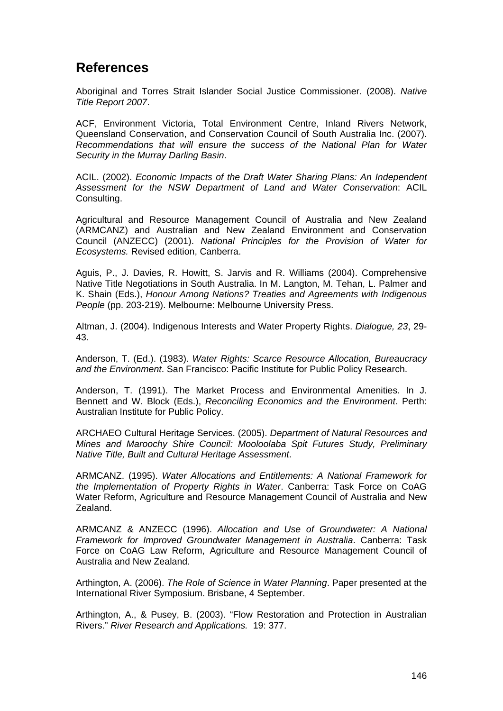## **References**

Aboriginal and Torres Strait Islander Social Justice Commissioner. (2008). *Native Title Report 2007*.

ACF, Environment Victoria, Total Environment Centre, Inland Rivers Network, Queensland Conservation, and Conservation Council of South Australia Inc. (2007). *Recommendations that will ensure the success of the National Plan for Water Security in the Murray Darling Basin*.

ACIL. (2002). *Economic Impacts of the Draft Water Sharing Plans: An Independent Assessment for the NSW Department of Land and Water Conservation*: ACIL Consulting.

Agricultural and Resource Management Council of Australia and New Zealand (ARMCANZ) and Australian and New Zealand Environment and Conservation Council (ANZECC) (2001). *National Principles for the Provision of Water for Ecosystems.* Revised edition, Canberra.

Aguis, P., J. Davies, R. Howitt, S. Jarvis and R. Williams (2004). Comprehensive Native Title Negotiations in South Australia. In M. Langton, M. Tehan, L. Palmer and K. Shain (Eds.), *Honour Among Nations? Treaties and Agreements with Indigenous People* (pp. 203-219). Melbourne: Melbourne University Press.

Altman, J. (2004). Indigenous Interests and Water Property Rights. *Dialogue, 23*, 29- 43.

Anderson, T. (Ed.). (1983). *Water Rights: Scarce Resource Allocation, Bureaucracy and the Environment*. San Francisco: Pacific Institute for Public Policy Research.

Anderson, T. (1991). The Market Process and Environmental Amenities. In J. Bennett and W. Block (Eds.), *Reconciling Economics and the Environment*. Perth: Australian Institute for Public Policy.

ARCHAEO Cultural Heritage Services. (2005). *Department of Natural Resources and Mines and Maroochy Shire Council: Mooloolaba Spit Futures Study, Preliminary Native Title, Built and Cultural Heritage Assessment*.

ARMCANZ. (1995). *Water Allocations and Entitlements: A National Framework for the Implementation of Property Rights in Water*. Canberra: Task Force on CoAG Water Reform, Agriculture and Resource Management Council of Australia and New Zealand.

ARMCANZ & ANZECC (1996). *Allocation and Use of Groundwater: A National Framework for Improved Groundwater Management in Australia*. Canberra: Task Force on CoAG Law Reform, Agriculture and Resource Management Council of Australia and New Zealand.

Arthington, A. (2006). *The Role of Science in Water Planning*. Paper presented at the International River Symposium. Brisbane, 4 September.

Arthington, A., & Pusey, B. (2003). "Flow Restoration and Protection in Australian Rivers." *River Research and Applications.* 19: 377.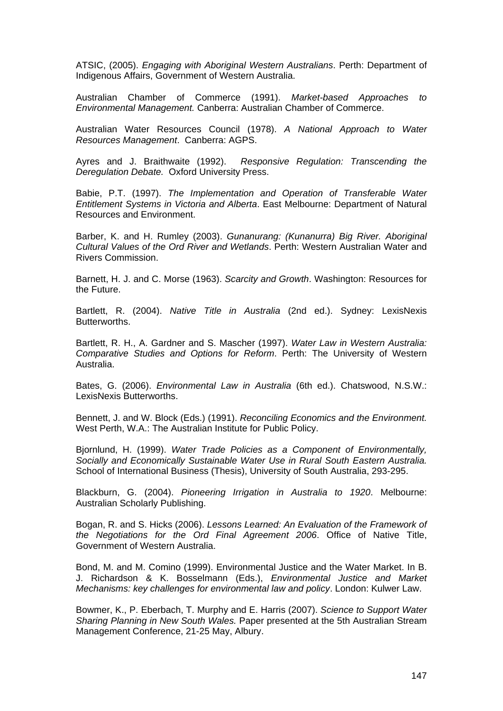ATSIC, (2005). *Engaging with Aboriginal Western Australians*. Perth: Department of Indigenous Affairs, Government of Western Australia.

Australian Chamber of Commerce (1991). *Market-based Approaches to Environmental Management.* Canberra: Australian Chamber of Commerce.

Australian Water Resources Council (1978). *A National Approach to Water Resources Management*. Canberra: AGPS.

Ayres and J. Braithwaite (1992). *Responsive Regulation: Transcending the Deregulation Debate.* Oxford University Press.

Babie, P.T. (1997). *The Implementation and Operation of Transferable Water Entitlement Systems in Victoria and Alberta*. East Melbourne: Department of Natural Resources and Environment.

Barber, K. and H. Rumley (2003). *Gunanurang: (Kunanurra) Big River. Aboriginal Cultural Values of the Ord River and Wetlands*. Perth: Western Australian Water and Rivers Commission.

Barnett, H. J. and C. Morse (1963). *Scarcity and Growth*. Washington: Resources for the Future.

Bartlett, R. (2004). *Native Title in Australia* (2nd ed.). Sydney: LexisNexis Butterworths.

Bartlett, R. H., A. Gardner and S. Mascher (1997). *Water Law in Western Australia: Comparative Studies and Options for Reform*. Perth: The University of Western Australia.

Bates, G. (2006). *Environmental Law in Australia* (6th ed.). Chatswood, N.S.W.: LexisNexis Butterworths.

Bennett, J. and W. Block (Eds.) (1991). *Reconciling Economics and the Environment.*  West Perth, W.A.: The Australian Institute for Public Policy.

Bjornlund, H. (1999). *Water Trade Policies as a Component of Environmentally, Socially and Economically Sustainable Water Use in Rural South Eastern Australia.* School of International Business (Thesis), University of South Australia, 293-295.

Blackburn, G. (2004). *Pioneering Irrigation in Australia to 1920*. Melbourne: Australian Scholarly Publishing.

Bogan, R. and S. Hicks (2006). *Lessons Learned: An Evaluation of the Framework of the Negotiations for the Ord Final Agreement 2006*. Office of Native Title, Government of Western Australia.

Bond, M. and M. Comino (1999). Environmental Justice and the Water Market. In B. J. Richardson & K. Bosselmann (Eds.), *Environmental Justice and Market Mechanisms: key challenges for environmental law and policy*. London: Kulwer Law.

Bowmer, K., P. Eberbach, T. Murphy and E. Harris (2007). *Science to Support Water Sharing Planning in New South Wales.* Paper presented at the 5th Australian Stream Management Conference, 21-25 May, Albury.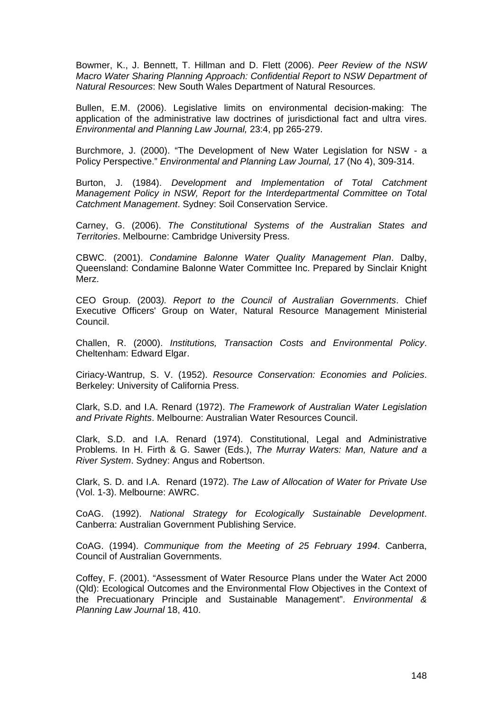Bowmer, K., J. Bennett, T. Hillman and D. Flett (2006). *Peer Review of the NSW Macro Water Sharing Planning Approach: Confidential Report to NSW Department of Natural Resources*: New South Wales Department of Natural Resources.

Bullen, E.M. (2006). Legislative limits on environmental decision-making: The application of the administrative law doctrines of jurisdictional fact and ultra vires. *Environmental and Planning Law Journal,* 23:4, pp 265-279.

Burchmore, J. (2000). "The Development of New Water Legislation for NSW - a Policy Perspective." *Environmental and Planning Law Journal, 17* (No 4), 309-314.

Burton, J. (1984). *Development and Implementation of Total Catchment Management Policy in NSW, Report for the Interdepartmental Committee on Total Catchment Management*. Sydney: Soil Conservation Service.

Carney, G. (2006). *The Constitutional Systems of the Australian States and Territories*. Melbourne: Cambridge University Press.

CBWC. (2001). *Condamine Balonne Water Quality Management Plan*. Dalby, Queensland: Condamine Balonne Water Committee Inc. Prepared by Sinclair Knight Merz.

CEO Group. (2003*). Report to the Council of Australian Governments*. Chief Executive Officers' Group on Water, Natural Resource Management Ministerial Council.

Challen, R. (2000). *Institutions, Transaction Costs and Environmental Policy*. Cheltenham: Edward Elgar.

Ciriacy-Wantrup, S. V. (1952). *Resource Conservation: Economies and Policies*. Berkeley: University of California Press.

Clark, S.D. and I.A. Renard (1972). *The Framework of Australian Water Legislation and Private Rights*. Melbourne: Australian Water Resources Council.

Clark, S.D. and I.A. Renard (1974). Constitutional, Legal and Administrative Problems. In H. Firth & G. Sawer (Eds.), *The Murray Waters: Man, Nature and a River System*. Sydney: Angus and Robertson.

Clark, S. D. and I.A. Renard (1972). *The Law of Allocation of Water for Private Use* (Vol. 1-3). Melbourne: AWRC.

CoAG. (1992). *National Strategy for Ecologically Sustainable Development*. Canberra: Australian Government Publishing Service.

CoAG. (1994). *Communique from the Meeting of 25 February 1994*. Canberra, Council of Australian Governments.

Coffey, F. (2001). "Assessment of Water Resource Plans under the Water Act 2000 (Qld): Ecological Outcomes and the Environmental Flow Objectives in the Context of the Precuationary Principle and Sustainable Management". *Environmental & Planning Law Journal* 18, 410.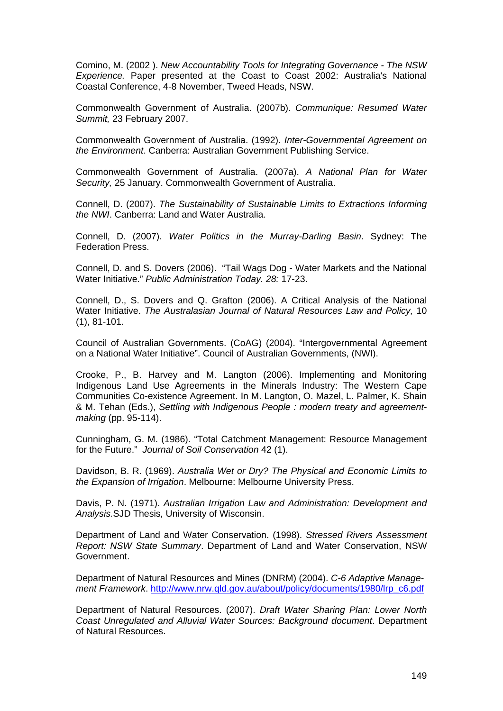Comino, M. (2002 ). *New Accountability Tools for Integrating Governance - The NSW Experience.* Paper presented at the Coast to Coast 2002: Australia's National Coastal Conference, 4-8 November, Tweed Heads, NSW.

Commonwealth Government of Australia. (2007b). *Communique: Resumed Water Summit,* 23 February 2007.

Commonwealth Government of Australia. (1992). *Inter-Governmental Agreement on the Environment*. Canberra: Australian Government Publishing Service.

Commonwealth Government of Australia. (2007a). *A National Plan for Water Security,* 25 January. Commonwealth Government of Australia.

Connell, D. (2007). *The Sustainability of Sustainable Limits to Extractions Informing the NWI*. Canberra: Land and Water Australia.

Connell, D. (2007). *Water Politics in the Murray-Darling Basin*. Sydney: The Federation Press.

Connell, D. and S. Dovers (2006). "Tail Wags Dog - Water Markets and the National Water Initiative." *Public Administration Today. 28:* 17-23.

Connell, D., S. Dovers and Q. Grafton (2006). A Critical Analysis of the National Water Initiative. *The Australasian Journal of Natural Resources Law and Policy,* 10 (1), 81-101.

Council of Australian Governments. (CoAG) (2004). "Intergovernmental Agreement on a National Water Initiative". Council of Australian Governments, (NWI).

Crooke, P., B. Harvey and M. Langton (2006). Implementing and Monitoring Indigenous Land Use Agreements in the Minerals Industry: The Western Cape Communities Co-existence Agreement. In M. Langton, O. Mazel, L. Palmer, K. Shain & M. Tehan (Eds.), *Settling with Indigenous People : modern treaty and agreementmaking* (pp. 95-114).

Cunningham, G. M. (1986). "Total Catchment Management: Resource Management for the Future." *Journal of Soil Conservation* 42 (1).

Davidson, B. R. (1969). *Australia Wet or Dry? The Physical and Economic Limits to the Expansion of Irrigation*. Melbourne: Melbourne University Press.

Davis, P. N. (1971). *Australian Irrigation Law and Administration: Development and Analysis.*SJD Thesis*,* University of Wisconsin.

Department of Land and Water Conservation. (1998). *Stressed Rivers Assessment Report: NSW State Summary*. Department of Land and Water Conservation, NSW Government.

Department of Natural Resources and Mines (DNRM) (2004). *C-6 Adaptive Management Framework*. [http://www.nrw.qld.gov.au/about/policy/documents/1980/lrp\\_c6.pdf](http://www.nrw.qld.gov.au/about/policy/documents/1980/lrp_c6.pdf)

Department of Natural Resources. (2007). *Draft Water Sharing Plan: Lower North Coast Unregulated and Alluvial Water Sources: Background document*. Department of Natural Resources.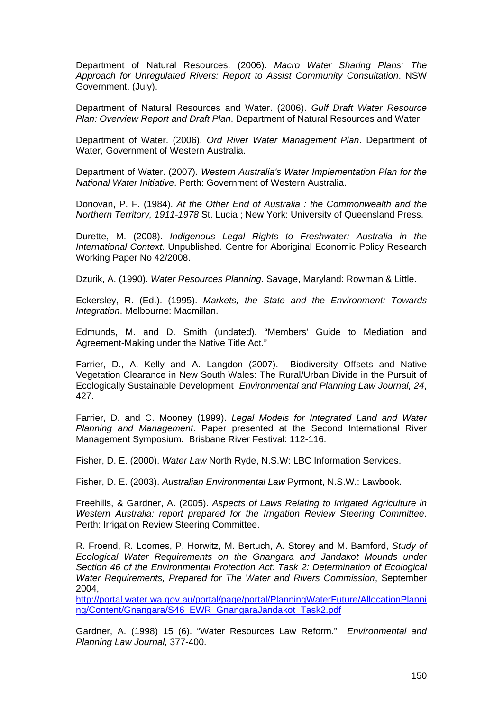Department of Natural Resources. (2006). *Macro Water Sharing Plans: The Approach for Unregulated Rivers: Report to Assist Community Consultation*. NSW Government. (July).

Department of Natural Resources and Water. (2006). *Gulf Draft Water Resource Plan: Overview Report and Draft Plan*. Department of Natural Resources and Water.

Department of Water. (2006). *Ord River Water Management Plan*. Department of Water, Government of Western Australia.

Department of Water. (2007). *Western Australia's Water Implementation Plan for the National Water Initiative*. Perth: Government of Western Australia.

Donovan, P. F. (1984). *At the Other End of Australia : the Commonwealth and the Northern Territory, 1911-1978* St. Lucia ; New York: University of Queensland Press.

Durette, M. (2008). *Indigenous Legal Rights to Freshwater: Australia in the International Context*. Unpublished. Centre for Aboriginal Economic Policy Research Working Paper No 42/2008.

Dzurik, A. (1990). *Water Resources Planning*. Savage, Maryland: Rowman & Little.

Eckersley, R. (Ed.). (1995). *Markets, the State and the Environment: Towards Integration*. Melbourne: Macmillan.

Edmunds, M. and D. Smith (undated). "Members' Guide to Mediation and Agreement-Making under the Native Title Act."

Farrier, D., A. Kelly and A. Langdon (2007). Biodiversity Offsets and Native Vegetation Clearance in New South Wales: The Rural/Urban Divide in the Pursuit of Ecologically Sustainable Development *Environmental and Planning Law Journal, 24*, 427.

Farrier, D. and C. Mooney (1999). *Legal Models for Integrated Land and Water Planning and Management*. Paper presented at the Second International River Management Symposium. Brisbane River Festival: 112-116.

Fisher, D. E. (2000). *Water Law* North Ryde, N.S.W: LBC Information Services.

Fisher, D. E. (2003). *Australian Environmental Law* Pyrmont, N.S.W.: Lawbook.

Freehills, & Gardner, A. (2005). *Aspects of Laws Relating to Irrigated Agriculture in Western Australia: report prepared for the Irrigation Review Steering Committee*. Perth: Irrigation Review Steering Committee.

R. Froend, R. Loomes, P. Horwitz, M. Bertuch, A. Storey and M. Bamford, *Study of Ecological Water Requirements on the Gnangara and Jandakot Mounds under Section 46 of the Environmental Protection Act: Task 2: Determination of Ecological Water Requirements, Prepared for The Water and Rivers Commission*, September 2004,

[http://portal.water.wa.gov.au/portal/page/portal/PlanningWaterFuture/AllocationPlanni](http://portal.water.wa.gov.au/portal/page/portal/PlanningWaterFuture/AllocationPlanning/Content/Gnangara/S46_EWR_GnangaraJandakot_Task2.pdf) [ng/Content/Gnangara/S46\\_EWR\\_GnangaraJandakot\\_Task2.pdf](http://portal.water.wa.gov.au/portal/page/portal/PlanningWaterFuture/AllocationPlanning/Content/Gnangara/S46_EWR_GnangaraJandakot_Task2.pdf)

Gardner, A. (1998) 15 (6). "Water Resources Law Reform." *Environmental and Planning Law Journal,* 377-400.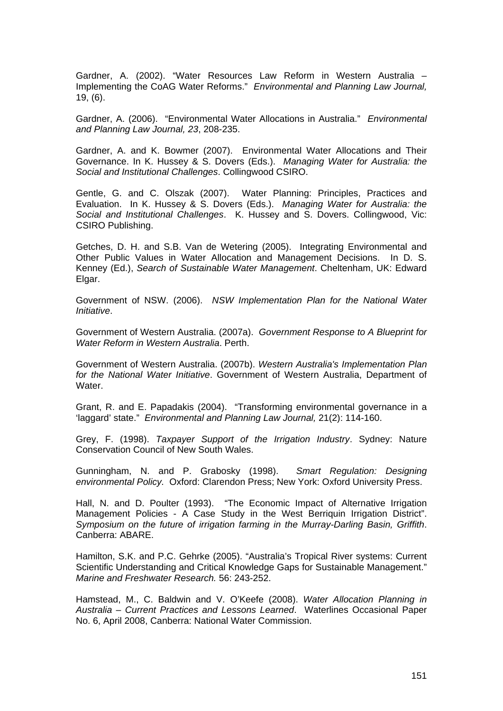Gardner, A. (2002). "Water Resources Law Reform in Western Australia – Implementing the CoAG Water Reforms." *Environmental and Planning Law Journal,*  19, (6).

Gardner, A. (2006). "Environmental Water Allocations in Australia." *Environmental and Planning Law Journal, 23*, 208-235.

Gardner, A. and K. Bowmer (2007). Environmental Water Allocations and Their Governance. In K. Hussey & S. Dovers (Eds.). *Managing Water for Australia: the Social and Institutional Challenges*. Collingwood CSIRO.

Gentle, G. and C. Olszak (2007). Water Planning: Principles, Practices and Evaluation. In K. Hussey & S. Dovers (Eds.). *Managing Water for Australia: the Social and Institutional Challenges*. K. Hussey and S. Dovers. Collingwood, Vic: CSIRO Publishing.

Getches, D. H. and S.B. Van de Wetering (2005). Integrating Environmental and Other Public Values in Water Allocation and Management Decisions. In D. S. Kenney (Ed.), *Search of Sustainable Water Management*. Cheltenham, UK: Edward Elgar.

Government of NSW. (2006). *NSW Implementation Plan for the National Water Initiative*.

Government of Western Australia. (2007a). *Government Response to A Blueprint for Water Reform in Western Australia*. Perth.

Government of Western Australia. (2007b). *Western Australia's Implementation Plan for the National Water Initiative*. Government of Western Australia, Department of **Water** 

Grant, R. and E. Papadakis (2004). "Transforming environmental governance in a 'laggard' state." *Environmental and Planning Law Journal,* 21(2): 114-160.

Grey, F. (1998). *Taxpayer Support of the Irrigation Industry*. Sydney: Nature Conservation Council of New South Wales.

Gunningham, N. and P. Grabosky (1998). *Smart Regulation: Designing environmental Policy.* Oxford: Clarendon Press; New York: Oxford University Press.

Hall, N. and D. Poulter (1993). "The Economic Impact of Alternative Irrigation Management Policies - A Case Study in the West Berriquin Irrigation District". *Symposium on the future of irrigation farming in the Murray-Darling Basin, Griffith*. Canberra: ABARE.

Hamilton, S.K. and P.C. Gehrke (2005). "Australia's Tropical River systems: Current Scientific Understanding and Critical Knowledge Gaps for Sustainable Management." *Marine and Freshwater Research.* 56: 243-252.

Hamstead, M., C. Baldwin and V. O'Keefe (2008). *Water Allocation Planning in Australia – Current Practices and Lessons Learned*. Waterlines Occasional Paper No. 6, April 2008, Canberra: National Water Commission.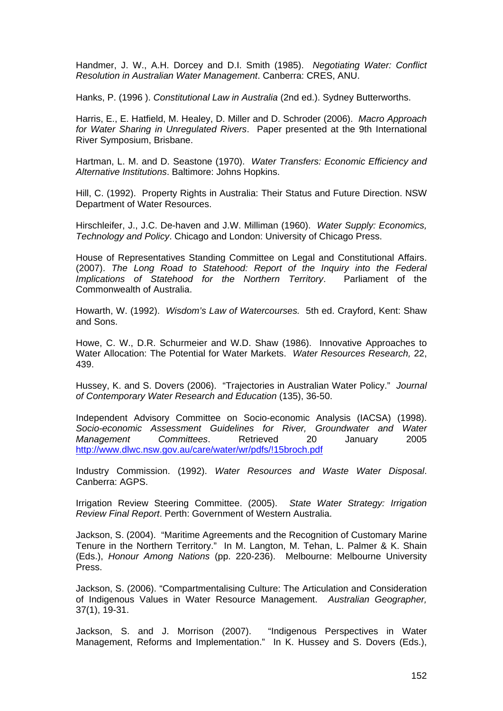Handmer, J. W., A.H. Dorcey and D.I. Smith (1985). *Negotiating Water: Conflict Resolution in Australian Water Management*. Canberra: CRES, ANU.

Hanks, P. (1996 ). *Constitutional Law in Australia* (2nd ed.). Sydney Butterworths.

Harris, E., E. Hatfield, M. Healey, D. Miller and D. Schroder (2006). *Macro Approach for Water Sharing in Unregulated Rivers*. Paper presented at the 9th International River Symposium, Brisbane.

Hartman, L. M. and D. Seastone (1970). *Water Transfers: Economic Efficiency and Alternative Institutions*. Baltimore: Johns Hopkins.

Hill, C. (1992). Property Rights in Australia: Their Status and Future Direction. NSW Department of Water Resources.

Hirschleifer, J., J.C. De-haven and J.W. Milliman (1960). *Water Supply: Economics, Technology and Policy*. Chicago and London: University of Chicago Press.

House of Representatives Standing Committee on Legal and Constitutional Affairs. (2007). *The Long Road to Statehood: Report of the Inquiry into the Federal Implications of Statehood for the Northern Territory*. Parliament of the Commonwealth of Australia.

Howarth, W. (1992). *Wisdom's Law of Watercourses.* 5th ed. Crayford, Kent: Shaw and Sons.

Howe, C. W., D.R. Schurmeier and W.D. Shaw (1986). Innovative Approaches to Water Allocation: The Potential for Water Markets. *Water Resources Research,* 22, 439.

Hussey, K. and S. Dovers (2006). "Trajectories in Australian Water Policy." *Journal of Contemporary Water Research and Education* (135), 36-50.

Independent Advisory Committee on Socio-economic Analysis (IACSA) (1998). *Socio-economic Assessment Guidelines for River, Groundwater and Water Management Committees*. Retrieved 20 January 2005 <http://www.dlwc.nsw.gov.au/care/water/wr/pdfs/!15broch.pdf>

Industry Commission. (1992). *Water Resources and Waste Water Disposal*. Canberra: AGPS.

Irrigation Review Steering Committee. (2005). *State Water Strategy: Irrigation Review Final Report*. Perth: Government of Western Australia.

Jackson, S. (2004). "Maritime Agreements and the Recognition of Customary Marine Tenure in the Northern Territory." In M. Langton, M. Tehan, L. Palmer & K. Shain (Eds.), *Honour Among Nations* (pp. 220-236). Melbourne: Melbourne University Press.

Jackson, S. (2006). "Compartmentalising Culture: The Articulation and Consideration of Indigenous Values in Water Resource Management. *Australian Geographer,*  37(1), 19-31.

Jackson, S. and J. Morrison (2007). "Indigenous Perspectives in Water Management, Reforms and Implementation." In K. Hussey and S. Dovers (Eds.),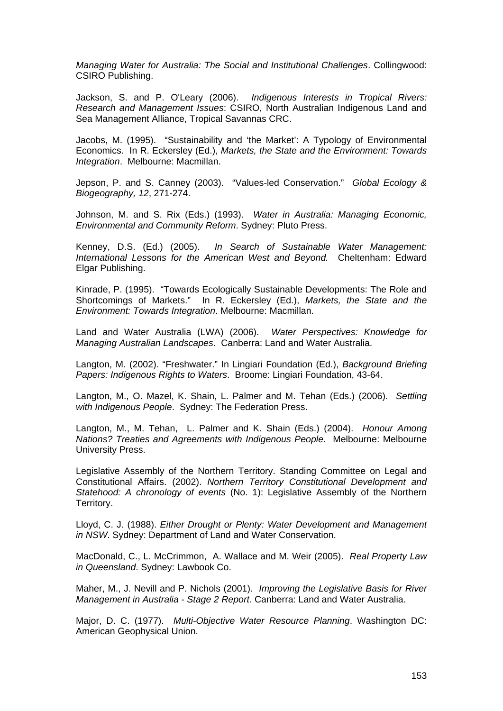*Managing Water for Australia: The Social and Institutional Challenges*. Collingwood: CSIRO Publishing.

Jackson, S. and P. O'Leary (2006). *Indigenous Interests in Tropical Rivers: Research and Management Issues*: CSIRO, North Australian Indigenous Land and Sea Management Alliance, Tropical Savannas CRC.

Jacobs, M. (1995). "Sustainability and 'the Market': A Typology of Environmental Economics. In R. Eckersley (Ed.), *Markets, the State and the Environment: Towards Integration*. Melbourne: Macmillan.

Jepson, P. and S. Canney (2003). "Values-led Conservation." *Global Ecology & Biogeography, 12*, 271-274.

Johnson, M. and S. Rix (Eds.) (1993). *Water in Australia: Managing Economic, Environmental and Community Reform*. Sydney: Pluto Press.

Kenney, D.S. (Ed.) (2005). *In Search of Sustainable Water Management: International Lessons for the American West and Beyond.* Cheltenham: Edward Elgar Publishing.

Kinrade, P. (1995). "Towards Ecologically Sustainable Developments: The Role and Shortcomings of Markets." In R. Eckersley (Ed.), *Markets, the State and the Environment: Towards Integration*. Melbourne: Macmillan.

Land and Water Australia (LWA) (2006). *Water Perspectives: Knowledge for Managing Australian Landscapes*. Canberra: Land and Water Australia.

Langton, M. (2002). "Freshwater." In Lingiari Foundation (Ed.), *Background Briefing Papers: Indigenous Rights to Waters*. Broome: Lingiari Foundation, 43-64.

Langton, M., O. Mazel, K. Shain, L. Palmer and M. Tehan (Eds.) (2006). *Settling with Indigenous People*. Sydney: The Federation Press.

Langton, M., M. Tehan, L. Palmer and K. Shain (Eds.) (2004). *Honour Among Nations? Treaties and Agreements with Indigenous People*. Melbourne: Melbourne University Press.

Legislative Assembly of the Northern Territory. Standing Committee on Legal and Constitutional Affairs. (2002). *Northern Territory Constitutional Development and Statehood: A chronology of events* (No. 1): Legislative Assembly of the Northern Territory.

Lloyd, C. J. (1988). *Either Drought or Plenty: Water Development and Management in NSW*. Sydney: Department of Land and Water Conservation.

MacDonald, C., L. McCrimmon, A. Wallace and M. Weir (2005). *Real Property Law in Queensland*. Sydney: Lawbook Co.

Maher, M., J. Nevill and P. Nichols (2001). *Improving the Legislative Basis for River Management in Australia - Stage 2 Report*. Canberra: Land and Water Australia.

Major, D. C. (1977). *Multi-Objective Water Resource Planning*. Washington DC: American Geophysical Union.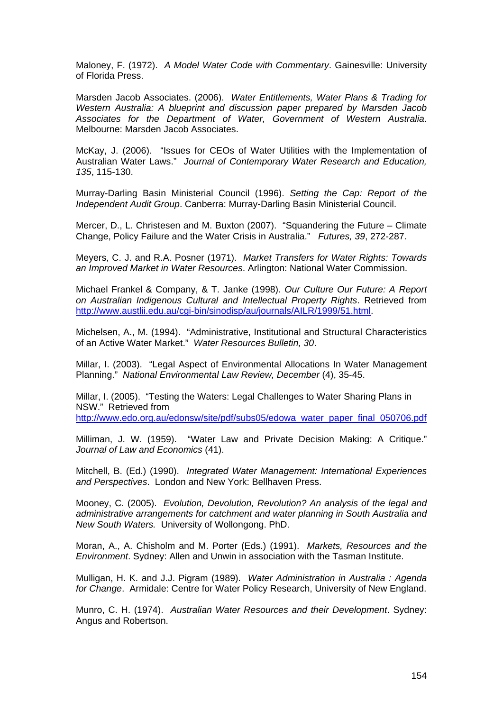Maloney, F. (1972). *A Model Water Code with Commentary*. Gainesville: University of Florida Press.

Marsden Jacob Associates. (2006). *Water Entitlements, Water Plans & Trading for Western Australia: A blueprint and discussion paper prepared by Marsden Jacob Associates for the Department of Water, Government of Western Australia*. Melbourne: Marsden Jacob Associates.

McKay, J. (2006). "Issues for CEOs of Water Utilities with the Implementation of Australian Water Laws." *Journal of Contemporary Water Research and Education, 135*, 115-130.

Murray-Darling Basin Ministerial Council (1996). *Setting the Cap: Report of the Independent Audit Group*. Canberra: Murray-Darling Basin Ministerial Council.

Mercer, D., L. Christesen and M. Buxton (2007). "Squandering the Future – Climate Change, Policy Failure and the Water Crisis in Australia." *Futures, 39*, 272-287.

Meyers, C. J. and R.A. Posner (1971). *Market Transfers for Water Rights: Towards an Improved Market in Water Resources*. Arlington: National Water Commission.

Michael Frankel & Company, & T. Janke (1998). *Our Culture Our Future: A Report on Australian Indigenous Cultural and Intellectual Property Rights*. Retrieved from <http://www.austlii.edu.au/cgi-bin/sinodisp/au/journals/AILR/1999/51.html>.

Michelsen, A., M. (1994). "Administrative, Institutional and Structural Characteristics of an Active Water Market." *Water Resources Bulletin, 30*.

Millar, I. (2003). "Legal Aspect of Environmental Allocations In Water Management Planning." *National Environmental Law Review, December* (4), 35-45.

Millar, I. (2005). "Testing the Waters: Legal Challenges to Water Sharing Plans in NSW." Retrieved from

[http://www.edo.org.au/edonsw/site/pdf/subs05/edowa\\_water\\_paper\\_final\\_050706.pdf](http://www.edo.org.au/edonsw/site/pdf/subs05/edowa_water_paper_final_050706.pdf)

Milliman, J. W. (1959). "Water Law and Private Decision Making: A Critique." *Journal of Law and Economics* (41).

Mitchell, B. (Ed.) (1990). *Integrated Water Management: International Experiences and Perspectives*. London and New York: Bellhaven Press.

Mooney, C. (2005). *Evolution, Devolution, Revolution? An analysis of the legal and administrative arrangements for catchment and water planning in South Australia and New South Waters.* University of Wollongong. PhD.

Moran, A., A. Chisholm and M. Porter (Eds.) (1991). *Markets, Resources and the Environment*. Sydney: Allen and Unwin in association with the Tasman Institute.

Mulligan, H. K. and J.J. Pigram (1989). *Water Administration in Australia : Agenda for Change*. Armidale: Centre for Water Policy Research, University of New England.

Munro, C. H. (1974). *Australian Water Resources and their Development*. Sydney: Angus and Robertson.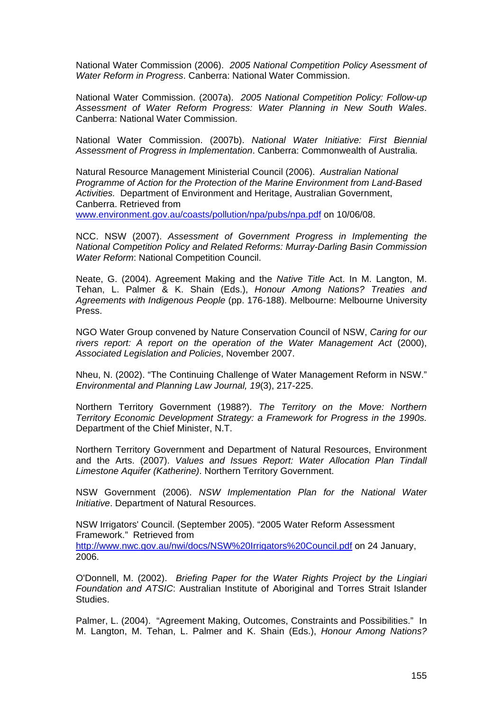National Water Commission (2006). *2005 National Competition Policy Asessment of Water Reform in Progress*. Canberra: National Water Commission.

National Water Commission. (2007a). *2005 National Competition Policy: Follow-up Assessment of Water Reform Progress: Water Planning in New South Wales*. Canberra: National Water Commission.

National Water Commission. (2007b). *National Water Initiative: First Biennial Assessment of Progress in Implementation*. Canberra: Commonwealth of Australia.

Natural Resource Management Ministerial Council (2006). *Australian National Programme of Action for the Protection of the Marine Environment from Land-Based Activities.* Department of Environment and Heritage, Australian Government, Canberra. Retrieved from

[www.environment.gov.au/coasts/pollution/npa/pubs/npa.pdf](http://www.environment.gov.au/coasts/pollution/npa/pubs/npa.pdf) on 10/06/08.

NCC. NSW (2007). *Assessment of Government Progress in Implementing the National Competition Policy and Related Reforms: Murray-Darling Basin Commission Water Reform*: National Competition Council.

Neate, G. (2004). Agreement Making and the *Native Title* Act. In M. Langton, M. Tehan, L. Palmer & K. Shain (Eds.), *Honour Among Nations? Treaties and Agreements with Indigenous People* (pp. 176-188). Melbourne: Melbourne University Press.

NGO Water Group convened by Nature Conservation Council of NSW, *Caring for our rivers report: A report on the operation of the Water Management Act* (2000), *Associated Legislation and Policies*, November 2007.

Nheu, N. (2002). "The Continuing Challenge of Water Management Reform in NSW." *Environmental and Planning Law Journal, 19*(3), 217-225.

Northern Territory Government (1988?). *The Territory on the Move: Northern Territory Economic Development Strategy: a Framework for Progress in the 1990s.*  Department of the Chief Minister, N.T.

Northern Territory Government and Department of Natural Resources, Environment and the Arts. (2007). *Values and Issues Report: Water Allocation Plan Tindall Limestone Aquifer (Katherine)*. Northern Territory Government.

NSW Government (2006). *NSW Implementation Plan for the National Water Initiative*. Department of Natural Resources.

NSW Irrigators' Council. (September 2005). "2005 Water Reform Assessment Framework." Retrieved from <http://www.nwc.gov.au/nwi/docs/NSW%20Irrigators%20Council.pdf> on 24 January, 2006.

O'Donnell, M. (2002). *Briefing Paper for the Water Rights Project by the Lingiari Foundation and ATSIC*: Australian Institute of Aboriginal and Torres Strait Islander Studies.

Palmer, L. (2004). "Agreement Making, Outcomes, Constraints and Possibilities." In M. Langton, M. Tehan, L. Palmer and K. Shain (Eds.), *Honour Among Nations?*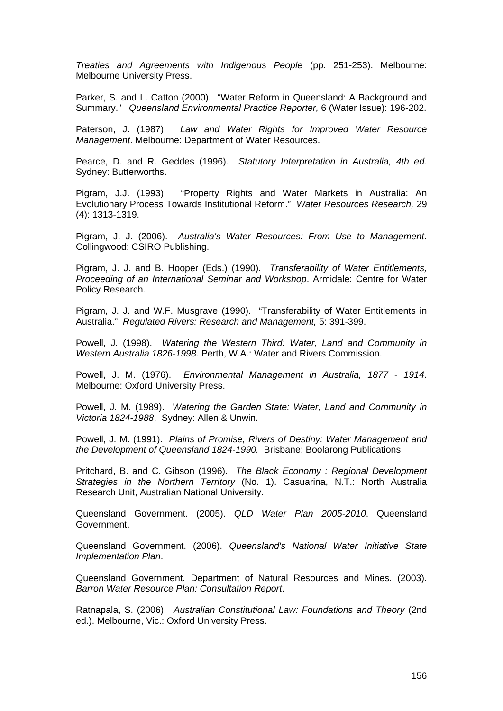*Treaties and Agreements with Indigenous People* (pp. 251-253). Melbourne: Melbourne University Press.

Parker, S. and L. Catton (2000). "Water Reform in Queensland: A Background and Summary." *Queensland Environmental Practice Reporter,* 6 (Water Issue): 196-202.

Paterson, J. (1987). *Law and Water Rights for Improved Water Resource Management*. Melbourne: Department of Water Resources.

Pearce, D. and R. Geddes (1996). *Statutory Interpretation in Australia, 4th ed*. Sydney: Butterworths.

Pigram, J.J. (1993). "Property Rights and Water Markets in Australia: An Evolutionary Process Towards Institutional Reform." *Water Resources Research,* 29 (4): 1313-1319.

Pigram, J. J. (2006). *Australia's Water Resources: From Use to Management*. Collingwood: CSIRO Publishing.

Pigram, J. J. and B. Hooper (Eds.) (1990). *Transferability of Water Entitlements, Proceeding of an International Seminar and Workshop*. Armidale: Centre for Water Policy Research.

Pigram, J. J. and W.F. Musgrave (1990). "Transferability of Water Entitlements in Australia." *Regulated Rivers: Research and Management,* 5: 391-399.

Powell, J. (1998). *Watering the Western Third: Water, Land and Community in Western Australia 1826-1998*. Perth, W.A.: Water and Rivers Commission.

Powell, J. M. (1976). *Environmental Management in Australia, 1877 - 1914*. Melbourne: Oxford University Press.

Powell, J. M. (1989). *Watering the Garden State: Water, Land and Community in Victoria 1824-1988*. Sydney: Allen & Unwin.

Powell, J. M. (1991). *Plains of Promise, Rivers of Destiny: Water Management and the Development of Queensland 1824-1990.* Brisbane: Boolarong Publications.

Pritchard, B. and C. Gibson (1996). *The Black Economy : Regional Development Strategies in the Northern Territory* (No. 1). Casuarina, N.T.: North Australia Research Unit, Australian National University.

Queensland Government. (2005). *QLD Water Plan 2005-2010*. Queensland Government.

Queensland Government. (2006). *Queensland's National Water Initiative State Implementation Plan*.

Queensland Government. Department of Natural Resources and Mines. (2003). *Barron Water Resource Plan: Consultation Report*.

Ratnapala, S. (2006). *Australian Constitutional Law: Foundations and Theory* (2nd ed.). Melbourne, Vic.: Oxford University Press.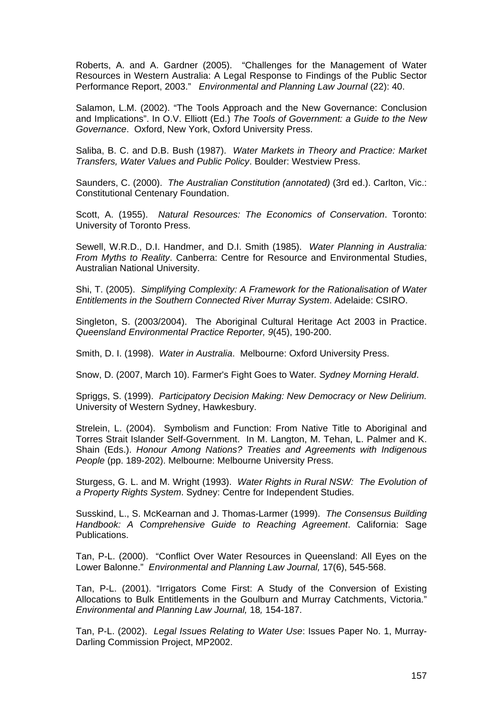Roberts, A. and A. Gardner (2005). "Challenges for the Management of Water Resources in Western Australia: A Legal Response to Findings of the Public Sector Performance Report, 2003." *Environmental and Planning Law Journal* (22): 40.

Salamon, L.M. (2002). "The Tools Approach and the New Governance: Conclusion and Implications". In O.V. Elliott (Ed.) *The Tools of Government: a Guide to the New Governance*. Oxford, New York, Oxford University Press.

Saliba, B. C. and D.B. Bush (1987). *Water Markets in Theory and Practice: Market Transfers, Water Values and Public Policy*. Boulder: Westview Press.

Saunders, C. (2000). *The Australian Constitution (annotated)* (3rd ed.). Carlton, Vic.: Constitutional Centenary Foundation.

Scott, A. (1955). *Natural Resources: The Economics of Conservation*. Toronto: University of Toronto Press.

Sewell, W.R.D., D.I. Handmer, and D.I. Smith (1985). *Water Planning in Australia: From Myths to Reality*. Canberra: Centre for Resource and Environmental Studies, Australian National University.

Shi, T. (2005). *Simplifying Complexity: A Framework for the Rationalisation of Water Entitlements in the Southern Connected River Murray System*. Adelaide: CSIRO.

Singleton, S. (2003/2004). The Aboriginal Cultural Heritage Act 2003 in Practice. *Queensland Environmental Practice Reporter, 9*(45), 190-200.

Smith, D. I. (1998). *Water in Australia*. Melbourne: Oxford University Press.

Snow, D. (2007, March 10). Farmer's Fight Goes to Water*. Sydney Morning Herald*.

Spriggs, S. (1999). *Participatory Decision Making: New Democracy or New Delirium.* University of Western Sydney, Hawkesbury.

Strelein, L. (2004). Symbolism and Function: From Native Title to Aboriginal and Torres Strait Islander Self-Government. In M. Langton, M. Tehan, L. Palmer and K. Shain (Eds.). *Honour Among Nations? Treaties and Agreements with Indigenous People* (pp. 189-202). Melbourne: Melbourne University Press.

Sturgess, G. L. and M. Wright (1993). *Water Rights in Rural NSW: The Evolution of a Property Rights System*. Sydney: Centre for Independent Studies.

Susskind, L., S. McKearnan and J. Thomas-Larmer (1999). *The Consensus Building Handbook: A Comprehensive Guide to Reaching Agreement*. California: Sage Publications.

Tan, P-L. (2000). "Conflict Over Water Resources in Queensland: All Eyes on the Lower Balonne." *Environmental and Planning Law Journal,* 17(6), 545-568.

Tan, P-L. (2001). "Irrigators Come First: A Study of the Conversion of Existing Allocations to Bulk Entitlements in the Goulburn and Murray Catchments, Victoria." *Environmental and Planning Law Journal,* 18*,* 154-187.

Tan, P-L. (2002). *Legal Issues Relating to Water Use*: Issues Paper No. 1, Murray-Darling Commission Project, MP2002.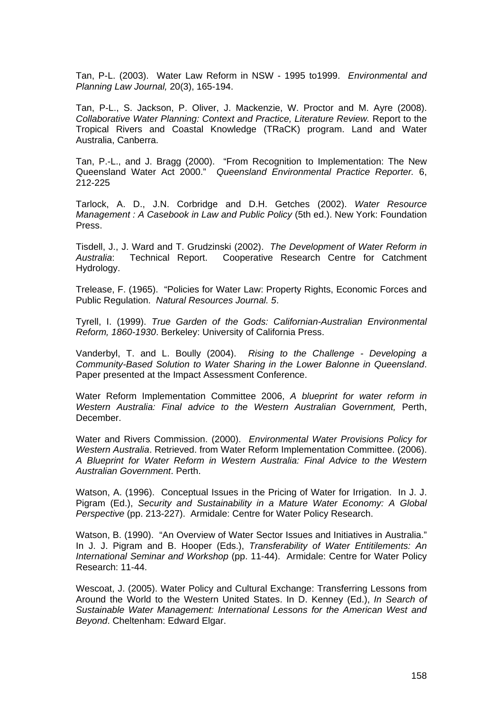Tan, P-L. (2003). Water Law Reform in NSW - 1995 to1999. *Environmental and Planning Law Journal,* 20(3), 165-194.

Tan, P-L., S. Jackson, P. Oliver, J. Mackenzie, W. Proctor and M. Ayre (2008). *Collaborative Water Planning: Context and Practice, Literature Review.* Report to the Tropical Rivers and Coastal Knowledge (TRaCK) program. Land and Water Australia, Canberra.

Tan, P.-L., and J. Bragg (2000). "From Recognition to Implementation: The New Queensland Water Act 2000." *Queensland Environmental Practice Reporter.* 6, 212-225

Tarlock, A. D., J.N. Corbridge and D.H. Getches (2002). *Water Resource Management : A Casebook in Law and Public Policy* (5th ed.). New York: Foundation Press.

Tisdell, J., J. Ward and T. Grudzinski (2002). *The Development of Water Reform in Australia*: Technical Report. Cooperative Research Centre for Catchment Hydrology.

Trelease, F. (1965). "Policies for Water Law: Property Rights, Economic Forces and Public Regulation. *Natural Resources Journal. 5*.

Tyrell, I. (1999). *True Garden of the Gods: Californian-Australian Environmental Reform, 1860-1930*. Berkeley: University of California Press.

Vanderbyl, T. and L. Boully (2004). *Rising to the Challenge - Developing a Community-Based Solution to Water Sharing in the Lower Balonne in Queensland*. Paper presented at the Impact Assessment Conference.

Water Reform Implementation Committee 2006, *A blueprint for water reform in Western Australia: Final advice to the Western Australian Government,* Perth, December.

Water and Rivers Commission. (2000). *Environmental Water Provisions Policy for Western Australia*. Retrieved. from Water Reform Implementation Committee. (2006). *A Blueprint for Water Reform in Western Australia: Final Advice to the Western Australian Government*. Perth.

Watson, A. (1996). Conceptual Issues in the Pricing of Water for Irrigation. In J. J. Pigram (Ed.), *Security and Sustainability in a Mature Water Economy: A Global Perspective* (pp. 213-227). Armidale: Centre for Water Policy Research.

Watson, B. (1990). "An Overview of Water Sector Issues and Initiatives in Australia." In J. J. Pigram and B. Hooper (Eds.), *Transferability of Water Entitilements: An International Seminar and Workshop* (pp. 11-44). Armidale: Centre for Water Policy Research: 11-44.

Wescoat, J. (2005). Water Policy and Cultural Exchange: Transferring Lessons from Around the World to the Western United States. In D. Kenney (Ed.), *In Search of Sustainable Water Management: International Lessons for the American West and Beyond*. Cheltenham: Edward Elgar.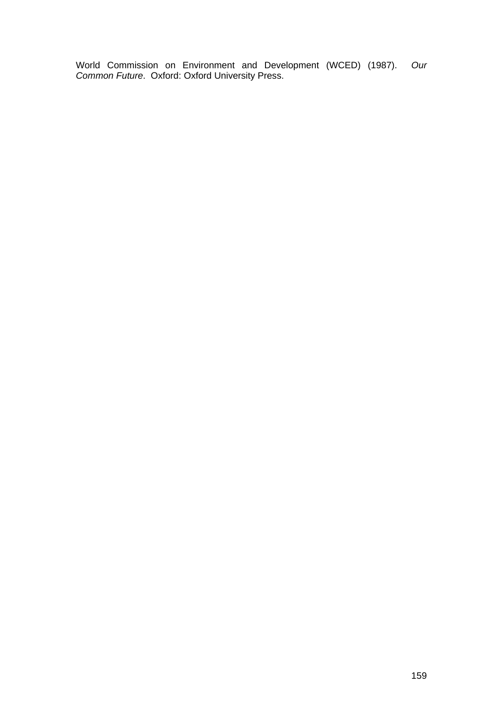World Commission on Environment and Development (WCED) (1987). *Our Common Future*. Oxford: Oxford University Press.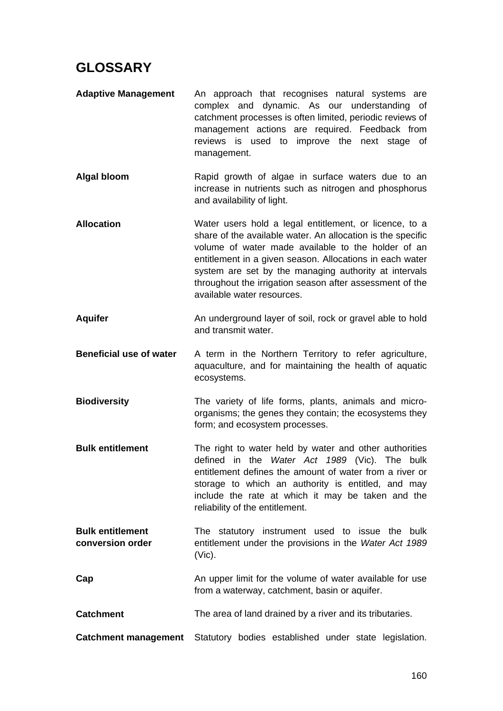## **GLOSSARY**

- **Adaptive Management** An approach that recognises natural systems are complex and dynamic. As our understanding of catchment processes is often limited, periodic reviews of management actions are required. Feedback from reviews is used to improve the next stage of management.
- Algal bloom **Rapid growth of algae in surface waters due to an** increase in nutrients such as nitrogen and phosphorus and availability of light.
- **Allocation** Water users hold a legal entitlement, or licence, to a share of the available water. An allocation is the specific volume of water made available to the holder of an entitlement in a given season. Allocations in each water system are set by the managing authority at intervals throughout the irrigation season after assessment of the available water resources.
- **Aquifer** An underground layer of soil, rock or gravel able to hold and transmit water.
- **Beneficial use of water** A term in the Northern Territory to refer agriculture, aquaculture, and for maintaining the health of aquatic ecosystems.
- **Biodiversity** The variety of life forms, plants, animals and microorganisms; the genes they contain; the ecosystems they form; and ecosystem processes.
- **Bulk entitlement** The right to water held by water and other authorities defined in the *Water Act 1989* (Vic). The bulk entitlement defines the amount of water from a river or storage to which an authority is entitled, and may include the rate at which it may be taken and the reliability of the entitlement.
- **Bulk entitlement conversion order** The statutory instrument used to issue the bulk entitlement under the provisions in the *Water Act 1989*  (Vic).
- **Cap An upper limit for the volume of water available for use** from a waterway, catchment, basin or aquifer.
- **Catchment** The area of land drained by a river and its tributaries.
- **Catchment management** Statutory bodies established under state legislation.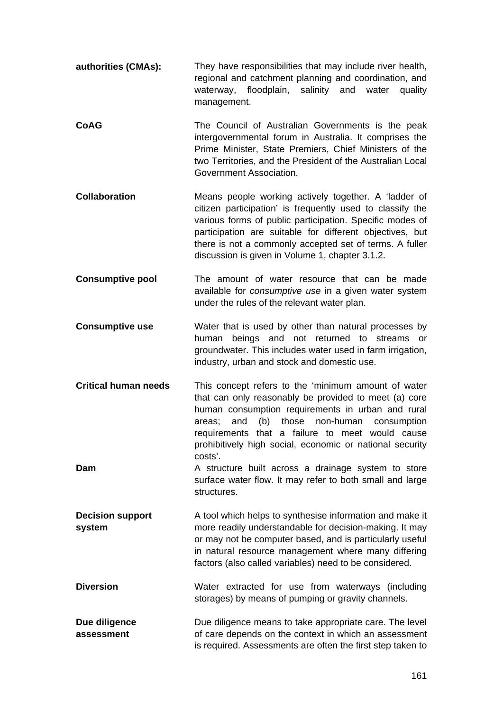- **authorities (CMAs):** They have responsibilities that may include river health, regional and catchment planning and coordination, and waterway, floodplain, salinity and water quality management.
- **CoAG** The Council of Australian Governments is the peak intergovernmental forum in Australia. It comprises the Prime Minister, State Premiers, Chief Ministers of the two Territories, and the President of the Australian Local Government Association.
- **Collaboration** Means people working actively together. A 'ladder of citizen participation' is frequently used to classify the various forms of public participation. Specific modes of participation are suitable for different objectives, but there is not a commonly accepted set of terms. A fuller discussion is given in Volume 1, chapter 3.1.2.
- **Consumptive pool** The amount of water resource that can be made available for *consumptive use* in a given water system under the rules of the relevant water plan.
- **Consumptive use Water that is used by other than natural processes by** human beings and not returned to streams or groundwater. This includes water used in farm irrigation, industry, urban and stock and domestic use.
- **Critical human needs** This concept refers to the 'minimum amount of water that can only reasonably be provided to meet (a) core human consumption requirements in urban and rural areas; and (b) those non-human consumption requirements that a failure to meet would cause prohibitively high social, economic or national security costs'.
- **Dam** A structure built across a drainage system to store surface water flow. It may refer to both small and large structures.
- **Decision support system** A tool which helps to synthesise information and make it more readily understandable for decision-making. It may or may not be computer based, and is particularly useful in natural resource management where many differing factors (also called variables) need to be considered.
- **Diversion** Water extracted for use from waterways (including storages) by means of pumping or gravity channels.

**Due diligence assessment** Due diligence means to take appropriate care. The level of care depends on the context in which an assessment is required. Assessments are often the first step taken to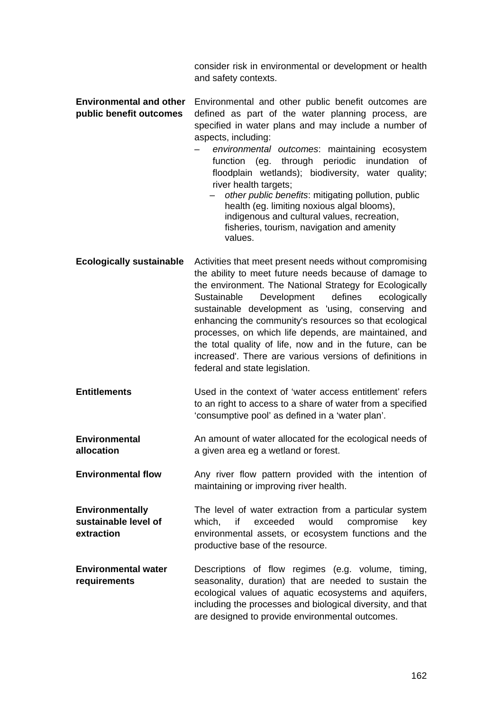consider risk in environmental or development or health and safety contexts.

| <b>Environmental and other</b> Environmental and other public benefit outcomes are |
|------------------------------------------------------------------------------------|
| <b>public benefit outcomes</b> defined as part of the water planning process, are  |
| specified in water plans and may include a number of                               |
| aspects, including:                                                                |

- *environmental outcomes*: maintaining ecosystem function (eg. through periodic inundation of floodplain wetlands); biodiversity, water quality; river health targets;
	- *other public benefits*: mitigating pollution, public health (eg. limiting noxious algal blooms). indigenous and cultural values, recreation, fisheries, tourism, navigation and amenity values.
- **Ecologically sustainable** Activities that meet present needs without compromising the ability to meet future needs because of damage to the environment. The National Strategy for Ecologically Sustainable Development defines ecologically sustainable development as 'using, conserving and enhancing the community's resources so that ecological processes, on which life depends, are maintained, and the total quality of life, now and in the future, can be increased'. There are various versions of definitions in federal and state legislation.
- **Entitlements** Used in the context of 'water access entitlement' refers to an right to access to a share of water from a specified 'consumptive pool' as defined in a 'water plan'.
- **Environmental allocation** An amount of water allocated for the ecological needs of a given area eg a wetland or forest.
- **Environmental flow** Any river flow pattern provided with the intention of maintaining or improving river health.

**Environmentally sustainable level of extraction** The level of water extraction from a particular system which, if exceeded would compromise key environmental assets, or ecosystem functions and the productive base of the resource.

**Environmental water requirements** Descriptions of flow regimes (e.g. volume, timing, seasonality, duration) that are needed to sustain the ecological values of aquatic ecosystems and aquifers, including the processes and biological diversity, and that are designed to provide environmental outcomes.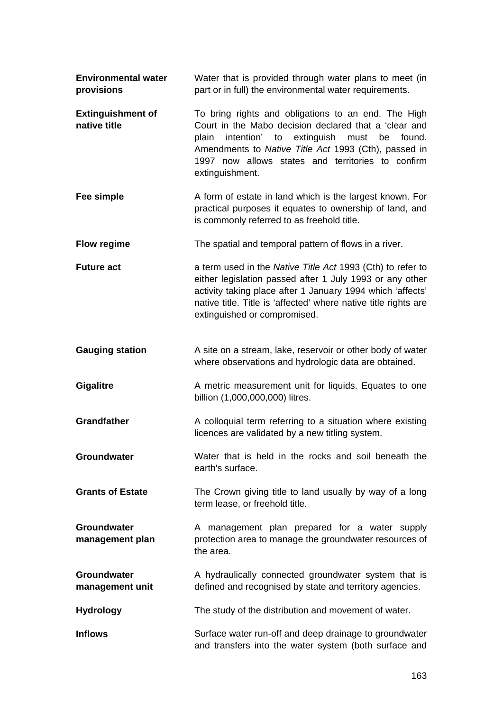| <b>Environmental water</b><br>provisions | Water that is provided through water plans to meet (in<br>part or in full) the environmental water requirements.                                                                                                                                                                                    |
|------------------------------------------|-----------------------------------------------------------------------------------------------------------------------------------------------------------------------------------------------------------------------------------------------------------------------------------------------------|
| <b>Extinguishment of</b><br>native title | To bring rights and obligations to an end. The High<br>Court in the Mabo decision declared that a 'clear and<br>intention' to extinguish must be<br>found.<br>plain<br>Amendments to Native Title Act 1993 (Cth), passed in<br>1997 now allows states and territories to confirm<br>extinguishment. |
| Fee simple                               | A form of estate in land which is the largest known. For<br>practical purposes it equates to ownership of land, and<br>is commonly referred to as freehold title.                                                                                                                                   |
| <b>Flow regime</b>                       | The spatial and temporal pattern of flows in a river.                                                                                                                                                                                                                                               |
| <b>Future act</b>                        | a term used in the Native Title Act 1993 (Cth) to refer to<br>either legislation passed after 1 July 1993 or any other<br>activity taking place after 1 January 1994 which 'affects'<br>native title. Title is 'affected' where native title rights are<br>extinguished or compromised.             |
| <b>Gauging station</b>                   | A site on a stream, lake, reservoir or other body of water<br>where observations and hydrologic data are obtained.                                                                                                                                                                                  |
| <b>Gigalitre</b>                         | A metric measurement unit for liquids. Equates to one<br>billion (1,000,000,000) litres.                                                                                                                                                                                                            |
| <b>Grandfather</b>                       | A colloquial term referring to a situation where existing<br>licences are validated by a new titling system.                                                                                                                                                                                        |
| Groundwater                              | Water that is held in the rocks and soil beneath the<br>earth's surface.                                                                                                                                                                                                                            |
| <b>Grants of Estate</b>                  | The Crown giving title to land usually by way of a long<br>term lease, or freehold title.                                                                                                                                                                                                           |
| <b>Groundwater</b><br>management plan    | A management plan prepared for a water supply<br>protection area to manage the groundwater resources of<br>the area.                                                                                                                                                                                |
| Groundwater<br>management unit           | A hydraulically connected groundwater system that is<br>defined and recognised by state and territory agencies.                                                                                                                                                                                     |
| <b>Hydrology</b>                         | The study of the distribution and movement of water.                                                                                                                                                                                                                                                |
| <b>Inflows</b>                           | Surface water run-off and deep drainage to groundwater<br>and transfers into the water system (both surface and                                                                                                                                                                                     |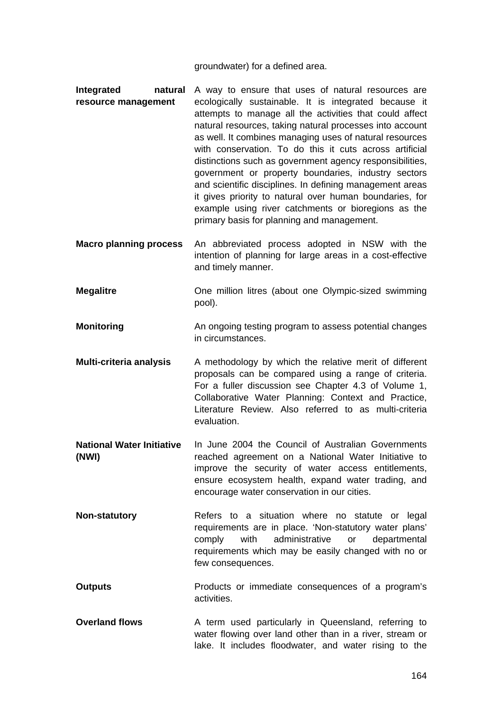groundwater) for a defined area.

- **Integrated natural resource management**  A way to ensure that uses of natural resources are ecologically sustainable. It is integrated because it attempts to manage all the activities that could affect natural resources, taking natural processes into account as well. It combines managing uses of natural resources with conservation. To do this it cuts across artificial distinctions such as government agency responsibilities, government or property boundaries, industry sectors and scientific disciplines. In defining management areas it gives priority to natural over human boundaries, for example using river catchments or bioregions as the primary basis for planning and management.
- **Macro planning process** An abbreviated process adopted in NSW with the intention of planning for large areas in a cost-effective and timely manner.
- **Megalitre Cone million litres (about one Olympic-sized swimming** pool).
- **Monitoring The State of An ongoing testing program to assess potential changes** in circumstances.
- **Multi-criteria analysis** A methodology by which the relative merit of different proposals can be compared using a range of criteria. For a fuller discussion see Chapter 4.3 of Volume 1, Collaborative Water Planning: Context and Practice, Literature Review. Also referred to as multi-criteria evaluation.
- **National Water Initiative (NWI)**  In June 2004 the Council of Australian Governments reached agreement on a National Water Initiative to improve the security of water access entitlements, ensure ecosystem health, expand water trading, and encourage water conservation in our cities.
- **Non-statutory Refers to a situation where no statute or legal** requirements are in place. 'Non-statutory water plans' comply with administrative or departmental requirements which may be easily changed with no or few consequences.
- **Outputs Products or immediate consequences of a program's** activities.
- **Overland flows** A term used particularly in Queensland, referring to water flowing over land other than in a river, stream or lake. It includes floodwater, and water rising to the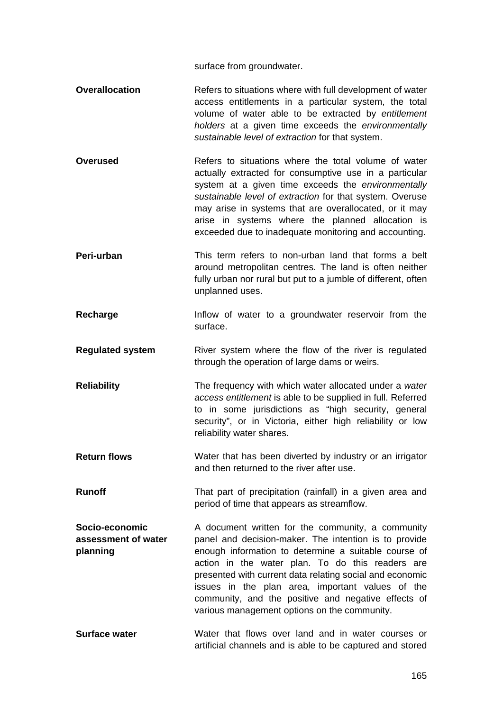surface from groundwater.

- **Overallocation Refers to situations where with full development of water** access entitlements in a particular system, the total volume of water able to be extracted by *entitlement holders* at a given time exceeds the *environmentally sustainable level of extraction* for that system.
- **Overused Refers to situations where the total volume of water** actually extracted for consumptive use in a particular system at a given time exceeds the *environmentally sustainable level of extraction* for that system. Overuse may arise in systems that are overallocated, or it may arise in systems where the planned allocation is exceeded due to inadequate monitoring and accounting.
- **Peri-urban** This term refers to non-urban land that forms a belt around metropolitan centres. The land is often neither fully urban nor rural but put to a jumble of different, often unplanned uses.
- **Recharge Inflow of water to a groundwater reservoir from the** surface.
- **Regulated system** River system where the flow of the river is regulated through the operation of large dams or weirs.
- **Reliability** The frequency with which water allocated under a *water access entitlement* is able to be supplied in full. Referred to in some jurisdictions as "high security, general security", or in Victoria, either high reliability or low reliability water shares.
- **Return flows** Water that has been diverted by industry or an irrigator and then returned to the river after use.
- **Runoff** That part of precipitation (rainfall) in a given area and period of time that appears as streamflow.
- **Socio-economic assessment of water planning**  A document written for the community, a community panel and decision-maker. The intention is to provide enough information to determine a suitable course of action in the water plan. To do this readers are presented with current data relating social and economic issues in the plan area, important values of the community, and the positive and negative effects of various management options on the community.
- **Surface water** Water that flows over land and in water courses or artificial channels and is able to be captured and stored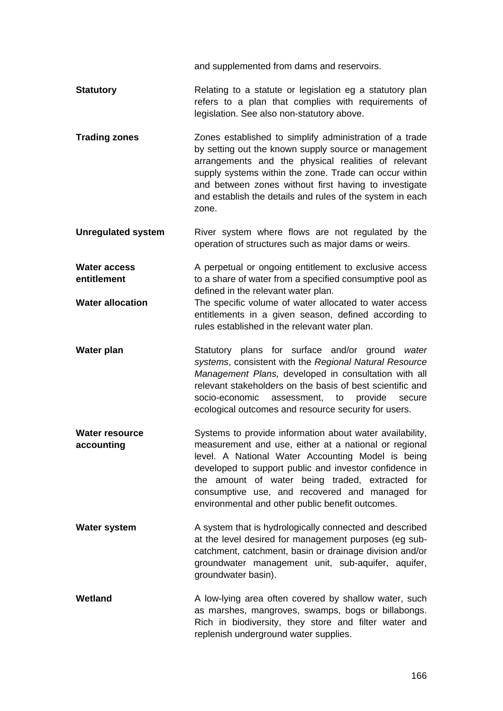and supplemented from dams and reservoirs.

- **Statutory Relating to a statute or legislation eg a statutory plan** refers to a plan that complies with requirements of legislation. See also non-statutory above.
- **Trading zones** Zones established to simplify administration of a trade by setting out the known supply source or management arrangements and the physical realities of relevant supply systems within the zone. Trade can occur within and between zones without first having to investigate and establish the details and rules of the system in each zone.
- **Unregulated system River** system where flows are not regulated by the operation of structures such as major dams or weirs.

**Water access entitlement**  A perpetual or ongoing entitlement to exclusive access to a share of water from a specified consumptive pool as defined in the relevant water plan.

- **Water allocation** The specific volume of water allocated to water access entitlements in a given season, defined according to rules established in the relevant water plan.
- **Water plan** Statutory plans for surface and/or ground *water systems*, consistent with the *Regional Natural Resource Management Plans,* developed in consultation with all relevant stakeholders on the basis of best scientific and socio-economic assessment, to provide secure ecological outcomes and resource security for users.
- **Water resource accounting**  Systems to provide information about water availability, measurement and use, either at a national or regional level. A National Water Accounting Model is being developed to support public and investor confidence in the amount of water being traded, extracted for consumptive use, and recovered and managed for environmental and other public benefit outcomes.
- **Water system A** system that is hydrologically connected and described at the level desired for management purposes (eg subcatchment, catchment, basin or drainage division and/or groundwater management unit, sub-aquifer, aquifer, groundwater basin).
- **Wetland A** low-lying area often covered by shallow water, such as marshes, mangroves, swamps, bogs or billabongs. Rich in biodiversity, they store and filter water and replenish underground water supplies.